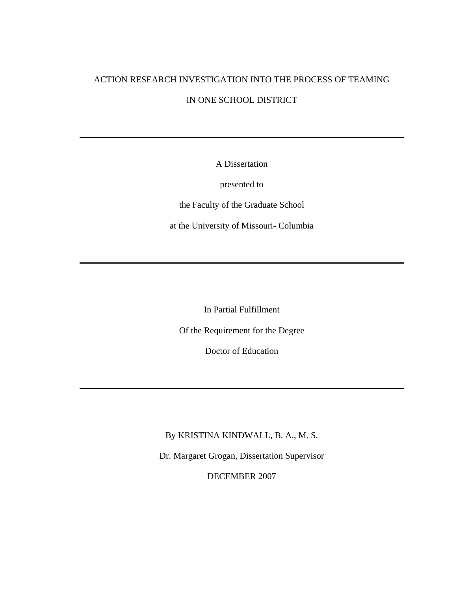# ACTION RESEARCH INVESTIGATION INTO THE PROCESS OF TEAMING

# IN ONE SCHOOL DISTRICT

A Dissertation

presented to

the Faculty of the Graduate School

at the University of Missouri- Columbia

In Partial Fulfillment

Of the Requirement for the Degree

Doctor of Education

By KRISTINA KINDWALL, B. A., M. S.

Dr. Margaret Grogan, Dissertation Supervisor

DECEMBER 2007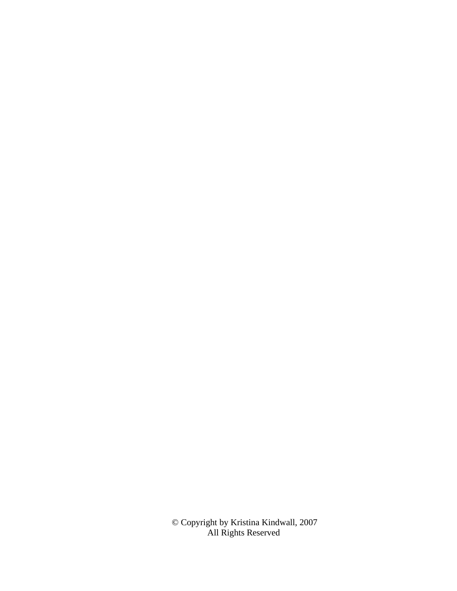© Copyright by Kristina Kindwall, 2007 All Rights Reserved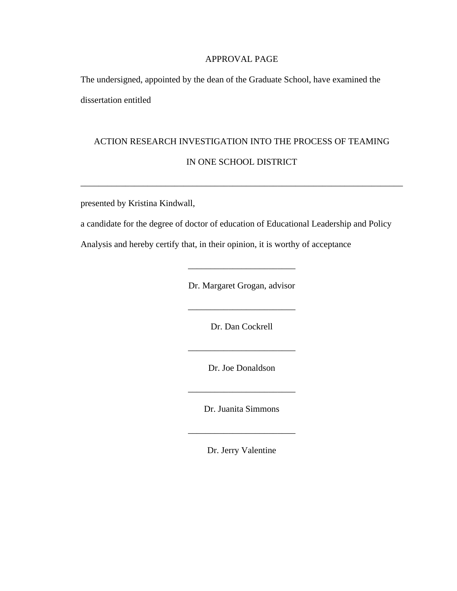# APPROVAL PAGE

The undersigned, appointed by the dean of the Graduate School, have examined the dissertation entitled

# ACTION RESEARCH INVESTIGATION INTO THE PROCESS OF TEAMING IN ONE SCHOOL DISTRICT

\_\_\_\_\_\_\_\_\_\_\_\_\_\_\_\_\_\_\_\_\_\_\_\_\_\_\_\_\_\_\_\_\_\_\_\_\_\_\_\_\_\_\_\_\_\_\_\_\_\_\_\_\_\_\_\_\_\_\_\_\_\_\_\_\_\_\_\_\_\_\_\_

presented by Kristina Kindwall,

a candidate for the degree of doctor of education of Educational Leadership and Policy

Analysis and hereby certify that, in their opinion, it is worthy of acceptance

Dr. Margaret Grogan, advisor

\_\_\_\_\_\_\_\_\_\_\_\_\_\_\_\_\_\_\_\_\_\_\_\_

\_\_\_\_\_\_\_\_\_\_\_\_\_\_\_\_\_\_\_\_\_\_\_\_

Dr. Dan Cockrell

\_\_\_\_\_\_\_\_\_\_\_\_\_\_\_\_\_\_\_\_\_\_\_\_

Dr. Joe Donaldson

\_\_\_\_\_\_\_\_\_\_\_\_\_\_\_\_\_\_\_\_\_\_\_\_

Dr. Juanita Simmons

Dr. Jerry Valentine

\_\_\_\_\_\_\_\_\_\_\_\_\_\_\_\_\_\_\_\_\_\_\_\_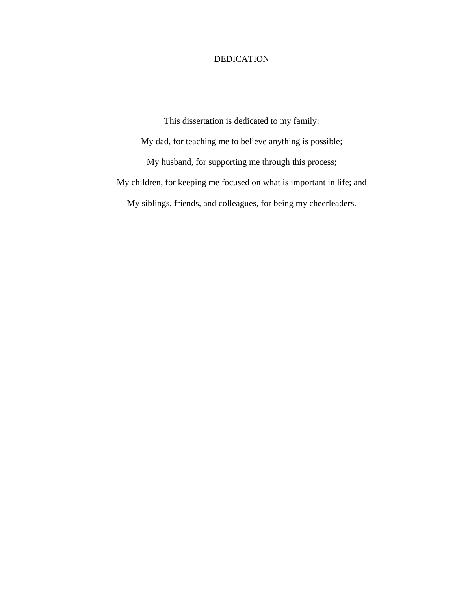# DEDICATION

This dissertation is dedicated to my family: My dad, for teaching me to believe anything is possible; My husband, for supporting me through this process; My children, for keeping me focused on what is important in life; and My siblings, friends, and colleagues, for being my cheerleaders.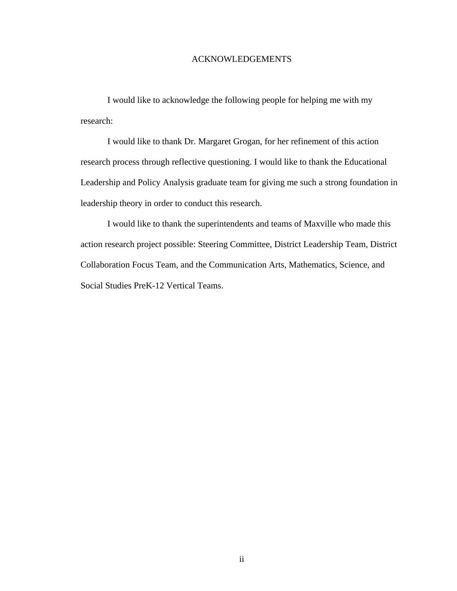# ACKNOWLEDGEMENTS

 I would like to acknowledge the following people for helping me with my research:

 I would like to thank Dr. Margaret Grogan, for her refinement of this action research process through reflective questioning. I would like to thank the Educational Leadership and Policy Analysis graduate team for giving me such a strong foundation in leadership theory in order to conduct this research.

 I would like to thank the superintendents and teams of Maxville who made this action research project possible: Steering Committee, District Leadership Team, District Collaboration Focus Team, and the Communication Arts, Mathematics, Science, and Social Studies PreK-12 Vertical Teams.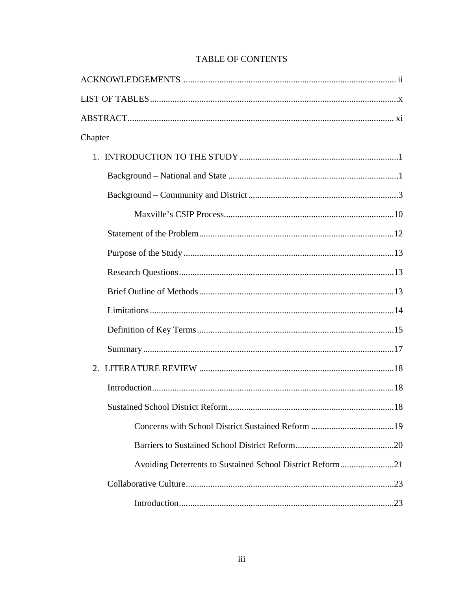| Chapter                                                   |     |
|-----------------------------------------------------------|-----|
|                                                           |     |
|                                                           |     |
|                                                           |     |
|                                                           |     |
|                                                           |     |
|                                                           |     |
|                                                           |     |
|                                                           |     |
|                                                           |     |
|                                                           |     |
|                                                           |     |
|                                                           |     |
|                                                           |     |
| Sustained School District Reform                          | .18 |
|                                                           |     |
|                                                           |     |
| Avoiding Deterrents to Sustained School District Reform21 |     |
|                                                           |     |
|                                                           |     |

# TABLE OF CONTENTS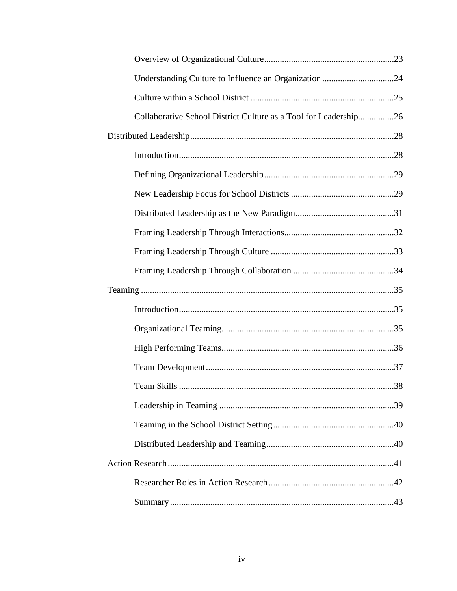| Understanding Culture to Influence an Organization 24            |     |
|------------------------------------------------------------------|-----|
|                                                                  |     |
| Collaborative School District Culture as a Tool for Leadership26 |     |
|                                                                  |     |
|                                                                  |     |
|                                                                  |     |
|                                                                  |     |
|                                                                  |     |
|                                                                  |     |
|                                                                  |     |
|                                                                  |     |
|                                                                  |     |
|                                                                  |     |
|                                                                  |     |
|                                                                  |     |
|                                                                  |     |
| Team Skills                                                      | .38 |
|                                                                  |     |
|                                                                  |     |
|                                                                  |     |
|                                                                  |     |
|                                                                  |     |
|                                                                  |     |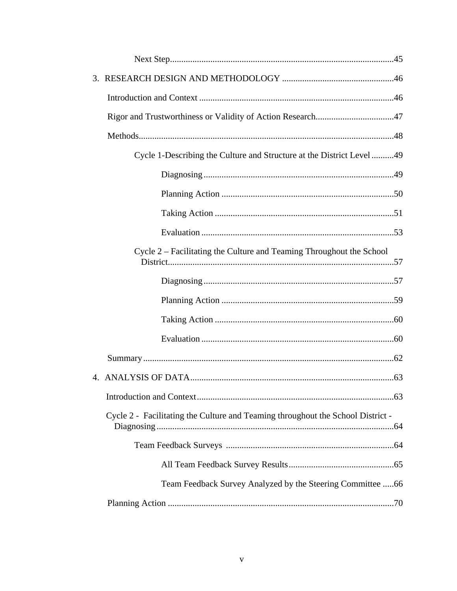| Cycle 1-Describing the Culture and Structure at the District Level49            |
|---------------------------------------------------------------------------------|
|                                                                                 |
|                                                                                 |
|                                                                                 |
|                                                                                 |
| Cycle 2 – Facilitating the Culture and Teaming Throughout the School            |
|                                                                                 |
|                                                                                 |
|                                                                                 |
|                                                                                 |
|                                                                                 |
|                                                                                 |
|                                                                                 |
| Cycle 2 - Facilitating the Culture and Teaming throughout the School District - |
|                                                                                 |
|                                                                                 |
| Team Feedback Survey Analyzed by the Steering Committee 66                      |
|                                                                                 |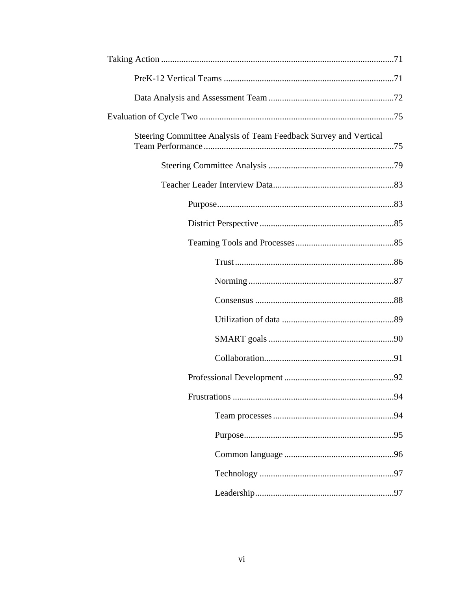| Steering Committee Analysis of Team Feedback Survey and Vertical |
|------------------------------------------------------------------|
|                                                                  |
|                                                                  |
|                                                                  |
|                                                                  |
|                                                                  |
|                                                                  |
|                                                                  |
|                                                                  |
|                                                                  |
|                                                                  |
|                                                                  |
|                                                                  |
|                                                                  |
|                                                                  |
|                                                                  |
|                                                                  |
|                                                                  |
|                                                                  |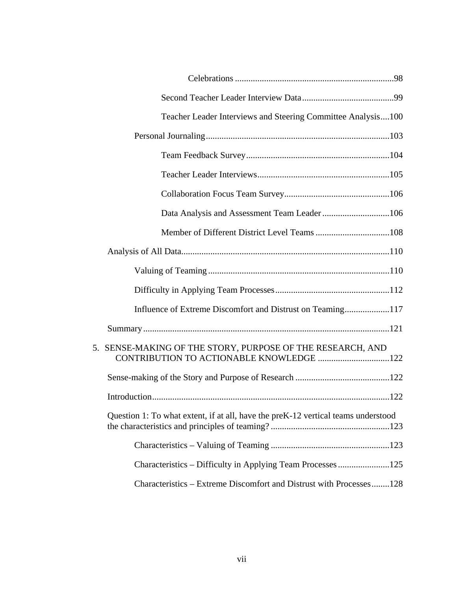| Teacher Leader Interviews and Steering Committee Analysis100                                           |
|--------------------------------------------------------------------------------------------------------|
|                                                                                                        |
|                                                                                                        |
|                                                                                                        |
|                                                                                                        |
|                                                                                                        |
|                                                                                                        |
|                                                                                                        |
|                                                                                                        |
|                                                                                                        |
| Influence of Extreme Discomfort and Distrust on Teaming117                                             |
|                                                                                                        |
| 5. SENSE-MAKING OF THE STORY, PURPOSE OF THE RESEARCH, AND<br>CONTRIBUTION TO ACTIONABLE KNOWLEDGE 122 |
|                                                                                                        |
|                                                                                                        |
| Question 1: To what extent, if at all, have the preK-12 vertical teams understood                      |
|                                                                                                        |
| Characteristics – Difficulty in Applying Team Processes125                                             |
| Characteristics - Extreme Discomfort and Distrust with Processes128                                    |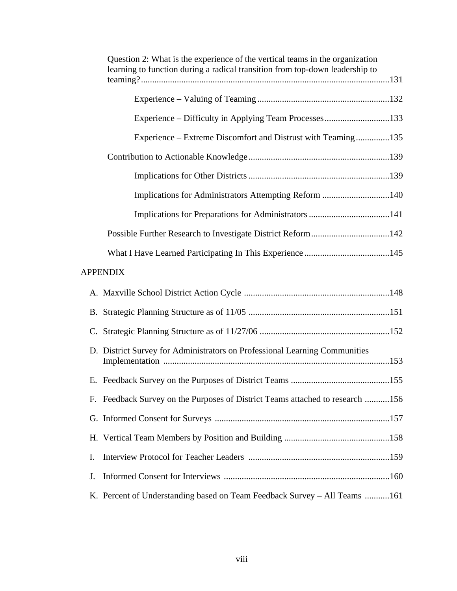|    | Question 2: What is the experience of the vertical teams in the organization<br>learning to function during a radical transition from top-down leadership to |  |  |
|----|--------------------------------------------------------------------------------------------------------------------------------------------------------------|--|--|
|    |                                                                                                                                                              |  |  |
|    | Experience – Difficulty in Applying Team Processes133                                                                                                        |  |  |
|    | Experience – Extreme Discomfort and Distrust with Teaming135                                                                                                 |  |  |
|    |                                                                                                                                                              |  |  |
|    |                                                                                                                                                              |  |  |
|    | Implications for Administrators Attempting Reform 140                                                                                                        |  |  |
|    |                                                                                                                                                              |  |  |
|    |                                                                                                                                                              |  |  |
|    |                                                                                                                                                              |  |  |
|    | <b>APPENDIX</b>                                                                                                                                              |  |  |
|    |                                                                                                                                                              |  |  |
|    |                                                                                                                                                              |  |  |
|    |                                                                                                                                                              |  |  |
|    | D. District Survey for Administrators on Professional Learning Communities                                                                                   |  |  |
|    |                                                                                                                                                              |  |  |
|    | F. Feedback Survey on the Purposes of District Teams attached to research 156                                                                                |  |  |
|    |                                                                                                                                                              |  |  |
|    |                                                                                                                                                              |  |  |
| I. |                                                                                                                                                              |  |  |
| J. |                                                                                                                                                              |  |  |
|    |                                                                                                                                                              |  |  |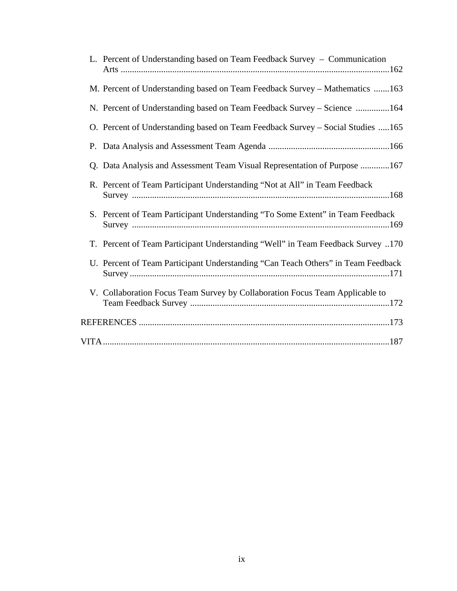| L. Percent of Understanding based on Team Feedback Survey – Communication        |
|----------------------------------------------------------------------------------|
| M. Percent of Understanding based on Team Feedback Survey - Mathematics 163      |
| N. Percent of Understanding based on Team Feedback Survey – Science 164          |
| O. Percent of Understanding based on Team Feedback Survey - Social Studies 165   |
|                                                                                  |
| Q. Data Analysis and Assessment Team Visual Representation of Purpose 167        |
| R. Percent of Team Participant Understanding "Not at All" in Team Feedback       |
| S. Percent of Team Participant Understanding "To Some Extent" in Team Feedback   |
| T. Percent of Team Participant Understanding "Well" in Team Feedback Survey 170  |
| U. Percent of Team Participant Understanding "Can Teach Others" in Team Feedback |
| V. Collaboration Focus Team Survey by Collaboration Focus Team Applicable to     |
|                                                                                  |
|                                                                                  |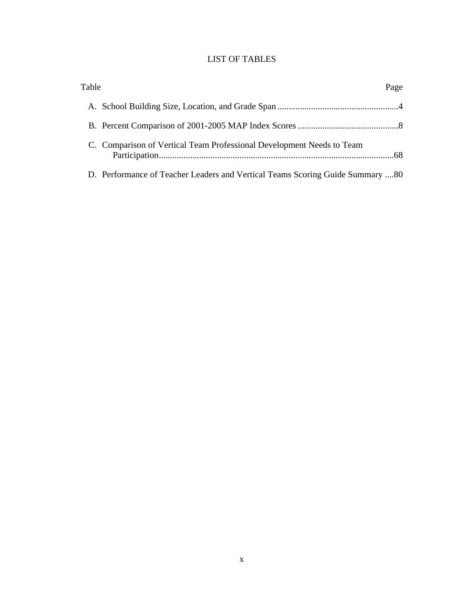# LIST OF TABLES

| Table                                                                         | Page |
|-------------------------------------------------------------------------------|------|
|                                                                               |      |
|                                                                               |      |
| C. Comparison of Vertical Team Professional Development Needs to Team         |      |
| D. Performance of Teacher Leaders and Vertical Teams Scoring Guide Summary 80 |      |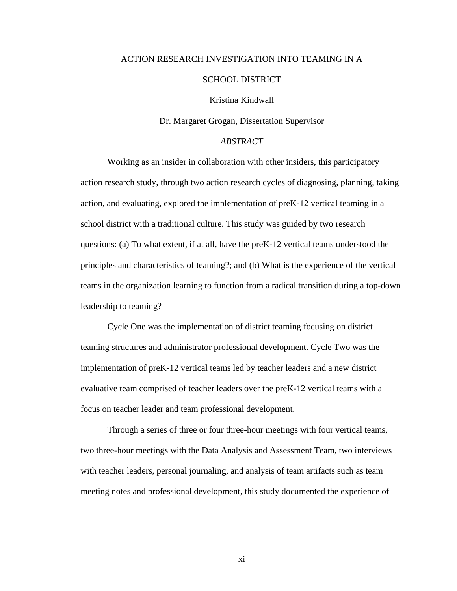# ACTION RESEARCH INVESTIGATION INTO TEAMING IN A

# SCHOOL DISTRICT

#### Kristina Kindwall

#### Dr. Margaret Grogan, Dissertation Supervisor

# *ABSTRACT*

 Working as an insider in collaboration with other insiders, this participatory action research study, through two action research cycles of diagnosing, planning, taking action, and evaluating, explored the implementation of preK-12 vertical teaming in a school district with a traditional culture. This study was guided by two research questions: (a) To what extent, if at all, have the preK-12 vertical teams understood the principles and characteristics of teaming?; and (b) What is the experience of the vertical teams in the organization learning to function from a radical transition during a top-down leadership to teaming?

Cycle One was the implementation of district teaming focusing on district teaming structures and administrator professional development. Cycle Two was the implementation of preK-12 vertical teams led by teacher leaders and a new district evaluative team comprised of teacher leaders over the preK-12 vertical teams with a focus on teacher leader and team professional development.

Through a series of three or four three-hour meetings with four vertical teams, two three-hour meetings with the Data Analysis and Assessment Team, two interviews with teacher leaders, personal journaling, and analysis of team artifacts such as team meeting notes and professional development, this study documented the experience of

xi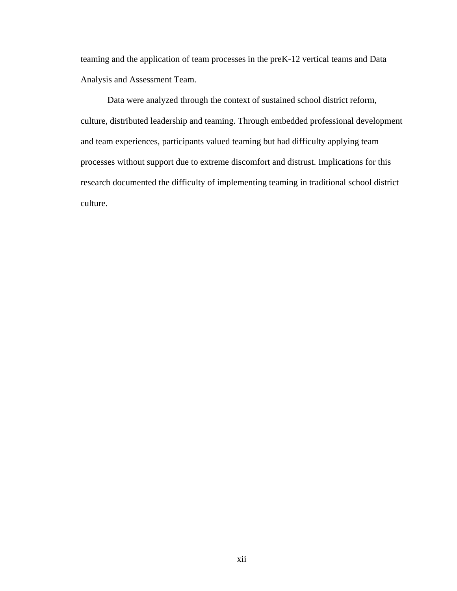teaming and the application of team processes in the preK-12 vertical teams and Data Analysis and Assessment Team.

Data were analyzed through the context of sustained school district reform, culture, distributed leadership and teaming. Through embedded professional development and team experiences, participants valued teaming but had difficulty applying team processes without support due to extreme discomfort and distrust. Implications for this research documented the difficulty of implementing teaming in traditional school district culture.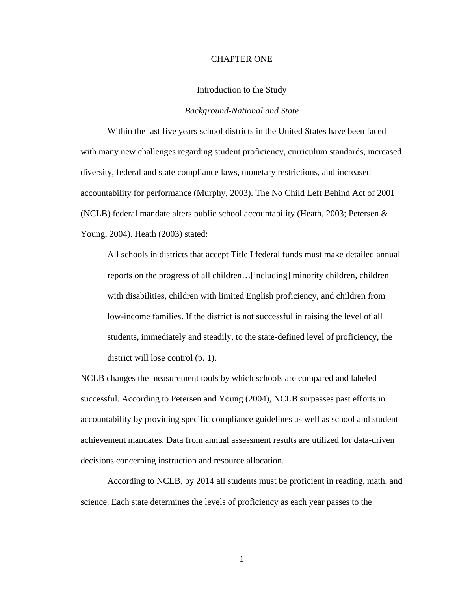#### CHAPTER ONE

#### Introduction to the Study

#### *Background-National and State*

Within the last five years school districts in the United States have been faced with many new challenges regarding student proficiency, curriculum standards, increased diversity, federal and state compliance laws, monetary restrictions, and increased accountability for performance (Murphy, 2003). The No Child Left Behind Act of 2001 (NCLB) federal mandate alters public school accountability (Heath, 2003; Petersen & Young, 2004). Heath (2003) stated:

All schools in districts that accept Title I federal funds must make detailed annual reports on the progress of all children…[including] minority children, children with disabilities, children with limited English proficiency, and children from low-income families. If the district is not successful in raising the level of all students, immediately and steadily, to the state-defined level of proficiency, the district will lose control (p. 1).

NCLB changes the measurement tools by which schools are compared and labeled successful. According to Petersen and Young (2004), NCLB surpasses past efforts in accountability by providing specific compliance guidelines as well as school and student achievement mandates. Data from annual assessment results are utilized for data-driven decisions concerning instruction and resource allocation.

According to NCLB, by 2014 all students must be proficient in reading, math, and science. Each state determines the levels of proficiency as each year passes to the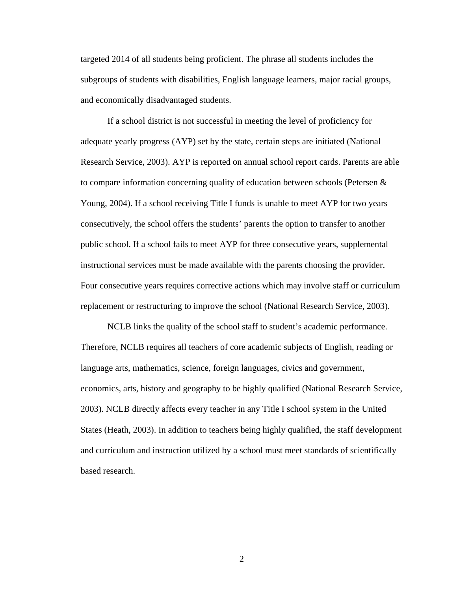targeted 2014 of all students being proficient. The phrase all students includes the subgroups of students with disabilities, English language learners, major racial groups, and economically disadvantaged students.

If a school district is not successful in meeting the level of proficiency for adequate yearly progress (AYP) set by the state, certain steps are initiated (National Research Service, 2003). AYP is reported on annual school report cards. Parents are able to compare information concerning quality of education between schools (Petersen & Young, 2004). If a school receiving Title I funds is unable to meet AYP for two years consecutively, the school offers the students' parents the option to transfer to another public school. If a school fails to meet AYP for three consecutive years, supplemental instructional services must be made available with the parents choosing the provider. Four consecutive years requires corrective actions which may involve staff or curriculum replacement or restructuring to improve the school (National Research Service, 2003).

NCLB links the quality of the school staff to student's academic performance. Therefore, NCLB requires all teachers of core academic subjects of English, reading or language arts, mathematics, science, foreign languages, civics and government, economics, arts, history and geography to be highly qualified (National Research Service, 2003). NCLB directly affects every teacher in any Title I school system in the United States (Heath, 2003). In addition to teachers being highly qualified, the staff development and curriculum and instruction utilized by a school must meet standards of scientifically based research.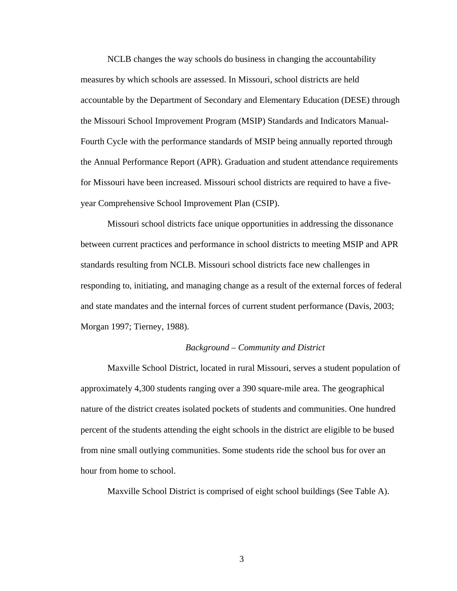NCLB changes the way schools do business in changing the accountability measures by which schools are assessed. In Missouri, school districts are held accountable by the Department of Secondary and Elementary Education (DESE) through the Missouri School Improvement Program (MSIP) Standards and Indicators Manual-Fourth Cycle with the performance standards of MSIP being annually reported through the Annual Performance Report (APR). Graduation and student attendance requirements for Missouri have been increased. Missouri school districts are required to have a fiveyear Comprehensive School Improvement Plan (CSIP).

Missouri school districts face unique opportunities in addressing the dissonance between current practices and performance in school districts to meeting MSIP and APR standards resulting from NCLB. Missouri school districts face new challenges in responding to, initiating, and managing change as a result of the external forces of federal and state mandates and the internal forces of current student performance (Davis, 2003; Morgan 1997; Tierney, 1988).

#### *Background – Community and District*

Maxville School District, located in rural Missouri, serves a student population of approximately 4,300 students ranging over a 390 square-mile area. The geographical nature of the district creates isolated pockets of students and communities. One hundred percent of the students attending the eight schools in the district are eligible to be bused from nine small outlying communities. Some students ride the school bus for over an hour from home to school.

Maxville School District is comprised of eight school buildings (See Table A).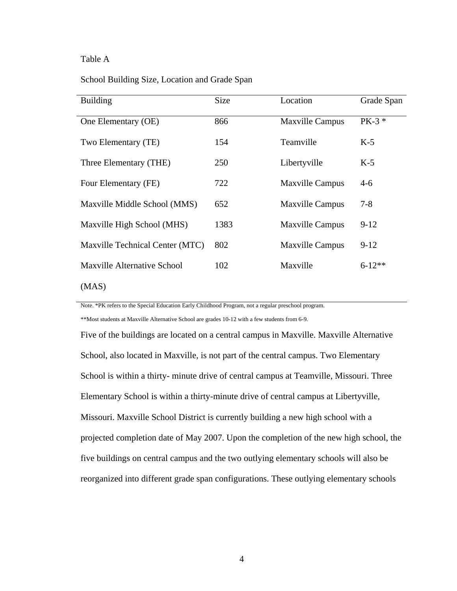# Table A

#### School Building Size, Location and Grade Span

| <b>Building</b>                 | <b>Size</b> | Location               | Grade Span |
|---------------------------------|-------------|------------------------|------------|
| One Elementary (OE)             | 866         | Maxville Campus        | PK-3 *     |
| Two Elementary (TE)             | 154         | Teamville              | $K-5$      |
| Three Elementary (THE)          | 250         | Libertyville           | $K-5$      |
| Four Elementary (FE)            | 722         | Maxville Campus        | $4-6$      |
| Maxville Middle School (MMS)    | 652         | <b>Maxville Campus</b> | $7 - 8$    |
| Maxville High School (MHS)      | 1383        | Maxville Campus        | $9-12$     |
| Maxville Technical Center (MTC) | 802         | Maxville Campus        | $9-12$     |
| Maxville Alternative School     | 102         | Maxville               | $6 - 12**$ |
| (MAS)                           |             |                        |            |

Note. \*PK refers to the Special Education Early Childhood Program, not a regular preschool program.

\*\*Most students at Maxville Alternative School are grades 10-12 with a few students from 6-9.

Five of the buildings are located on a central campus in Maxville. Maxville Alternative School, also located in Maxville, is not part of the central campus. Two Elementary School is within a thirty- minute drive of central campus at Teamville, Missouri. Three Elementary School is within a thirty-minute drive of central campus at Libertyville, Missouri. Maxville School District is currently building a new high school with a projected completion date of May 2007. Upon the completion of the new high school, the five buildings on central campus and the two outlying elementary schools will also be reorganized into different grade span configurations. These outlying elementary schools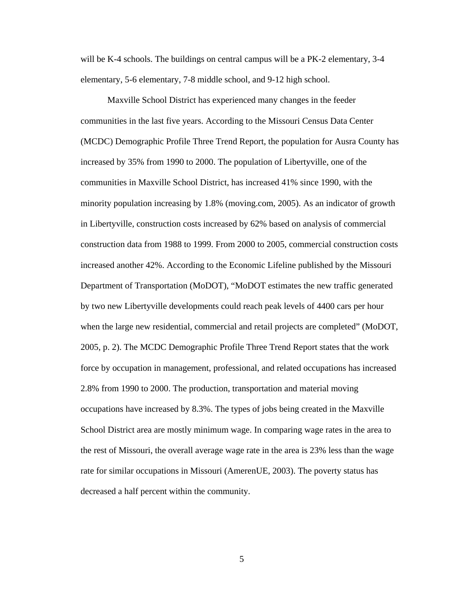will be K-4 schools. The buildings on central campus will be a PK-2 elementary, 3-4 elementary, 5-6 elementary, 7-8 middle school, and 9-12 high school.

Maxville School District has experienced many changes in the feeder communities in the last five years. According to the Missouri Census Data Center (MCDC) Demographic Profile Three Trend Report, the population for Ausra County has increased by 35% from 1990 to 2000. The population of Libertyville, one of the communities in Maxville School District, has increased 41% since 1990, with the minority population increasing by 1.8% (moving.com, 2005). As an indicator of growth in Libertyville, construction costs increased by 62% based on analysis of commercial construction data from 1988 to 1999. From 2000 to 2005, commercial construction costs increased another 42%. According to the Economic Lifeline published by the Missouri Department of Transportation (MoDOT), "MoDOT estimates the new traffic generated by two new Libertyville developments could reach peak levels of 4400 cars per hour when the large new residential, commercial and retail projects are completed" (MoDOT, 2005, p. 2). The MCDC Demographic Profile Three Trend Report states that the work force by occupation in management, professional, and related occupations has increased 2.8% from 1990 to 2000. The production, transportation and material moving occupations have increased by 8.3%. The types of jobs being created in the Maxville School District area are mostly minimum wage. In comparing wage rates in the area to the rest of Missouri, the overall average wage rate in the area is 23% less than the wage rate for similar occupations in Missouri (AmerenUE, 2003). The poverty status has decreased a half percent within the community.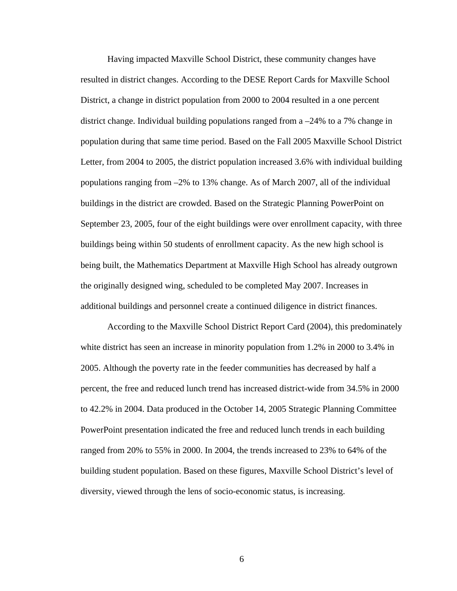Having impacted Maxville School District, these community changes have resulted in district changes. According to the DESE Report Cards for Maxville School District, a change in district population from 2000 to 2004 resulted in a one percent district change. Individual building populations ranged from a –24% to a 7% change in population during that same time period. Based on the Fall 2005 Maxville School District Letter, from 2004 to 2005, the district population increased 3.6% with individual building populations ranging from –2% to 13% change. As of March 2007, all of the individual buildings in the district are crowded. Based on the Strategic Planning PowerPoint on September 23, 2005, four of the eight buildings were over enrollment capacity, with three buildings being within 50 students of enrollment capacity. As the new high school is being built, the Mathematics Department at Maxville High School has already outgrown the originally designed wing, scheduled to be completed May 2007. Increases in additional buildings and personnel create a continued diligence in district finances.

According to the Maxville School District Report Card (2004), this predominately white district has seen an increase in minority population from 1.2% in 2000 to 3.4% in 2005. Although the poverty rate in the feeder communities has decreased by half a percent, the free and reduced lunch trend has increased district-wide from 34.5% in 2000 to 42.2% in 2004. Data produced in the October 14, 2005 Strategic Planning Committee PowerPoint presentation indicated the free and reduced lunch trends in each building ranged from 20% to 55% in 2000. In 2004, the trends increased to 23% to 64% of the building student population. Based on these figures, Maxville School District's level of diversity, viewed through the lens of socio-economic status, is increasing.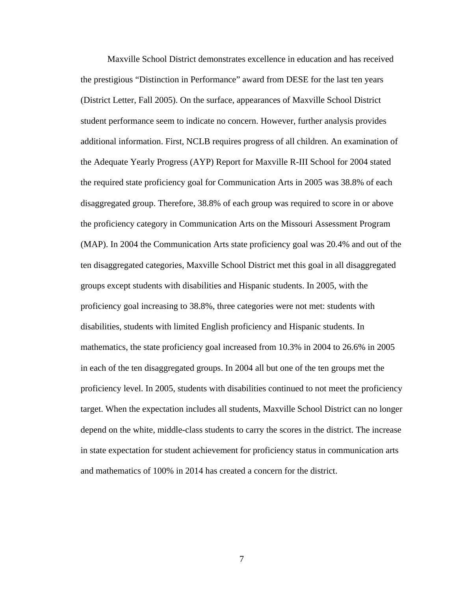Maxville School District demonstrates excellence in education and has received the prestigious "Distinction in Performance" award from DESE for the last ten years (District Letter, Fall 2005). On the surface, appearances of Maxville School District student performance seem to indicate no concern. However, further analysis provides additional information. First, NCLB requires progress of all children. An examination of the Adequate Yearly Progress (AYP) Report for Maxville R-III School for 2004 stated the required state proficiency goal for Communication Arts in 2005 was 38.8% of each disaggregated group. Therefore, 38.8% of each group was required to score in or above the proficiency category in Communication Arts on the Missouri Assessment Program (MAP). In 2004 the Communication Arts state proficiency goal was 20.4% and out of the ten disaggregated categories, Maxville School District met this goal in all disaggregated groups except students with disabilities and Hispanic students. In 2005, with the proficiency goal increasing to 38.8%, three categories were not met: students with disabilities, students with limited English proficiency and Hispanic students. In mathematics, the state proficiency goal increased from 10.3% in 2004 to 26.6% in 2005 in each of the ten disaggregated groups. In 2004 all but one of the ten groups met the proficiency level. In 2005, students with disabilities continued to not meet the proficiency target. When the expectation includes all students, Maxville School District can no longer depend on the white, middle-class students to carry the scores in the district. The increase in state expectation for student achievement for proficiency status in communication arts and mathematics of 100% in 2014 has created a concern for the district.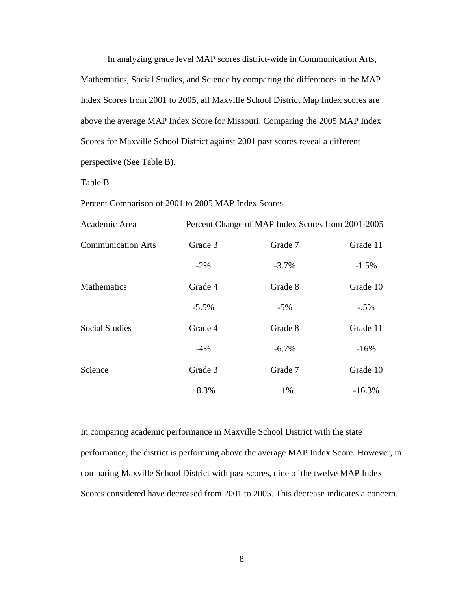In analyzing grade level MAP scores district-wide in Communication Arts, Mathematics, Social Studies, and Science by comparing the differences in the MAP Index Scores from 2001 to 2005, all Maxville School District Map Index scores are above the average MAP Index Score for Missouri. Comparing the 2005 MAP Index Scores for Maxville School District against 2001 past scores reveal a different perspective (See Table B).

Table B

| Academic Area             | Percent Change of MAP Index Scores from 2001-2005 |          |          |  |
|---------------------------|---------------------------------------------------|----------|----------|--|
| <b>Communication Arts</b> | Grade 3                                           | Grade 7  | Grade 11 |  |
|                           | $-2\%$                                            | $-3.7%$  | $-1.5%$  |  |
| <b>Mathematics</b>        | Grade 4                                           | Grade 8  | Grade 10 |  |
|                           | $-5.5%$                                           | $-5\%$   | $-.5%$   |  |
| <b>Social Studies</b>     | Grade 4                                           | Grade 8  | Grade 11 |  |
|                           | $-4%$                                             | $-6.7\%$ | $-16%$   |  |
| Science                   | Grade 3                                           | Grade 7  | Grade 10 |  |
|                           | $+8.3%$                                           | $+1\%$   | $-16.3%$ |  |

Percent Comparison of 2001 to 2005 MAP Index Scores

In comparing academic performance in Maxville School District with the state performance, the district is performing above the average MAP Index Score. However, in comparing Maxville School District with past scores, nine of the twelve MAP Index Scores considered have decreased from 2001 to 2005. This decrease indicates a concern.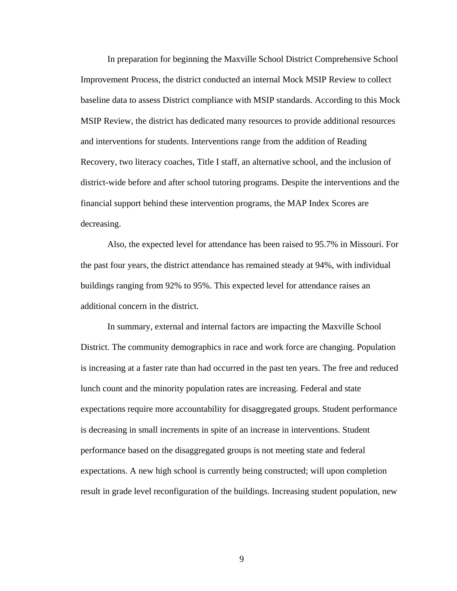In preparation for beginning the Maxville School District Comprehensive School Improvement Process, the district conducted an internal Mock MSIP Review to collect baseline data to assess District compliance with MSIP standards. According to this Mock MSIP Review, the district has dedicated many resources to provide additional resources and interventions for students. Interventions range from the addition of Reading Recovery, two literacy coaches, Title I staff, an alternative school, and the inclusion of district-wide before and after school tutoring programs. Despite the interventions and the financial support behind these intervention programs, the MAP Index Scores are decreasing.

Also, the expected level for attendance has been raised to 95.7% in Missouri. For the past four years, the district attendance has remained steady at 94%, with individual buildings ranging from 92% to 95%. This expected level for attendance raises an additional concern in the district.

In summary, external and internal factors are impacting the Maxville School District. The community demographics in race and work force are changing. Population is increasing at a faster rate than had occurred in the past ten years. The free and reduced lunch count and the minority population rates are increasing. Federal and state expectations require more accountability for disaggregated groups. Student performance is decreasing in small increments in spite of an increase in interventions. Student performance based on the disaggregated groups is not meeting state and federal expectations. A new high school is currently being constructed; will upon completion result in grade level reconfiguration of the buildings. Increasing student population, new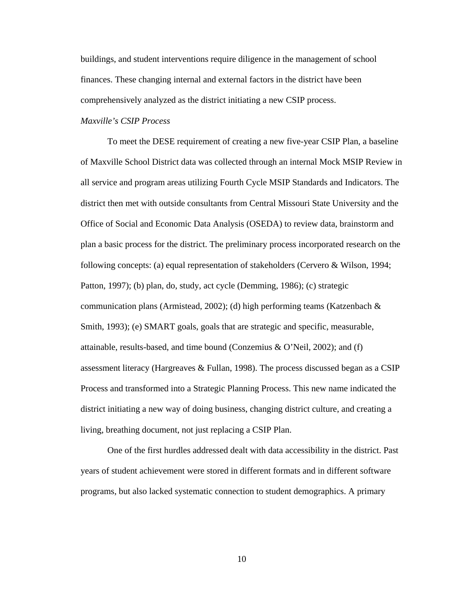buildings, and student interventions require diligence in the management of school finances. These changing internal and external factors in the district have been comprehensively analyzed as the district initiating a new CSIP process.

# *Maxville's CSIP Process*

 To meet the DESE requirement of creating a new five-year CSIP Plan, a baseline of Maxville School District data was collected through an internal Mock MSIP Review in all service and program areas utilizing Fourth Cycle MSIP Standards and Indicators. The district then met with outside consultants from Central Missouri State University and the Office of Social and Economic Data Analysis (OSEDA) to review data, brainstorm and plan a basic process for the district. The preliminary process incorporated research on the following concepts: (a) equal representation of stakeholders (Cervero & Wilson, 1994; Patton, 1997); (b) plan, do, study, act cycle (Demming, 1986); (c) strategic communication plans (Armistead, 2002); (d) high performing teams (Katzenbach & Smith, 1993); (e) SMART goals, goals that are strategic and specific, measurable, attainable, results-based, and time bound (Conzemius & O'Neil, 2002); and (f) assessment literacy (Hargreaves & Fullan, 1998). The process discussed began as a CSIP Process and transformed into a Strategic Planning Process. This new name indicated the district initiating a new way of doing business, changing district culture, and creating a living, breathing document, not just replacing a CSIP Plan.

One of the first hurdles addressed dealt with data accessibility in the district. Past years of student achievement were stored in different formats and in different software programs, but also lacked systematic connection to student demographics. A primary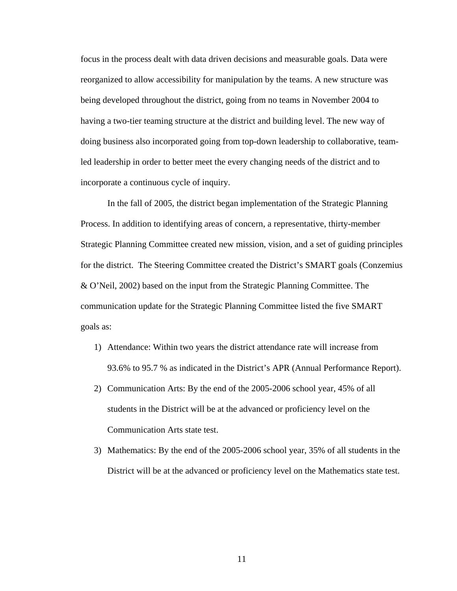focus in the process dealt with data driven decisions and measurable goals. Data were reorganized to allow accessibility for manipulation by the teams. A new structure was being developed throughout the district, going from no teams in November 2004 to having a two-tier teaming structure at the district and building level. The new way of doing business also incorporated going from top-down leadership to collaborative, teamled leadership in order to better meet the every changing needs of the district and to incorporate a continuous cycle of inquiry.

In the fall of 2005, the district began implementation of the Strategic Planning Process. In addition to identifying areas of concern, a representative, thirty-member Strategic Planning Committee created new mission, vision, and a set of guiding principles for the district. The Steering Committee created the District's SMART goals (Conzemius & O'Neil, 2002) based on the input from the Strategic Planning Committee. The communication update for the Strategic Planning Committee listed the five SMART goals as:

- 1) Attendance: Within two years the district attendance rate will increase from 93.6% to 95.7 % as indicated in the District's APR (Annual Performance Report).
- 2) Communication Arts: By the end of the 2005-2006 school year, 45% of all students in the District will be at the advanced or proficiency level on the Communication Arts state test.
- 3) Mathematics: By the end of the 2005-2006 school year, 35% of all students in the District will be at the advanced or proficiency level on the Mathematics state test.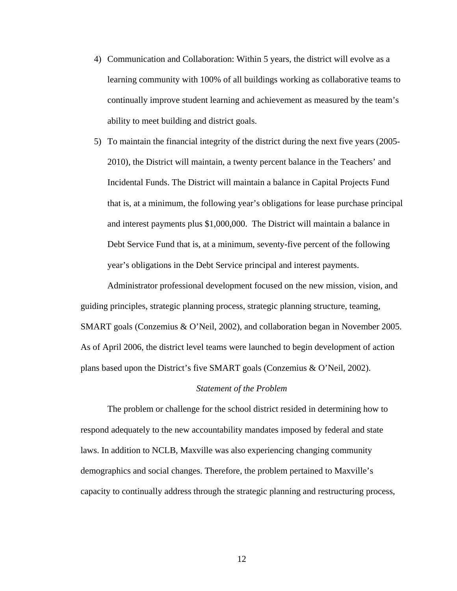4) Communication and Collaboration: Within 5 years, the district will evolve as a learning community with 100% of all buildings working as collaborative teams to continually improve student learning and achievement as measured by the team's ability to meet building and district goals.

5) To maintain the financial integrity of the district during the next five years (2005- 2010), the District will maintain, a twenty percent balance in the Teachers' and Incidental Funds. The District will maintain a balance in Capital Projects Fund that is, at a minimum, the following year's obligations for lease purchase principal and interest payments plus \$1,000,000. The District will maintain a balance in Debt Service Fund that is, at a minimum, seventy-five percent of the following year's obligations in the Debt Service principal and interest payments.

Administrator professional development focused on the new mission, vision, and guiding principles, strategic planning process, strategic planning structure, teaming, SMART goals (Conzemius & O'Neil, 2002), and collaboration began in November 2005. As of April 2006, the district level teams were launched to begin development of action plans based upon the District's five SMART goals (Conzemius & O'Neil, 2002).

#### *Statement of the Problem*

 The problem or challenge for the school district resided in determining how to respond adequately to the new accountability mandates imposed by federal and state laws. In addition to NCLB, Maxville was also experiencing changing community demographics and social changes. Therefore, the problem pertained to Maxville's capacity to continually address through the strategic planning and restructuring process,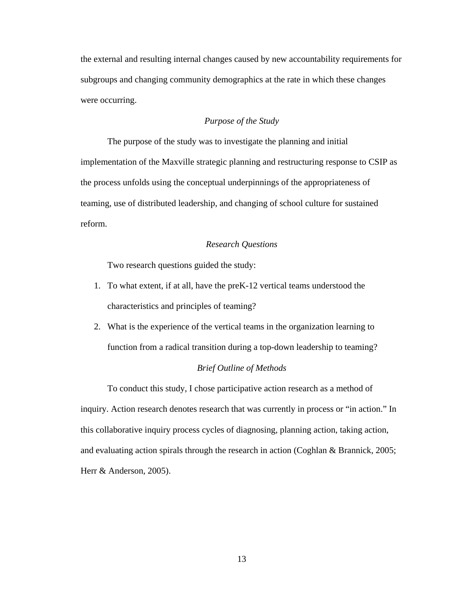the external and resulting internal changes caused by new accountability requirements for subgroups and changing community demographics at the rate in which these changes were occurring.

# *Purpose of the Study*

 The purpose of the study was to investigate the planning and initial implementation of the Maxville strategic planning and restructuring response to CSIP as the process unfolds using the conceptual underpinnings of the appropriateness of teaming, use of distributed leadership, and changing of school culture for sustained reform.

#### *Research Questions*

Two research questions guided the study:

- 1. To what extent, if at all, have the preK-12 vertical teams understood the characteristics and principles of teaming?
- 2. What is the experience of the vertical teams in the organization learning to function from a radical transition during a top-down leadership to teaming?

#### *Brief Outline of Methods*

To conduct this study, I chose participative action research as a method of inquiry. Action research denotes research that was currently in process or "in action." In this collaborative inquiry process cycles of diagnosing, planning action, taking action, and evaluating action spirals through the research in action (Coghlan & Brannick, 2005; Herr & Anderson, 2005).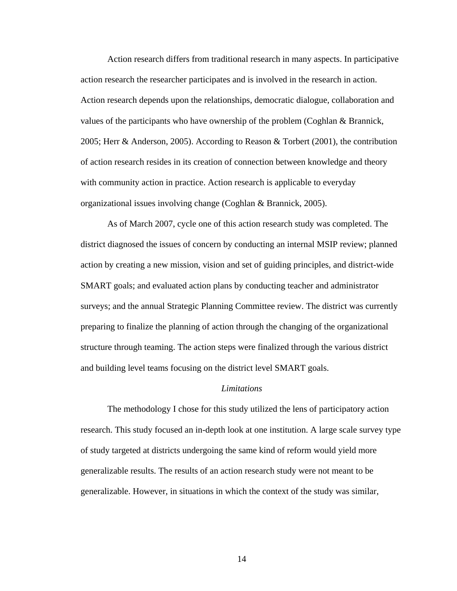Action research differs from traditional research in many aspects. In participative action research the researcher participates and is involved in the research in action. Action research depends upon the relationships, democratic dialogue, collaboration and values of the participants who have ownership of the problem (Coghlan & Brannick, 2005; Herr & Anderson, 2005). According to Reason & Torbert (2001), the contribution of action research resides in its creation of connection between knowledge and theory with community action in practice. Action research is applicable to everyday organizational issues involving change (Coghlan & Brannick, 2005).

 As of March 2007, cycle one of this action research study was completed. The district diagnosed the issues of concern by conducting an internal MSIP review; planned action by creating a new mission, vision and set of guiding principles, and district-wide SMART goals; and evaluated action plans by conducting teacher and administrator surveys; and the annual Strategic Planning Committee review. The district was currently preparing to finalize the planning of action through the changing of the organizational structure through teaming. The action steps were finalized through the various district and building level teams focusing on the district level SMART goals.

#### *Limitations*

 The methodology I chose for this study utilized the lens of participatory action research. This study focused an in-depth look at one institution. A large scale survey type of study targeted at districts undergoing the same kind of reform would yield more generalizable results. The results of an action research study were not meant to be generalizable. However, in situations in which the context of the study was similar,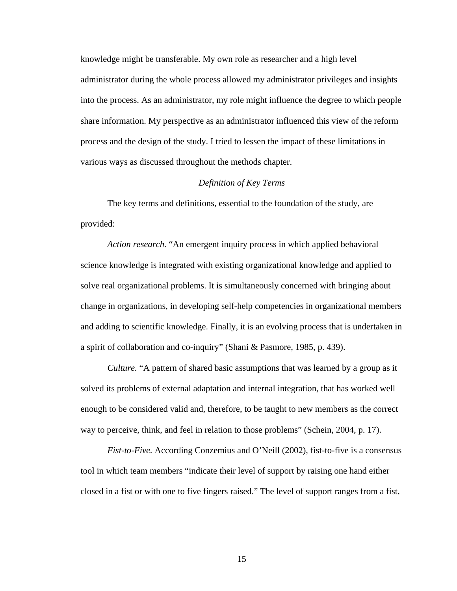knowledge might be transferable. My own role as researcher and a high level administrator during the whole process allowed my administrator privileges and insights into the process. As an administrator, my role might influence the degree to which people share information. My perspective as an administrator influenced this view of the reform process and the design of the study. I tried to lessen the impact of these limitations in various ways as discussed throughout the methods chapter.

# *Definition of Key Terms*

 The key terms and definitions, essential to the foundation of the study, are provided:

*Action research.* "An emergent inquiry process in which applied behavioral science knowledge is integrated with existing organizational knowledge and applied to solve real organizational problems. It is simultaneously concerned with bringing about change in organizations, in developing self-help competencies in organizational members and adding to scientific knowledge. Finally, it is an evolving process that is undertaken in a spirit of collaboration and co-inquiry" (Shani & Pasmore, 1985, p. 439).

*Culture.* "A pattern of shared basic assumptions that was learned by a group as it solved its problems of external adaptation and internal integration, that has worked well enough to be considered valid and, therefore, to be taught to new members as the correct way to perceive, think, and feel in relation to those problems" (Schein, 2004, p. 17).

*Fist-to-Five.* According Conzemius and O'Neill (2002), fist-to-five is a consensus tool in which team members "indicate their level of support by raising one hand either closed in a fist or with one to five fingers raised." The level of support ranges from a fist,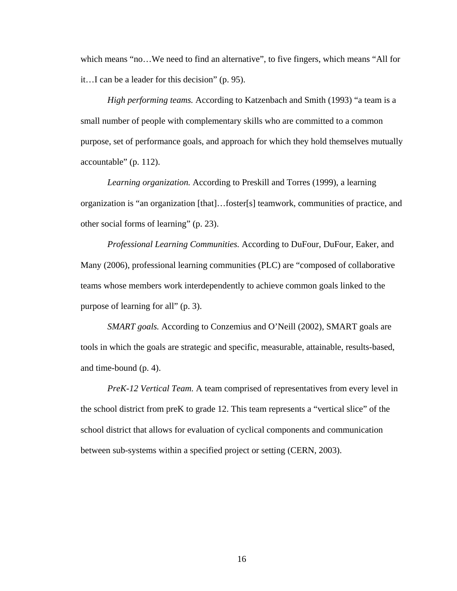which means "no…We need to find an alternative", to five fingers, which means "All for it…I can be a leader for this decision" (p. 95).

*High performing teams.* According to Katzenbach and Smith (1993) "a team is a small number of people with complementary skills who are committed to a common purpose, set of performance goals, and approach for which they hold themselves mutually accountable" (p. 112).

 *Learning organization.* According to Preskill and Torres (1999), a learning organization is "an organization [that]…foster[s] teamwork, communities of practice, and other social forms of learning" (p. 23).

*Professional Learning Communities.* According to DuFour, DuFour, Eaker, and Many (2006), professional learning communities (PLC) are "composed of collaborative teams whose members work interdependently to achieve common goals linked to the purpose of learning for all" (p. 3).

 *SMART goals.* According to Conzemius and O'Neill (2002), SMART goals are tools in which the goals are strategic and specific, measurable, attainable, results-based, and time-bound (p. 4).

*PreK-12 Vertical Team.* A team comprised of representatives from every level in the school district from preK to grade 12. This team represents a "vertical slice" of the school district that allows for evaluation of cyclical components and communication between sub-systems within a specified project or setting (CERN, 2003).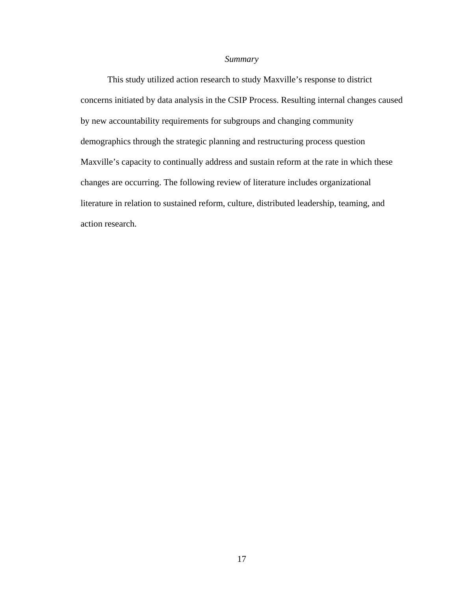# *Summary*

 This study utilized action research to study Maxville's response to district concerns initiated by data analysis in the CSIP Process. Resulting internal changes caused by new accountability requirements for subgroups and changing community demographics through the strategic planning and restructuring process question Maxville's capacity to continually address and sustain reform at the rate in which these changes are occurring. The following review of literature includes organizational literature in relation to sustained reform, culture, distributed leadership, teaming, and action research.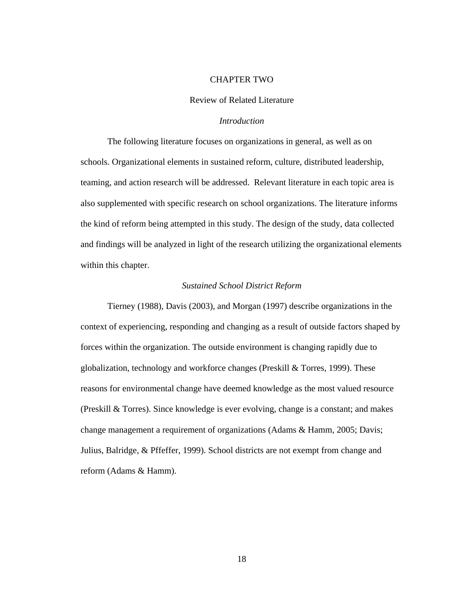#### CHAPTER TWO

## Review of Related Literature

## *Introduction*

 The following literature focuses on organizations in general, as well as on schools. Organizational elements in sustained reform, culture, distributed leadership, teaming, and action research will be addressed. Relevant literature in each topic area is also supplemented with specific research on school organizations. The literature informs the kind of reform being attempted in this study. The design of the study, data collected and findings will be analyzed in light of the research utilizing the organizational elements within this chapter.

#### *Sustained School District Reform*

Tierney (1988), Davis (2003), and Morgan (1997) describe organizations in the context of experiencing, responding and changing as a result of outside factors shaped by forces within the organization. The outside environment is changing rapidly due to globalization, technology and workforce changes (Preskill & Torres, 1999). These reasons for environmental change have deemed knowledge as the most valued resource (Preskill & Torres). Since knowledge is ever evolving, change is a constant; and makes change management a requirement of organizations (Adams & Hamm, 2005; Davis; Julius, Balridge, & Pffeffer, 1999). School districts are not exempt from change and reform (Adams & Hamm).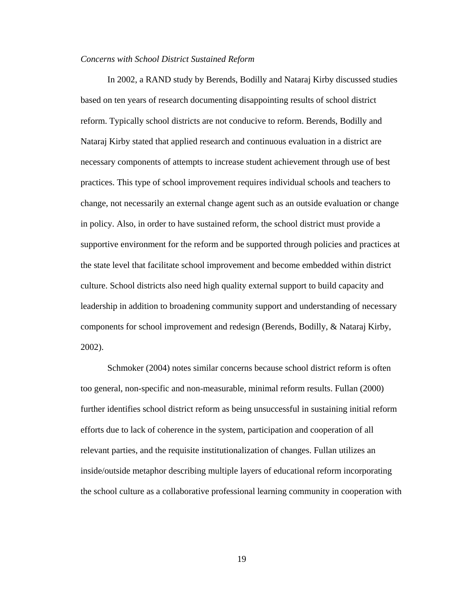#### *Concerns with School District Sustained Reform*

In 2002, a RAND study by Berends, Bodilly and Nataraj Kirby discussed studies based on ten years of research documenting disappointing results of school district reform. Typically school districts are not conducive to reform. Berends, Bodilly and Nataraj Kirby stated that applied research and continuous evaluation in a district are necessary components of attempts to increase student achievement through use of best practices. This type of school improvement requires individual schools and teachers to change, not necessarily an external change agent such as an outside evaluation or change in policy. Also, in order to have sustained reform, the school district must provide a supportive environment for the reform and be supported through policies and practices at the state level that facilitate school improvement and become embedded within district culture. School districts also need high quality external support to build capacity and leadership in addition to broadening community support and understanding of necessary components for school improvement and redesign (Berends, Bodilly, & Nataraj Kirby, 2002).

Schmoker (2004) notes similar concerns because school district reform is often too general, non-specific and non-measurable, minimal reform results. Fullan (2000) further identifies school district reform as being unsuccessful in sustaining initial reform efforts due to lack of coherence in the system, participation and cooperation of all relevant parties, and the requisite institutionalization of changes. Fullan utilizes an inside/outside metaphor describing multiple layers of educational reform incorporating the school culture as a collaborative professional learning community in cooperation with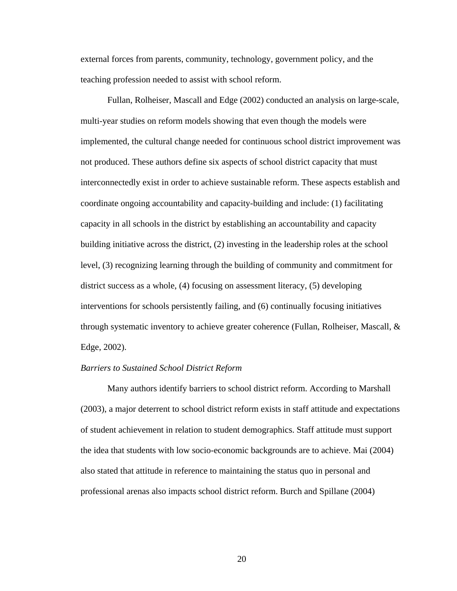external forces from parents, community, technology, government policy, and the teaching profession needed to assist with school reform.

Fullan, Rolheiser, Mascall and Edge (2002) conducted an analysis on large-scale, multi-year studies on reform models showing that even though the models were implemented, the cultural change needed for continuous school district improvement was not produced. These authors define six aspects of school district capacity that must interconnectedly exist in order to achieve sustainable reform. These aspects establish and coordinate ongoing accountability and capacity-building and include: (1) facilitating capacity in all schools in the district by establishing an accountability and capacity building initiative across the district, (2) investing in the leadership roles at the school level, (3) recognizing learning through the building of community and commitment for district success as a whole, (4) focusing on assessment literacy, (5) developing interventions for schools persistently failing, and (6) continually focusing initiatives through systematic inventory to achieve greater coherence (Fullan, Rolheiser, Mascall,  $\&$ Edge, 2002).

#### *Barriers to Sustained School District Reform*

Many authors identify barriers to school district reform. According to Marshall (2003), a major deterrent to school district reform exists in staff attitude and expectations of student achievement in relation to student demographics. Staff attitude must support the idea that students with low socio-economic backgrounds are to achieve. Mai (2004) also stated that attitude in reference to maintaining the status quo in personal and professional arenas also impacts school district reform. Burch and Spillane (2004)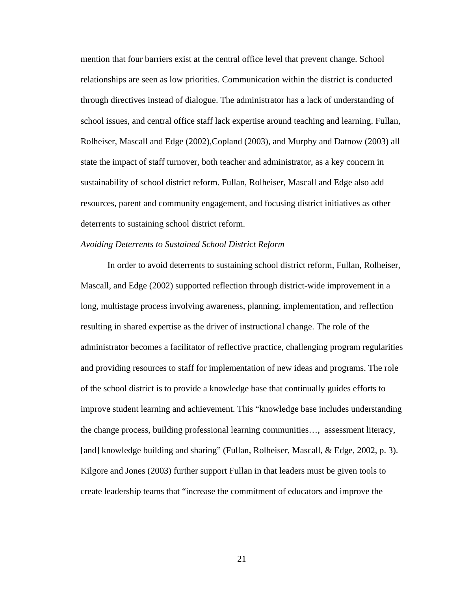mention that four barriers exist at the central office level that prevent change. School relationships are seen as low priorities. Communication within the district is conducted through directives instead of dialogue. The administrator has a lack of understanding of school issues, and central office staff lack expertise around teaching and learning. Fullan, Rolheiser, Mascall and Edge (2002),Copland (2003), and Murphy and Datnow (2003) all state the impact of staff turnover, both teacher and administrator, as a key concern in sustainability of school district reform. Fullan, Rolheiser, Mascall and Edge also add resources, parent and community engagement, and focusing district initiatives as other deterrents to sustaining school district reform.

#### *Avoiding Deterrents to Sustained School District Reform*

 In order to avoid deterrents to sustaining school district reform, Fullan, Rolheiser, Mascall, and Edge (2002) supported reflection through district-wide improvement in a long, multistage process involving awareness, planning, implementation, and reflection resulting in shared expertise as the driver of instructional change. The role of the administrator becomes a facilitator of reflective practice, challenging program regularities and providing resources to staff for implementation of new ideas and programs. The role of the school district is to provide a knowledge base that continually guides efforts to improve student learning and achievement. This "knowledge base includes understanding the change process, building professional learning communities…, assessment literacy, [and] knowledge building and sharing" (Fullan, Rolheiser, Mascall, & Edge, 2002, p. 3). Kilgore and Jones (2003) further support Fullan in that leaders must be given tools to create leadership teams that "increase the commitment of educators and improve the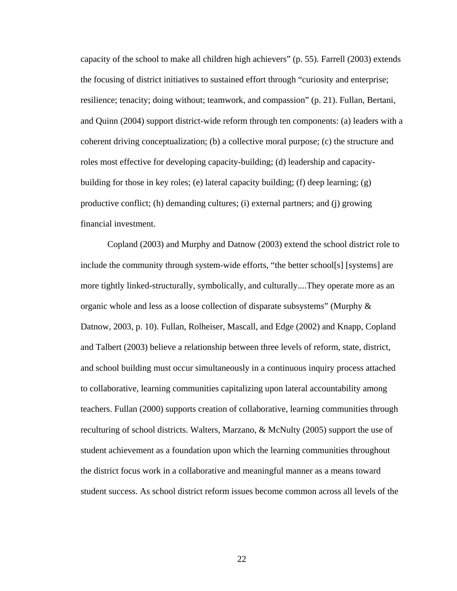capacity of the school to make all children high achievers" (p. 55). Farrell (2003) extends the focusing of district initiatives to sustained effort through "curiosity and enterprise; resilience; tenacity; doing without; teamwork, and compassion" (p. 21). Fullan, Bertani, and Quinn (2004) support district-wide reform through ten components: (a) leaders with a coherent driving conceptualization; (b) a collective moral purpose; (c) the structure and roles most effective for developing capacity-building; (d) leadership and capacitybuilding for those in key roles; (e) lateral capacity building; (f) deep learning; (g) productive conflict; (h) demanding cultures; (i) external partners; and (j) growing financial investment.

 Copland (2003) and Murphy and Datnow (2003) extend the school district role to include the community through system-wide efforts, "the better school[s] [systems] are more tightly linked-structurally, symbolically, and culturally....They operate more as an organic whole and less as a loose collection of disparate subsystems" (Murphy & Datnow, 2003, p. 10). Fullan, Rolheiser, Mascall, and Edge (2002) and Knapp, Copland and Talbert (2003) believe a relationship between three levels of reform, state, district, and school building must occur simultaneously in a continuous inquiry process attached to collaborative, learning communities capitalizing upon lateral accountability among teachers. Fullan (2000) supports creation of collaborative, learning communities through reculturing of school districts. Walters, Marzano, & McNulty (2005) support the use of student achievement as a foundation upon which the learning communities throughout the district focus work in a collaborative and meaningful manner as a means toward student success. As school district reform issues become common across all levels of the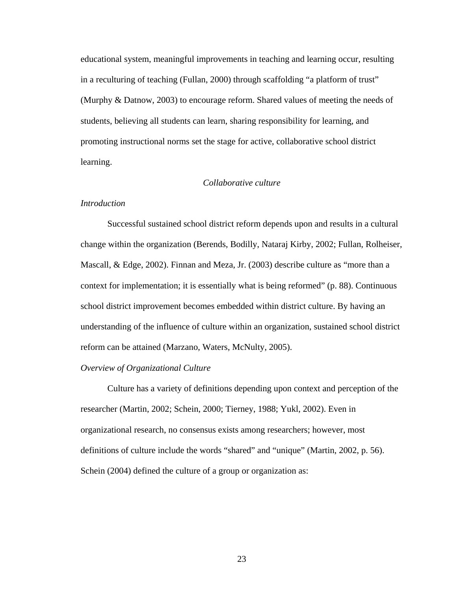educational system, meaningful improvements in teaching and learning occur, resulting in a reculturing of teaching (Fullan, 2000) through scaffolding "a platform of trust" (Murphy & Datnow, 2003) to encourage reform. Shared values of meeting the needs of students, believing all students can learn, sharing responsibility for learning, and promoting instructional norms set the stage for active, collaborative school district learning.

## *Collaborative culture*

### *Introduction*

 Successful sustained school district reform depends upon and results in a cultural change within the organization (Berends, Bodilly, Nataraj Kirby, 2002; Fullan, Rolheiser, Mascall, & Edge, 2002). Finnan and Meza, Jr. (2003) describe culture as "more than a context for implementation; it is essentially what is being reformed" (p. 88). Continuous school district improvement becomes embedded within district culture. By having an understanding of the influence of culture within an organization, sustained school district reform can be attained (Marzano, Waters, McNulty, 2005).

## *Overview of Organizational Culture*

Culture has a variety of definitions depending upon context and perception of the researcher (Martin, 2002; Schein, 2000; Tierney, 1988; Yukl, 2002). Even in organizational research, no consensus exists among researchers; however, most definitions of culture include the words "shared" and "unique" (Martin, 2002, p. 56). Schein (2004) defined the culture of a group or organization as: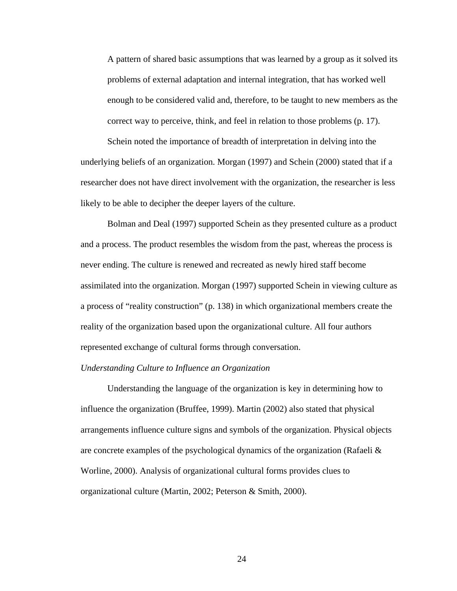A pattern of shared basic assumptions that was learned by a group as it solved its problems of external adaptation and internal integration, that has worked well enough to be considered valid and, therefore, to be taught to new members as the correct way to perceive, think, and feel in relation to those problems (p. 17).

Schein noted the importance of breadth of interpretation in delving into the underlying beliefs of an organization. Morgan (1997) and Schein (2000) stated that if a researcher does not have direct involvement with the organization, the researcher is less likely to be able to decipher the deeper layers of the culture.

Bolman and Deal (1997) supported Schein as they presented culture as a product and a process. The product resembles the wisdom from the past, whereas the process is never ending. The culture is renewed and recreated as newly hired staff become assimilated into the organization. Morgan (1997) supported Schein in viewing culture as a process of "reality construction" (p. 138) in which organizational members create the reality of the organization based upon the organizational culture. All four authors represented exchange of cultural forms through conversation.

## *Understanding Culture to Influence an Organization*

Understanding the language of the organization is key in determining how to influence the organization (Bruffee, 1999). Martin (2002) also stated that physical arrangements influence culture signs and symbols of the organization. Physical objects are concrete examples of the psychological dynamics of the organization (Rafaeli  $\&$ Worline, 2000). Analysis of organizational cultural forms provides clues to organizational culture (Martin, 2002; Peterson & Smith, 2000).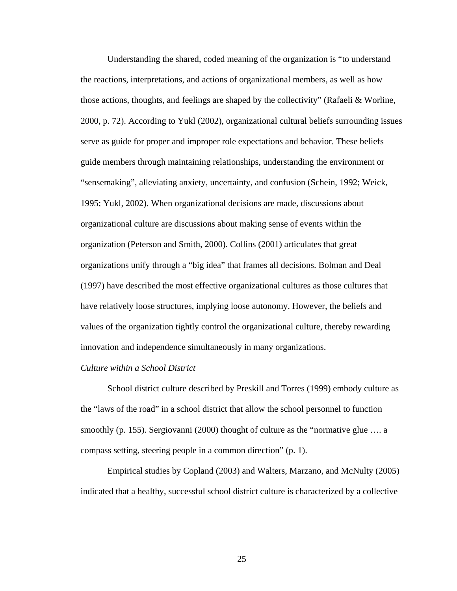Understanding the shared, coded meaning of the organization is "to understand the reactions, interpretations, and actions of organizational members, as well as how those actions, thoughts, and feelings are shaped by the collectivity" (Rafaeli & Worline, 2000, p. 72). According to Yukl (2002), organizational cultural beliefs surrounding issues serve as guide for proper and improper role expectations and behavior. These beliefs guide members through maintaining relationships, understanding the environment or "sensemaking", alleviating anxiety, uncertainty, and confusion (Schein, 1992; Weick, 1995; Yukl, 2002). When organizational decisions are made, discussions about organizational culture are discussions about making sense of events within the organization (Peterson and Smith, 2000). Collins (2001) articulates that great organizations unify through a "big idea" that frames all decisions. Bolman and Deal (1997) have described the most effective organizational cultures as those cultures that have relatively loose structures, implying loose autonomy. However, the beliefs and values of the organization tightly control the organizational culture, thereby rewarding innovation and independence simultaneously in many organizations.

# *Culture within a School District*

 School district culture described by Preskill and Torres (1999) embody culture as the "laws of the road" in a school district that allow the school personnel to function smoothly (p. 155). Sergiovanni (2000) thought of culture as the "normative glue …. a compass setting, steering people in a common direction" (p. 1).

 Empirical studies by Copland (2003) and Walters, Marzano, and McNulty (2005) indicated that a healthy, successful school district culture is characterized by a collective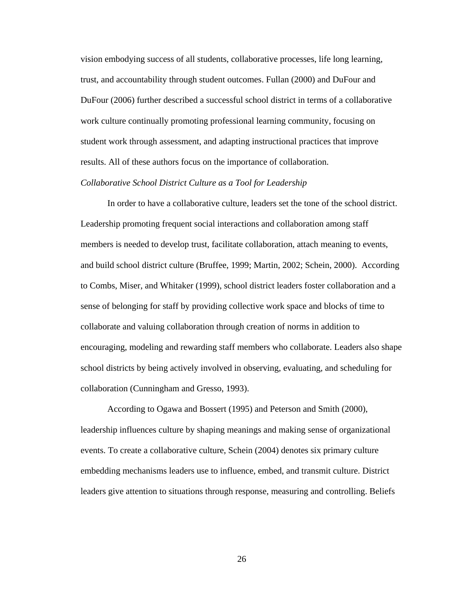vision embodying success of all students, collaborative processes, life long learning, trust, and accountability through student outcomes. Fullan (2000) and DuFour and DuFour (2006) further described a successful school district in terms of a collaborative work culture continually promoting professional learning community, focusing on student work through assessment, and adapting instructional practices that improve results. All of these authors focus on the importance of collaboration.

# *Collaborative School District Culture as a Tool for Leadership*

In order to have a collaborative culture, leaders set the tone of the school district. Leadership promoting frequent social interactions and collaboration among staff members is needed to develop trust, facilitate collaboration, attach meaning to events, and build school district culture (Bruffee, 1999; Martin, 2002; Schein, 2000). According to Combs, Miser, and Whitaker (1999), school district leaders foster collaboration and a sense of belonging for staff by providing collective work space and blocks of time to collaborate and valuing collaboration through creation of norms in addition to encouraging, modeling and rewarding staff members who collaborate. Leaders also shape school districts by being actively involved in observing, evaluating, and scheduling for collaboration (Cunningham and Gresso, 1993).

According to Ogawa and Bossert (1995) and Peterson and Smith (2000), leadership influences culture by shaping meanings and making sense of organizational events. To create a collaborative culture, Schein (2004) denotes six primary culture embedding mechanisms leaders use to influence, embed, and transmit culture. District leaders give attention to situations through response, measuring and controlling. Beliefs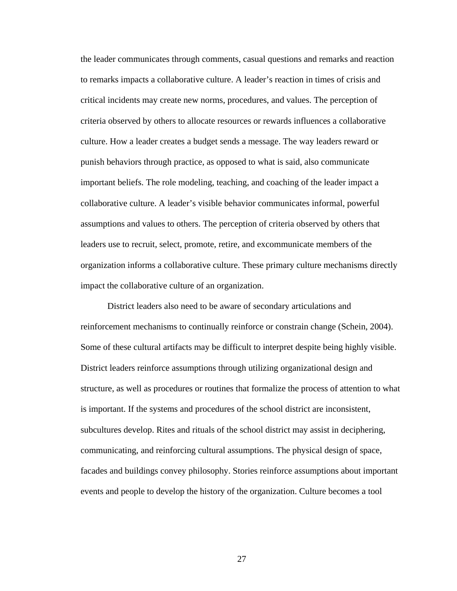the leader communicates through comments, casual questions and remarks and reaction to remarks impacts a collaborative culture. A leader's reaction in times of crisis and critical incidents may create new norms, procedures, and values. The perception of criteria observed by others to allocate resources or rewards influences a collaborative culture. How a leader creates a budget sends a message. The way leaders reward or punish behaviors through practice, as opposed to what is said, also communicate important beliefs. The role modeling, teaching, and coaching of the leader impact a collaborative culture. A leader's visible behavior communicates informal, powerful assumptions and values to others. The perception of criteria observed by others that leaders use to recruit, select, promote, retire, and excommunicate members of the organization informs a collaborative culture. These primary culture mechanisms directly impact the collaborative culture of an organization.

District leaders also need to be aware of secondary articulations and reinforcement mechanisms to continually reinforce or constrain change (Schein, 2004). Some of these cultural artifacts may be difficult to interpret despite being highly visible. District leaders reinforce assumptions through utilizing organizational design and structure, as well as procedures or routines that formalize the process of attention to what is important. If the systems and procedures of the school district are inconsistent, subcultures develop. Rites and rituals of the school district may assist in deciphering, communicating, and reinforcing cultural assumptions. The physical design of space, facades and buildings convey philosophy. Stories reinforce assumptions about important events and people to develop the history of the organization. Culture becomes a tool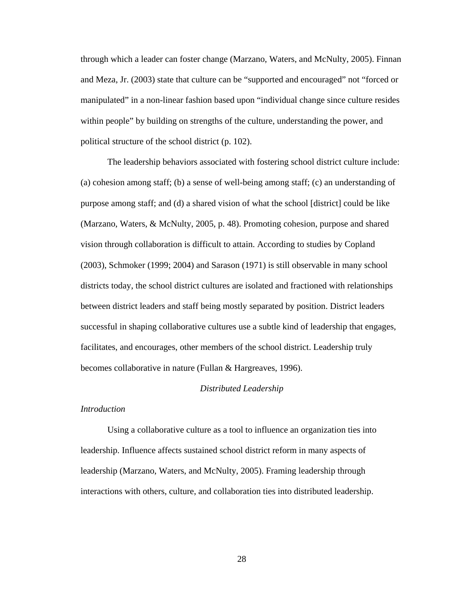through which a leader can foster change (Marzano, Waters, and McNulty, 2005). Finnan and Meza, Jr. (2003) state that culture can be "supported and encouraged" not "forced or manipulated" in a non-linear fashion based upon "individual change since culture resides within people" by building on strengths of the culture, understanding the power, and political structure of the school district (p. 102).

The leadership behaviors associated with fostering school district culture include: (a) cohesion among staff; (b) a sense of well-being among staff; (c) an understanding of purpose among staff; and (d) a shared vision of what the school [district] could be like (Marzano, Waters, & McNulty, 2005, p. 48). Promoting cohesion, purpose and shared vision through collaboration is difficult to attain. According to studies by Copland (2003), Schmoker (1999; 2004) and Sarason (1971) is still observable in many school districts today, the school district cultures are isolated and fractioned with relationships between district leaders and staff being mostly separated by position. District leaders successful in shaping collaborative cultures use a subtle kind of leadership that engages, facilitates, and encourages, other members of the school district. Leadership truly becomes collaborative in nature (Fullan & Hargreaves, 1996).

#### *Distributed Leadership*

### *Introduction*

 Using a collaborative culture as a tool to influence an organization ties into leadership. Influence affects sustained school district reform in many aspects of leadership (Marzano, Waters, and McNulty, 2005). Framing leadership through interactions with others, culture, and collaboration ties into distributed leadership.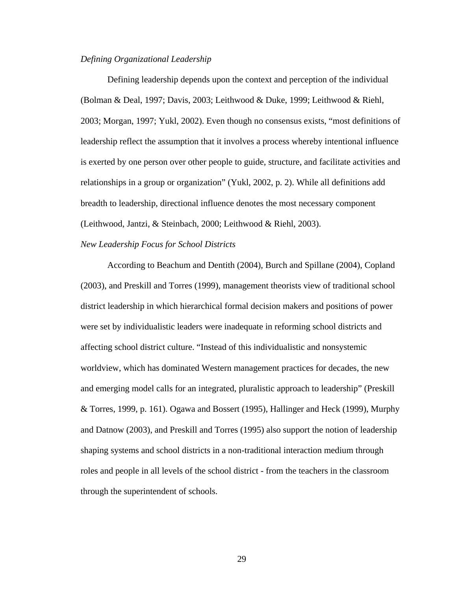### *Defining Organizational Leadership*

Defining leadership depends upon the context and perception of the individual (Bolman & Deal, 1997; Davis, 2003; Leithwood & Duke, 1999; Leithwood & Riehl, 2003; Morgan, 1997; Yukl, 2002). Even though no consensus exists, "most definitions of leadership reflect the assumption that it involves a process whereby intentional influence is exerted by one person over other people to guide, structure, and facilitate activities and relationships in a group or organization" (Yukl, 2002, p. 2). While all definitions add breadth to leadership, directional influence denotes the most necessary component (Leithwood, Jantzi, & Steinbach, 2000; Leithwood & Riehl, 2003).

#### *New Leadership Focus for School Districts*

According to Beachum and Dentith (2004), Burch and Spillane (2004), Copland (2003), and Preskill and Torres (1999), management theorists view of traditional school district leadership in which hierarchical formal decision makers and positions of power were set by individualistic leaders were inadequate in reforming school districts and affecting school district culture. "Instead of this individualistic and nonsystemic worldview, which has dominated Western management practices for decades, the new and emerging model calls for an integrated, pluralistic approach to leadership" (Preskill & Torres, 1999, p. 161). Ogawa and Bossert (1995), Hallinger and Heck (1999), Murphy and Datnow (2003), and Preskill and Torres (1995) also support the notion of leadership shaping systems and school districts in a non-traditional interaction medium through roles and people in all levels of the school district - from the teachers in the classroom through the superintendent of schools.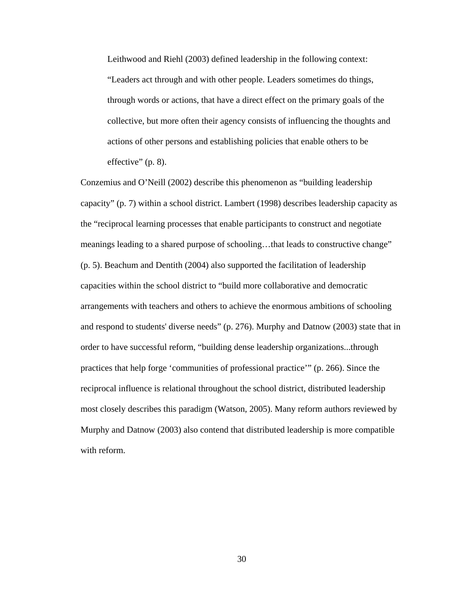Leithwood and Riehl (2003) defined leadership in the following context: "Leaders act through and with other people. Leaders sometimes do things, through words or actions, that have a direct effect on the primary goals of the collective, but more often their agency consists of influencing the thoughts and actions of other persons and establishing policies that enable others to be effective" (p. 8).

Conzemius and O'Neill (2002) describe this phenomenon as "building leadership capacity" (p. 7) within a school district. Lambert (1998) describes leadership capacity as the "reciprocal learning processes that enable participants to construct and negotiate meanings leading to a shared purpose of schooling…that leads to constructive change" (p. 5). Beachum and Dentith (2004) also supported the facilitation of leadership capacities within the school district to "build more collaborative and democratic arrangements with teachers and others to achieve the enormous ambitions of schooling and respond to students' diverse needs" (p. 276). Murphy and Datnow (2003) state that in order to have successful reform, "building dense leadership organizations...through practices that help forge 'communities of professional practice'" (p. 266). Since the reciprocal influence is relational throughout the school district, distributed leadership most closely describes this paradigm (Watson, 2005). Many reform authors reviewed by Murphy and Datnow (2003) also contend that distributed leadership is more compatible with reform.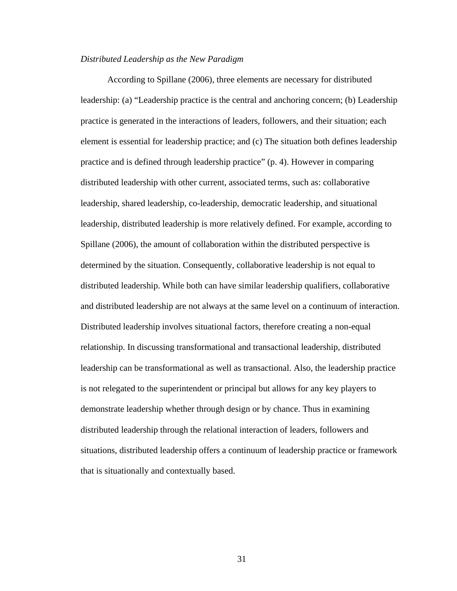### *Distributed Leadership as the New Paradigm*

According to Spillane (2006), three elements are necessary for distributed leadership: (a) "Leadership practice is the central and anchoring concern; (b) Leadership practice is generated in the interactions of leaders, followers, and their situation; each element is essential for leadership practice; and (c) The situation both defines leadership practice and is defined through leadership practice" (p. 4). However in comparing distributed leadership with other current, associated terms, such as: collaborative leadership, shared leadership, co-leadership, democratic leadership, and situational leadership, distributed leadership is more relatively defined. For example, according to Spillane (2006), the amount of collaboration within the distributed perspective is determined by the situation. Consequently, collaborative leadership is not equal to distributed leadership. While both can have similar leadership qualifiers, collaborative and distributed leadership are not always at the same level on a continuum of interaction. Distributed leadership involves situational factors, therefore creating a non-equal relationship. In discussing transformational and transactional leadership, distributed leadership can be transformational as well as transactional. Also, the leadership practice is not relegated to the superintendent or principal but allows for any key players to demonstrate leadership whether through design or by chance. Thus in examining distributed leadership through the relational interaction of leaders, followers and situations, distributed leadership offers a continuum of leadership practice or framework that is situationally and contextually based.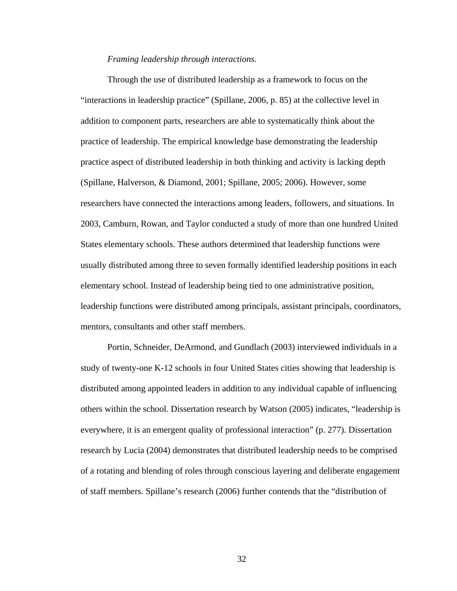### *Framing leadership through interactions.*

Through the use of distributed leadership as a framework to focus on the "interactions in leadership practice" (Spillane, 2006, p. 85) at the collective level in addition to component parts, researchers are able to systematically think about the practice of leadership. The empirical knowledge base demonstrating the leadership practice aspect of distributed leadership in both thinking and activity is lacking depth (Spillane, Halverson, & Diamond, 2001; Spillane, 2005; 2006). However, some researchers have connected the interactions among leaders, followers, and situations. In 2003, Camburn, Rowan, and Taylor conducted a study of more than one hundred United States elementary schools. These authors determined that leadership functions were usually distributed among three to seven formally identified leadership positions in each elementary school. Instead of leadership being tied to one administrative position, leadership functions were distributed among principals, assistant principals, coordinators, mentors, consultants and other staff members.

Portin, Schneider, DeArmond, and Gundlach (2003) interviewed individuals in a study of twenty-one K-12 schools in four United States cities showing that leadership is distributed among appointed leaders in addition to any individual capable of influencing others within the school. Dissertation research by Watson (2005) indicates, "leadership is everywhere, it is an emergent quality of professional interaction" (p. 277). Dissertation research by Lucia (2004) demonstrates that distributed leadership needs to be comprised of a rotating and blending of roles through conscious layering and deliberate engagement of staff members. Spillane's research (2006) further contends that the "distribution of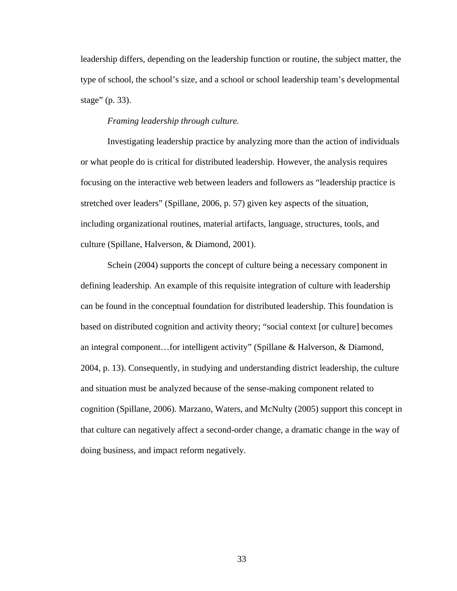leadership differs, depending on the leadership function or routine, the subject matter, the type of school, the school's size, and a school or school leadership team's developmental stage" (p. 33).

## *Framing leadership through culture.*

Investigating leadership practice by analyzing more than the action of individuals or what people do is critical for distributed leadership. However, the analysis requires focusing on the interactive web between leaders and followers as "leadership practice is stretched over leaders" (Spillane, 2006, p. 57) given key aspects of the situation, including organizational routines, material artifacts, language, structures, tools, and culture (Spillane, Halverson, & Diamond, 2001).

Schein (2004) supports the concept of culture being a necessary component in defining leadership. An example of this requisite integration of culture with leadership can be found in the conceptual foundation for distributed leadership. This foundation is based on distributed cognition and activity theory; "social context [or culture] becomes an integral component…for intelligent activity" (Spillane & Halverson, & Diamond, 2004, p. 13). Consequently, in studying and understanding district leadership, the culture and situation must be analyzed because of the sense-making component related to cognition (Spillane, 2006). Marzano, Waters, and McNulty (2005) support this concept in that culture can negatively affect a second-order change, a dramatic change in the way of doing business, and impact reform negatively.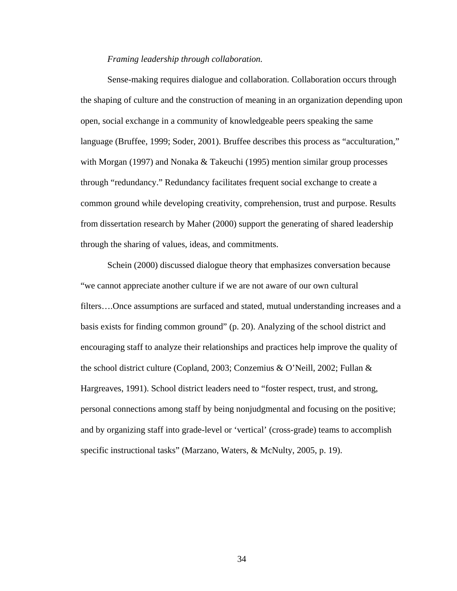#### *Framing leadership through collaboration.*

Sense-making requires dialogue and collaboration. Collaboration occurs through the shaping of culture and the construction of meaning in an organization depending upon open, social exchange in a community of knowledgeable peers speaking the same language (Bruffee, 1999; Soder, 2001). Bruffee describes this process as "acculturation," with Morgan (1997) and Nonaka & Takeuchi (1995) mention similar group processes through "redundancy." Redundancy facilitates frequent social exchange to create a common ground while developing creativity, comprehension, trust and purpose. Results from dissertation research by Maher (2000) support the generating of shared leadership through the sharing of values, ideas, and commitments.

Schein (2000) discussed dialogue theory that emphasizes conversation because "we cannot appreciate another culture if we are not aware of our own cultural filters….Once assumptions are surfaced and stated, mutual understanding increases and a basis exists for finding common ground" (p. 20). Analyzing of the school district and encouraging staff to analyze their relationships and practices help improve the quality of the school district culture (Copland, 2003; Conzemius & O'Neill, 2002; Fullan & Hargreaves, 1991). School district leaders need to "foster respect, trust, and strong, personal connections among staff by being nonjudgmental and focusing on the positive; and by organizing staff into grade-level or 'vertical' (cross-grade) teams to accomplish specific instructional tasks" (Marzano, Waters, & McNulty, 2005, p. 19).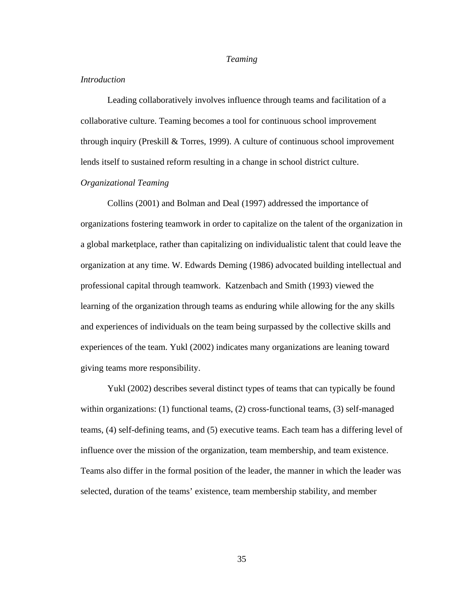### *Teaming*

## *Introduction*

 Leading collaboratively involves influence through teams and facilitation of a collaborative culture. Teaming becomes a tool for continuous school improvement through inquiry (Preskill & Torres, 1999). A culture of continuous school improvement lends itself to sustained reform resulting in a change in school district culture.

# *Organizational Teaming*

 Collins (2001) and Bolman and Deal (1997) addressed the importance of organizations fostering teamwork in order to capitalize on the talent of the organization in a global marketplace, rather than capitalizing on individualistic talent that could leave the organization at any time. W. Edwards Deming (1986) advocated building intellectual and professional capital through teamwork. Katzenbach and Smith (1993) viewed the learning of the organization through teams as enduring while allowing for the any skills and experiences of individuals on the team being surpassed by the collective skills and experiences of the team. Yukl (2002) indicates many organizations are leaning toward giving teams more responsibility.

Yukl (2002) describes several distinct types of teams that can typically be found within organizations: (1) functional teams, (2) cross-functional teams, (3) self-managed teams, (4) self-defining teams, and (5) executive teams. Each team has a differing level of influence over the mission of the organization, team membership, and team existence. Teams also differ in the formal position of the leader, the manner in which the leader was selected, duration of the teams' existence, team membership stability, and member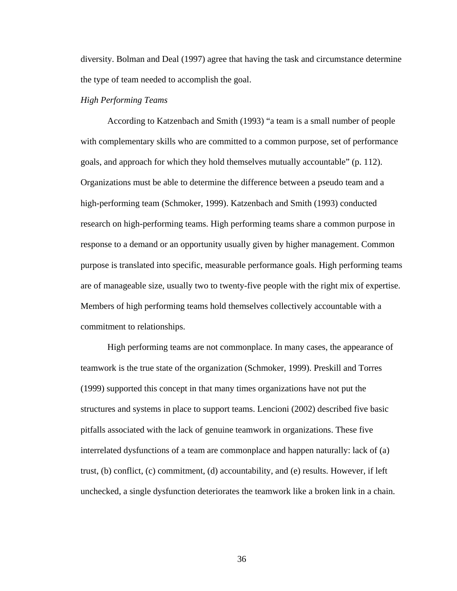diversity. Bolman and Deal (1997) agree that having the task and circumstance determine the type of team needed to accomplish the goal.

### *High Performing Teams*

According to Katzenbach and Smith (1993) "a team is a small number of people with complementary skills who are committed to a common purpose, set of performance goals, and approach for which they hold themselves mutually accountable" (p. 112). Organizations must be able to determine the difference between a pseudo team and a high-performing team (Schmoker, 1999). Katzenbach and Smith (1993) conducted research on high-performing teams. High performing teams share a common purpose in response to a demand or an opportunity usually given by higher management. Common purpose is translated into specific, measurable performance goals. High performing teams are of manageable size, usually two to twenty-five people with the right mix of expertise. Members of high performing teams hold themselves collectively accountable with a commitment to relationships.

 High performing teams are not commonplace. In many cases, the appearance of teamwork is the true state of the organization (Schmoker, 1999). Preskill and Torres (1999) supported this concept in that many times organizations have not put the structures and systems in place to support teams. Lencioni (2002) described five basic pitfalls associated with the lack of genuine teamwork in organizations. These five interrelated dysfunctions of a team are commonplace and happen naturally: lack of (a) trust, (b) conflict, (c) commitment, (d) accountability, and (e) results. However, if left unchecked, a single dysfunction deteriorates the teamwork like a broken link in a chain.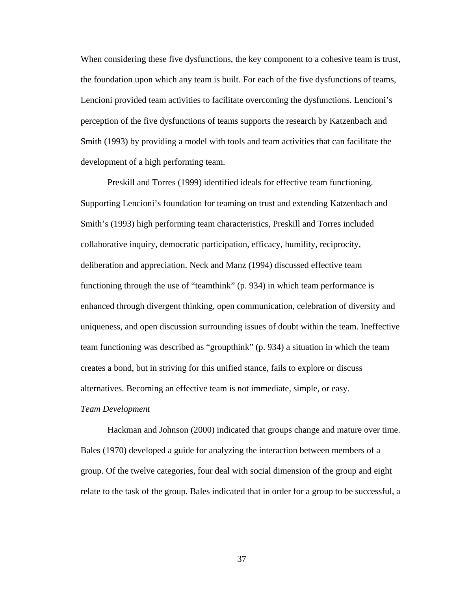When considering these five dysfunctions, the key component to a cohesive team is trust, the foundation upon which any team is built. For each of the five dysfunctions of teams, Lencioni provided team activities to facilitate overcoming the dysfunctions. Lencioni's perception of the five dysfunctions of teams supports the research by Katzenbach and Smith (1993) by providing a model with tools and team activities that can facilitate the development of a high performing team.

 Preskill and Torres (1999) identified ideals for effective team functioning. Supporting Lencioni's foundation for teaming on trust and extending Katzenbach and Smith's (1993) high performing team characteristics, Preskill and Torres included collaborative inquiry, democratic participation, efficacy, humility, reciprocity, deliberation and appreciation. Neck and Manz (1994) discussed effective team functioning through the use of "teamthink" (p. 934) in which team performance is enhanced through divergent thinking, open communication, celebration of diversity and uniqueness, and open discussion surrounding issues of doubt within the team. Ineffective team functioning was described as "groupthink" (p. 934) a situation in which the team creates a bond, but in striving for this unified stance, fails to explore or discuss alternatives. Becoming an effective team is not immediate, simple, or easy.

#### *Team Development*

 Hackman and Johnson (2000) indicated that groups change and mature over time. Bales (1970) developed a guide for analyzing the interaction between members of a group. Of the twelve categories, four deal with social dimension of the group and eight relate to the task of the group. Bales indicated that in order for a group to be successful, a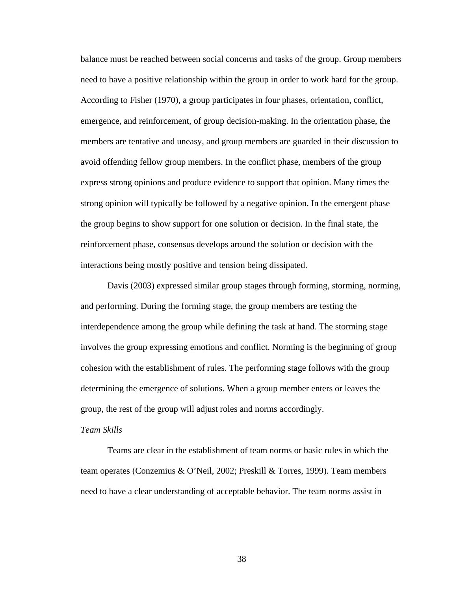balance must be reached between social concerns and tasks of the group. Group members need to have a positive relationship within the group in order to work hard for the group. According to Fisher (1970), a group participates in four phases, orientation, conflict, emergence, and reinforcement, of group decision-making. In the orientation phase, the members are tentative and uneasy, and group members are guarded in their discussion to avoid offending fellow group members. In the conflict phase, members of the group express strong opinions and produce evidence to support that opinion. Many times the strong opinion will typically be followed by a negative opinion. In the emergent phase the group begins to show support for one solution or decision. In the final state, the reinforcement phase, consensus develops around the solution or decision with the interactions being mostly positive and tension being dissipated.

 Davis (2003) expressed similar group stages through forming, storming, norming, and performing. During the forming stage, the group members are testing the interdependence among the group while defining the task at hand. The storming stage involves the group expressing emotions and conflict. Norming is the beginning of group cohesion with the establishment of rules. The performing stage follows with the group determining the emergence of solutions. When a group member enters or leaves the group, the rest of the group will adjust roles and norms accordingly.

### *Team Skills*

 Teams are clear in the establishment of team norms or basic rules in which the team operates (Conzemius & O'Neil, 2002; Preskill & Torres, 1999). Team members need to have a clear understanding of acceptable behavior. The team norms assist in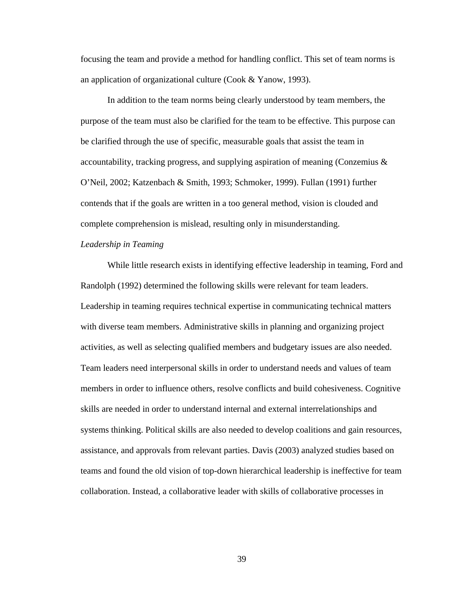focusing the team and provide a method for handling conflict. This set of team norms is an application of organizational culture (Cook & Yanow, 1993).

 In addition to the team norms being clearly understood by team members, the purpose of the team must also be clarified for the team to be effective. This purpose can be clarified through the use of specific, measurable goals that assist the team in accountability, tracking progress, and supplying aspiration of meaning (Conzemius & O'Neil, 2002; Katzenbach & Smith, 1993; Schmoker, 1999). Fullan (1991) further contends that if the goals are written in a too general method, vision is clouded and complete comprehension is mislead, resulting only in misunderstanding.

# *Leadership in Teaming*

 While little research exists in identifying effective leadership in teaming, Ford and Randolph (1992) determined the following skills were relevant for team leaders. Leadership in teaming requires technical expertise in communicating technical matters with diverse team members. Administrative skills in planning and organizing project activities, as well as selecting qualified members and budgetary issues are also needed. Team leaders need interpersonal skills in order to understand needs and values of team members in order to influence others, resolve conflicts and build cohesiveness. Cognitive skills are needed in order to understand internal and external interrelationships and systems thinking. Political skills are also needed to develop coalitions and gain resources, assistance, and approvals from relevant parties. Davis (2003) analyzed studies based on teams and found the old vision of top-down hierarchical leadership is ineffective for team collaboration. Instead, a collaborative leader with skills of collaborative processes in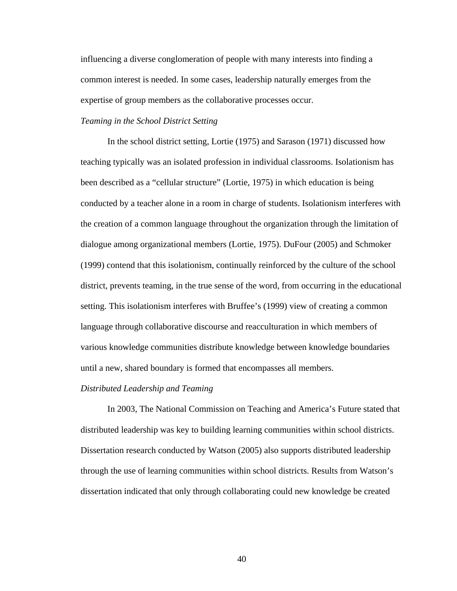influencing a diverse conglomeration of people with many interests into finding a common interest is needed. In some cases, leadership naturally emerges from the expertise of group members as the collaborative processes occur.

### *Teaming in the School District Setting*

In the school district setting, Lortie (1975) and Sarason (1971) discussed how teaching typically was an isolated profession in individual classrooms. Isolationism has been described as a "cellular structure" (Lortie, 1975) in which education is being conducted by a teacher alone in a room in charge of students. Isolationism interferes with the creation of a common language throughout the organization through the limitation of dialogue among organizational members (Lortie, 1975). DuFour (2005) and Schmoker (1999) contend that this isolationism, continually reinforced by the culture of the school district, prevents teaming, in the true sense of the word, from occurring in the educational setting. This isolationism interferes with Bruffee's (1999) view of creating a common language through collaborative discourse and reacculturation in which members of various knowledge communities distribute knowledge between knowledge boundaries until a new, shared boundary is formed that encompasses all members.

#### *Distributed Leadership and Teaming*

 In 2003, The National Commission on Teaching and America's Future stated that distributed leadership was key to building learning communities within school districts. Dissertation research conducted by Watson (2005) also supports distributed leadership through the use of learning communities within school districts. Results from Watson's dissertation indicated that only through collaborating could new knowledge be created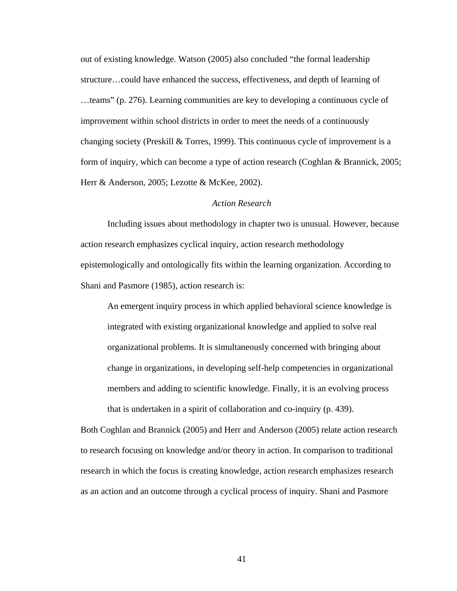out of existing knowledge. Watson (2005) also concluded "the formal leadership structure…could have enhanced the success, effectiveness, and depth of learning of …teams" (p. 276). Learning communities are key to developing a continuous cycle of improvement within school districts in order to meet the needs of a continuously changing society (Preskill  $&$  Torres, 1999). This continuous cycle of improvement is a form of inquiry, which can become a type of action research (Coghlan & Brannick, 2005; Herr & Anderson, 2005; Lezotte & McKee, 2002).

#### *Action Research*

Including issues about methodology in chapter two is unusual. However, because action research emphasizes cyclical inquiry, action research methodology epistemologically and ontologically fits within the learning organization. According to Shani and Pasmore (1985), action research is:

An emergent inquiry process in which applied behavioral science knowledge is integrated with existing organizational knowledge and applied to solve real organizational problems. It is simultaneously concerned with bringing about change in organizations, in developing self-help competencies in organizational members and adding to scientific knowledge. Finally, it is an evolving process that is undertaken in a spirit of collaboration and co-inquiry (p. 439).

Both Coghlan and Brannick (2005) and Herr and Anderson (2005) relate action research to research focusing on knowledge and/or theory in action. In comparison to traditional research in which the focus is creating knowledge, action research emphasizes research as an action and an outcome through a cyclical process of inquiry. Shani and Pasmore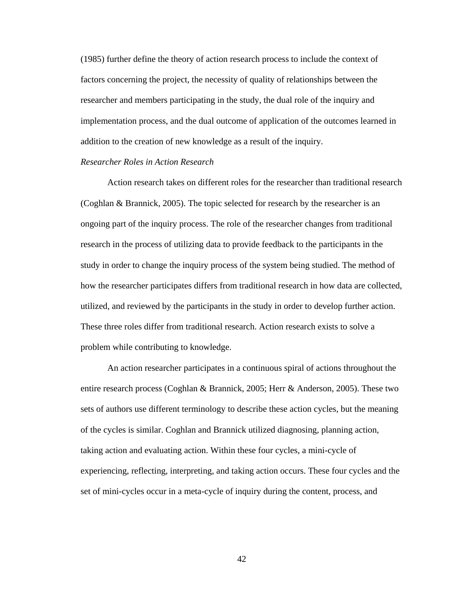(1985) further define the theory of action research process to include the context of factors concerning the project, the necessity of quality of relationships between the researcher and members participating in the study, the dual role of the inquiry and implementation process, and the dual outcome of application of the outcomes learned in addition to the creation of new knowledge as a result of the inquiry.

## *Researcher Roles in Action Research*

 Action research takes on different roles for the researcher than traditional research (Coghlan & Brannick, 2005). The topic selected for research by the researcher is an ongoing part of the inquiry process. The role of the researcher changes from traditional research in the process of utilizing data to provide feedback to the participants in the study in order to change the inquiry process of the system being studied. The method of how the researcher participates differs from traditional research in how data are collected, utilized, and reviewed by the participants in the study in order to develop further action. These three roles differ from traditional research. Action research exists to solve a problem while contributing to knowledge.

 An action researcher participates in a continuous spiral of actions throughout the entire research process (Coghlan & Brannick, 2005; Herr & Anderson, 2005). These two sets of authors use different terminology to describe these action cycles, but the meaning of the cycles is similar. Coghlan and Brannick utilized diagnosing, planning action, taking action and evaluating action. Within these four cycles, a mini-cycle of experiencing, reflecting, interpreting, and taking action occurs. These four cycles and the set of mini-cycles occur in a meta-cycle of inquiry during the content, process, and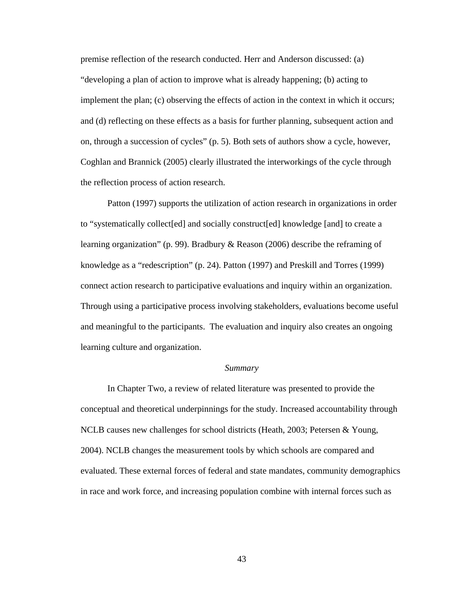premise reflection of the research conducted. Herr and Anderson discussed: (a) "developing a plan of action to improve what is already happening; (b) acting to implement the plan; (c) observing the effects of action in the context in which it occurs; and (d) reflecting on these effects as a basis for further planning, subsequent action and on, through a succession of cycles" (p. 5). Both sets of authors show a cycle, however, Coghlan and Brannick (2005) clearly illustrated the interworkings of the cycle through the reflection process of action research.

 Patton (1997) supports the utilization of action research in organizations in order to "systematically collect[ed] and socially construct[ed] knowledge [and] to create a learning organization" (p. 99). Bradbury & Reason (2006) describe the reframing of knowledge as a "redescription" (p. 24). Patton (1997) and Preskill and Torres (1999) connect action research to participative evaluations and inquiry within an organization. Through using a participative process involving stakeholders, evaluations become useful and meaningful to the participants. The evaluation and inquiry also creates an ongoing learning culture and organization.

#### *Summary*

 In Chapter Two, a review of related literature was presented to provide the conceptual and theoretical underpinnings for the study. Increased accountability through NCLB causes new challenges for school districts (Heath, 2003; Petersen & Young, 2004). NCLB changes the measurement tools by which schools are compared and evaluated. These external forces of federal and state mandates, community demographics in race and work force, and increasing population combine with internal forces such as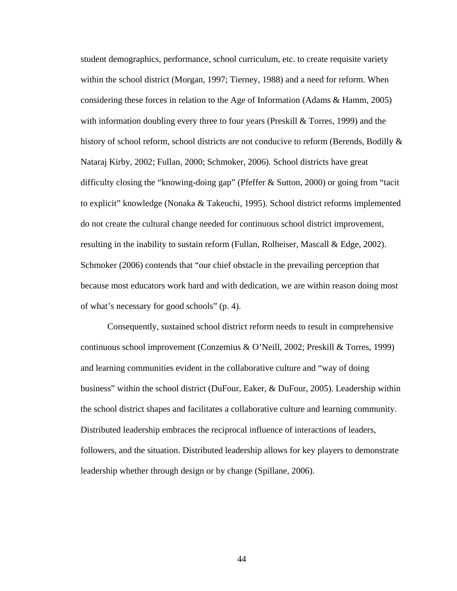student demographics, performance, school curriculum, etc. to create requisite variety within the school district (Morgan, 1997; Tierney, 1988) and a need for reform. When considering these forces in relation to the Age of Information (Adams & Hamm, 2005) with information doubling every three to four years (Preskill & Torres, 1999) and the history of school reform, school districts are not conducive to reform (Berends, Bodilly & Nataraj Kirby, 2002; Fullan, 2000; Schmoker, 2006). School districts have great difficulty closing the "knowing-doing gap" (Pfeffer & Sutton, 2000) or going from "tacit to explicit" knowledge (Nonaka & Takeuchi, 1995). School district reforms implemented do not create the cultural change needed for continuous school district improvement, resulting in the inability to sustain reform (Fullan, Rolheiser, Mascall & Edge, 2002). Schmoker (2006) contends that "our chief obstacle in the prevailing perception that because most educators work hard and with dedication, we are within reason doing most of what's necessary for good schools" (p. 4).

 Consequently, sustained school district reform needs to result in comprehensive continuous school improvement (Conzemius & O'Neill, 2002; Preskill & Torres, 1999) and learning communities evident in the collaborative culture and "way of doing business" within the school district (DuFour, Eaker, & DuFour, 2005). Leadership within the school district shapes and facilitates a collaborative culture and learning community. Distributed leadership embraces the reciprocal influence of interactions of leaders, followers, and the situation. Distributed leadership allows for key players to demonstrate leadership whether through design or by change (Spillane, 2006).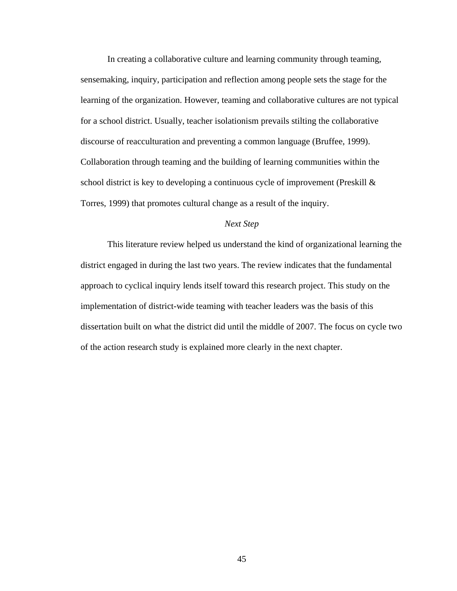In creating a collaborative culture and learning community through teaming, sensemaking, inquiry, participation and reflection among people sets the stage for the learning of the organization. However, teaming and collaborative cultures are not typical for a school district. Usually, teacher isolationism prevails stilting the collaborative discourse of reacculturation and preventing a common language (Bruffee, 1999). Collaboration through teaming and the building of learning communities within the school district is key to developing a continuous cycle of improvement (Preskill & Torres, 1999) that promotes cultural change as a result of the inquiry.

# *Next Step*

This literature review helped us understand the kind of organizational learning the district engaged in during the last two years. The review indicates that the fundamental approach to cyclical inquiry lends itself toward this research project. This study on the implementation of district-wide teaming with teacher leaders was the basis of this dissertation built on what the district did until the middle of 2007. The focus on cycle two of the action research study is explained more clearly in the next chapter.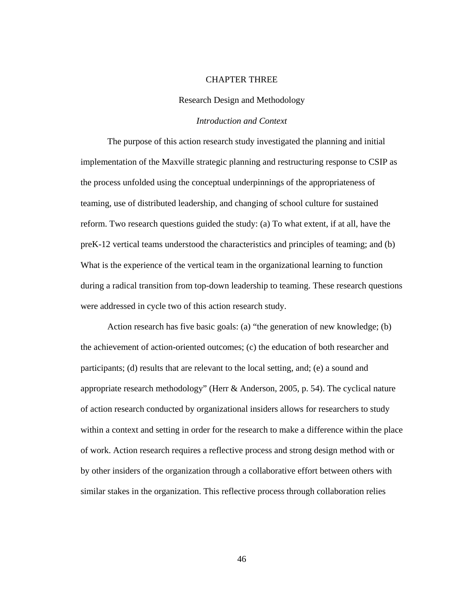## CHAPTER THREE

### Research Design and Methodology

## *Introduction and Context*

 The purpose of this action research study investigated the planning and initial implementation of the Maxville strategic planning and restructuring response to CSIP as the process unfolded using the conceptual underpinnings of the appropriateness of teaming, use of distributed leadership, and changing of school culture for sustained reform. Two research questions guided the study: (a) To what extent, if at all, have the preK-12 vertical teams understood the characteristics and principles of teaming; and (b) What is the experience of the vertical team in the organizational learning to function during a radical transition from top-down leadership to teaming. These research questions were addressed in cycle two of this action research study.

Action research has five basic goals: (a) "the generation of new knowledge; (b) the achievement of action-oriented outcomes; (c) the education of both researcher and participants; (d) results that are relevant to the local setting, and; (e) a sound and appropriate research methodology" (Herr & Anderson, 2005, p. 54). The cyclical nature of action research conducted by organizational insiders allows for researchers to study within a context and setting in order for the research to make a difference within the place of work. Action research requires a reflective process and strong design method with or by other insiders of the organization through a collaborative effort between others with similar stakes in the organization. This reflective process through collaboration relies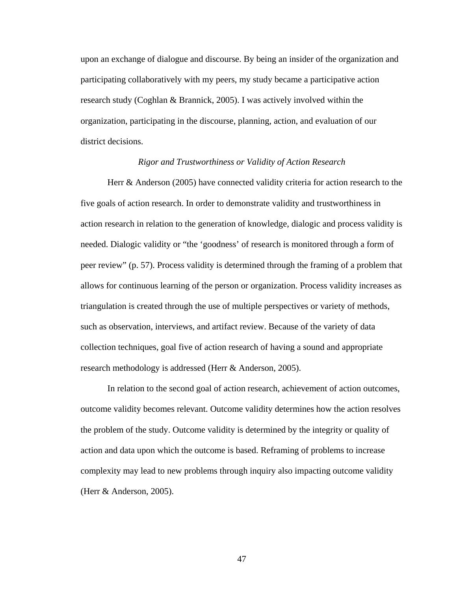upon an exchange of dialogue and discourse. By being an insider of the organization and participating collaboratively with my peers, my study became a participative action research study (Coghlan & Brannick, 2005). I was actively involved within the organization, participating in the discourse, planning, action, and evaluation of our district decisions.

## *Rigor and Trustworthiness or Validity of Action Research*

 Herr & Anderson (2005) have connected validity criteria for action research to the five goals of action research. In order to demonstrate validity and trustworthiness in action research in relation to the generation of knowledge, dialogic and process validity is needed. Dialogic validity or "the 'goodness' of research is monitored through a form of peer review" (p. 57). Process validity is determined through the framing of a problem that allows for continuous learning of the person or organization. Process validity increases as triangulation is created through the use of multiple perspectives or variety of methods, such as observation, interviews, and artifact review. Because of the variety of data collection techniques, goal five of action research of having a sound and appropriate research methodology is addressed (Herr & Anderson, 2005).

 In relation to the second goal of action research, achievement of action outcomes, outcome validity becomes relevant. Outcome validity determines how the action resolves the problem of the study. Outcome validity is determined by the integrity or quality of action and data upon which the outcome is based. Reframing of problems to increase complexity may lead to new problems through inquiry also impacting outcome validity (Herr & Anderson, 2005).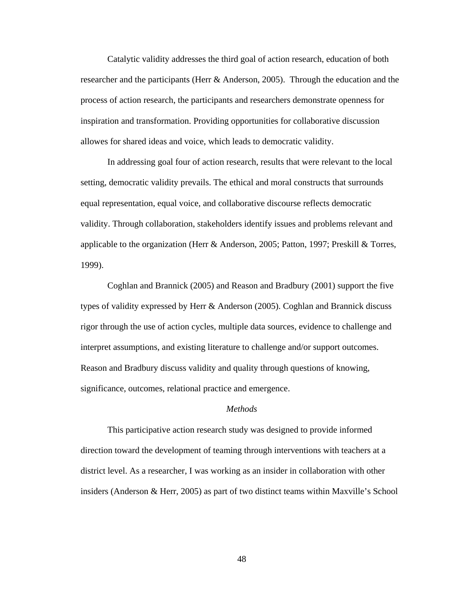Catalytic validity addresses the third goal of action research, education of both researcher and the participants (Herr & Anderson, 2005). Through the education and the process of action research, the participants and researchers demonstrate openness for inspiration and transformation. Providing opportunities for collaborative discussion allowes for shared ideas and voice, which leads to democratic validity.

In addressing goal four of action research, results that were relevant to the local setting, democratic validity prevails. The ethical and moral constructs that surrounds equal representation, equal voice, and collaborative discourse reflects democratic validity. Through collaboration, stakeholders identify issues and problems relevant and applicable to the organization (Herr  $\&$  Anderson, 2005; Patton, 1997; Preskill  $\&$  Torres, 1999).

Coghlan and Brannick (2005) and Reason and Bradbury (2001) support the five types of validity expressed by Herr & Anderson (2005). Coghlan and Brannick discuss rigor through the use of action cycles, multiple data sources, evidence to challenge and interpret assumptions, and existing literature to challenge and/or support outcomes. Reason and Bradbury discuss validity and quality through questions of knowing, significance, outcomes, relational practice and emergence.

## *Methods*

 This participative action research study was designed to provide informed direction toward the development of teaming through interventions with teachers at a district level. As a researcher, I was working as an insider in collaboration with other insiders (Anderson & Herr, 2005) as part of two distinct teams within Maxville's School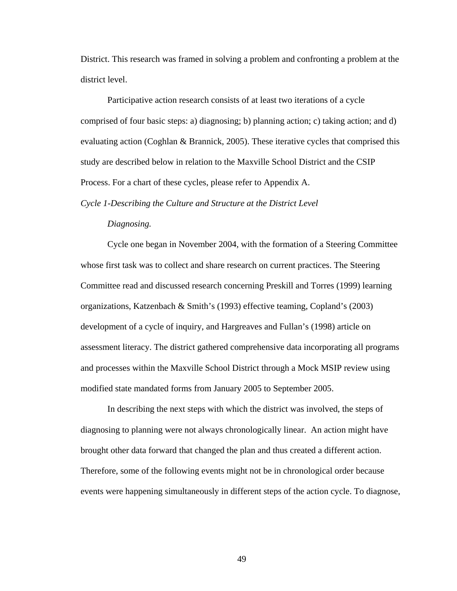District. This research was framed in solving a problem and confronting a problem at the district level.

 Participative action research consists of at least two iterations of a cycle comprised of four basic steps: a) diagnosing; b) planning action; c) taking action; and d) evaluating action (Coghlan & Brannick, 2005). These iterative cycles that comprised this study are described below in relation to the Maxville School District and the CSIP Process. For a chart of these cycles, please refer to Appendix A.

#### *Cycle 1-Describing the Culture and Structure at the District Level*

### *Diagnosing.*

 Cycle one began in November 2004, with the formation of a Steering Committee whose first task was to collect and share research on current practices. The Steering Committee read and discussed research concerning Preskill and Torres (1999) learning organizations, Katzenbach & Smith's (1993) effective teaming, Copland's (2003) development of a cycle of inquiry, and Hargreaves and Fullan's (1998) article on assessment literacy. The district gathered comprehensive data incorporating all programs and processes within the Maxville School District through a Mock MSIP review using modified state mandated forms from January 2005 to September 2005.

 In describing the next steps with which the district was involved, the steps of diagnosing to planning were not always chronologically linear. An action might have brought other data forward that changed the plan and thus created a different action. Therefore, some of the following events might not be in chronological order because events were happening simultaneously in different steps of the action cycle. To diagnose,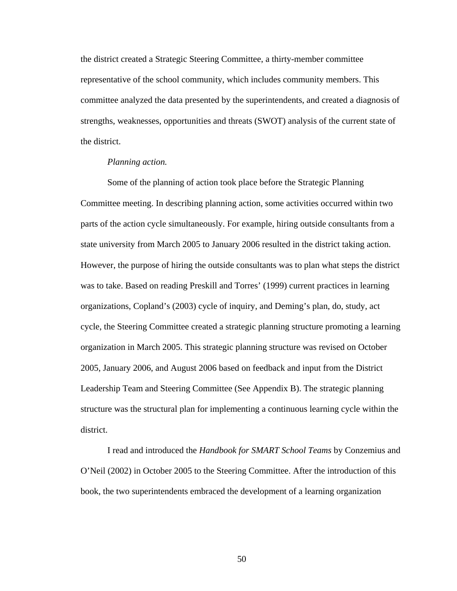the district created a Strategic Steering Committee, a thirty-member committee representative of the school community, which includes community members. This committee analyzed the data presented by the superintendents, and created a diagnosis of strengths, weaknesses, opportunities and threats (SWOT) analysis of the current state of the district.

## *Planning action.*

Some of the planning of action took place before the Strategic Planning Committee meeting. In describing planning action, some activities occurred within two parts of the action cycle simultaneously. For example, hiring outside consultants from a state university from March 2005 to January 2006 resulted in the district taking action. However, the purpose of hiring the outside consultants was to plan what steps the district was to take. Based on reading Preskill and Torres' (1999) current practices in learning organizations, Copland's (2003) cycle of inquiry, and Deming's plan, do, study, act cycle, the Steering Committee created a strategic planning structure promoting a learning organization in March 2005. This strategic planning structure was revised on October 2005, January 2006, and August 2006 based on feedback and input from the District Leadership Team and Steering Committee (See Appendix B). The strategic planning structure was the structural plan for implementing a continuous learning cycle within the district.

I read and introduced the *Handbook for SMART School Teams* by Conzemius and O'Neil (2002) in October 2005 to the Steering Committee. After the introduction of this book, the two superintendents embraced the development of a learning organization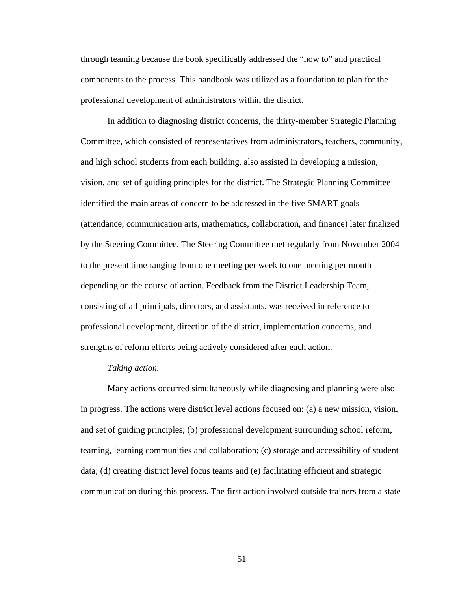through teaming because the book specifically addressed the "how to" and practical components to the process. This handbook was utilized as a foundation to plan for the professional development of administrators within the district.

 In addition to diagnosing district concerns, the thirty-member Strategic Planning Committee, which consisted of representatives from administrators, teachers, community, and high school students from each building, also assisted in developing a mission, vision, and set of guiding principles for the district. The Strategic Planning Committee identified the main areas of concern to be addressed in the five SMART goals (attendance, communication arts, mathematics, collaboration, and finance) later finalized by the Steering Committee. The Steering Committee met regularly from November 2004 to the present time ranging from one meeting per week to one meeting per month depending on the course of action. Feedback from the District Leadership Team, consisting of all principals, directors, and assistants, was received in reference to professional development, direction of the district, implementation concerns, and strengths of reform efforts being actively considered after each action.

## *Taking action.*

 Many actions occurred simultaneously while diagnosing and planning were also in progress. The actions were district level actions focused on: (a) a new mission, vision, and set of guiding principles; (b) professional development surrounding school reform, teaming, learning communities and collaboration; (c) storage and accessibility of student data; (d) creating district level focus teams and (e) facilitating efficient and strategic communication during this process. The first action involved outside trainers from a state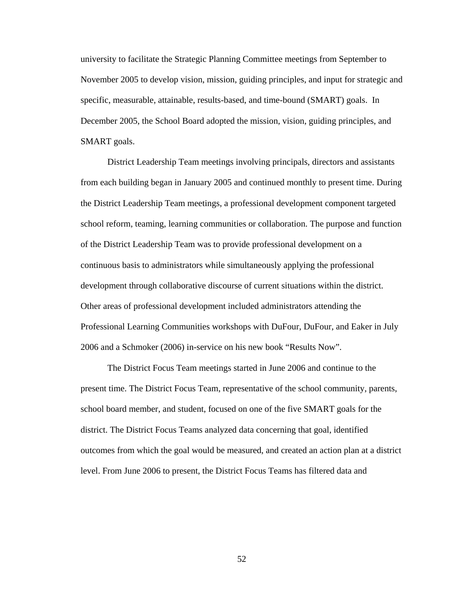university to facilitate the Strategic Planning Committee meetings from September to November 2005 to develop vision, mission, guiding principles, and input for strategic and specific, measurable, attainable, results-based, and time-bound (SMART) goals. In December 2005, the School Board adopted the mission, vision, guiding principles, and SMART goals.

 District Leadership Team meetings involving principals, directors and assistants from each building began in January 2005 and continued monthly to present time. During the District Leadership Team meetings, a professional development component targeted school reform, teaming, learning communities or collaboration. The purpose and function of the District Leadership Team was to provide professional development on a continuous basis to administrators while simultaneously applying the professional development through collaborative discourse of current situations within the district. Other areas of professional development included administrators attending the Professional Learning Communities workshops with DuFour, DuFour, and Eaker in July 2006 and a Schmoker (2006) in-service on his new book "Results Now".

The District Focus Team meetings started in June 2006 and continue to the present time. The District Focus Team, representative of the school community, parents, school board member, and student, focused on one of the five SMART goals for the district. The District Focus Teams analyzed data concerning that goal, identified outcomes from which the goal would be measured, and created an action plan at a district level. From June 2006 to present, the District Focus Teams has filtered data and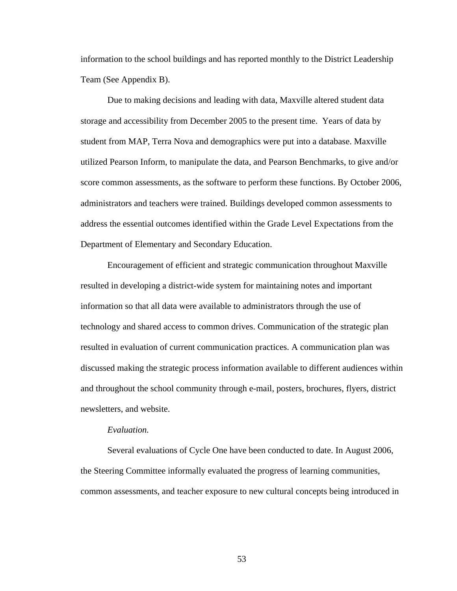information to the school buildings and has reported monthly to the District Leadership Team (See Appendix B).

Due to making decisions and leading with data, Maxville altered student data storage and accessibility from December 2005 to the present time. Years of data by student from MAP, Terra Nova and demographics were put into a database. Maxville utilized Pearson Inform, to manipulate the data, and Pearson Benchmarks, to give and/or score common assessments, as the software to perform these functions. By October 2006, administrators and teachers were trained. Buildings developed common assessments to address the essential outcomes identified within the Grade Level Expectations from the Department of Elementary and Secondary Education.

Encouragement of efficient and strategic communication throughout Maxville resulted in developing a district-wide system for maintaining notes and important information so that all data were available to administrators through the use of technology and shared access to common drives. Communication of the strategic plan resulted in evaluation of current communication practices. A communication plan was discussed making the strategic process information available to different audiences within and throughout the school community through e-mail, posters, brochures, flyers, district newsletters, and website.

### *Evaluation.*

 Several evaluations of Cycle One have been conducted to date. In August 2006, the Steering Committee informally evaluated the progress of learning communities, common assessments, and teacher exposure to new cultural concepts being introduced in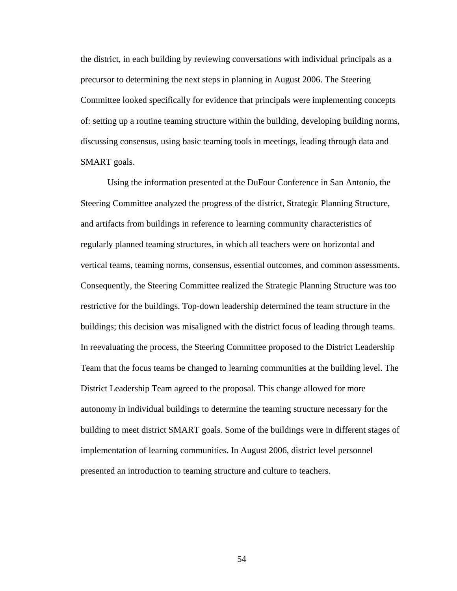the district, in each building by reviewing conversations with individual principals as a precursor to determining the next steps in planning in August 2006. The Steering Committee looked specifically for evidence that principals were implementing concepts of: setting up a routine teaming structure within the building, developing building norms, discussing consensus, using basic teaming tools in meetings, leading through data and SMART goals.

Using the information presented at the DuFour Conference in San Antonio, the Steering Committee analyzed the progress of the district, Strategic Planning Structure, and artifacts from buildings in reference to learning community characteristics of regularly planned teaming structures, in which all teachers were on horizontal and vertical teams, teaming norms, consensus, essential outcomes, and common assessments. Consequently, the Steering Committee realized the Strategic Planning Structure was too restrictive for the buildings. Top-down leadership determined the team structure in the buildings; this decision was misaligned with the district focus of leading through teams. In reevaluating the process, the Steering Committee proposed to the District Leadership Team that the focus teams be changed to learning communities at the building level. The District Leadership Team agreed to the proposal. This change allowed for more autonomy in individual buildings to determine the teaming structure necessary for the building to meet district SMART goals. Some of the buildings were in different stages of implementation of learning communities. In August 2006, district level personnel presented an introduction to teaming structure and culture to teachers.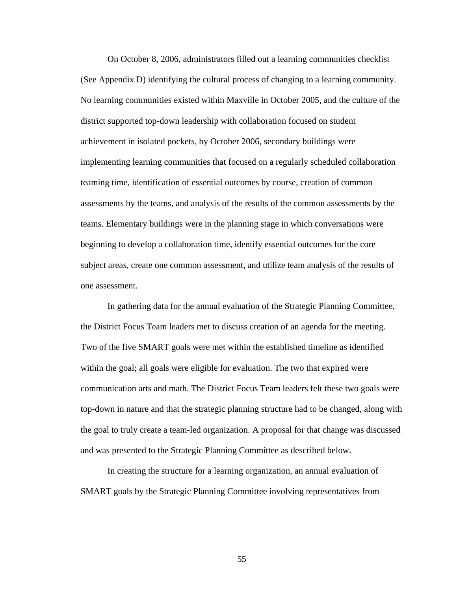On October 8, 2006, administrators filled out a learning communities checklist (See Appendix D) identifying the cultural process of changing to a learning community. No learning communities existed within Maxville in October 2005, and the culture of the district supported top-down leadership with collaboration focused on student achievement in isolated pockets, by October 2006, secondary buildings were implementing learning communities that focused on a regularly scheduled collaboration teaming time, identification of essential outcomes by course, creation of common assessments by the teams, and analysis of the results of the common assessments by the teams. Elementary buildings were in the planning stage in which conversations were beginning to develop a collaboration time, identify essential outcomes for the core subject areas, create one common assessment, and utilize team analysis of the results of one assessment.

In gathering data for the annual evaluation of the Strategic Planning Committee, the District Focus Team leaders met to discuss creation of an agenda for the meeting. Two of the five SMART goals were met within the established timeline as identified within the goal; all goals were eligible for evaluation. The two that expired were communication arts and math. The District Focus Team leaders felt these two goals were top-down in nature and that the strategic planning structure had to be changed, along with the goal to truly create a team-led organization. A proposal for that change was discussed and was presented to the Strategic Planning Committee as described below.

In creating the structure for a learning organization, an annual evaluation of SMART goals by the Strategic Planning Committee involving representatives from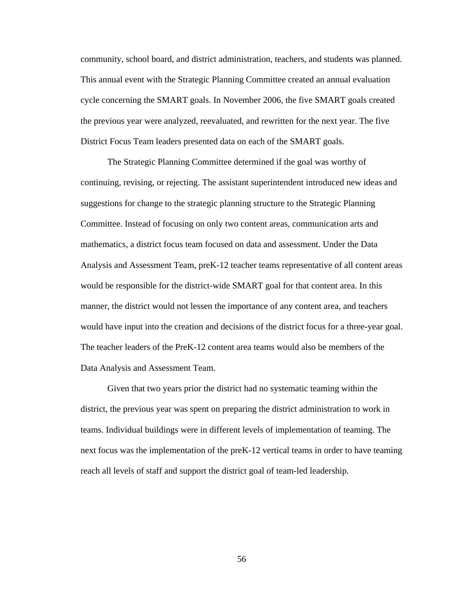community, school board, and district administration, teachers, and students was planned. This annual event with the Strategic Planning Committee created an annual evaluation cycle concerning the SMART goals. In November 2006, the five SMART goals created the previous year were analyzed, reevaluated, and rewritten for the next year. The five District Focus Team leaders presented data on each of the SMART goals.

The Strategic Planning Committee determined if the goal was worthy of continuing, revising, or rejecting. The assistant superintendent introduced new ideas and suggestions for change to the strategic planning structure to the Strategic Planning Committee. Instead of focusing on only two content areas, communication arts and mathematics, a district focus team focused on data and assessment. Under the Data Analysis and Assessment Team, preK-12 teacher teams representative of all content areas would be responsible for the district-wide SMART goal for that content area. In this manner, the district would not lessen the importance of any content area, and teachers would have input into the creation and decisions of the district focus for a three-year goal. The teacher leaders of the PreK-12 content area teams would also be members of the Data Analysis and Assessment Team.

Given that two years prior the district had no systematic teaming within the district, the previous year was spent on preparing the district administration to work in teams. Individual buildings were in different levels of implementation of teaming. The next focus was the implementation of the preK-12 vertical teams in order to have teaming reach all levels of staff and support the district goal of team-led leadership.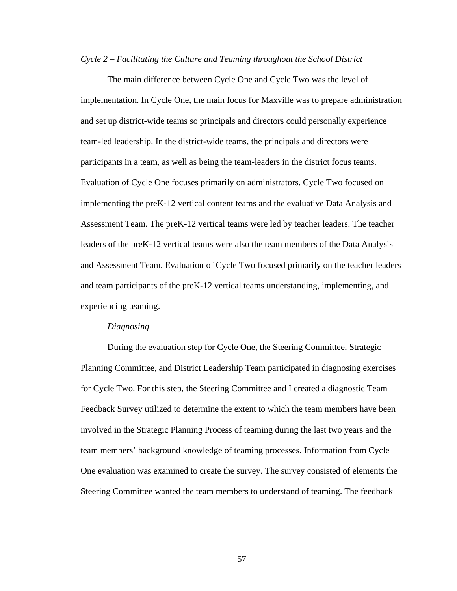*Cycle 2 – Facilitating the Culture and Teaming throughout the School District* 

 The main difference between Cycle One and Cycle Two was the level of implementation. In Cycle One, the main focus for Maxville was to prepare administration and set up district-wide teams so principals and directors could personally experience team-led leadership. In the district-wide teams, the principals and directors were participants in a team, as well as being the team-leaders in the district focus teams. Evaluation of Cycle One focuses primarily on administrators. Cycle Two focused on implementing the preK-12 vertical content teams and the evaluative Data Analysis and Assessment Team. The preK-12 vertical teams were led by teacher leaders. The teacher leaders of the preK-12 vertical teams were also the team members of the Data Analysis and Assessment Team. Evaluation of Cycle Two focused primarily on the teacher leaders and team participants of the preK-12 vertical teams understanding, implementing, and experiencing teaming.

#### *Diagnosing.*

 During the evaluation step for Cycle One, the Steering Committee, Strategic Planning Committee, and District Leadership Team participated in diagnosing exercises for Cycle Two. For this step, the Steering Committee and I created a diagnostic Team Feedback Survey utilized to determine the extent to which the team members have been involved in the Strategic Planning Process of teaming during the last two years and the team members' background knowledge of teaming processes. Information from Cycle One evaluation was examined to create the survey. The survey consisted of elements the Steering Committee wanted the team members to understand of teaming. The feedback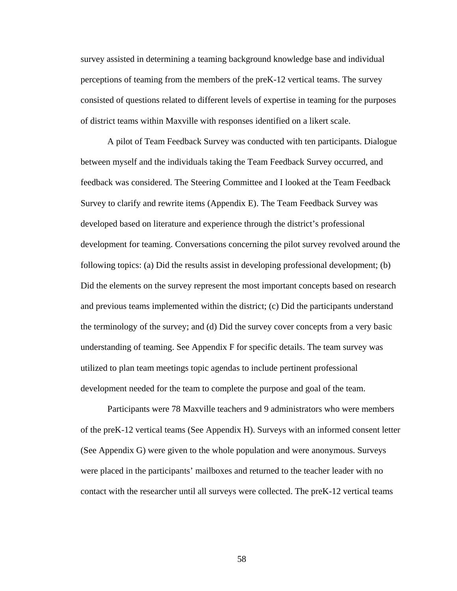survey assisted in determining a teaming background knowledge base and individual perceptions of teaming from the members of the preK-12 vertical teams. The survey consisted of questions related to different levels of expertise in teaming for the purposes of district teams within Maxville with responses identified on a likert scale.

 A pilot of Team Feedback Survey was conducted with ten participants. Dialogue between myself and the individuals taking the Team Feedback Survey occurred, and feedback was considered. The Steering Committee and I looked at the Team Feedback Survey to clarify and rewrite items (Appendix E). The Team Feedback Survey was developed based on literature and experience through the district's professional development for teaming. Conversations concerning the pilot survey revolved around the following topics: (a) Did the results assist in developing professional development; (b) Did the elements on the survey represent the most important concepts based on research and previous teams implemented within the district; (c) Did the participants understand the terminology of the survey; and (d) Did the survey cover concepts from a very basic understanding of teaming. See Appendix F for specific details. The team survey was utilized to plan team meetings topic agendas to include pertinent professional development needed for the team to complete the purpose and goal of the team.

 Participants were 78 Maxville teachers and 9 administrators who were members of the preK-12 vertical teams (See Appendix H). Surveys with an informed consent letter (See Appendix G) were given to the whole population and were anonymous. Surveys were placed in the participants' mailboxes and returned to the teacher leader with no contact with the researcher until all surveys were collected. The preK-12 vertical teams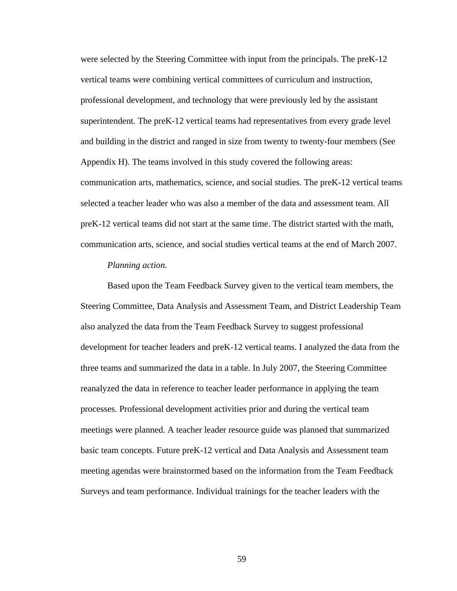were selected by the Steering Committee with input from the principals. The preK-12 vertical teams were combining vertical committees of curriculum and instruction, professional development, and technology that were previously led by the assistant superintendent. The preK-12 vertical teams had representatives from every grade level and building in the district and ranged in size from twenty to twenty-four members (See Appendix H). The teams involved in this study covered the following areas: communication arts, mathematics, science, and social studies. The preK-12 vertical teams selected a teacher leader who was also a member of the data and assessment team. All preK-12 vertical teams did not start at the same time. The district started with the math, communication arts, science, and social studies vertical teams at the end of March 2007.

# *Planning action.*

 Based upon the Team Feedback Survey given to the vertical team members, the Steering Committee, Data Analysis and Assessment Team, and District Leadership Team also analyzed the data from the Team Feedback Survey to suggest professional development for teacher leaders and preK-12 vertical teams. I analyzed the data from the three teams and summarized the data in a table. In July 2007, the Steering Committee reanalyzed the data in reference to teacher leader performance in applying the team processes. Professional development activities prior and during the vertical team meetings were planned. A teacher leader resource guide was planned that summarized basic team concepts. Future preK-12 vertical and Data Analysis and Assessment team meeting agendas were brainstormed based on the information from the Team Feedback Surveys and team performance. Individual trainings for the teacher leaders with the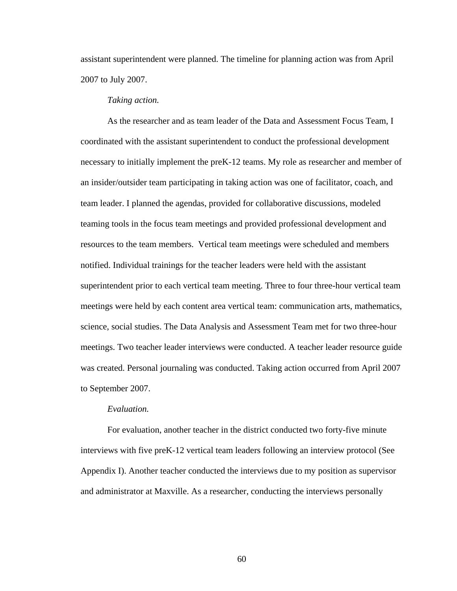assistant superintendent were planned. The timeline for planning action was from April 2007 to July 2007.

# *Taking action.*

As the researcher and as team leader of the Data and Assessment Focus Team, I coordinated with the assistant superintendent to conduct the professional development necessary to initially implement the preK-12 teams. My role as researcher and member of an insider/outsider team participating in taking action was one of facilitator, coach, and team leader. I planned the agendas, provided for collaborative discussions, modeled teaming tools in the focus team meetings and provided professional development and resources to the team members. Vertical team meetings were scheduled and members notified. Individual trainings for the teacher leaders were held with the assistant superintendent prior to each vertical team meeting. Three to four three-hour vertical team meetings were held by each content area vertical team: communication arts, mathematics, science, social studies. The Data Analysis and Assessment Team met for two three-hour meetings. Two teacher leader interviews were conducted. A teacher leader resource guide was created. Personal journaling was conducted. Taking action occurred from April 2007 to September 2007.

# *Evaluation.*

For evaluation, another teacher in the district conducted two forty-five minute interviews with five preK-12 vertical team leaders following an interview protocol (See Appendix I). Another teacher conducted the interviews due to my position as supervisor and administrator at Maxville. As a researcher, conducting the interviews personally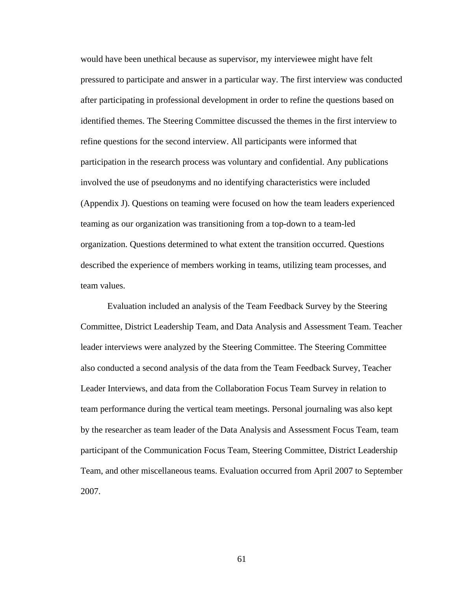would have been unethical because as supervisor, my interviewee might have felt pressured to participate and answer in a particular way. The first interview was conducted after participating in professional development in order to refine the questions based on identified themes. The Steering Committee discussed the themes in the first interview to refine questions for the second interview. All participants were informed that participation in the research process was voluntary and confidential. Any publications involved the use of pseudonyms and no identifying characteristics were included (Appendix J). Questions on teaming were focused on how the team leaders experienced teaming as our organization was transitioning from a top-down to a team-led organization. Questions determined to what extent the transition occurred. Questions described the experience of members working in teams, utilizing team processes, and team values.

Evaluation included an analysis of the Team Feedback Survey by the Steering Committee, District Leadership Team, and Data Analysis and Assessment Team. Teacher leader interviews were analyzed by the Steering Committee. The Steering Committee also conducted a second analysis of the data from the Team Feedback Survey, Teacher Leader Interviews, and data from the Collaboration Focus Team Survey in relation to team performance during the vertical team meetings. Personal journaling was also kept by the researcher as team leader of the Data Analysis and Assessment Focus Team, team participant of the Communication Focus Team, Steering Committee, District Leadership Team, and other miscellaneous teams. Evaluation occurred from April 2007 to September 2007.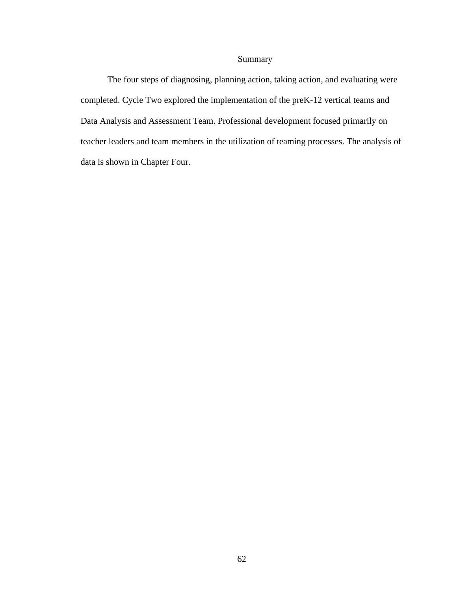# Summary

The four steps of diagnosing, planning action, taking action, and evaluating were completed. Cycle Two explored the implementation of the preK-12 vertical teams and Data Analysis and Assessment Team. Professional development focused primarily on teacher leaders and team members in the utilization of teaming processes. The analysis of data is shown in Chapter Four.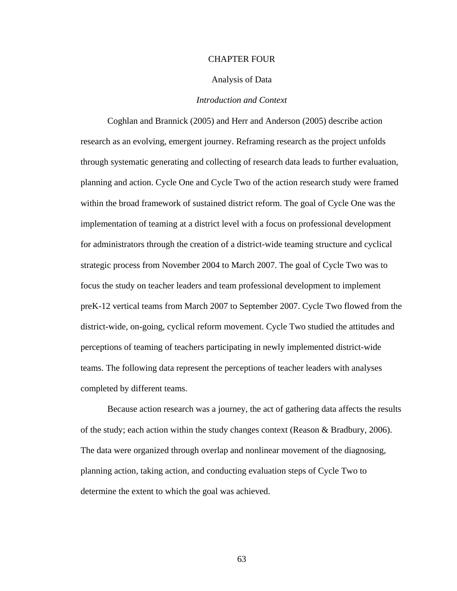# CHAPTER FOUR

# Analysis of Data

# *Introduction and Context*

Coghlan and Brannick (2005) and Herr and Anderson (2005) describe action research as an evolving, emergent journey. Reframing research as the project unfolds through systematic generating and collecting of research data leads to further evaluation, planning and action. Cycle One and Cycle Two of the action research study were framed within the broad framework of sustained district reform. The goal of Cycle One was the implementation of teaming at a district level with a focus on professional development for administrators through the creation of a district-wide teaming structure and cyclical strategic process from November 2004 to March 2007. The goal of Cycle Two was to focus the study on teacher leaders and team professional development to implement preK-12 vertical teams from March 2007 to September 2007. Cycle Two flowed from the district-wide, on-going, cyclical reform movement. Cycle Two studied the attitudes and perceptions of teaming of teachers participating in newly implemented district-wide teams. The following data represent the perceptions of teacher leaders with analyses completed by different teams.

Because action research was a journey, the act of gathering data affects the results of the study; each action within the study changes context (Reason & Bradbury, 2006). The data were organized through overlap and nonlinear movement of the diagnosing, planning action, taking action, and conducting evaluation steps of Cycle Two to determine the extent to which the goal was achieved.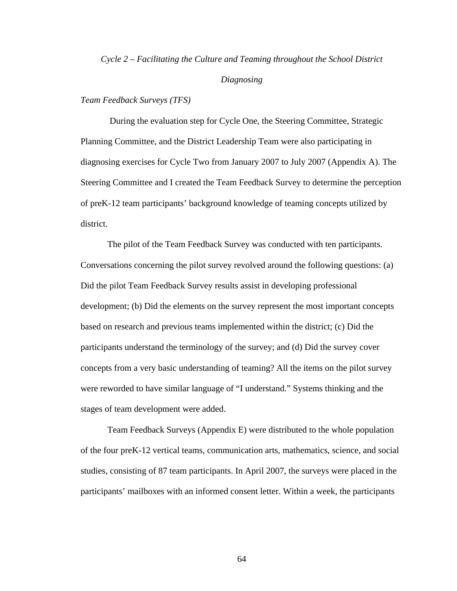# *Cycle 2 – Facilitating the Culture and Teaming throughout the School District*

# *Diagnosing*

# *Team Feedback Surveys (TFS)*

 During the evaluation step for Cycle One, the Steering Committee, Strategic Planning Committee, and the District Leadership Team were also participating in diagnosing exercises for Cycle Two from January 2007 to July 2007 (Appendix A). The Steering Committee and I created the Team Feedback Survey to determine the perception of preK-12 team participants' background knowledge of teaming concepts utilized by district.

The pilot of the Team Feedback Survey was conducted with ten participants. Conversations concerning the pilot survey revolved around the following questions: (a) Did the pilot Team Feedback Survey results assist in developing professional development; (b) Did the elements on the survey represent the most important concepts based on research and previous teams implemented within the district; (c) Did the participants understand the terminology of the survey; and (d) Did the survey cover concepts from a very basic understanding of teaming? All the items on the pilot survey were reworded to have similar language of "I understand." Systems thinking and the stages of team development were added.

Team Feedback Surveys (Appendix E) were distributed to the whole population of the four preK-12 vertical teams, communication arts, mathematics, science, and social studies, consisting of 87 team participants. In April 2007, the surveys were placed in the participants' mailboxes with an informed consent letter. Within a week, the participants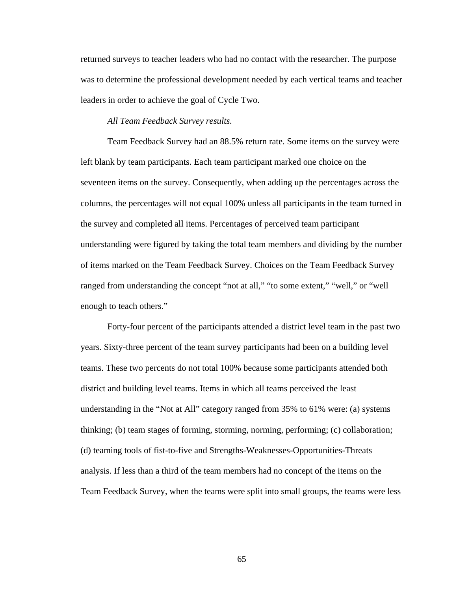returned surveys to teacher leaders who had no contact with the researcher. The purpose was to determine the professional development needed by each vertical teams and teacher leaders in order to achieve the goal of Cycle Two.

# *All Team Feedback Survey results.*

Team Feedback Survey had an 88.5% return rate. Some items on the survey were left blank by team participants. Each team participant marked one choice on the seventeen items on the survey. Consequently, when adding up the percentages across the columns, the percentages will not equal 100% unless all participants in the team turned in the survey and completed all items. Percentages of perceived team participant understanding were figured by taking the total team members and dividing by the number of items marked on the Team Feedback Survey. Choices on the Team Feedback Survey ranged from understanding the concept "not at all," "to some extent," "well," or "well enough to teach others."

Forty-four percent of the participants attended a district level team in the past two years. Sixty-three percent of the team survey participants had been on a building level teams. These two percents do not total 100% because some participants attended both district and building level teams. Items in which all teams perceived the least understanding in the "Not at All" category ranged from 35% to 61% were: (a) systems thinking; (b) team stages of forming, storming, norming, performing; (c) collaboration; (d) teaming tools of fist-to-five and Strengths-Weaknesses-Opportunities-Threats analysis. If less than a third of the team members had no concept of the items on the Team Feedback Survey, when the teams were split into small groups, the teams were less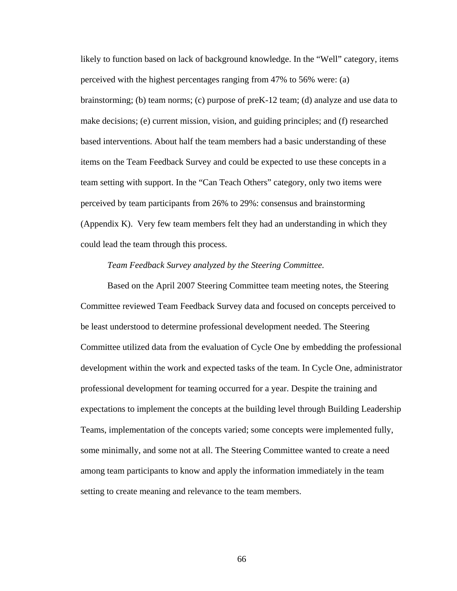likely to function based on lack of background knowledge. In the "Well" category, items perceived with the highest percentages ranging from 47% to 56% were: (a) brainstorming; (b) team norms; (c) purpose of preK-12 team; (d) analyze and use data to make decisions; (e) current mission, vision, and guiding principles; and (f) researched based interventions. About half the team members had a basic understanding of these items on the Team Feedback Survey and could be expected to use these concepts in a team setting with support. In the "Can Teach Others" category, only two items were perceived by team participants from 26% to 29%: consensus and brainstorming (Appendix K). Very few team members felt they had an understanding in which they could lead the team through this process.

# *Team Feedback Survey analyzed by the Steering Committee.*

Based on the April 2007 Steering Committee team meeting notes, the Steering Committee reviewed Team Feedback Survey data and focused on concepts perceived to be least understood to determine professional development needed. The Steering Committee utilized data from the evaluation of Cycle One by embedding the professional development within the work and expected tasks of the team. In Cycle One, administrator professional development for teaming occurred for a year. Despite the training and expectations to implement the concepts at the building level through Building Leadership Teams, implementation of the concepts varied; some concepts were implemented fully, some minimally, and some not at all. The Steering Committee wanted to create a need among team participants to know and apply the information immediately in the team setting to create meaning and relevance to the team members.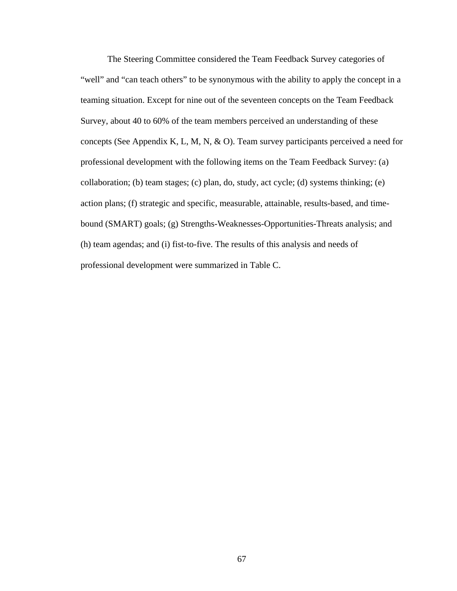The Steering Committee considered the Team Feedback Survey categories of "well" and "can teach others" to be synonymous with the ability to apply the concept in a teaming situation. Except for nine out of the seventeen concepts on the Team Feedback Survey, about 40 to 60% of the team members perceived an understanding of these concepts (See Appendix K, L, M, N, & O). Team survey participants perceived a need for professional development with the following items on the Team Feedback Survey: (a) collaboration; (b) team stages; (c) plan, do, study, act cycle; (d) systems thinking; (e) action plans; (f) strategic and specific, measurable, attainable, results-based, and timebound (SMART) goals; (g) Strengths-Weaknesses-Opportunities-Threats analysis; and (h) team agendas; and (i) fist-to-five. The results of this analysis and needs of professional development were summarized in Table C.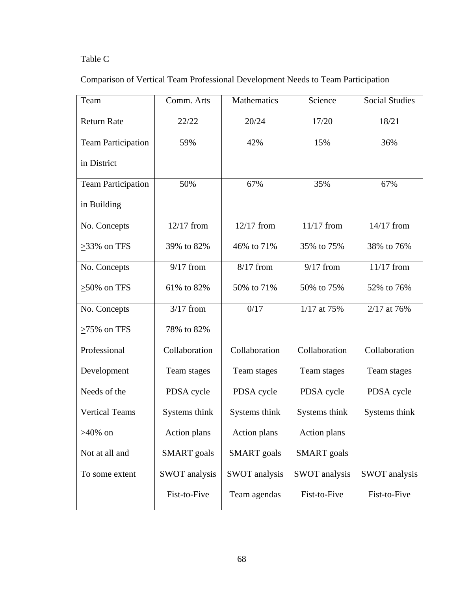# Table C

# Comparison of Vertical Team Professional Development Needs to Team Participation

| Team                      | Comm. Arts           | Mathematics          | Science              | <b>Social Studies</b> |  |
|---------------------------|----------------------|----------------------|----------------------|-----------------------|--|
| <b>Return Rate</b>        | 22/22                | 20/24                | 17/20                | 18/21                 |  |
| <b>Team Participation</b> | 59%                  | 42%                  | 15%                  | 36%                   |  |
| in District               |                      |                      |                      |                       |  |
| <b>Team Participation</b> | 50%                  | 67%                  | 35%                  | 67%                   |  |
| in Building               |                      |                      |                      |                       |  |
| No. Concepts              | 12/17 from           | 12/17 from           | 11/17 from           | 14/17 from            |  |
| $>33\%$ on TFS            | 39% to 82%           | 46% to 71%           | 35% to 75%           | 38% to 76%            |  |
| No. Concepts              | $9/17$ from          | $8/17$ from          | $9/17$ from          | 11/17 from            |  |
| $\geq$ 50% on TFS         | 61% to 82%           | 50% to 71%           | 50% to 75%           | 52% to 76%            |  |
| No. Concepts              | $3/17$ from          | 0/17                 | 1/17 at 75%          | 2/17 at 76%           |  |
| $>75\%$ on TFS            | 78% to 82%           |                      |                      |                       |  |
| Professional              | Collaboration        | Collaboration        | Collaboration        | Collaboration         |  |
| Development               | Team stages          | Team stages          | Team stages          | Team stages           |  |
| Needs of the              | PDSA cycle           | PDSA cycle           | PDSA cycle           | PDSA cycle            |  |
| <b>Vertical Teams</b>     | Systems think        | Systems think        | Systems think        | Systems think         |  |
| $>40\%$ on                | Action plans         | Action plans         | Action plans         |                       |  |
| Not at all and            | <b>SMART</b> goals   | <b>SMART</b> goals   | <b>SMART</b> goals   |                       |  |
| To some extent            | <b>SWOT</b> analysis | <b>SWOT</b> analysis | <b>SWOT</b> analysis | SWOT analysis         |  |
|                           | Fist-to-Five         | Team agendas         | Fist-to-Five         | Fist-to-Five          |  |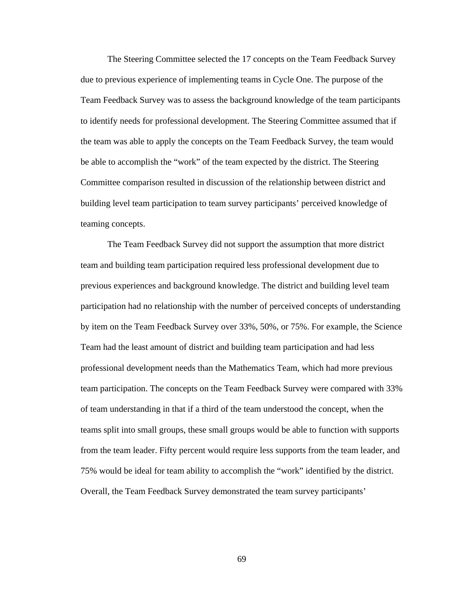The Steering Committee selected the 17 concepts on the Team Feedback Survey due to previous experience of implementing teams in Cycle One. The purpose of the Team Feedback Survey was to assess the background knowledge of the team participants to identify needs for professional development. The Steering Committee assumed that if the team was able to apply the concepts on the Team Feedback Survey, the team would be able to accomplish the "work" of the team expected by the district. The Steering Committee comparison resulted in discussion of the relationship between district and building level team participation to team survey participants' perceived knowledge of teaming concepts.

The Team Feedback Survey did not support the assumption that more district team and building team participation required less professional development due to previous experiences and background knowledge. The district and building level team participation had no relationship with the number of perceived concepts of understanding by item on the Team Feedback Survey over 33%, 50%, or 75%. For example, the Science Team had the least amount of district and building team participation and had less professional development needs than the Mathematics Team, which had more previous team participation. The concepts on the Team Feedback Survey were compared with 33% of team understanding in that if a third of the team understood the concept, when the teams split into small groups, these small groups would be able to function with supports from the team leader. Fifty percent would require less supports from the team leader, and 75% would be ideal for team ability to accomplish the "work" identified by the district. Overall, the Team Feedback Survey demonstrated the team survey participants'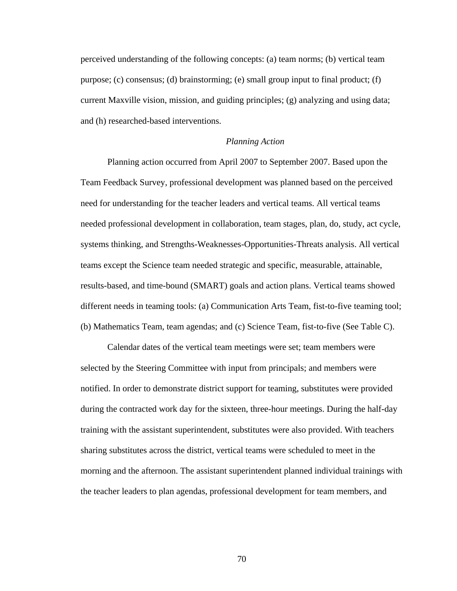perceived understanding of the following concepts: (a) team norms; (b) vertical team purpose; (c) consensus; (d) brainstorming; (e) small group input to final product; (f) current Maxville vision, mission, and guiding principles; (g) analyzing and using data; and (h) researched-based interventions.

#### *Planning Action*

Planning action occurred from April 2007 to September 2007. Based upon the Team Feedback Survey, professional development was planned based on the perceived need for understanding for the teacher leaders and vertical teams. All vertical teams needed professional development in collaboration, team stages, plan, do, study, act cycle, systems thinking, and Strengths-Weaknesses-Opportunities-Threats analysis. All vertical teams except the Science team needed strategic and specific, measurable, attainable, results-based, and time-bound (SMART) goals and action plans. Vertical teams showed different needs in teaming tools: (a) Communication Arts Team, fist-to-five teaming tool; (b) Mathematics Team, team agendas; and (c) Science Team, fist-to-five (See Table C).

Calendar dates of the vertical team meetings were set; team members were selected by the Steering Committee with input from principals; and members were notified. In order to demonstrate district support for teaming, substitutes were provided during the contracted work day for the sixteen, three-hour meetings. During the half-day training with the assistant superintendent, substitutes were also provided. With teachers sharing substitutes across the district, vertical teams were scheduled to meet in the morning and the afternoon. The assistant superintendent planned individual trainings with the teacher leaders to plan agendas, professional development for team members, and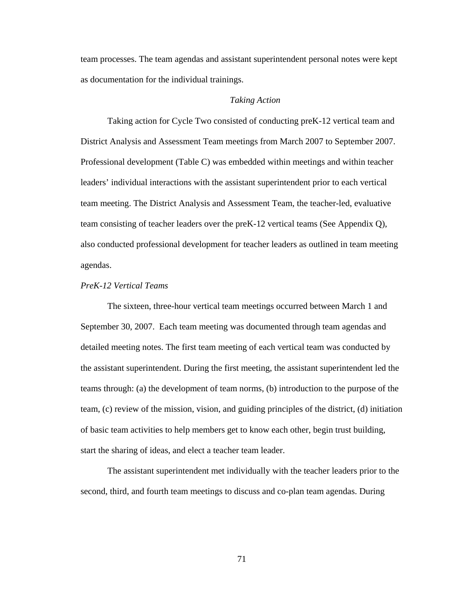team processes. The team agendas and assistant superintendent personal notes were kept as documentation for the individual trainings.

# *Taking Action*

 Taking action for Cycle Two consisted of conducting preK-12 vertical team and District Analysis and Assessment Team meetings from March 2007 to September 2007. Professional development (Table C) was embedded within meetings and within teacher leaders' individual interactions with the assistant superintendent prior to each vertical team meeting. The District Analysis and Assessment Team, the teacher-led, evaluative team consisting of teacher leaders over the preK-12 vertical teams (See Appendix Q), also conducted professional development for teacher leaders as outlined in team meeting agendas.

# *PreK-12 Vertical Teams*

The sixteen, three-hour vertical team meetings occurred between March 1 and September 30, 2007. Each team meeting was documented through team agendas and detailed meeting notes. The first team meeting of each vertical team was conducted by the assistant superintendent. During the first meeting, the assistant superintendent led the teams through: (a) the development of team norms, (b) introduction to the purpose of the team, (c) review of the mission, vision, and guiding principles of the district, (d) initiation of basic team activities to help members get to know each other, begin trust building, start the sharing of ideas, and elect a teacher team leader.

The assistant superintendent met individually with the teacher leaders prior to the second, third, and fourth team meetings to discuss and co-plan team agendas. During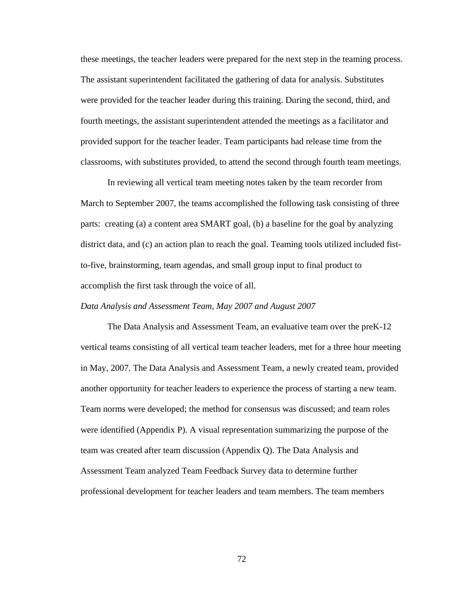these meetings, the teacher leaders were prepared for the next step in the teaming process. The assistant superintendent facilitated the gathering of data for analysis. Substitutes were provided for the teacher leader during this training. During the second, third, and fourth meetings, the assistant superintendent attended the meetings as a facilitator and provided support for the teacher leader. Team participants had release time from the classrooms, with substitutes provided, to attend the second through fourth team meetings.

In reviewing all vertical team meeting notes taken by the team recorder from March to September 2007, the teams accomplished the following task consisting of three parts: creating (a) a content area SMART goal, (b) a baseline for the goal by analyzing district data, and (c) an action plan to reach the goal. Teaming tools utilized included fistto-five, brainstorming, team agendas, and small group input to final product to accomplish the first task through the voice of all.

# *Data Analysis and Assessment Team, May 2007 and August 2007*

The Data Analysis and Assessment Team, an evaluative team over the preK-12 vertical teams consisting of all vertical team teacher leaders, met for a three hour meeting in May, 2007. The Data Analysis and Assessment Team, a newly created team, provided another opportunity for teacher leaders to experience the process of starting a new team. Team norms were developed; the method for consensus was discussed; and team roles were identified (Appendix P). A visual representation summarizing the purpose of the team was created after team discussion (Appendix Q). The Data Analysis and Assessment Team analyzed Team Feedback Survey data to determine further professional development for teacher leaders and team members. The team members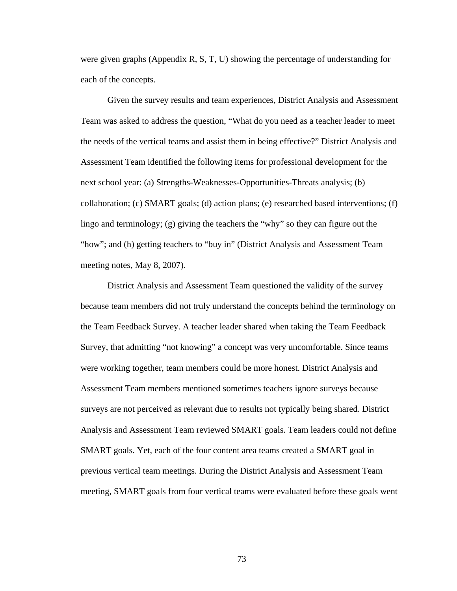were given graphs (Appendix R, S, T, U) showing the percentage of understanding for each of the concepts.

 Given the survey results and team experiences, District Analysis and Assessment Team was asked to address the question, "What do you need as a teacher leader to meet the needs of the vertical teams and assist them in being effective?" District Analysis and Assessment Team identified the following items for professional development for the next school year: (a) Strengths-Weaknesses-Opportunities-Threats analysis; (b) collaboration; (c) SMART goals; (d) action plans; (e) researched based interventions; (f) lingo and terminology; (g) giving the teachers the "why" so they can figure out the "how"; and (h) getting teachers to "buy in" (District Analysis and Assessment Team meeting notes, May 8, 2007).

District Analysis and Assessment Team questioned the validity of the survey because team members did not truly understand the concepts behind the terminology on the Team Feedback Survey. A teacher leader shared when taking the Team Feedback Survey, that admitting "not knowing" a concept was very uncomfortable. Since teams were working together, team members could be more honest. District Analysis and Assessment Team members mentioned sometimes teachers ignore surveys because surveys are not perceived as relevant due to results not typically being shared. District Analysis and Assessment Team reviewed SMART goals. Team leaders could not define SMART goals. Yet, each of the four content area teams created a SMART goal in previous vertical team meetings. During the District Analysis and Assessment Team meeting, SMART goals from four vertical teams were evaluated before these goals went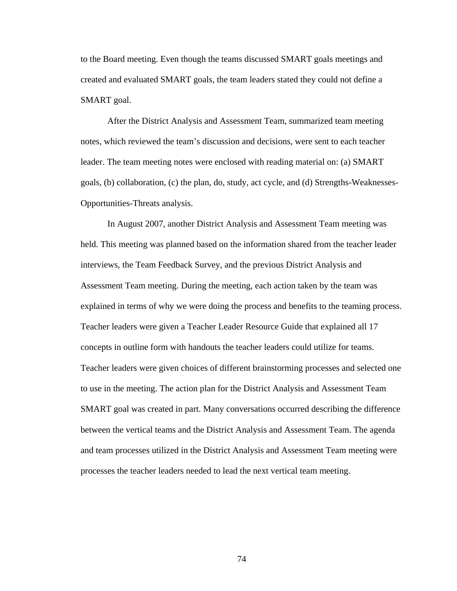to the Board meeting. Even though the teams discussed SMART goals meetings and created and evaluated SMART goals, the team leaders stated they could not define a SMART goal.

After the District Analysis and Assessment Team, summarized team meeting notes, which reviewed the team's discussion and decisions, were sent to each teacher leader. The team meeting notes were enclosed with reading material on: (a) SMART goals, (b) collaboration, (c) the plan, do, study, act cycle, and (d) Strengths-Weaknesses-Opportunities-Threats analysis.

In August 2007, another District Analysis and Assessment Team meeting was held. This meeting was planned based on the information shared from the teacher leader interviews, the Team Feedback Survey, and the previous District Analysis and Assessment Team meeting. During the meeting, each action taken by the team was explained in terms of why we were doing the process and benefits to the teaming process. Teacher leaders were given a Teacher Leader Resource Guide that explained all 17 concepts in outline form with handouts the teacher leaders could utilize for teams. Teacher leaders were given choices of different brainstorming processes and selected one to use in the meeting. The action plan for the District Analysis and Assessment Team SMART goal was created in part. Many conversations occurred describing the difference between the vertical teams and the District Analysis and Assessment Team. The agenda and team processes utilized in the District Analysis and Assessment Team meeting were processes the teacher leaders needed to lead the next vertical team meeting.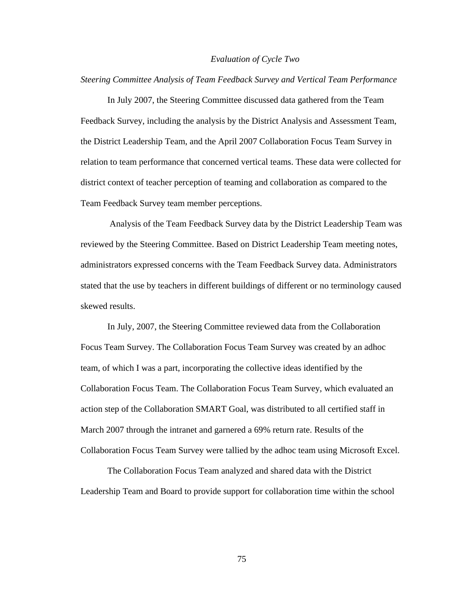# *Evaluation of Cycle Two*

*Steering Committee Analysis of Team Feedback Survey and Vertical Team Performance* 

In July 2007, the Steering Committee discussed data gathered from the Team Feedback Survey, including the analysis by the District Analysis and Assessment Team, the District Leadership Team, and the April 2007 Collaboration Focus Team Survey in relation to team performance that concerned vertical teams. These data were collected for district context of teacher perception of teaming and collaboration as compared to the Team Feedback Survey team member perceptions.

 Analysis of the Team Feedback Survey data by the District Leadership Team was reviewed by the Steering Committee. Based on District Leadership Team meeting notes, administrators expressed concerns with the Team Feedback Survey data. Administrators stated that the use by teachers in different buildings of different or no terminology caused skewed results.

 In July, 2007, the Steering Committee reviewed data from the Collaboration Focus Team Survey. The Collaboration Focus Team Survey was created by an adhoc team, of which I was a part, incorporating the collective ideas identified by the Collaboration Focus Team. The Collaboration Focus Team Survey, which evaluated an action step of the Collaboration SMART Goal, was distributed to all certified staff in March 2007 through the intranet and garnered a 69% return rate. Results of the Collaboration Focus Team Survey were tallied by the adhoc team using Microsoft Excel.

 The Collaboration Focus Team analyzed and shared data with the District Leadership Team and Board to provide support for collaboration time within the school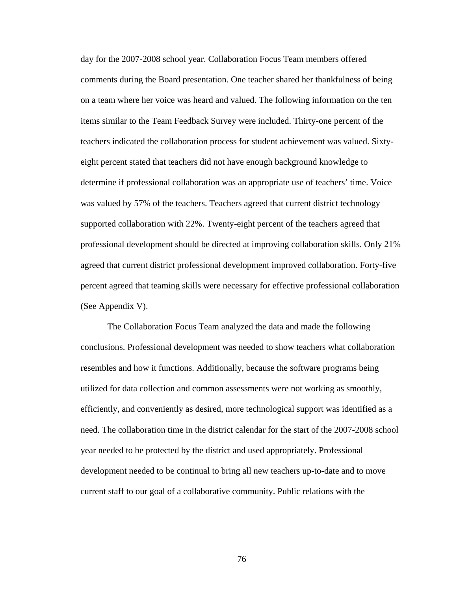day for the 2007-2008 school year. Collaboration Focus Team members offered comments during the Board presentation. One teacher shared her thankfulness of being on a team where her voice was heard and valued. The following information on the ten items similar to the Team Feedback Survey were included. Thirty-one percent of the teachers indicated the collaboration process for student achievement was valued. Sixtyeight percent stated that teachers did not have enough background knowledge to determine if professional collaboration was an appropriate use of teachers' time. Voice was valued by 57% of the teachers. Teachers agreed that current district technology supported collaboration with 22%. Twenty-eight percent of the teachers agreed that professional development should be directed at improving collaboration skills. Only 21% agreed that current district professional development improved collaboration. Forty-five percent agreed that teaming skills were necessary for effective professional collaboration (See Appendix V).

 The Collaboration Focus Team analyzed the data and made the following conclusions. Professional development was needed to show teachers what collaboration resembles and how it functions. Additionally, because the software programs being utilized for data collection and common assessments were not working as smoothly, efficiently, and conveniently as desired, more technological support was identified as a need. The collaboration time in the district calendar for the start of the 2007-2008 school year needed to be protected by the district and used appropriately. Professional development needed to be continual to bring all new teachers up-to-date and to move current staff to our goal of a collaborative community. Public relations with the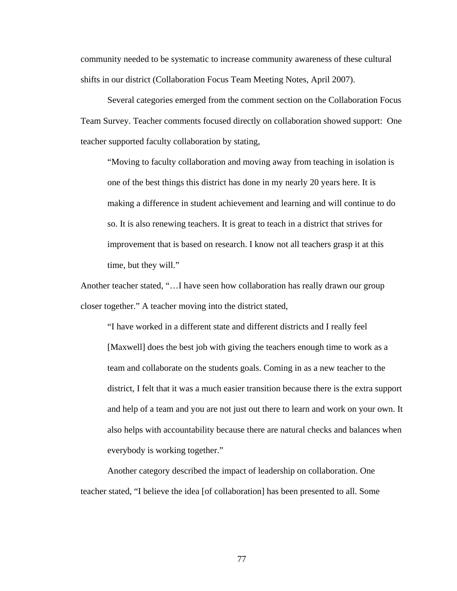community needed to be systematic to increase community awareness of these cultural shifts in our district (Collaboration Focus Team Meeting Notes, April 2007).

 Several categories emerged from the comment section on the Collaboration Focus Team Survey. Teacher comments focused directly on collaboration showed support: One teacher supported faculty collaboration by stating,

"Moving to faculty collaboration and moving away from teaching in isolation is one of the best things this district has done in my nearly 20 years here. It is making a difference in student achievement and learning and will continue to do so. It is also renewing teachers. It is great to teach in a district that strives for improvement that is based on research. I know not all teachers grasp it at this time, but they will."

Another teacher stated, "…I have seen how collaboration has really drawn our group closer together." A teacher moving into the district stated,

"I have worked in a different state and different districts and I really feel [Maxwell] does the best job with giving the teachers enough time to work as a team and collaborate on the students goals. Coming in as a new teacher to the district, I felt that it was a much easier transition because there is the extra support and help of a team and you are not just out there to learn and work on your own. It also helps with accountability because there are natural checks and balances when everybody is working together."

 Another category described the impact of leadership on collaboration. One teacher stated, "I believe the idea [of collaboration] has been presented to all. Some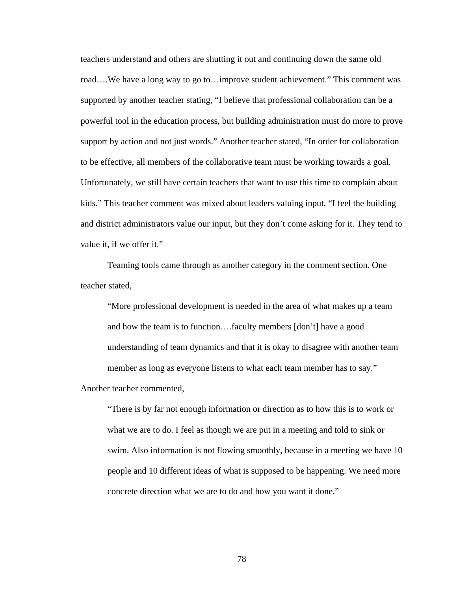teachers understand and others are shutting it out and continuing down the same old road….We have a long way to go to…improve student achievement." This comment was supported by another teacher stating, "I believe that professional collaboration can be a powerful tool in the education process, but building administration must do more to prove support by action and not just words." Another teacher stated, "In order for collaboration to be effective, all members of the collaborative team must be working towards a goal. Unfortunately, we still have certain teachers that want to use this time to complain about kids." This teacher comment was mixed about leaders valuing input, "I feel the building and district administrators value our input, but they don't come asking for it. They tend to value it, if we offer it."

 Teaming tools came through as another category in the comment section. One teacher stated,

"More professional development is needed in the area of what makes up a team and how the team is to function….faculty members [don't] have a good understanding of team dynamics and that it is okay to disagree with another team member as long as everyone listens to what each team member has to say." Another teacher commented,

"There is by far not enough information or direction as to how this is to work or what we are to do. I feel as though we are put in a meeting and told to sink or swim. Also information is not flowing smoothly, because in a meeting we have 10 people and 10 different ideas of what is supposed to be happening. We need more concrete direction what we are to do and how you want it done."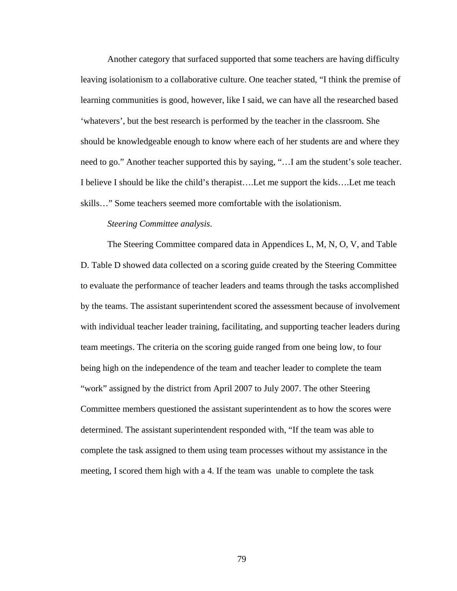Another category that surfaced supported that some teachers are having difficulty leaving isolationism to a collaborative culture. One teacher stated, "I think the premise of learning communities is good, however, like I said, we can have all the researched based 'whatevers', but the best research is performed by the teacher in the classroom. She should be knowledgeable enough to know where each of her students are and where they need to go." Another teacher supported this by saying, "…I am the student's sole teacher. I believe I should be like the child's therapist….Let me support the kids….Let me teach skills…" Some teachers seemed more comfortable with the isolationism.

# *Steering Committee analysis*.

The Steering Committee compared data in Appendices L, M, N, O, V, and Table D. Table D showed data collected on a scoring guide created by the Steering Committee to evaluate the performance of teacher leaders and teams through the tasks accomplished by the teams. The assistant superintendent scored the assessment because of involvement with individual teacher leader training, facilitating, and supporting teacher leaders during team meetings. The criteria on the scoring guide ranged from one being low, to four being high on the independence of the team and teacher leader to complete the team "work" assigned by the district from April 2007 to July 2007. The other Steering Committee members questioned the assistant superintendent as to how the scores were determined. The assistant superintendent responded with, "If the team was able to complete the task assigned to them using team processes without my assistance in the meeting, I scored them high with a 4. If the team was unable to complete the task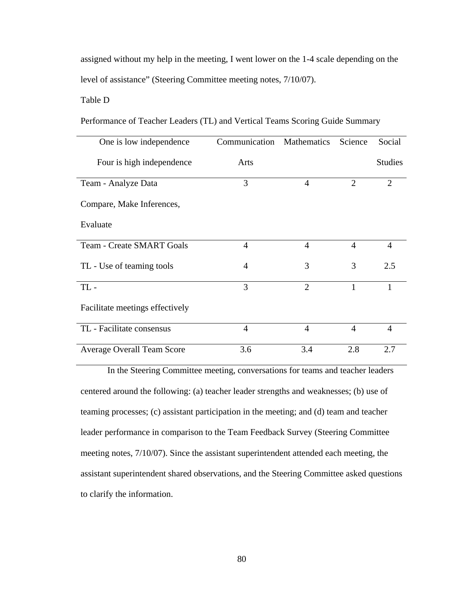assigned without my help in the meeting, I went lower on the 1-4 scale depending on the level of assistance" (Steering Committee meeting notes, 7/10/07).

Table D

Performance of Teacher Leaders (TL) and Vertical Teams Scoring Guide Summary

| One is low independence           | Communication  | Mathematics    | Science        | Social         |
|-----------------------------------|----------------|----------------|----------------|----------------|
| Four is high independence         | Arts           |                |                | <b>Studies</b> |
| Team - Analyze Data               | 3              | $\overline{4}$ | $\overline{2}$ | $\overline{2}$ |
| Compare, Make Inferences,         |                |                |                |                |
| Evaluate                          |                |                |                |                |
| <b>Team - Create SMART Goals</b>  | $\overline{4}$ | $\overline{4}$ | $\overline{4}$ | $\overline{4}$ |
| TL - Use of teaming tools         | $\overline{4}$ | 3              | 3              | 2.5            |
| $TL -$                            | 3              | $\overline{2}$ | $\mathbf{1}$   | $\mathbf{1}$   |
| Facilitate meetings effectively   |                |                |                |                |
| TL - Facilitate consensus         | $\overline{4}$ | $\overline{4}$ | $\overline{4}$ | $\overline{4}$ |
| <b>Average Overall Team Score</b> | 3.6            | 3.4            | 2.8            | 2.7            |

In the Steering Committee meeting, conversations for teams and teacher leaders centered around the following: (a) teacher leader strengths and weaknesses; (b) use of teaming processes; (c) assistant participation in the meeting; and (d) team and teacher leader performance in comparison to the Team Feedback Survey (Steering Committee meeting notes, 7/10/07). Since the assistant superintendent attended each meeting, the assistant superintendent shared observations, and the Steering Committee asked questions to clarify the information.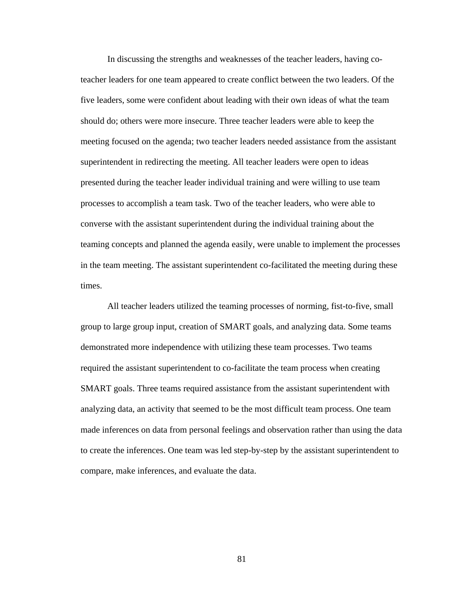In discussing the strengths and weaknesses of the teacher leaders, having coteacher leaders for one team appeared to create conflict between the two leaders. Of the five leaders, some were confident about leading with their own ideas of what the team should do; others were more insecure. Three teacher leaders were able to keep the meeting focused on the agenda; two teacher leaders needed assistance from the assistant superintendent in redirecting the meeting. All teacher leaders were open to ideas presented during the teacher leader individual training and were willing to use team processes to accomplish a team task. Two of the teacher leaders, who were able to converse with the assistant superintendent during the individual training about the teaming concepts and planned the agenda easily, were unable to implement the processes in the team meeting. The assistant superintendent co-facilitated the meeting during these times.

All teacher leaders utilized the teaming processes of norming, fist-to-five, small group to large group input, creation of SMART goals, and analyzing data. Some teams demonstrated more independence with utilizing these team processes. Two teams required the assistant superintendent to co-facilitate the team process when creating SMART goals. Three teams required assistance from the assistant superintendent with analyzing data, an activity that seemed to be the most difficult team process. One team made inferences on data from personal feelings and observation rather than using the data to create the inferences. One team was led step-by-step by the assistant superintendent to compare, make inferences, and evaluate the data.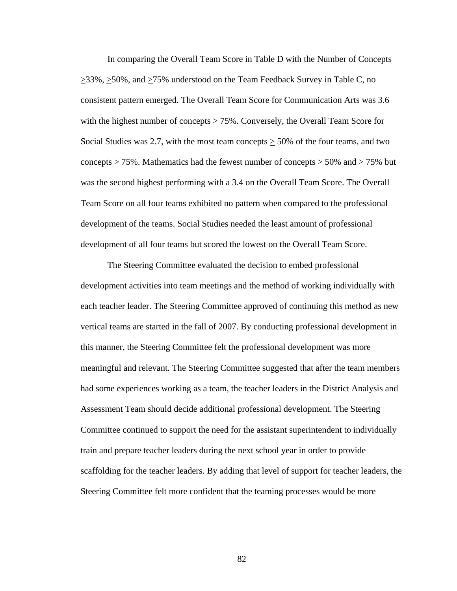In comparing the Overall Team Score in Table D with the Number of Concepts >33%, >50%, and >75% understood on the Team Feedback Survey in Table C, no consistent pattern emerged. The Overall Team Score for Communication Arts was 3.6 with the highest number of concepts  $\geq$  75%. Conversely, the Overall Team Score for Social Studies was 2.7, with the most team concepts  $\geq$  50% of the four teams, and two concepts  $\geq$  75%. Mathematics had the fewest number of concepts  $\geq$  50% and  $\geq$  75% but was the second highest performing with a 3.4 on the Overall Team Score. The Overall Team Score on all four teams exhibited no pattern when compared to the professional development of the teams. Social Studies needed the least amount of professional development of all four teams but scored the lowest on the Overall Team Score.

The Steering Committee evaluated the decision to embed professional development activities into team meetings and the method of working individually with each teacher leader. The Steering Committee approved of continuing this method as new vertical teams are started in the fall of 2007. By conducting professional development in this manner, the Steering Committee felt the professional development was more meaningful and relevant. The Steering Committee suggested that after the team members had some experiences working as a team, the teacher leaders in the District Analysis and Assessment Team should decide additional professional development. The Steering Committee continued to support the need for the assistant superintendent to individually train and prepare teacher leaders during the next school year in order to provide scaffolding for the teacher leaders. By adding that level of support for teacher leaders, the Steering Committee felt more confident that the teaming processes would be more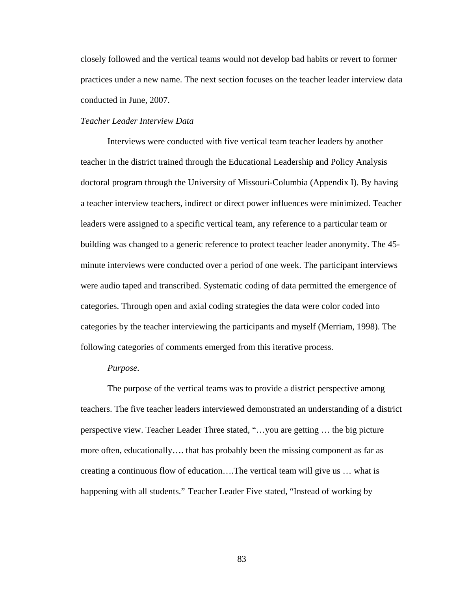closely followed and the vertical teams would not develop bad habits or revert to former practices under a new name. The next section focuses on the teacher leader interview data conducted in June, 2007.

# *Teacher Leader Interview Data*

 Interviews were conducted with five vertical team teacher leaders by another teacher in the district trained through the Educational Leadership and Policy Analysis doctoral program through the University of Missouri-Columbia (Appendix I). By having a teacher interview teachers, indirect or direct power influences were minimized. Teacher leaders were assigned to a specific vertical team, any reference to a particular team or building was changed to a generic reference to protect teacher leader anonymity. The 45 minute interviews were conducted over a period of one week. The participant interviews were audio taped and transcribed. Systematic coding of data permitted the emergence of categories. Through open and axial coding strategies the data were color coded into categories by the teacher interviewing the participants and myself (Merriam, 1998). The following categories of comments emerged from this iterative process.

#### *Purpose.*

 The purpose of the vertical teams was to provide a district perspective among teachers. The five teacher leaders interviewed demonstrated an understanding of a district perspective view. Teacher Leader Three stated, "…you are getting … the big picture more often, educationally…. that has probably been the missing component as far as creating a continuous flow of education….The vertical team will give us … what is happening with all students." Teacher Leader Five stated, "Instead of working by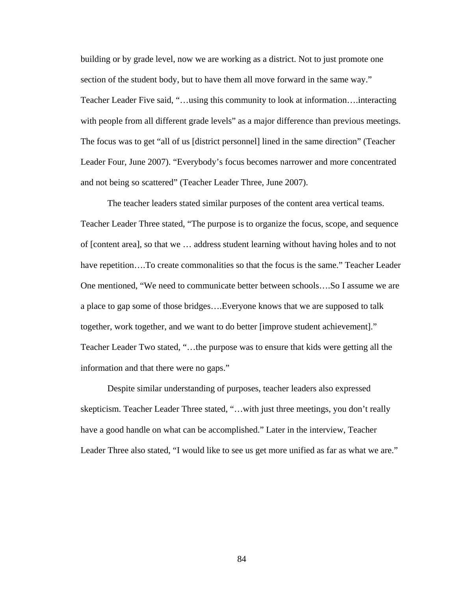building or by grade level, now we are working as a district. Not to just promote one section of the student body, but to have them all move forward in the same way." Teacher Leader Five said, "…using this community to look at information….interacting with people from all different grade levels" as a major difference than previous meetings. The focus was to get "all of us [district personnel] lined in the same direction" (Teacher Leader Four, June 2007). "Everybody's focus becomes narrower and more concentrated and not being so scattered" (Teacher Leader Three, June 2007).

 The teacher leaders stated similar purposes of the content area vertical teams. Teacher Leader Three stated, "The purpose is to organize the focus, scope, and sequence of [content area], so that we … address student learning without having holes and to not have repetition....To create commonalities so that the focus is the same." Teacher Leader One mentioned, "We need to communicate better between schools….So I assume we are a place to gap some of those bridges….Everyone knows that we are supposed to talk together, work together, and we want to do better [improve student achievement]." Teacher Leader Two stated, "…the purpose was to ensure that kids were getting all the information and that there were no gaps."

Despite similar understanding of purposes, teacher leaders also expressed skepticism. Teacher Leader Three stated, "…with just three meetings, you don't really have a good handle on what can be accomplished." Later in the interview, Teacher Leader Three also stated, "I would like to see us get more unified as far as what we are."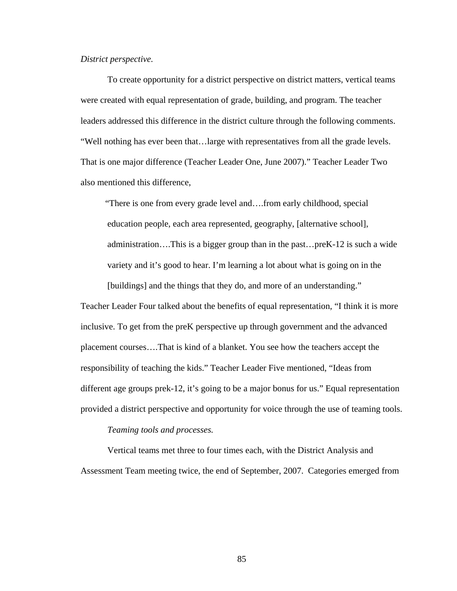# *District perspective.*

 To create opportunity for a district perspective on district matters, vertical teams were created with equal representation of grade, building, and program. The teacher leaders addressed this difference in the district culture through the following comments. "Well nothing has ever been that…large with representatives from all the grade levels. That is one major difference (Teacher Leader One, June 2007)." Teacher Leader Two also mentioned this difference,

 "There is one from every grade level and….from early childhood, special education people, each area represented, geography, [alternative school], administration….This is a bigger group than in the past…preK-12 is such a wide variety and it's good to hear. I'm learning a lot about what is going on in the

Teacher Leader Four talked about the benefits of equal representation, "I think it is more inclusive. To get from the preK perspective up through government and the advanced placement courses….That is kind of a blanket. You see how the teachers accept the responsibility of teaching the kids." Teacher Leader Five mentioned, "Ideas from different age groups prek-12, it's going to be a major bonus for us." Equal representation provided a district perspective and opportunity for voice through the use of teaming tools.

[buildings] and the things that they do, and more of an understanding."

# *Teaming tools and processes.*

Vertical teams met three to four times each, with the District Analysis and Assessment Team meeting twice, the end of September, 2007. Categories emerged from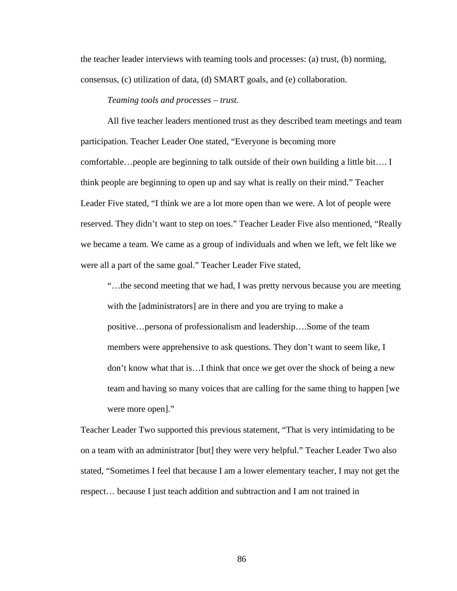the teacher leader interviews with teaming tools and processes: (a) trust, (b) norming, consensus, (c) utilization of data, (d) SMART goals, and (e) collaboration.

# *Teaming tools and processes – trust.*

All five teacher leaders mentioned trust as they described team meetings and team participation. Teacher Leader One stated, "Everyone is becoming more comfortable…people are beginning to talk outside of their own building a little bit…. I think people are beginning to open up and say what is really on their mind." Teacher Leader Five stated, "I think we are a lot more open than we were. A lot of people were reserved. They didn't want to step on toes." Teacher Leader Five also mentioned, "Really we became a team. We came as a group of individuals and when we left, we felt like we were all a part of the same goal." Teacher Leader Five stated,

"…the second meeting that we had, I was pretty nervous because you are meeting with the [administrators] are in there and you are trying to make a positive…persona of professionalism and leadership….Some of the team members were apprehensive to ask questions. They don't want to seem like, I don't know what that is…I think that once we get over the shock of being a new team and having so many voices that are calling for the same thing to happen [we were more open]."

Teacher Leader Two supported this previous statement, "That is very intimidating to be on a team with an administrator [but] they were very helpful." Teacher Leader Two also stated, "Sometimes I feel that because I am a lower elementary teacher, I may not get the respect… because I just teach addition and subtraction and I am not trained in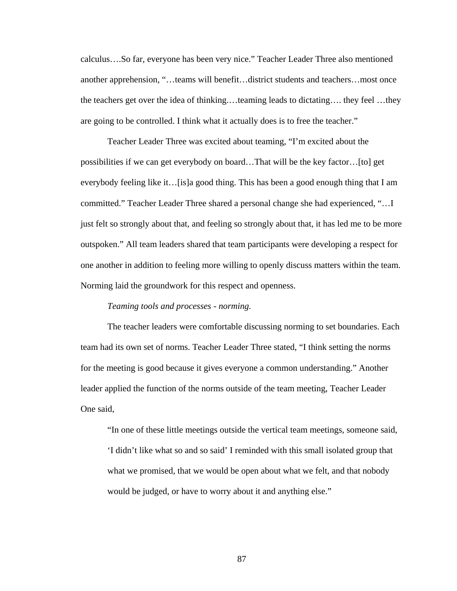calculus….So far, everyone has been very nice." Teacher Leader Three also mentioned another apprehension, "…teams will benefit…district students and teachers…most once the teachers get over the idea of thinking.…teaming leads to dictating…. they feel …they are going to be controlled. I think what it actually does is to free the teacher."

 Teacher Leader Three was excited about teaming, "I'm excited about the possibilities if we can get everybody on board…That will be the key factor…[to] get everybody feeling like it…[is]a good thing. This has been a good enough thing that I am committed." Teacher Leader Three shared a personal change she had experienced, "…I just felt so strongly about that, and feeling so strongly about that, it has led me to be more outspoken." All team leaders shared that team participants were developing a respect for one another in addition to feeling more willing to openly discuss matters within the team. Norming laid the groundwork for this respect and openness.

# *Teaming tools and processes - norming.*

The teacher leaders were comfortable discussing norming to set boundaries. Each team had its own set of norms. Teacher Leader Three stated, "I think setting the norms for the meeting is good because it gives everyone a common understanding." Another leader applied the function of the norms outside of the team meeting, Teacher Leader One said,

"In one of these little meetings outside the vertical team meetings, someone said, 'I didn't like what so and so said' I reminded with this small isolated group that what we promised, that we would be open about what we felt, and that nobody would be judged, or have to worry about it and anything else."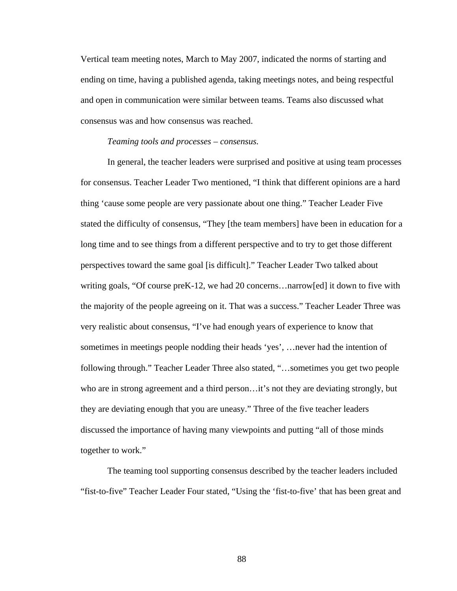Vertical team meeting notes, March to May 2007, indicated the norms of starting and ending on time, having a published agenda, taking meetings notes, and being respectful and open in communication were similar between teams. Teams also discussed what consensus was and how consensus was reached.

# *Teaming tools and processes – consensus.*

 In general, the teacher leaders were surprised and positive at using team processes for consensus. Teacher Leader Two mentioned, "I think that different opinions are a hard thing 'cause some people are very passionate about one thing." Teacher Leader Five stated the difficulty of consensus, "They [the team members] have been in education for a long time and to see things from a different perspective and to try to get those different perspectives toward the same goal [is difficult]." Teacher Leader Two talked about writing goals, "Of course preK-12, we had 20 concerns…narrow[ed] it down to five with the majority of the people agreeing on it. That was a success." Teacher Leader Three was very realistic about consensus, "I've had enough years of experience to know that sometimes in meetings people nodding their heads 'yes', …never had the intention of following through." Teacher Leader Three also stated, "…sometimes you get two people who are in strong agreement and a third person…it's not they are deviating strongly, but they are deviating enough that you are uneasy." Three of the five teacher leaders discussed the importance of having many viewpoints and putting "all of those minds together to work."

 The teaming tool supporting consensus described by the teacher leaders included "fist-to-five" Teacher Leader Four stated, "Using the 'fist-to-five' that has been great and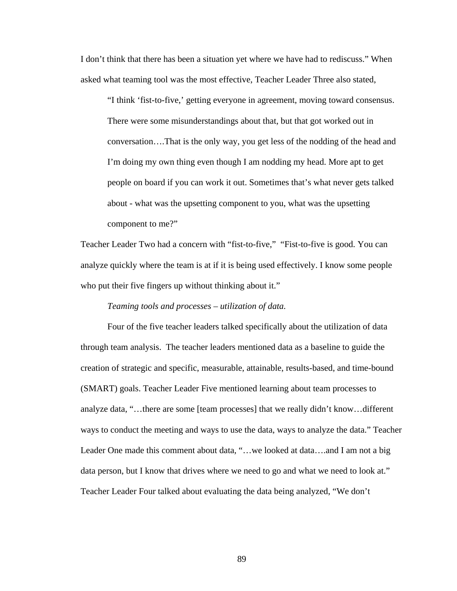I don't think that there has been a situation yet where we have had to rediscuss." When asked what teaming tool was the most effective, Teacher Leader Three also stated,

"I think 'fist-to-five,' getting everyone in agreement, moving toward consensus. There were some misunderstandings about that, but that got worked out in conversation….That is the only way, you get less of the nodding of the head and I'm doing my own thing even though I am nodding my head. More apt to get people on board if you can work it out. Sometimes that's what never gets talked about - what was the upsetting component to you, what was the upsetting component to me?"

Teacher Leader Two had a concern with "fist-to-five," "Fist-to-five is good. You can analyze quickly where the team is at if it is being used effectively. I know some people who put their five fingers up without thinking about it."

# *Teaming tools and processes – utilization of data.*

Four of the five teacher leaders talked specifically about the utilization of data through team analysis. The teacher leaders mentioned data as a baseline to guide the creation of strategic and specific, measurable, attainable, results-based, and time-bound (SMART) goals. Teacher Leader Five mentioned learning about team processes to analyze data, "…there are some [team processes] that we really didn't know…different ways to conduct the meeting and ways to use the data, ways to analyze the data." Teacher Leader One made this comment about data, "…we looked at data….and I am not a big data person, but I know that drives where we need to go and what we need to look at." Teacher Leader Four talked about evaluating the data being analyzed, "We don't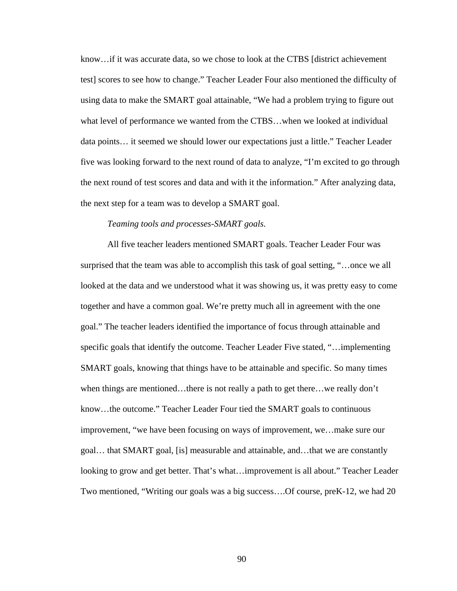know…if it was accurate data, so we chose to look at the CTBS [district achievement test] scores to see how to change." Teacher Leader Four also mentioned the difficulty of using data to make the SMART goal attainable, "We had a problem trying to figure out what level of performance we wanted from the CTBS…when we looked at individual data points… it seemed we should lower our expectations just a little." Teacher Leader five was looking forward to the next round of data to analyze, "I'm excited to go through the next round of test scores and data and with it the information." After analyzing data, the next step for a team was to develop a SMART goal.

# *Teaming tools and processes-SMART goals.*

All five teacher leaders mentioned SMART goals. Teacher Leader Four was surprised that the team was able to accomplish this task of goal setting, "…once we all looked at the data and we understood what it was showing us, it was pretty easy to come together and have a common goal. We're pretty much all in agreement with the one goal." The teacher leaders identified the importance of focus through attainable and specific goals that identify the outcome. Teacher Leader Five stated, "…implementing SMART goals, knowing that things have to be attainable and specific. So many times when things are mentioned…there is not really a path to get there…we really don't know…the outcome." Teacher Leader Four tied the SMART goals to continuous improvement, "we have been focusing on ways of improvement, we…make sure our goal… that SMART goal, [is] measurable and attainable, and…that we are constantly looking to grow and get better. That's what…improvement is all about." Teacher Leader Two mentioned, "Writing our goals was a big success….Of course, preK-12, we had 20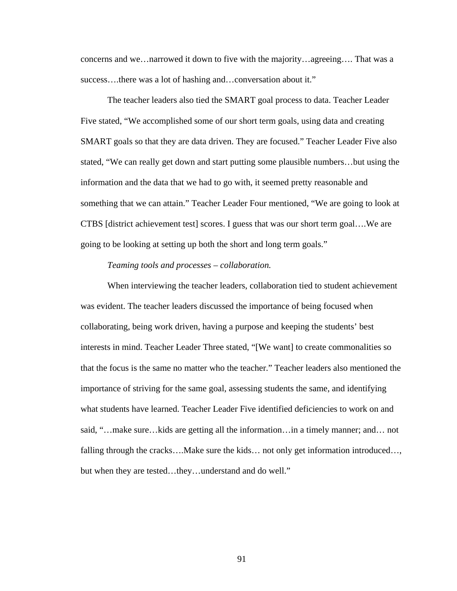concerns and we…narrowed it down to five with the majority…agreeing…. That was a success....there was a lot of hashing and...conversation about it."

The teacher leaders also tied the SMART goal process to data. Teacher Leader Five stated, "We accomplished some of our short term goals, using data and creating SMART goals so that they are data driven. They are focused." Teacher Leader Five also stated, "We can really get down and start putting some plausible numbers…but using the information and the data that we had to go with, it seemed pretty reasonable and something that we can attain." Teacher Leader Four mentioned, "We are going to look at CTBS [district achievement test] scores. I guess that was our short term goal….We are going to be looking at setting up both the short and long term goals."

# *Teaming tools and processes – collaboration.*

 When interviewing the teacher leaders, collaboration tied to student achievement was evident. The teacher leaders discussed the importance of being focused when collaborating, being work driven, having a purpose and keeping the students' best interests in mind. Teacher Leader Three stated, "[We want] to create commonalities so that the focus is the same no matter who the teacher." Teacher leaders also mentioned the importance of striving for the same goal, assessing students the same, and identifying what students have learned. Teacher Leader Five identified deficiencies to work on and said, "…make sure…kids are getting all the information…in a timely manner; and… not falling through the cracks….Make sure the kids… not only get information introduced…, but when they are tested…they…understand and do well."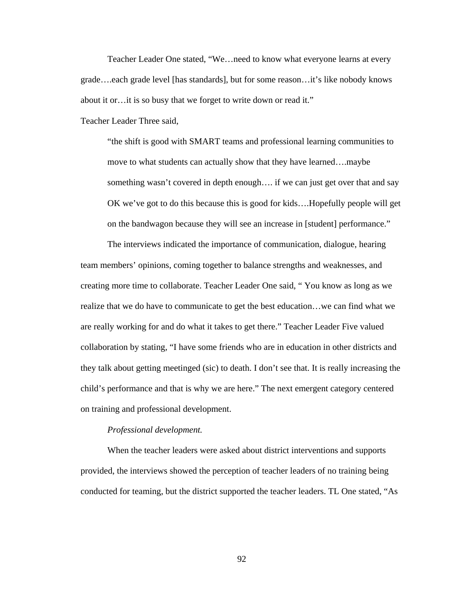Teacher Leader One stated, "We…need to know what everyone learns at every grade….each grade level [has standards], but for some reason…it's like nobody knows about it or…it is so busy that we forget to write down or read it."

Teacher Leader Three said,

"the shift is good with SMART teams and professional learning communities to move to what students can actually show that they have learned….maybe something wasn't covered in depth enough…. if we can just get over that and say OK we've got to do this because this is good for kids….Hopefully people will get on the bandwagon because they will see an increase in [student] performance."

 The interviews indicated the importance of communication, dialogue, hearing team members' opinions, coming together to balance strengths and weaknesses, and creating more time to collaborate. Teacher Leader One said, " You know as long as we realize that we do have to communicate to get the best education…we can find what we are really working for and do what it takes to get there." Teacher Leader Five valued collaboration by stating, "I have some friends who are in education in other districts and they talk about getting meetinged (sic) to death. I don't see that. It is really increasing the child's performance and that is why we are here." The next emergent category centered on training and professional development.

# *Professional development.*

 When the teacher leaders were asked about district interventions and supports provided, the interviews showed the perception of teacher leaders of no training being conducted for teaming, but the district supported the teacher leaders. TL One stated, "As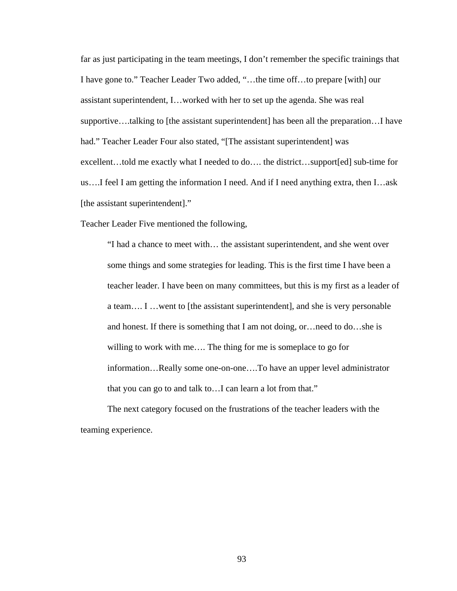far as just participating in the team meetings, I don't remember the specific trainings that I have gone to." Teacher Leader Two added, "…the time off…to prepare [with] our assistant superintendent, I…worked with her to set up the agenda. She was real supportive….talking to [the assistant superintendent] has been all the preparation…I have had." Teacher Leader Four also stated, "[The assistant superintendent] was excellent…told me exactly what I needed to do…. the district…support[ed] sub-time for us….I feel I am getting the information I need. And if I need anything extra, then I…ask [the assistant superintendent]."

Teacher Leader Five mentioned the following,

"I had a chance to meet with… the assistant superintendent, and she went over some things and some strategies for leading. This is the first time I have been a teacher leader. I have been on many committees, but this is my first as a leader of a team…. I …went to [the assistant superintendent], and she is very personable and honest. If there is something that I am not doing, or…need to do…she is willing to work with me…. The thing for me is someplace to go for information…Really some one-on-one….To have an upper level administrator that you can go to and talk to…I can learn a lot from that."

 The next category focused on the frustrations of the teacher leaders with the teaming experience.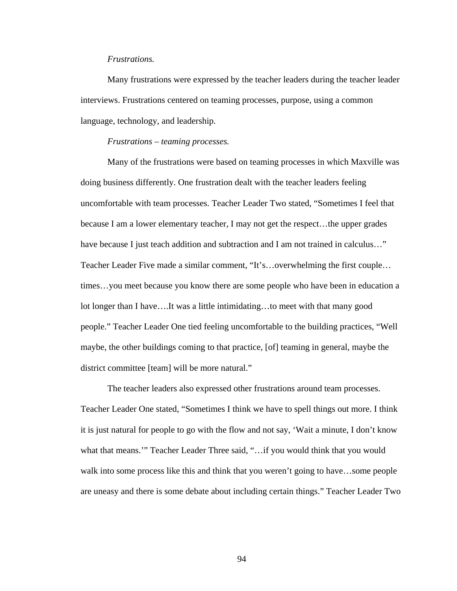# *Frustrations.*

Many frustrations were expressed by the teacher leaders during the teacher leader interviews. Frustrations centered on teaming processes, purpose, using a common language, technology, and leadership.

#### *Frustrations – teaming processes.*

Many of the frustrations were based on teaming processes in which Maxville was doing business differently. One frustration dealt with the teacher leaders feeling uncomfortable with team processes. Teacher Leader Two stated, "Sometimes I feel that because I am a lower elementary teacher, I may not get the respect…the upper grades have because I just teach addition and subtraction and I am not trained in calculus..." Teacher Leader Five made a similar comment, "It's…overwhelming the first couple… times…you meet because you know there are some people who have been in education a lot longer than I have….It was a little intimidating…to meet with that many good people." Teacher Leader One tied feeling uncomfortable to the building practices, "Well maybe, the other buildings coming to that practice, [of] teaming in general, maybe the district committee [team] will be more natural."

The teacher leaders also expressed other frustrations around team processes. Teacher Leader One stated, "Sometimes I think we have to spell things out more. I think it is just natural for people to go with the flow and not say, 'Wait a minute, I don't know what that means."" Teacher Leader Three said, "...if you would think that you would walk into some process like this and think that you weren't going to have…some people are uneasy and there is some debate about including certain things." Teacher Leader Two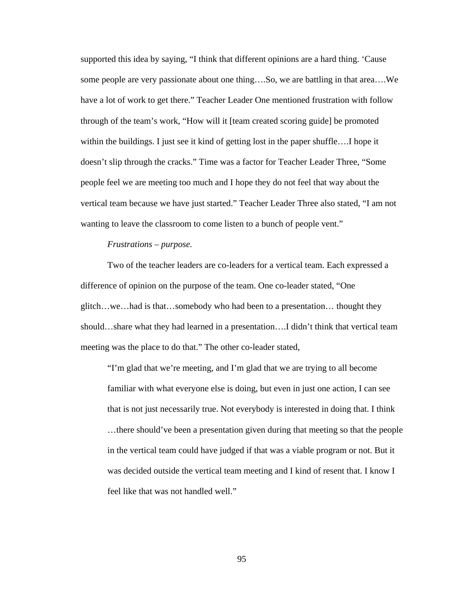supported this idea by saying, "I think that different opinions are a hard thing. 'Cause some people are very passionate about one thing….So, we are battling in that area….We have a lot of work to get there." Teacher Leader One mentioned frustration with follow through of the team's work, "How will it [team created scoring guide] be promoted within the buildings. I just see it kind of getting lost in the paper shuffle….I hope it doesn't slip through the cracks." Time was a factor for Teacher Leader Three, "Some people feel we are meeting too much and I hope they do not feel that way about the vertical team because we have just started." Teacher Leader Three also stated, "I am not wanting to leave the classroom to come listen to a bunch of people vent."

# *Frustrations – purpose.*

 Two of the teacher leaders are co-leaders for a vertical team. Each expressed a difference of opinion on the purpose of the team. One co-leader stated, "One glitch…we…had is that…somebody who had been to a presentation… thought they should…share what they had learned in a presentation….I didn't think that vertical team meeting was the place to do that." The other co-leader stated,

"I'm glad that we're meeting, and I'm glad that we are trying to all become familiar with what everyone else is doing, but even in just one action, I can see that is not just necessarily true. Not everybody is interested in doing that. I think …there should've been a presentation given during that meeting so that the people in the vertical team could have judged if that was a viable program or not. But it was decided outside the vertical team meeting and I kind of resent that. I know I feel like that was not handled well."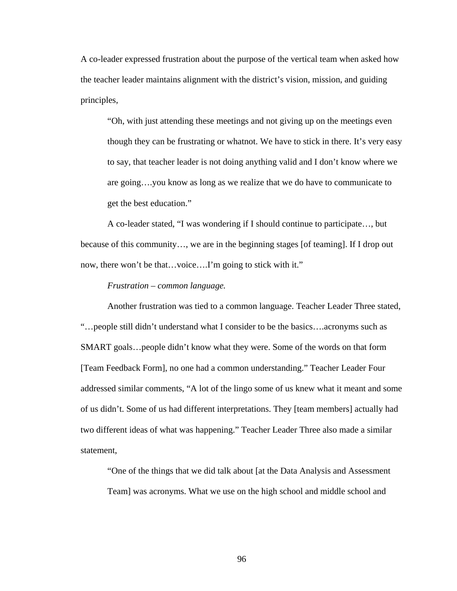A co-leader expressed frustration about the purpose of the vertical team when asked how the teacher leader maintains alignment with the district's vision, mission, and guiding principles,

"Oh, with just attending these meetings and not giving up on the meetings even though they can be frustrating or whatnot. We have to stick in there. It's very easy to say, that teacher leader is not doing anything valid and I don't know where we are going….you know as long as we realize that we do have to communicate to get the best education."

A co-leader stated, "I was wondering if I should continue to participate…, but because of this community…, we are in the beginning stages [of teaming]. If I drop out now, there won't be that…voice….I'm going to stick with it."

#### *Frustration – common language.*

Another frustration was tied to a common language. Teacher Leader Three stated, "…people still didn't understand what I consider to be the basics….acronyms such as SMART goals…people didn't know what they were. Some of the words on that form [Team Feedback Form], no one had a common understanding." Teacher Leader Four addressed similar comments, "A lot of the lingo some of us knew what it meant and some of us didn't. Some of us had different interpretations. They [team members] actually had two different ideas of what was happening." Teacher Leader Three also made a similar statement,

"One of the things that we did talk about [at the Data Analysis and Assessment

Team] was acronyms. What we use on the high school and middle school and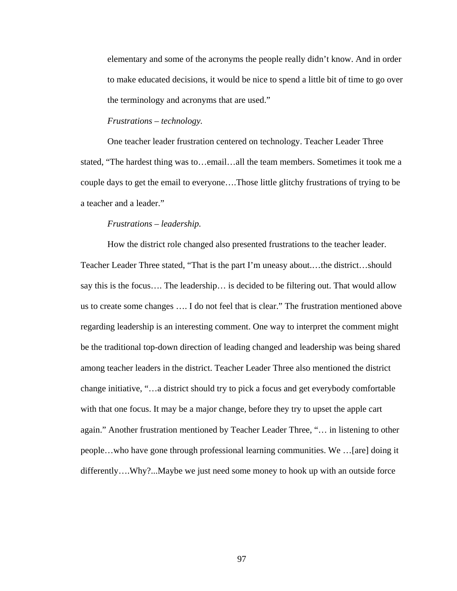elementary and some of the acronyms the people really didn't know. And in order to make educated decisions, it would be nice to spend a little bit of time to go over the terminology and acronyms that are used."

### *Frustrations – technology.*

 One teacher leader frustration centered on technology. Teacher Leader Three stated, "The hardest thing was to…email…all the team members. Sometimes it took me a couple days to get the email to everyone….Those little glitchy frustrations of trying to be a teacher and a leader."

#### *Frustrations – leadership.*

 How the district role changed also presented frustrations to the teacher leader. Teacher Leader Three stated, "That is the part I'm uneasy about.…the district…should say this is the focus…. The leadership… is decided to be filtering out. That would allow us to create some changes …. I do not feel that is clear." The frustration mentioned above regarding leadership is an interesting comment. One way to interpret the comment might be the traditional top-down direction of leading changed and leadership was being shared among teacher leaders in the district. Teacher Leader Three also mentioned the district change initiative, "…a district should try to pick a focus and get everybody comfortable with that one focus. It may be a major change, before they try to upset the apple cart again." Another frustration mentioned by Teacher Leader Three, "… in listening to other people…who have gone through professional learning communities. We …[are] doing it differently….Why?...Maybe we just need some money to hook up with an outside force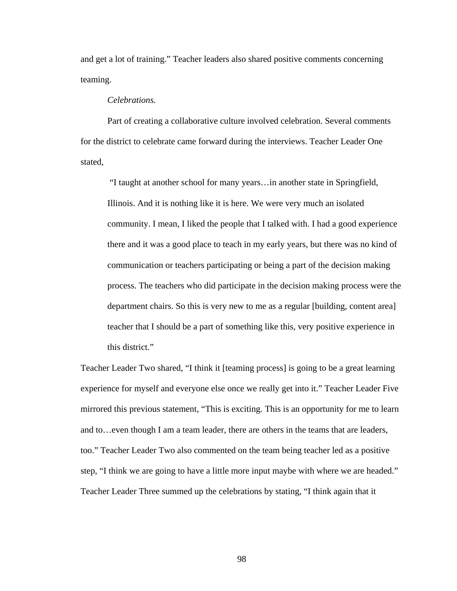and get a lot of training." Teacher leaders also shared positive comments concerning teaming.

## *Celebrations.*

 Part of creating a collaborative culture involved celebration. Several comments for the district to celebrate came forward during the interviews. Teacher Leader One stated,

 "I taught at another school for many years…in another state in Springfield, Illinois. And it is nothing like it is here. We were very much an isolated community. I mean, I liked the people that I talked with. I had a good experience there and it was a good place to teach in my early years, but there was no kind of communication or teachers participating or being a part of the decision making process. The teachers who did participate in the decision making process were the department chairs. So this is very new to me as a regular [building, content area] teacher that I should be a part of something like this, very positive experience in this district."

Teacher Leader Two shared, "I think it [teaming process] is going to be a great learning experience for myself and everyone else once we really get into it." Teacher Leader Five mirrored this previous statement, "This is exciting. This is an opportunity for me to learn and to…even though I am a team leader, there are others in the teams that are leaders, too." Teacher Leader Two also commented on the team being teacher led as a positive step, "I think we are going to have a little more input maybe with where we are headed." Teacher Leader Three summed up the celebrations by stating, "I think again that it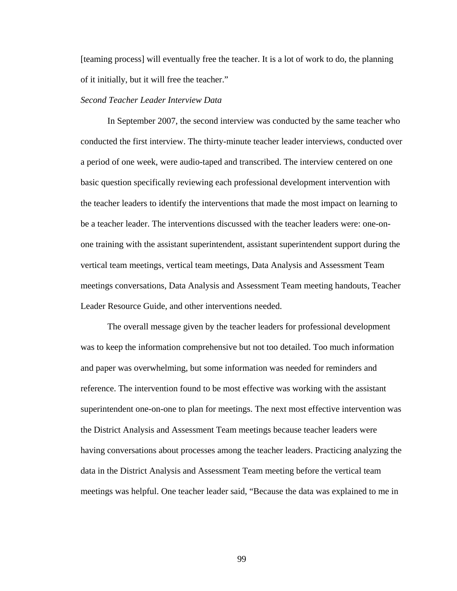[teaming process] will eventually free the teacher. It is a lot of work to do, the planning of it initially, but it will free the teacher."

# *Second Teacher Leader Interview Data*

In September 2007, the second interview was conducted by the same teacher who conducted the first interview. The thirty-minute teacher leader interviews, conducted over a period of one week, were audio-taped and transcribed. The interview centered on one basic question specifically reviewing each professional development intervention with the teacher leaders to identify the interventions that made the most impact on learning to be a teacher leader. The interventions discussed with the teacher leaders were: one-onone training with the assistant superintendent, assistant superintendent support during the vertical team meetings, vertical team meetings, Data Analysis and Assessment Team meetings conversations, Data Analysis and Assessment Team meeting handouts, Teacher Leader Resource Guide, and other interventions needed.

The overall message given by the teacher leaders for professional development was to keep the information comprehensive but not too detailed. Too much information and paper was overwhelming, but some information was needed for reminders and reference. The intervention found to be most effective was working with the assistant superintendent one-on-one to plan for meetings. The next most effective intervention was the District Analysis and Assessment Team meetings because teacher leaders were having conversations about processes among the teacher leaders. Practicing analyzing the data in the District Analysis and Assessment Team meeting before the vertical team meetings was helpful. One teacher leader said, "Because the data was explained to me in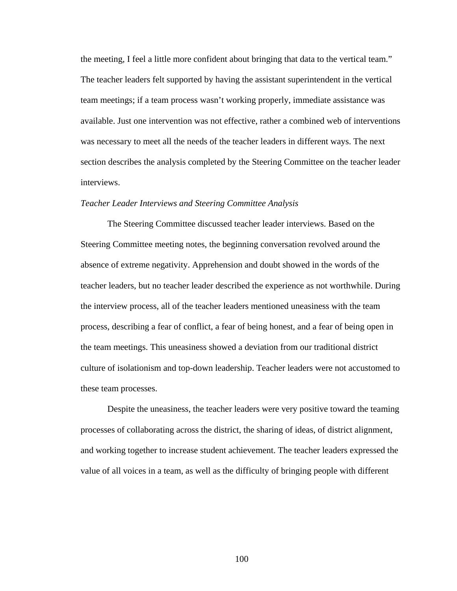the meeting, I feel a little more confident about bringing that data to the vertical team." The teacher leaders felt supported by having the assistant superintendent in the vertical team meetings; if a team process wasn't working properly, immediate assistance was available. Just one intervention was not effective, rather a combined web of interventions was necessary to meet all the needs of the teacher leaders in different ways. The next section describes the analysis completed by the Steering Committee on the teacher leader interviews.

#### *Teacher Leader Interviews and Steering Committee Analysis*

 The Steering Committee discussed teacher leader interviews. Based on the Steering Committee meeting notes, the beginning conversation revolved around the absence of extreme negativity. Apprehension and doubt showed in the words of the teacher leaders, but no teacher leader described the experience as not worthwhile. During the interview process, all of the teacher leaders mentioned uneasiness with the team process, describing a fear of conflict, a fear of being honest, and a fear of being open in the team meetings. This uneasiness showed a deviation from our traditional district culture of isolationism and top-down leadership. Teacher leaders were not accustomed to these team processes.

 Despite the uneasiness, the teacher leaders were very positive toward the teaming processes of collaborating across the district, the sharing of ideas, of district alignment, and working together to increase student achievement. The teacher leaders expressed the value of all voices in a team, as well as the difficulty of bringing people with different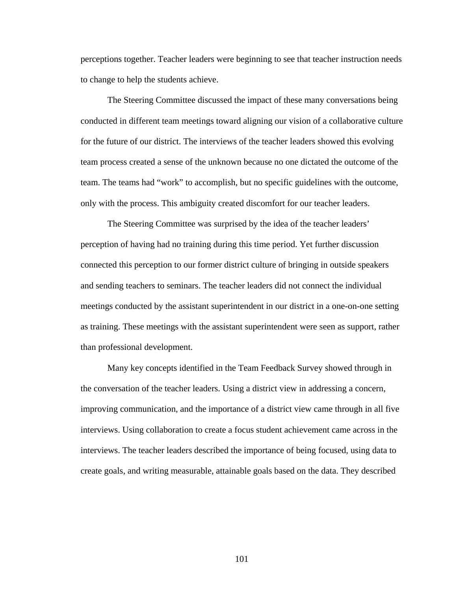perceptions together. Teacher leaders were beginning to see that teacher instruction needs to change to help the students achieve.

 The Steering Committee discussed the impact of these many conversations being conducted in different team meetings toward aligning our vision of a collaborative culture for the future of our district. The interviews of the teacher leaders showed this evolving team process created a sense of the unknown because no one dictated the outcome of the team. The teams had "work" to accomplish, but no specific guidelines with the outcome, only with the process. This ambiguity created discomfort for our teacher leaders.

 The Steering Committee was surprised by the idea of the teacher leaders' perception of having had no training during this time period. Yet further discussion connected this perception to our former district culture of bringing in outside speakers and sending teachers to seminars. The teacher leaders did not connect the individual meetings conducted by the assistant superintendent in our district in a one-on-one setting as training. These meetings with the assistant superintendent were seen as support, rather than professional development.

 Many key concepts identified in the Team Feedback Survey showed through in the conversation of the teacher leaders. Using a district view in addressing a concern, improving communication, and the importance of a district view came through in all five interviews. Using collaboration to create a focus student achievement came across in the interviews. The teacher leaders described the importance of being focused, using data to create goals, and writing measurable, attainable goals based on the data. They described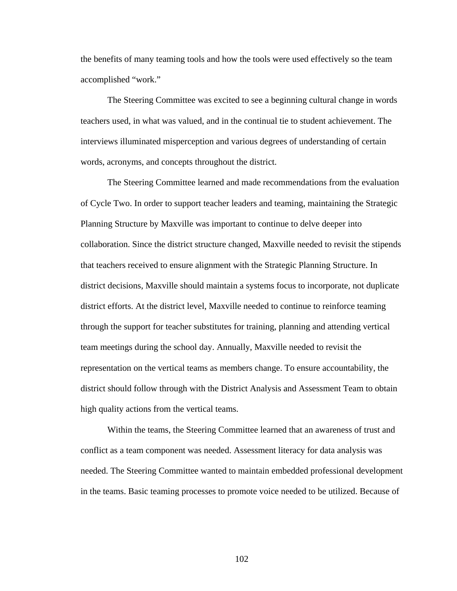the benefits of many teaming tools and how the tools were used effectively so the team accomplished "work."

The Steering Committee was excited to see a beginning cultural change in words teachers used, in what was valued, and in the continual tie to student achievement. The interviews illuminated misperception and various degrees of understanding of certain words, acronyms, and concepts throughout the district.

The Steering Committee learned and made recommendations from the evaluation of Cycle Two. In order to support teacher leaders and teaming, maintaining the Strategic Planning Structure by Maxville was important to continue to delve deeper into collaboration. Since the district structure changed, Maxville needed to revisit the stipends that teachers received to ensure alignment with the Strategic Planning Structure. In district decisions, Maxville should maintain a systems focus to incorporate, not duplicate district efforts. At the district level, Maxville needed to continue to reinforce teaming through the support for teacher substitutes for training, planning and attending vertical team meetings during the school day. Annually, Maxville needed to revisit the representation on the vertical teams as members change. To ensure accountability, the district should follow through with the District Analysis and Assessment Team to obtain high quality actions from the vertical teams.

Within the teams, the Steering Committee learned that an awareness of trust and conflict as a team component was needed. Assessment literacy for data analysis was needed. The Steering Committee wanted to maintain embedded professional development in the teams. Basic teaming processes to promote voice needed to be utilized. Because of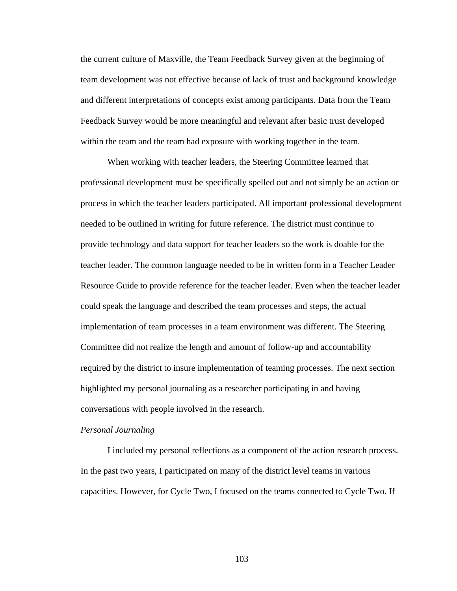the current culture of Maxville, the Team Feedback Survey given at the beginning of team development was not effective because of lack of trust and background knowledge and different interpretations of concepts exist among participants. Data from the Team Feedback Survey would be more meaningful and relevant after basic trust developed within the team and the team had exposure with working together in the team.

When working with teacher leaders, the Steering Committee learned that professional development must be specifically spelled out and not simply be an action or process in which the teacher leaders participated. All important professional development needed to be outlined in writing for future reference. The district must continue to provide technology and data support for teacher leaders so the work is doable for the teacher leader. The common language needed to be in written form in a Teacher Leader Resource Guide to provide reference for the teacher leader. Even when the teacher leader could speak the language and described the team processes and steps, the actual implementation of team processes in a team environment was different. The Steering Committee did not realize the length and amount of follow-up and accountability required by the district to insure implementation of teaming processes. The next section highlighted my personal journaling as a researcher participating in and having conversations with people involved in the research.

#### *Personal Journaling*

 I included my personal reflections as a component of the action research process. In the past two years, I participated on many of the district level teams in various capacities. However, for Cycle Two, I focused on the teams connected to Cycle Two. If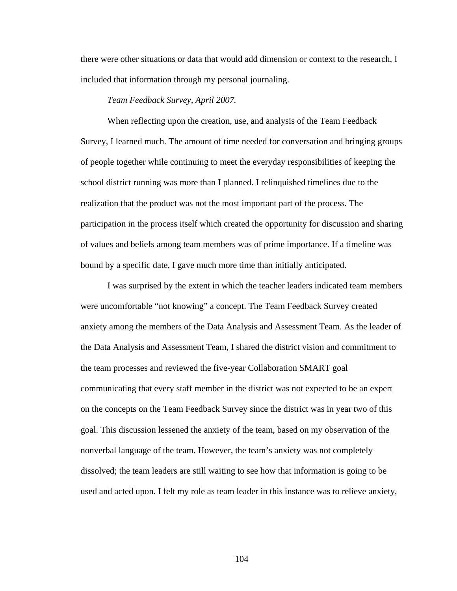there were other situations or data that would add dimension or context to the research, I included that information through my personal journaling.

# *Team Feedback Survey, April 2007.*

 When reflecting upon the creation, use, and analysis of the Team Feedback Survey, I learned much. The amount of time needed for conversation and bringing groups of people together while continuing to meet the everyday responsibilities of keeping the school district running was more than I planned. I relinquished timelines due to the realization that the product was not the most important part of the process. The participation in the process itself which created the opportunity for discussion and sharing of values and beliefs among team members was of prime importance. If a timeline was bound by a specific date, I gave much more time than initially anticipated.

 I was surprised by the extent in which the teacher leaders indicated team members were uncomfortable "not knowing" a concept. The Team Feedback Survey created anxiety among the members of the Data Analysis and Assessment Team. As the leader of the Data Analysis and Assessment Team, I shared the district vision and commitment to the team processes and reviewed the five-year Collaboration SMART goal communicating that every staff member in the district was not expected to be an expert on the concepts on the Team Feedback Survey since the district was in year two of this goal. This discussion lessened the anxiety of the team, based on my observation of the nonverbal language of the team. However, the team's anxiety was not completely dissolved; the team leaders are still waiting to see how that information is going to be used and acted upon. I felt my role as team leader in this instance was to relieve anxiety,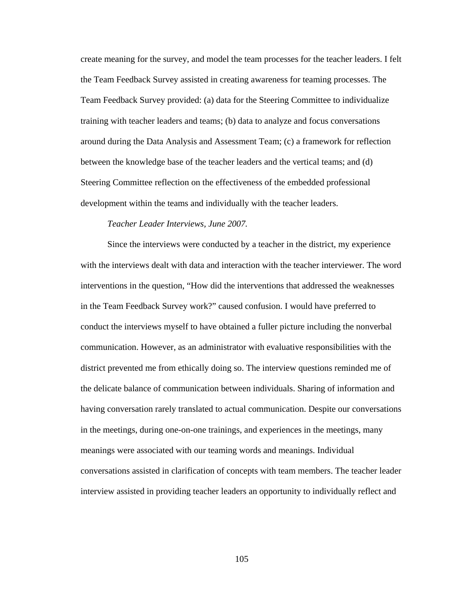create meaning for the survey, and model the team processes for the teacher leaders. I felt the Team Feedback Survey assisted in creating awareness for teaming processes. The Team Feedback Survey provided: (a) data for the Steering Committee to individualize training with teacher leaders and teams; (b) data to analyze and focus conversations around during the Data Analysis and Assessment Team; (c) a framework for reflection between the knowledge base of the teacher leaders and the vertical teams; and (d) Steering Committee reflection on the effectiveness of the embedded professional development within the teams and individually with the teacher leaders.

# *Teacher Leader Interviews, June 2007.*

 Since the interviews were conducted by a teacher in the district, my experience with the interviews dealt with data and interaction with the teacher interviewer. The word interventions in the question, "How did the interventions that addressed the weaknesses in the Team Feedback Survey work?" caused confusion. I would have preferred to conduct the interviews myself to have obtained a fuller picture including the nonverbal communication. However, as an administrator with evaluative responsibilities with the district prevented me from ethically doing so. The interview questions reminded me of the delicate balance of communication between individuals. Sharing of information and having conversation rarely translated to actual communication. Despite our conversations in the meetings, during one-on-one trainings, and experiences in the meetings, many meanings were associated with our teaming words and meanings. Individual conversations assisted in clarification of concepts with team members. The teacher leader interview assisted in providing teacher leaders an opportunity to individually reflect and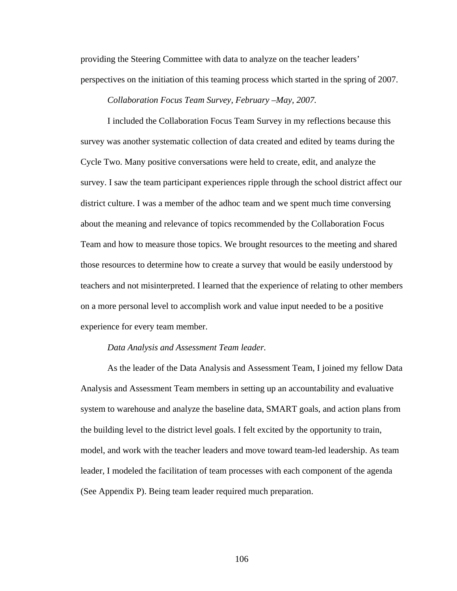providing the Steering Committee with data to analyze on the teacher leaders' perspectives on the initiation of this teaming process which started in the spring of 2007.

*Collaboration Focus Team Survey, February –May, 2007.* 

 I included the Collaboration Focus Team Survey in my reflections because this survey was another systematic collection of data created and edited by teams during the Cycle Two. Many positive conversations were held to create, edit, and analyze the survey. I saw the team participant experiences ripple through the school district affect our district culture. I was a member of the adhoc team and we spent much time conversing about the meaning and relevance of topics recommended by the Collaboration Focus Team and how to measure those topics. We brought resources to the meeting and shared those resources to determine how to create a survey that would be easily understood by teachers and not misinterpreted. I learned that the experience of relating to other members on a more personal level to accomplish work and value input needed to be a positive experience for every team member.

#### *Data Analysis and Assessment Team leader.*

 As the leader of the Data Analysis and Assessment Team, I joined my fellow Data Analysis and Assessment Team members in setting up an accountability and evaluative system to warehouse and analyze the baseline data, SMART goals, and action plans from the building level to the district level goals. I felt excited by the opportunity to train, model, and work with the teacher leaders and move toward team-led leadership. As team leader, I modeled the facilitation of team processes with each component of the agenda (See Appendix P). Being team leader required much preparation.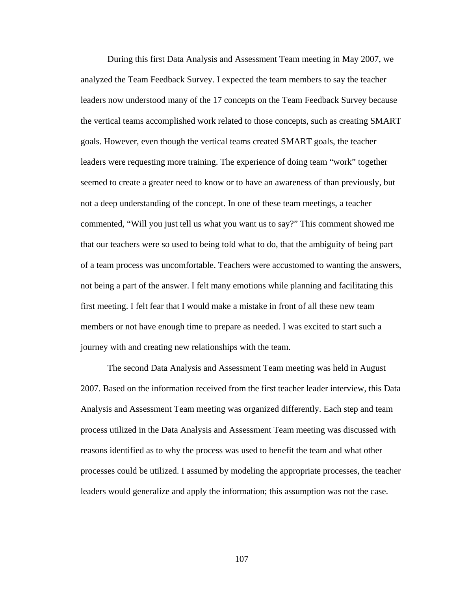During this first Data Analysis and Assessment Team meeting in May 2007, we analyzed the Team Feedback Survey. I expected the team members to say the teacher leaders now understood many of the 17 concepts on the Team Feedback Survey because the vertical teams accomplished work related to those concepts, such as creating SMART goals. However, even though the vertical teams created SMART goals, the teacher leaders were requesting more training. The experience of doing team "work" together seemed to create a greater need to know or to have an awareness of than previously, but not a deep understanding of the concept. In one of these team meetings, a teacher commented, "Will you just tell us what you want us to say?" This comment showed me that our teachers were so used to being told what to do, that the ambiguity of being part of a team process was uncomfortable. Teachers were accustomed to wanting the answers, not being a part of the answer. I felt many emotions while planning and facilitating this first meeting. I felt fear that I would make a mistake in front of all these new team members or not have enough time to prepare as needed. I was excited to start such a journey with and creating new relationships with the team.

 The second Data Analysis and Assessment Team meeting was held in August 2007. Based on the information received from the first teacher leader interview, this Data Analysis and Assessment Team meeting was organized differently. Each step and team process utilized in the Data Analysis and Assessment Team meeting was discussed with reasons identified as to why the process was used to benefit the team and what other processes could be utilized. I assumed by modeling the appropriate processes, the teacher leaders would generalize and apply the information; this assumption was not the case.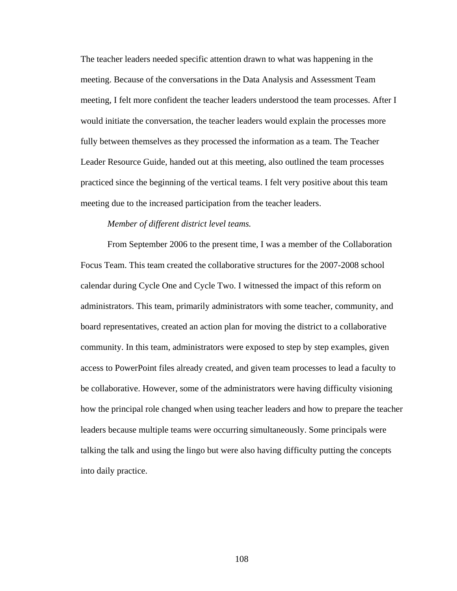The teacher leaders needed specific attention drawn to what was happening in the meeting. Because of the conversations in the Data Analysis and Assessment Team meeting, I felt more confident the teacher leaders understood the team processes. After I would initiate the conversation, the teacher leaders would explain the processes more fully between themselves as they processed the information as a team. The Teacher Leader Resource Guide, handed out at this meeting, also outlined the team processes practiced since the beginning of the vertical teams. I felt very positive about this team meeting due to the increased participation from the teacher leaders.

### *Member of different district level teams.*

 From September 2006 to the present time, I was a member of the Collaboration Focus Team. This team created the collaborative structures for the 2007-2008 school calendar during Cycle One and Cycle Two. I witnessed the impact of this reform on administrators. This team, primarily administrators with some teacher, community, and board representatives, created an action plan for moving the district to a collaborative community. In this team, administrators were exposed to step by step examples, given access to PowerPoint files already created, and given team processes to lead a faculty to be collaborative. However, some of the administrators were having difficulty visioning how the principal role changed when using teacher leaders and how to prepare the teacher leaders because multiple teams were occurring simultaneously. Some principals were talking the talk and using the lingo but were also having difficulty putting the concepts into daily practice.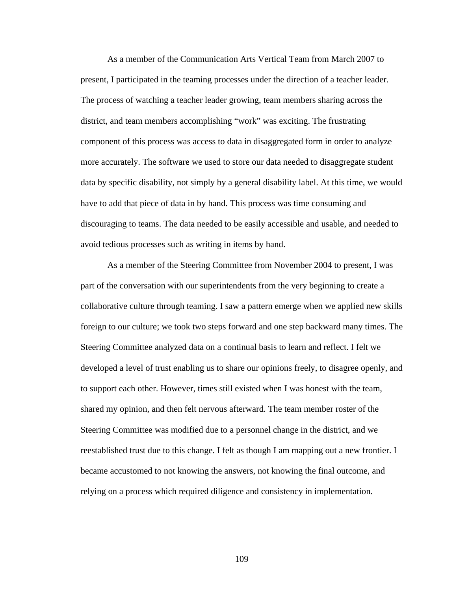As a member of the Communication Arts Vertical Team from March 2007 to present, I participated in the teaming processes under the direction of a teacher leader. The process of watching a teacher leader growing, team members sharing across the district, and team members accomplishing "work" was exciting. The frustrating component of this process was access to data in disaggregated form in order to analyze more accurately. The software we used to store our data needed to disaggregate student data by specific disability, not simply by a general disability label. At this time, we would have to add that piece of data in by hand. This process was time consuming and discouraging to teams. The data needed to be easily accessible and usable, and needed to avoid tedious processes such as writing in items by hand.

 As a member of the Steering Committee from November 2004 to present, I was part of the conversation with our superintendents from the very beginning to create a collaborative culture through teaming. I saw a pattern emerge when we applied new skills foreign to our culture; we took two steps forward and one step backward many times. The Steering Committee analyzed data on a continual basis to learn and reflect. I felt we developed a level of trust enabling us to share our opinions freely, to disagree openly, and to support each other. However, times still existed when I was honest with the team, shared my opinion, and then felt nervous afterward. The team member roster of the Steering Committee was modified due to a personnel change in the district, and we reestablished trust due to this change. I felt as though I am mapping out a new frontier. I became accustomed to not knowing the answers, not knowing the final outcome, and relying on a process which required diligence and consistency in implementation.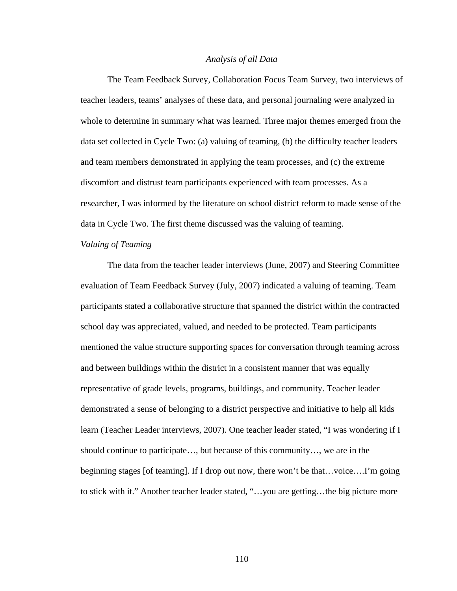#### *Analysis of all Data*

 The Team Feedback Survey, Collaboration Focus Team Survey, two interviews of teacher leaders, teams' analyses of these data, and personal journaling were analyzed in whole to determine in summary what was learned. Three major themes emerged from the data set collected in Cycle Two: (a) valuing of teaming, (b) the difficulty teacher leaders and team members demonstrated in applying the team processes, and (c) the extreme discomfort and distrust team participants experienced with team processes. As a researcher, I was informed by the literature on school district reform to made sense of the data in Cycle Two. The first theme discussed was the valuing of teaming.

# *Valuing of Teaming*

The data from the teacher leader interviews (June, 2007) and Steering Committee evaluation of Team Feedback Survey (July, 2007) indicated a valuing of teaming. Team participants stated a collaborative structure that spanned the district within the contracted school day was appreciated, valued, and needed to be protected. Team participants mentioned the value structure supporting spaces for conversation through teaming across and between buildings within the district in a consistent manner that was equally representative of grade levels, programs, buildings, and community. Teacher leader demonstrated a sense of belonging to a district perspective and initiative to help all kids learn (Teacher Leader interviews, 2007). One teacher leader stated, "I was wondering if I should continue to participate…, but because of this community…, we are in the beginning stages [of teaming]. If I drop out now, there won't be that…voice….I'm going to stick with it." Another teacher leader stated, "…you are getting…the big picture more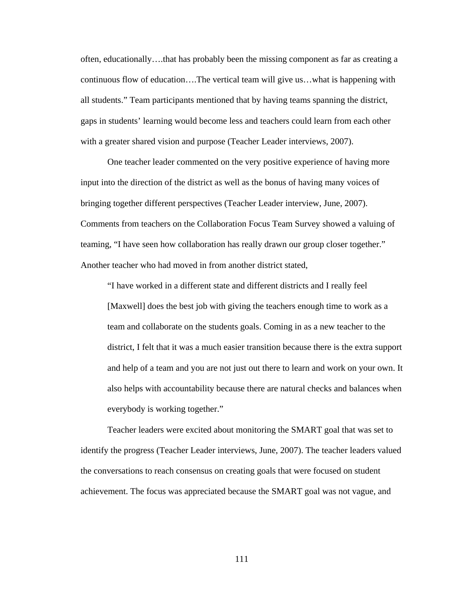often, educationally….that has probably been the missing component as far as creating a continuous flow of education….The vertical team will give us…what is happening with all students." Team participants mentioned that by having teams spanning the district, gaps in students' learning would become less and teachers could learn from each other with a greater shared vision and purpose (Teacher Leader interviews, 2007).

One teacher leader commented on the very positive experience of having more input into the direction of the district as well as the bonus of having many voices of bringing together different perspectives (Teacher Leader interview, June, 2007). Comments from teachers on the Collaboration Focus Team Survey showed a valuing of teaming, "I have seen how collaboration has really drawn our group closer together." Another teacher who had moved in from another district stated,

"I have worked in a different state and different districts and I really feel [Maxwell] does the best job with giving the teachers enough time to work as a team and collaborate on the students goals. Coming in as a new teacher to the district, I felt that it was a much easier transition because there is the extra support and help of a team and you are not just out there to learn and work on your own. It also helps with accountability because there are natural checks and balances when everybody is working together."

Teacher leaders were excited about monitoring the SMART goal that was set to identify the progress (Teacher Leader interviews, June, 2007). The teacher leaders valued the conversations to reach consensus on creating goals that were focused on student achievement. The focus was appreciated because the SMART goal was not vague, and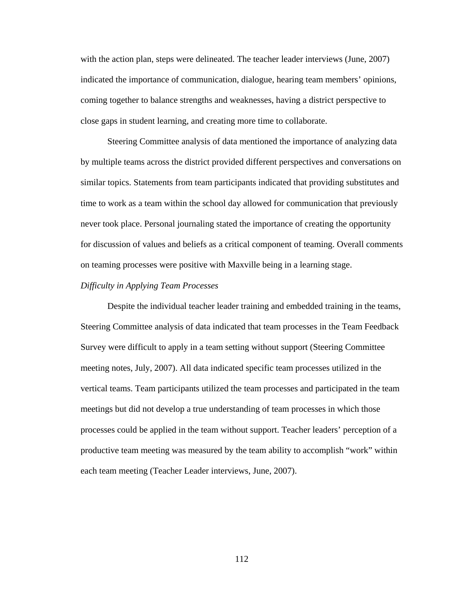with the action plan, steps were delineated. The teacher leader interviews (June, 2007) indicated the importance of communication, dialogue, hearing team members' opinions, coming together to balance strengths and weaknesses, having a district perspective to close gaps in student learning, and creating more time to collaborate.

Steering Committee analysis of data mentioned the importance of analyzing data by multiple teams across the district provided different perspectives and conversations on similar topics. Statements from team participants indicated that providing substitutes and time to work as a team within the school day allowed for communication that previously never took place. Personal journaling stated the importance of creating the opportunity for discussion of values and beliefs as a critical component of teaming. Overall comments on teaming processes were positive with Maxville being in a learning stage.

# *Difficulty in Applying Team Processes*

Despite the individual teacher leader training and embedded training in the teams, Steering Committee analysis of data indicated that team processes in the Team Feedback Survey were difficult to apply in a team setting without support (Steering Committee meeting notes, July, 2007). All data indicated specific team processes utilized in the vertical teams. Team participants utilized the team processes and participated in the team meetings but did not develop a true understanding of team processes in which those processes could be applied in the team without support. Teacher leaders' perception of a productive team meeting was measured by the team ability to accomplish "work" within each team meeting (Teacher Leader interviews, June, 2007).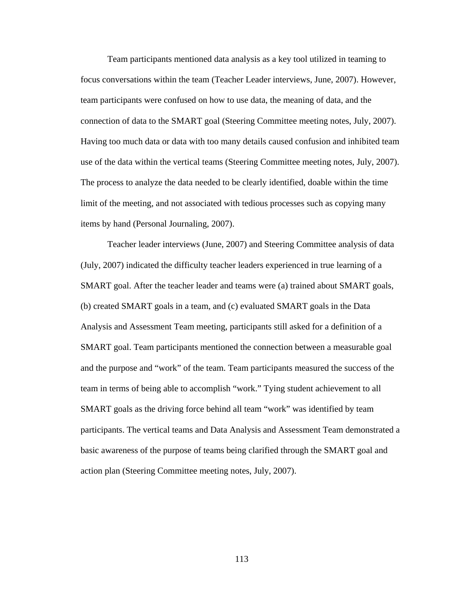Team participants mentioned data analysis as a key tool utilized in teaming to focus conversations within the team (Teacher Leader interviews, June, 2007). However, team participants were confused on how to use data, the meaning of data, and the connection of data to the SMART goal (Steering Committee meeting notes, July, 2007). Having too much data or data with too many details caused confusion and inhibited team use of the data within the vertical teams (Steering Committee meeting notes, July, 2007). The process to analyze the data needed to be clearly identified, doable within the time limit of the meeting, and not associated with tedious processes such as copying many items by hand (Personal Journaling, 2007).

Teacher leader interviews (June, 2007) and Steering Committee analysis of data (July, 2007) indicated the difficulty teacher leaders experienced in true learning of a SMART goal. After the teacher leader and teams were (a) trained about SMART goals, (b) created SMART goals in a team, and (c) evaluated SMART goals in the Data Analysis and Assessment Team meeting, participants still asked for a definition of a SMART goal. Team participants mentioned the connection between a measurable goal and the purpose and "work" of the team. Team participants measured the success of the team in terms of being able to accomplish "work." Tying student achievement to all SMART goals as the driving force behind all team "work" was identified by team participants. The vertical teams and Data Analysis and Assessment Team demonstrated a basic awareness of the purpose of teams being clarified through the SMART goal and action plan (Steering Committee meeting notes, July, 2007).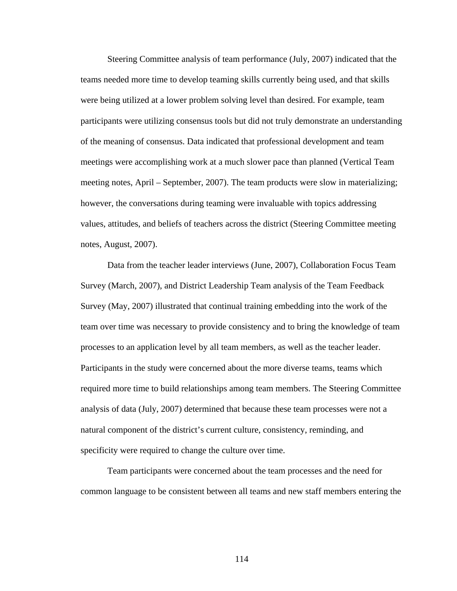Steering Committee analysis of team performance (July, 2007) indicated that the teams needed more time to develop teaming skills currently being used, and that skills were being utilized at a lower problem solving level than desired. For example, team participants were utilizing consensus tools but did not truly demonstrate an understanding of the meaning of consensus. Data indicated that professional development and team meetings were accomplishing work at a much slower pace than planned (Vertical Team meeting notes, April – September, 2007). The team products were slow in materializing; however, the conversations during teaming were invaluable with topics addressing values, attitudes, and beliefs of teachers across the district (Steering Committee meeting notes, August, 2007).

Data from the teacher leader interviews (June, 2007), Collaboration Focus Team Survey (March, 2007), and District Leadership Team analysis of the Team Feedback Survey (May, 2007) illustrated that continual training embedding into the work of the team over time was necessary to provide consistency and to bring the knowledge of team processes to an application level by all team members, as well as the teacher leader. Participants in the study were concerned about the more diverse teams, teams which required more time to build relationships among team members. The Steering Committee analysis of data (July, 2007) determined that because these team processes were not a natural component of the district's current culture, consistency, reminding, and specificity were required to change the culture over time.

Team participants were concerned about the team processes and the need for common language to be consistent between all teams and new staff members entering the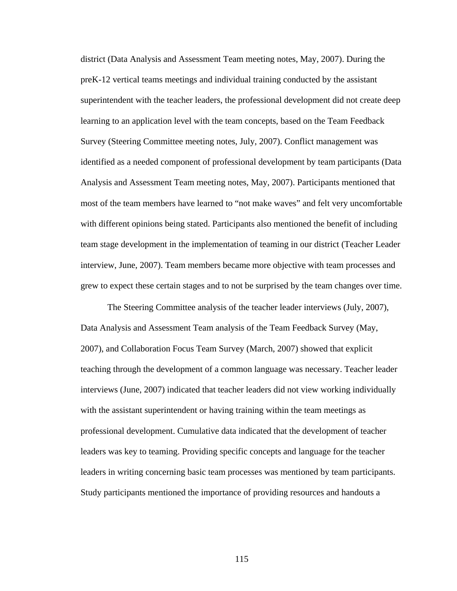district (Data Analysis and Assessment Team meeting notes, May, 2007). During the preK-12 vertical teams meetings and individual training conducted by the assistant superintendent with the teacher leaders, the professional development did not create deep learning to an application level with the team concepts, based on the Team Feedback Survey (Steering Committee meeting notes, July, 2007). Conflict management was identified as a needed component of professional development by team participants (Data Analysis and Assessment Team meeting notes, May, 2007). Participants mentioned that most of the team members have learned to "not make waves" and felt very uncomfortable with different opinions being stated. Participants also mentioned the benefit of including team stage development in the implementation of teaming in our district (Teacher Leader interview, June, 2007). Team members became more objective with team processes and grew to expect these certain stages and to not be surprised by the team changes over time.

The Steering Committee analysis of the teacher leader interviews (July, 2007), Data Analysis and Assessment Team analysis of the Team Feedback Survey (May, 2007), and Collaboration Focus Team Survey (March, 2007) showed that explicit teaching through the development of a common language was necessary. Teacher leader interviews (June, 2007) indicated that teacher leaders did not view working individually with the assistant superintendent or having training within the team meetings as professional development. Cumulative data indicated that the development of teacher leaders was key to teaming. Providing specific concepts and language for the teacher leaders in writing concerning basic team processes was mentioned by team participants. Study participants mentioned the importance of providing resources and handouts a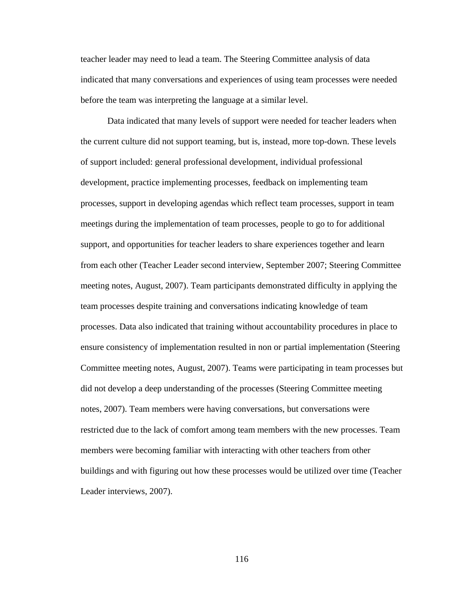teacher leader may need to lead a team. The Steering Committee analysis of data indicated that many conversations and experiences of using team processes were needed before the team was interpreting the language at a similar level.

Data indicated that many levels of support were needed for teacher leaders when the current culture did not support teaming, but is, instead, more top-down. These levels of support included: general professional development, individual professional development, practice implementing processes, feedback on implementing team processes, support in developing agendas which reflect team processes, support in team meetings during the implementation of team processes, people to go to for additional support, and opportunities for teacher leaders to share experiences together and learn from each other (Teacher Leader second interview, September 2007; Steering Committee meeting notes, August, 2007). Team participants demonstrated difficulty in applying the team processes despite training and conversations indicating knowledge of team processes. Data also indicated that training without accountability procedures in place to ensure consistency of implementation resulted in non or partial implementation (Steering Committee meeting notes, August, 2007). Teams were participating in team processes but did not develop a deep understanding of the processes (Steering Committee meeting notes, 2007). Team members were having conversations, but conversations were restricted due to the lack of comfort among team members with the new processes. Team members were becoming familiar with interacting with other teachers from other buildings and with figuring out how these processes would be utilized over time (Teacher Leader interviews, 2007).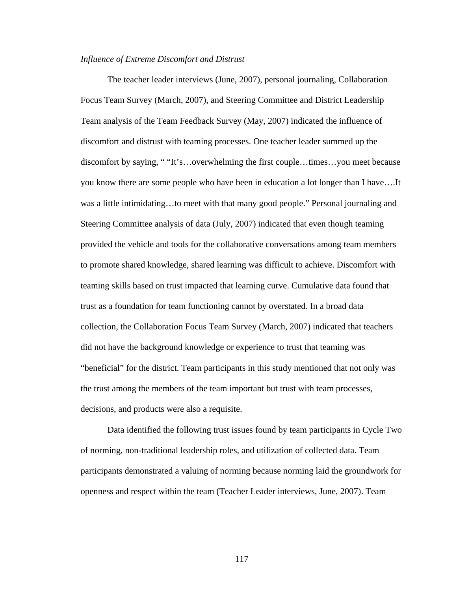#### *Influence of Extreme Discomfort and Distrust*

The teacher leader interviews (June, 2007), personal journaling, Collaboration Focus Team Survey (March, 2007), and Steering Committee and District Leadership Team analysis of the Team Feedback Survey (May, 2007) indicated the influence of discomfort and distrust with teaming processes. One teacher leader summed up the discomfort by saying, " "It's…overwhelming the first couple…times…you meet because you know there are some people who have been in education a lot longer than I have….It was a little intimidating…to meet with that many good people." Personal journaling and Steering Committee analysis of data (July, 2007) indicated that even though teaming provided the vehicle and tools for the collaborative conversations among team members to promote shared knowledge, shared learning was difficult to achieve. Discomfort with teaming skills based on trust impacted that learning curve. Cumulative data found that trust as a foundation for team functioning cannot by overstated. In a broad data collection, the Collaboration Focus Team Survey (March, 2007) indicated that teachers did not have the background knowledge or experience to trust that teaming was "beneficial" for the district. Team participants in this study mentioned that not only was the trust among the members of the team important but trust with team processes, decisions, and products were also a requisite.

Data identified the following trust issues found by team participants in Cycle Two of norming, non-traditional leadership roles, and utilization of collected data. Team participants demonstrated a valuing of norming because norming laid the groundwork for openness and respect within the team (Teacher Leader interviews, June, 2007). Team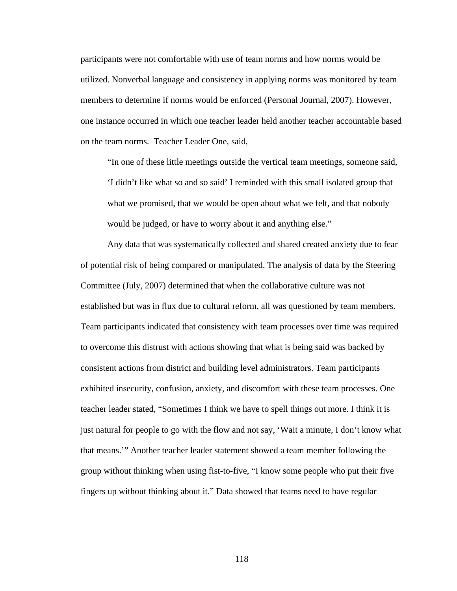participants were not comfortable with use of team norms and how norms would be utilized. Nonverbal language and consistency in applying norms was monitored by team members to determine if norms would be enforced (Personal Journal, 2007). However, one instance occurred in which one teacher leader held another teacher accountable based on the team norms. Teacher Leader One, said,

"In one of these little meetings outside the vertical team meetings, someone said, 'I didn't like what so and so said' I reminded with this small isolated group that what we promised, that we would be open about what we felt, and that nobody would be judged, or have to worry about it and anything else."

Any data that was systematically collected and shared created anxiety due to fear of potential risk of being compared or manipulated. The analysis of data by the Steering Committee (July, 2007) determined that when the collaborative culture was not established but was in flux due to cultural reform, all was questioned by team members. Team participants indicated that consistency with team processes over time was required to overcome this distrust with actions showing that what is being said was backed by consistent actions from district and building level administrators. Team participants exhibited insecurity, confusion, anxiety, and discomfort with these team processes. One teacher leader stated, "Sometimes I think we have to spell things out more. I think it is just natural for people to go with the flow and not say, 'Wait a minute, I don't know what that means.'" Another teacher leader statement showed a team member following the group without thinking when using fist-to-five, "I know some people who put their five fingers up without thinking about it." Data showed that teams need to have regular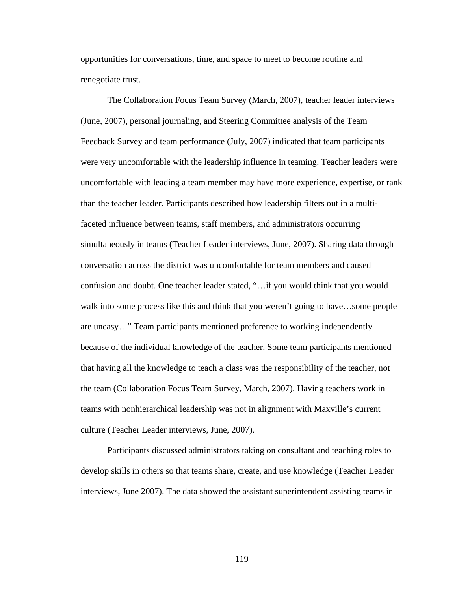opportunities for conversations, time, and space to meet to become routine and renegotiate trust.

The Collaboration Focus Team Survey (March, 2007), teacher leader interviews (June, 2007), personal journaling, and Steering Committee analysis of the Team Feedback Survey and team performance (July, 2007) indicated that team participants were very uncomfortable with the leadership influence in teaming. Teacher leaders were uncomfortable with leading a team member may have more experience, expertise, or rank than the teacher leader. Participants described how leadership filters out in a multifaceted influence between teams, staff members, and administrators occurring simultaneously in teams (Teacher Leader interviews, June, 2007). Sharing data through conversation across the district was uncomfortable for team members and caused confusion and doubt. One teacher leader stated, "…if you would think that you would walk into some process like this and think that you weren't going to have...some people are uneasy…" Team participants mentioned preference to working independently because of the individual knowledge of the teacher. Some team participants mentioned that having all the knowledge to teach a class was the responsibility of the teacher, not the team (Collaboration Focus Team Survey, March, 2007). Having teachers work in teams with nonhierarchical leadership was not in alignment with Maxville's current culture (Teacher Leader interviews, June, 2007).

Participants discussed administrators taking on consultant and teaching roles to develop skills in others so that teams share, create, and use knowledge (Teacher Leader interviews, June 2007). The data showed the assistant superintendent assisting teams in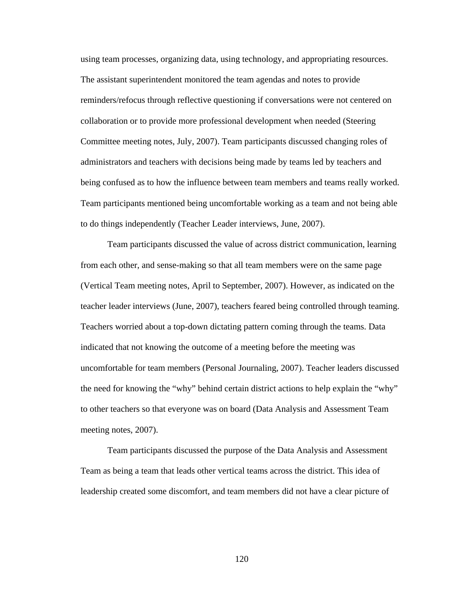using team processes, organizing data, using technology, and appropriating resources. The assistant superintendent monitored the team agendas and notes to provide reminders/refocus through reflective questioning if conversations were not centered on collaboration or to provide more professional development when needed (Steering Committee meeting notes, July, 2007). Team participants discussed changing roles of administrators and teachers with decisions being made by teams led by teachers and being confused as to how the influence between team members and teams really worked. Team participants mentioned being uncomfortable working as a team and not being able to do things independently (Teacher Leader interviews, June, 2007).

Team participants discussed the value of across district communication, learning from each other, and sense-making so that all team members were on the same page (Vertical Team meeting notes, April to September, 2007). However, as indicated on the teacher leader interviews (June, 2007), teachers feared being controlled through teaming. Teachers worried about a top-down dictating pattern coming through the teams. Data indicated that not knowing the outcome of a meeting before the meeting was uncomfortable for team members (Personal Journaling, 2007). Teacher leaders discussed the need for knowing the "why" behind certain district actions to help explain the "why" to other teachers so that everyone was on board (Data Analysis and Assessment Team meeting notes, 2007).

Team participants discussed the purpose of the Data Analysis and Assessment Team as being a team that leads other vertical teams across the district. This idea of leadership created some discomfort, and team members did not have a clear picture of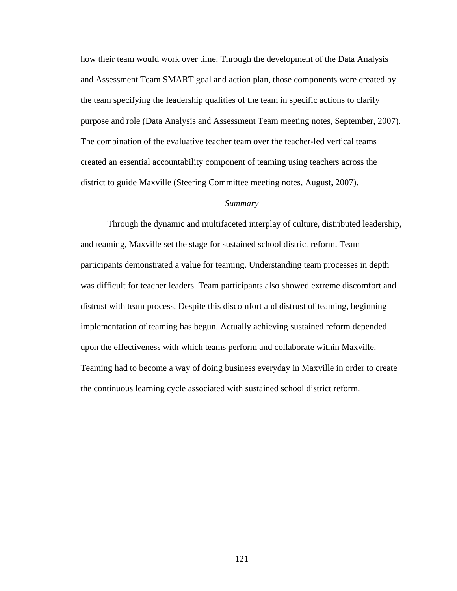how their team would work over time. Through the development of the Data Analysis and Assessment Team SMART goal and action plan, those components were created by the team specifying the leadership qualities of the team in specific actions to clarify purpose and role (Data Analysis and Assessment Team meeting notes, September, 2007). The combination of the evaluative teacher team over the teacher-led vertical teams created an essential accountability component of teaming using teachers across the district to guide Maxville (Steering Committee meeting notes, August, 2007).

#### *Summary*

Through the dynamic and multifaceted interplay of culture, distributed leadership, and teaming, Maxville set the stage for sustained school district reform. Team participants demonstrated a value for teaming. Understanding team processes in depth was difficult for teacher leaders. Team participants also showed extreme discomfort and distrust with team process. Despite this discomfort and distrust of teaming, beginning implementation of teaming has begun. Actually achieving sustained reform depended upon the effectiveness with which teams perform and collaborate within Maxville. Teaming had to become a way of doing business everyday in Maxville in order to create the continuous learning cycle associated with sustained school district reform.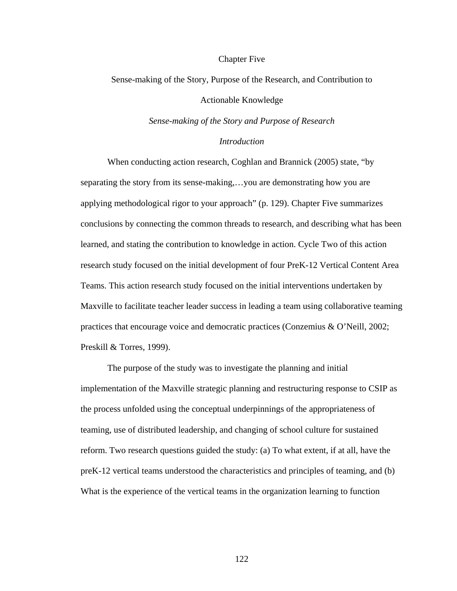#### Chapter Five

# Sense-making of the Story, Purpose of the Research, and Contribution to Actionable Knowledge

# *Sense-making of the Story and Purpose of Research*

# *Introduction*

When conducting action research, Coghlan and Brannick (2005) state, "by separating the story from its sense-making,…you are demonstrating how you are applying methodological rigor to your approach" (p. 129). Chapter Five summarizes conclusions by connecting the common threads to research, and describing what has been learned, and stating the contribution to knowledge in action. Cycle Two of this action research study focused on the initial development of four PreK-12 Vertical Content Area Teams. This action research study focused on the initial interventions undertaken by Maxville to facilitate teacher leader success in leading a team using collaborative teaming practices that encourage voice and democratic practices (Conzemius & O'Neill, 2002; Preskill & Torres, 1999).

The purpose of the study was to investigate the planning and initial implementation of the Maxville strategic planning and restructuring response to CSIP as the process unfolded using the conceptual underpinnings of the appropriateness of teaming, use of distributed leadership, and changing of school culture for sustained reform. Two research questions guided the study: (a) To what extent, if at all, have the preK-12 vertical teams understood the characteristics and principles of teaming, and (b) What is the experience of the vertical teams in the organization learning to function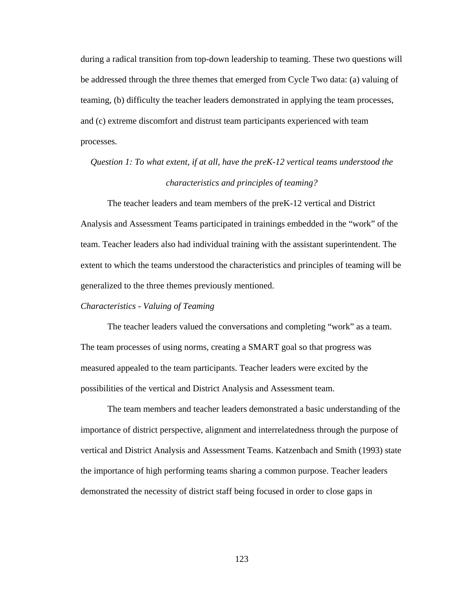during a radical transition from top-down leadership to teaming. These two questions will be addressed through the three themes that emerged from Cycle Two data: (a) valuing of teaming, (b) difficulty the teacher leaders demonstrated in applying the team processes, and (c) extreme discomfort and distrust team participants experienced with team processes.

# *Question 1: To what extent, if at all, have the preK-12 vertical teams understood the characteristics and principles of teaming?*

 The teacher leaders and team members of the preK-12 vertical and District Analysis and Assessment Teams participated in trainings embedded in the "work" of the team. Teacher leaders also had individual training with the assistant superintendent. The extent to which the teams understood the characteristics and principles of teaming will be generalized to the three themes previously mentioned.

## *Characteristics - Valuing of Teaming*

The teacher leaders valued the conversations and completing "work" as a team. The team processes of using norms, creating a SMART goal so that progress was measured appealed to the team participants. Teacher leaders were excited by the possibilities of the vertical and District Analysis and Assessment team.

The team members and teacher leaders demonstrated a basic understanding of the importance of district perspective, alignment and interrelatedness through the purpose of vertical and District Analysis and Assessment Teams. Katzenbach and Smith (1993) state the importance of high performing teams sharing a common purpose. Teacher leaders demonstrated the necessity of district staff being focused in order to close gaps in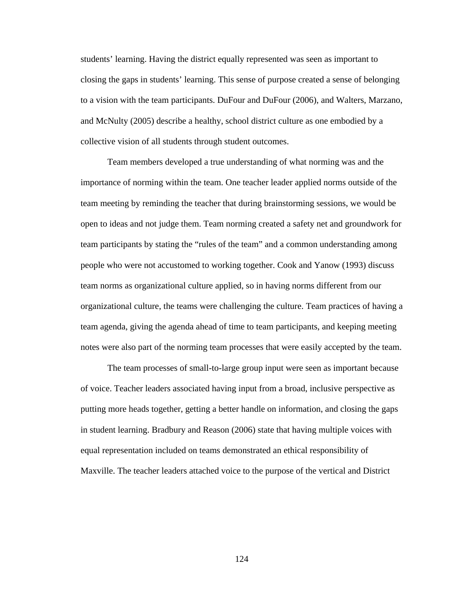students' learning. Having the district equally represented was seen as important to closing the gaps in students' learning. This sense of purpose created a sense of belonging to a vision with the team participants. DuFour and DuFour (2006), and Walters, Marzano, and McNulty (2005) describe a healthy, school district culture as one embodied by a collective vision of all students through student outcomes.

 Team members developed a true understanding of what norming was and the importance of norming within the team. One teacher leader applied norms outside of the team meeting by reminding the teacher that during brainstorming sessions, we would be open to ideas and not judge them. Team norming created a safety net and groundwork for team participants by stating the "rules of the team" and a common understanding among people who were not accustomed to working together. Cook and Yanow (1993) discuss team norms as organizational culture applied, so in having norms different from our organizational culture, the teams were challenging the culture. Team practices of having a team agenda, giving the agenda ahead of time to team participants, and keeping meeting notes were also part of the norming team processes that were easily accepted by the team.

 The team processes of small-to-large group input were seen as important because of voice. Teacher leaders associated having input from a broad, inclusive perspective as putting more heads together, getting a better handle on information, and closing the gaps in student learning. Bradbury and Reason (2006) state that having multiple voices with equal representation included on teams demonstrated an ethical responsibility of Maxville. The teacher leaders attached voice to the purpose of the vertical and District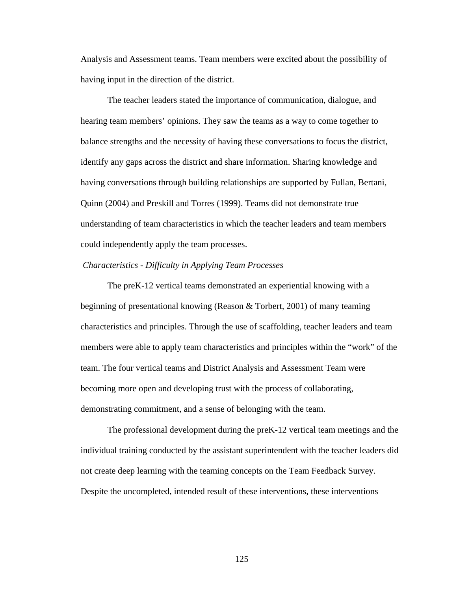Analysis and Assessment teams. Team members were excited about the possibility of having input in the direction of the district.

The teacher leaders stated the importance of communication, dialogue, and hearing team members' opinions. They saw the teams as a way to come together to balance strengths and the necessity of having these conversations to focus the district, identify any gaps across the district and share information. Sharing knowledge and having conversations through building relationships are supported by Fullan, Bertani, Quinn (2004) and Preskill and Torres (1999). Teams did not demonstrate true understanding of team characteristics in which the teacher leaders and team members could independently apply the team processes.

## *Characteristics - Difficulty in Applying Team Processes*

The preK-12 vertical teams demonstrated an experiential knowing with a beginning of presentational knowing (Reason & Torbert, 2001) of many teaming characteristics and principles. Through the use of scaffolding, teacher leaders and team members were able to apply team characteristics and principles within the "work" of the team. The four vertical teams and District Analysis and Assessment Team were becoming more open and developing trust with the process of collaborating, demonstrating commitment, and a sense of belonging with the team.

The professional development during the preK-12 vertical team meetings and the individual training conducted by the assistant superintendent with the teacher leaders did not create deep learning with the teaming concepts on the Team Feedback Survey. Despite the uncompleted, intended result of these interventions, these interventions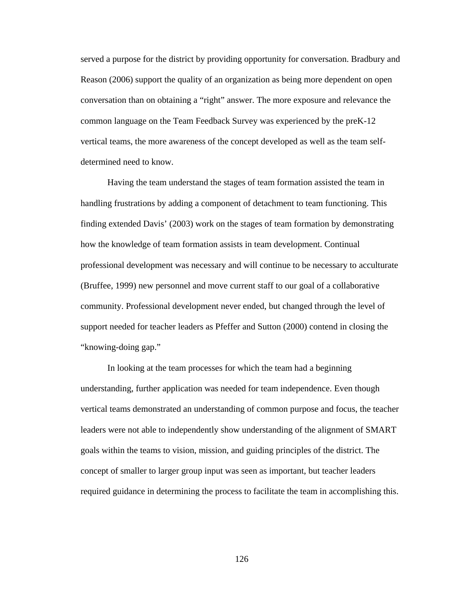served a purpose for the district by providing opportunity for conversation. Bradbury and Reason (2006) support the quality of an organization as being more dependent on open conversation than on obtaining a "right" answer. The more exposure and relevance the common language on the Team Feedback Survey was experienced by the preK-12 vertical teams, the more awareness of the concept developed as well as the team selfdetermined need to know.

Having the team understand the stages of team formation assisted the team in handling frustrations by adding a component of detachment to team functioning. This finding extended Davis' (2003) work on the stages of team formation by demonstrating how the knowledge of team formation assists in team development. Continual professional development was necessary and will continue to be necessary to acculturate (Bruffee, 1999) new personnel and move current staff to our goal of a collaborative community. Professional development never ended, but changed through the level of support needed for teacher leaders as Pfeffer and Sutton (2000) contend in closing the "knowing-doing gap."

In looking at the team processes for which the team had a beginning understanding, further application was needed for team independence. Even though vertical teams demonstrated an understanding of common purpose and focus, the teacher leaders were not able to independently show understanding of the alignment of SMART goals within the teams to vision, mission, and guiding principles of the district. The concept of smaller to larger group input was seen as important, but teacher leaders required guidance in determining the process to facilitate the team in accomplishing this.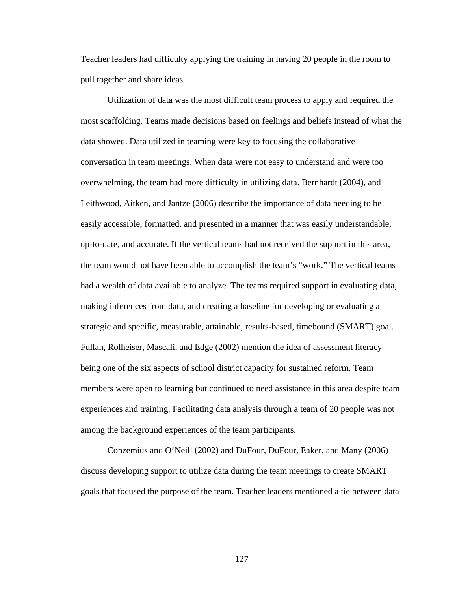Teacher leaders had difficulty applying the training in having 20 people in the room to pull together and share ideas.

Utilization of data was the most difficult team process to apply and required the most scaffolding. Teams made decisions based on feelings and beliefs instead of what the data showed. Data utilized in teaming were key to focusing the collaborative conversation in team meetings. When data were not easy to understand and were too overwhelming, the team had more difficulty in utilizing data. Bernhardt (2004), and Leithwood, Aitken, and Jantze (2006) describe the importance of data needing to be easily accessible, formatted, and presented in a manner that was easily understandable, up-to-date, and accurate. If the vertical teams had not received the support in this area, the team would not have been able to accomplish the team's "work." The vertical teams had a wealth of data available to analyze. The teams required support in evaluating data, making inferences from data, and creating a baseline for developing or evaluating a strategic and specific, measurable, attainable, results-based, timebound (SMART) goal. Fullan, Rolheiser, Mascali, and Edge (2002) mention the idea of assessment literacy being one of the six aspects of school district capacity for sustained reform. Team members were open to learning but continued to need assistance in this area despite team experiences and training. Facilitating data analysis through a team of 20 people was not among the background experiences of the team participants.

 Conzemius and O'Neill (2002) and DuFour, DuFour, Eaker, and Many (2006) discuss developing support to utilize data during the team meetings to create SMART goals that focused the purpose of the team. Teacher leaders mentioned a tie between data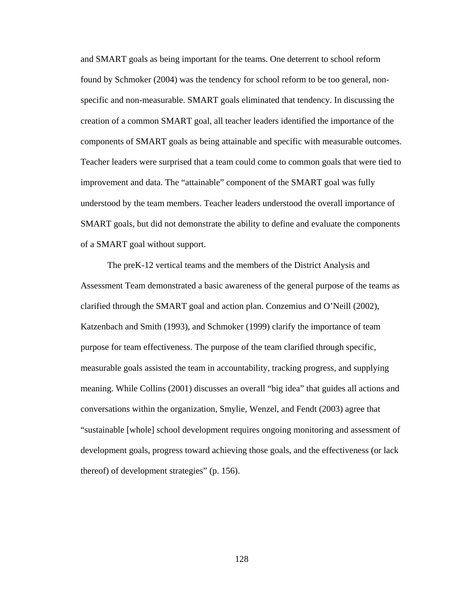and SMART goals as being important for the teams. One deterrent to school reform found by Schmoker (2004) was the tendency for school reform to be too general, nonspecific and non-measurable. SMART goals eliminated that tendency. In discussing the creation of a common SMART goal, all teacher leaders identified the importance of the components of SMART goals as being attainable and specific with measurable outcomes. Teacher leaders were surprised that a team could come to common goals that were tied to improvement and data. The "attainable" component of the SMART goal was fully understood by the team members. Teacher leaders understood the overall importance of SMART goals, but did not demonstrate the ability to define and evaluate the components of a SMART goal without support.

The preK-12 vertical teams and the members of the District Analysis and Assessment Team demonstrated a basic awareness of the general purpose of the teams as clarified through the SMART goal and action plan. Conzemius and O'Neill (2002), Katzenbach and Smith (1993), and Schmoker (1999) clarify the importance of team purpose for team effectiveness. The purpose of the team clarified through specific, measurable goals assisted the team in accountability, tracking progress, and supplying meaning. While Collins (2001) discusses an overall "big idea" that guides all actions and conversations within the organization, Smylie, Wenzel, and Fendt (2003) agree that "sustainable [whole] school development requires ongoing monitoring and assessment of development goals, progress toward achieving those goals, and the effectiveness (or lack thereof) of development strategies" (p. 156).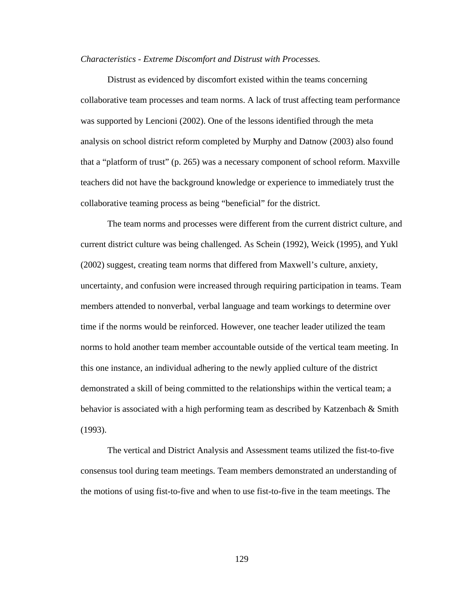#### *Characteristics - Extreme Discomfort and Distrust with Processes.*

Distrust as evidenced by discomfort existed within the teams concerning collaborative team processes and team norms. A lack of trust affecting team performance was supported by Lencioni (2002). One of the lessons identified through the meta analysis on school district reform completed by Murphy and Datnow (2003) also found that a "platform of trust" (p. 265) was a necessary component of school reform. Maxville teachers did not have the background knowledge or experience to immediately trust the collaborative teaming process as being "beneficial" for the district.

The team norms and processes were different from the current district culture, and current district culture was being challenged. As Schein (1992), Weick (1995), and Yukl (2002) suggest, creating team norms that differed from Maxwell's culture, anxiety, uncertainty, and confusion were increased through requiring participation in teams. Team members attended to nonverbal, verbal language and team workings to determine over time if the norms would be reinforced. However, one teacher leader utilized the team norms to hold another team member accountable outside of the vertical team meeting. In this one instance, an individual adhering to the newly applied culture of the district demonstrated a skill of being committed to the relationships within the vertical team; a behavior is associated with a high performing team as described by Katzenbach & Smith (1993).

 The vertical and District Analysis and Assessment teams utilized the fist-to-five consensus tool during team meetings. Team members demonstrated an understanding of the motions of using fist-to-five and when to use fist-to-five in the team meetings. The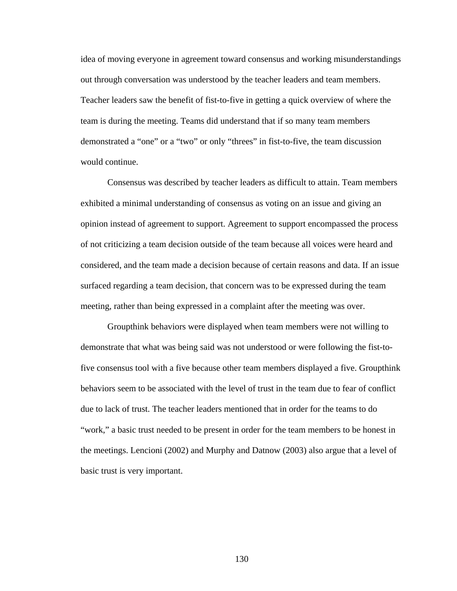idea of moving everyone in agreement toward consensus and working misunderstandings out through conversation was understood by the teacher leaders and team members. Teacher leaders saw the benefit of fist-to-five in getting a quick overview of where the team is during the meeting. Teams did understand that if so many team members demonstrated a "one" or a "two" or only "threes" in fist-to-five, the team discussion would continue.

Consensus was described by teacher leaders as difficult to attain. Team members exhibited a minimal understanding of consensus as voting on an issue and giving an opinion instead of agreement to support. Agreement to support encompassed the process of not criticizing a team decision outside of the team because all voices were heard and considered, and the team made a decision because of certain reasons and data. If an issue surfaced regarding a team decision, that concern was to be expressed during the team meeting, rather than being expressed in a complaint after the meeting was over.

Groupthink behaviors were displayed when team members were not willing to demonstrate that what was being said was not understood or were following the fist-tofive consensus tool with a five because other team members displayed a five. Groupthink behaviors seem to be associated with the level of trust in the team due to fear of conflict due to lack of trust. The teacher leaders mentioned that in order for the teams to do "work," a basic trust needed to be present in order for the team members to be honest in the meetings. Lencioni (2002) and Murphy and Datnow (2003) also argue that a level of basic trust is very important.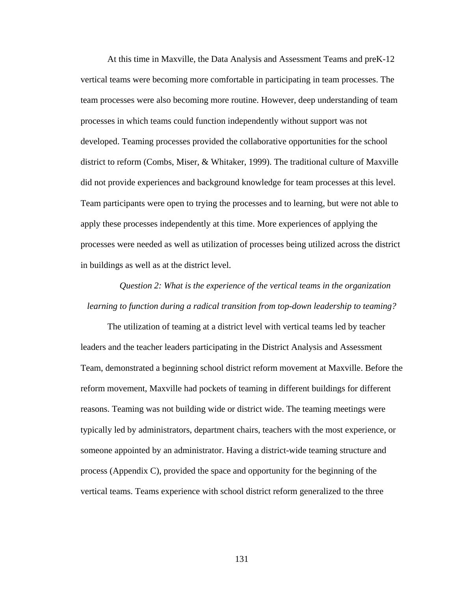At this time in Maxville, the Data Analysis and Assessment Teams and preK-12 vertical teams were becoming more comfortable in participating in team processes. The team processes were also becoming more routine. However, deep understanding of team processes in which teams could function independently without support was not developed. Teaming processes provided the collaborative opportunities for the school district to reform (Combs, Miser, & Whitaker, 1999). The traditional culture of Maxville did not provide experiences and background knowledge for team processes at this level. Team participants were open to trying the processes and to learning, but were not able to apply these processes independently at this time. More experiences of applying the processes were needed as well as utilization of processes being utilized across the district in buildings as well as at the district level.

# *Question 2: What is the experience of the vertical teams in the organization learning to function during a radical transition from top-down leadership to teaming?*

 The utilization of teaming at a district level with vertical teams led by teacher leaders and the teacher leaders participating in the District Analysis and Assessment Team, demonstrated a beginning school district reform movement at Maxville. Before the reform movement, Maxville had pockets of teaming in different buildings for different reasons. Teaming was not building wide or district wide. The teaming meetings were typically led by administrators, department chairs, teachers with the most experience, or someone appointed by an administrator. Having a district-wide teaming structure and process (Appendix C), provided the space and opportunity for the beginning of the vertical teams. Teams experience with school district reform generalized to the three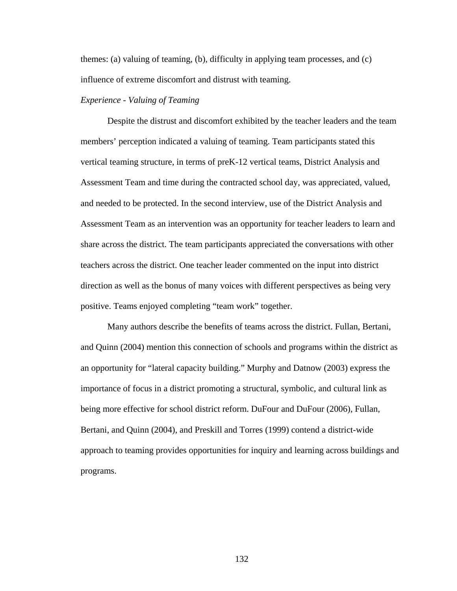themes: (a) valuing of teaming, (b), difficulty in applying team processes, and (c) influence of extreme discomfort and distrust with teaming.

#### *Experience - Valuing of Teaming*

Despite the distrust and discomfort exhibited by the teacher leaders and the team members' perception indicated a valuing of teaming. Team participants stated this vertical teaming structure, in terms of preK-12 vertical teams, District Analysis and Assessment Team and time during the contracted school day, was appreciated, valued, and needed to be protected. In the second interview, use of the District Analysis and Assessment Team as an intervention was an opportunity for teacher leaders to learn and share across the district. The team participants appreciated the conversations with other teachers across the district. One teacher leader commented on the input into district direction as well as the bonus of many voices with different perspectives as being very positive. Teams enjoyed completing "team work" together.

Many authors describe the benefits of teams across the district. Fullan, Bertani, and Quinn (2004) mention this connection of schools and programs within the district as an opportunity for "lateral capacity building." Murphy and Datnow (2003) express the importance of focus in a district promoting a structural, symbolic, and cultural link as being more effective for school district reform. DuFour and DuFour (2006), Fullan, Bertani, and Quinn (2004), and Preskill and Torres (1999) contend a district-wide approach to teaming provides opportunities for inquiry and learning across buildings and programs.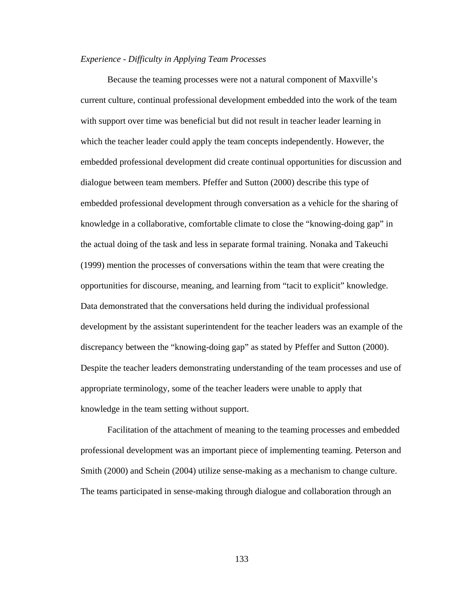#### *Experience - Difficulty in Applying Team Processes*

Because the teaming processes were not a natural component of Maxville's current culture, continual professional development embedded into the work of the team with support over time was beneficial but did not result in teacher leader learning in which the teacher leader could apply the team concepts independently. However, the embedded professional development did create continual opportunities for discussion and dialogue between team members. Pfeffer and Sutton (2000) describe this type of embedded professional development through conversation as a vehicle for the sharing of knowledge in a collaborative, comfortable climate to close the "knowing-doing gap" in the actual doing of the task and less in separate formal training. Nonaka and Takeuchi (1999) mention the processes of conversations within the team that were creating the opportunities for discourse, meaning, and learning from "tacit to explicit" knowledge. Data demonstrated that the conversations held during the individual professional development by the assistant superintendent for the teacher leaders was an example of the discrepancy between the "knowing-doing gap" as stated by Pfeffer and Sutton (2000). Despite the teacher leaders demonstrating understanding of the team processes and use of appropriate terminology, some of the teacher leaders were unable to apply that knowledge in the team setting without support.

Facilitation of the attachment of meaning to the teaming processes and embedded professional development was an important piece of implementing teaming. Peterson and Smith (2000) and Schein (2004) utilize sense-making as a mechanism to change culture. The teams participated in sense-making through dialogue and collaboration through an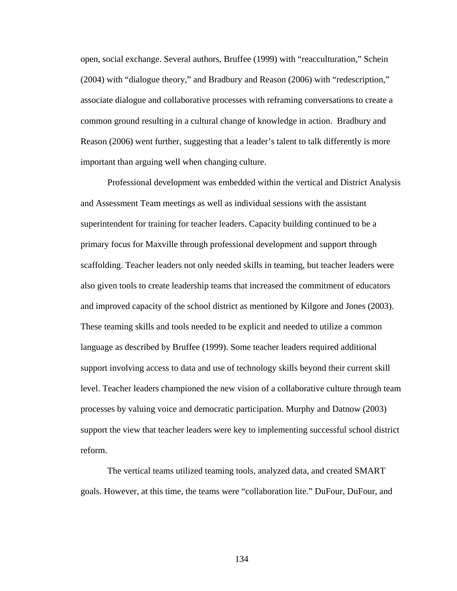open, social exchange. Several authors, Bruffee (1999) with "reacculturation," Schein (2004) with "dialogue theory," and Bradbury and Reason (2006) with "redescription," associate dialogue and collaborative processes with reframing conversations to create a common ground resulting in a cultural change of knowledge in action. Bradbury and Reason (2006) went further, suggesting that a leader's talent to talk differently is more important than arguing well when changing culture.

Professional development was embedded within the vertical and District Analysis and Assessment Team meetings as well as individual sessions with the assistant superintendent for training for teacher leaders. Capacity building continued to be a primary focus for Maxville through professional development and support through scaffolding. Teacher leaders not only needed skills in teaming, but teacher leaders were also given tools to create leadership teams that increased the commitment of educators and improved capacity of the school district as mentioned by Kilgore and Jones (2003). These teaming skills and tools needed to be explicit and needed to utilize a common language as described by Bruffee (1999). Some teacher leaders required additional support involving access to data and use of technology skills beyond their current skill level. Teacher leaders championed the new vision of a collaborative culture through team processes by valuing voice and democratic participation. Murphy and Datnow (2003) support the view that teacher leaders were key to implementing successful school district reform.

The vertical teams utilized teaming tools, analyzed data, and created SMART goals. However, at this time, the teams were "collaboration lite." DuFour, DuFour, and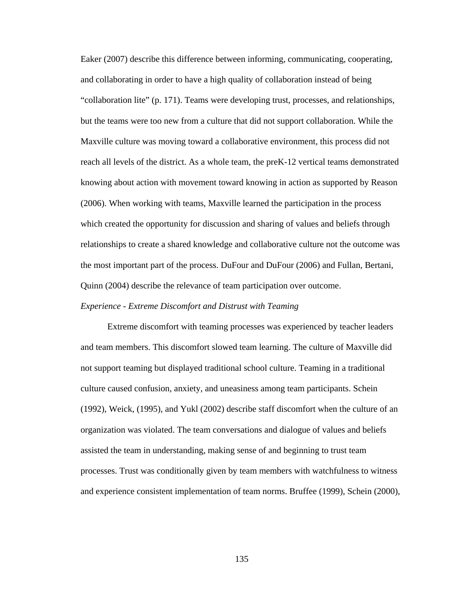Eaker (2007) describe this difference between informing, communicating, cooperating, and collaborating in order to have a high quality of collaboration instead of being "collaboration lite" (p. 171). Teams were developing trust, processes, and relationships, but the teams were too new from a culture that did not support collaboration. While the Maxville culture was moving toward a collaborative environment, this process did not reach all levels of the district. As a whole team, the preK-12 vertical teams demonstrated knowing about action with movement toward knowing in action as supported by Reason (2006). When working with teams, Maxville learned the participation in the process which created the opportunity for discussion and sharing of values and beliefs through relationships to create a shared knowledge and collaborative culture not the outcome was the most important part of the process. DuFour and DuFour (2006) and Fullan, Bertani, Quinn (2004) describe the relevance of team participation over outcome.

### *Experience - Extreme Discomfort and Distrust with Teaming*

Extreme discomfort with teaming processes was experienced by teacher leaders and team members. This discomfort slowed team learning. The culture of Maxville did not support teaming but displayed traditional school culture. Teaming in a traditional culture caused confusion, anxiety, and uneasiness among team participants. Schein (1992), Weick, (1995), and Yukl (2002) describe staff discomfort when the culture of an organization was violated. The team conversations and dialogue of values and beliefs assisted the team in understanding, making sense of and beginning to trust team processes. Trust was conditionally given by team members with watchfulness to witness and experience consistent implementation of team norms. Bruffee (1999), Schein (2000),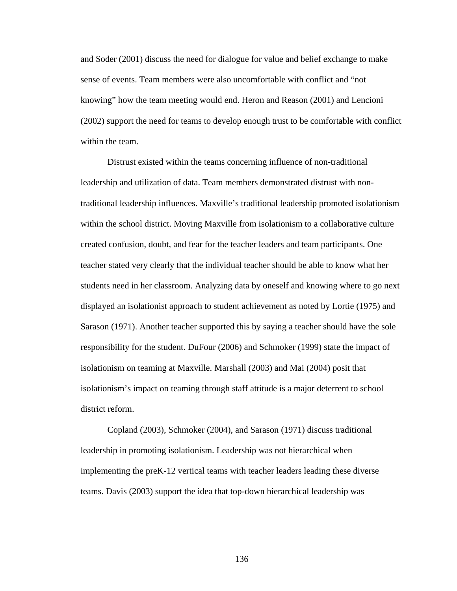and Soder (2001) discuss the need for dialogue for value and belief exchange to make sense of events. Team members were also uncomfortable with conflict and "not knowing" how the team meeting would end. Heron and Reason (2001) and Lencioni (2002) support the need for teams to develop enough trust to be comfortable with conflict within the team.

Distrust existed within the teams concerning influence of non-traditional leadership and utilization of data. Team members demonstrated distrust with nontraditional leadership influences. Maxville's traditional leadership promoted isolationism within the school district. Moving Maxville from isolationism to a collaborative culture created confusion, doubt, and fear for the teacher leaders and team participants. One teacher stated very clearly that the individual teacher should be able to know what her students need in her classroom. Analyzing data by oneself and knowing where to go next displayed an isolationist approach to student achievement as noted by Lortie (1975) and Sarason (1971). Another teacher supported this by saying a teacher should have the sole responsibility for the student. DuFour (2006) and Schmoker (1999) state the impact of isolationism on teaming at Maxville. Marshall (2003) and Mai (2004) posit that isolationism's impact on teaming through staff attitude is a major deterrent to school district reform.

Copland (2003), Schmoker (2004), and Sarason (1971) discuss traditional leadership in promoting isolationism. Leadership was not hierarchical when implementing the preK-12 vertical teams with teacher leaders leading these diverse teams. Davis (2003) support the idea that top-down hierarchical leadership was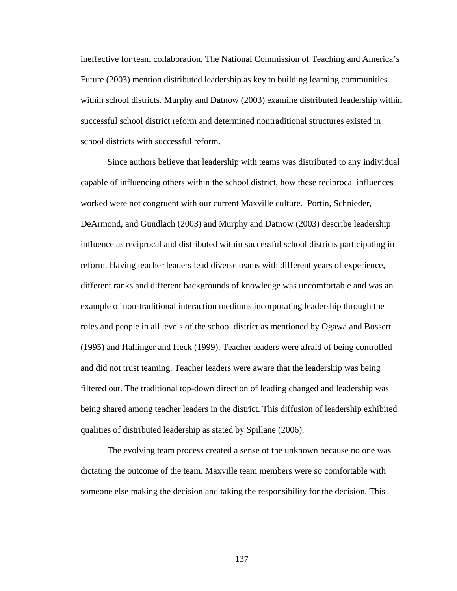ineffective for team collaboration. The National Commission of Teaching and America's Future (2003) mention distributed leadership as key to building learning communities within school districts. Murphy and Datnow (2003) examine distributed leadership within successful school district reform and determined nontraditional structures existed in school districts with successful reform.

Since authors believe that leadership with teams was distributed to any individual capable of influencing others within the school district, how these reciprocal influences worked were not congruent with our current Maxville culture. Portin, Schnieder, DeArmond, and Gundlach (2003) and Murphy and Datnow (2003) describe leadership influence as reciprocal and distributed within successful school districts participating in reform. Having teacher leaders lead diverse teams with different years of experience, different ranks and different backgrounds of knowledge was uncomfortable and was an example of non-traditional interaction mediums incorporating leadership through the roles and people in all levels of the school district as mentioned by Ogawa and Bossert (1995) and Hallinger and Heck (1999). Teacher leaders were afraid of being controlled and did not trust teaming. Teacher leaders were aware that the leadership was being filtered out. The traditional top-down direction of leading changed and leadership was being shared among teacher leaders in the district. This diffusion of leadership exhibited qualities of distributed leadership as stated by Spillane (2006).

The evolving team process created a sense of the unknown because no one was dictating the outcome of the team. Maxville team members were so comfortable with someone else making the decision and taking the responsibility for the decision. This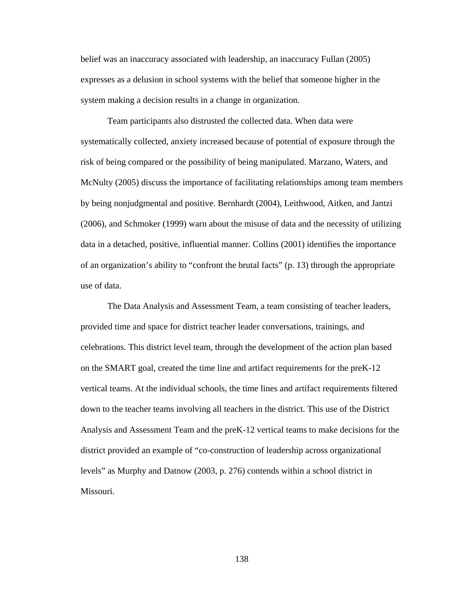belief was an inaccuracy associated with leadership, an inaccuracy Fullan (2005) expresses as a delusion in school systems with the belief that someone higher in the system making a decision results in a change in organization.

Team participants also distrusted the collected data. When data were systematically collected, anxiety increased because of potential of exposure through the risk of being compared or the possibility of being manipulated. Marzano, Waters, and McNulty (2005) discuss the importance of facilitating relationships among team members by being nonjudgmental and positive. Bernhardt (2004), Leithwood, Aitken, and Jantzi (2006), and Schmoker (1999) warn about the misuse of data and the necessity of utilizing data in a detached, positive, influential manner. Collins (2001) identifies the importance of an organization's ability to "confront the brutal facts" (p. 13) through the appropriate use of data.

 The Data Analysis and Assessment Team, a team consisting of teacher leaders, provided time and space for district teacher leader conversations, trainings, and celebrations. This district level team, through the development of the action plan based on the SMART goal, created the time line and artifact requirements for the preK-12 vertical teams. At the individual schools, the time lines and artifact requirements filtered down to the teacher teams involving all teachers in the district. This use of the District Analysis and Assessment Team and the preK-12 vertical teams to make decisions for the district provided an example of "co-construction of leadership across organizational levels" as Murphy and Datnow (2003, p. 276) contends within a school district in Missouri.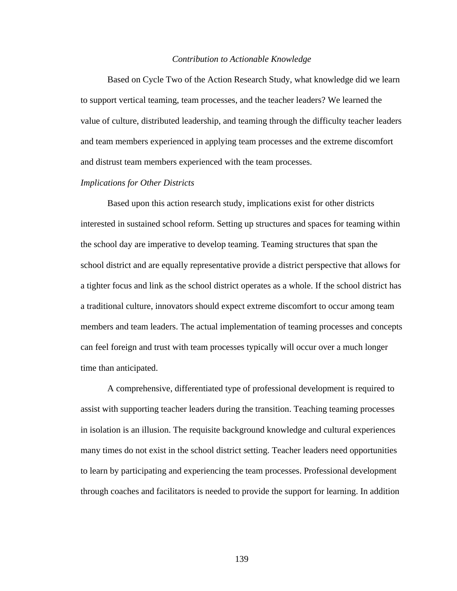#### *Contribution to Actionable Knowledge*

Based on Cycle Two of the Action Research Study, what knowledge did we learn to support vertical teaming, team processes, and the teacher leaders? We learned the value of culture, distributed leadership, and teaming through the difficulty teacher leaders and team members experienced in applying team processes and the extreme discomfort and distrust team members experienced with the team processes.

### *Implications for Other Districts*

Based upon this action research study, implications exist for other districts interested in sustained school reform. Setting up structures and spaces for teaming within the school day are imperative to develop teaming. Teaming structures that span the school district and are equally representative provide a district perspective that allows for a tighter focus and link as the school district operates as a whole. If the school district has a traditional culture, innovators should expect extreme discomfort to occur among team members and team leaders. The actual implementation of teaming processes and concepts can feel foreign and trust with team processes typically will occur over a much longer time than anticipated.

A comprehensive, differentiated type of professional development is required to assist with supporting teacher leaders during the transition. Teaching teaming processes in isolation is an illusion. The requisite background knowledge and cultural experiences many times do not exist in the school district setting. Teacher leaders need opportunities to learn by participating and experiencing the team processes. Professional development through coaches and facilitators is needed to provide the support for learning. In addition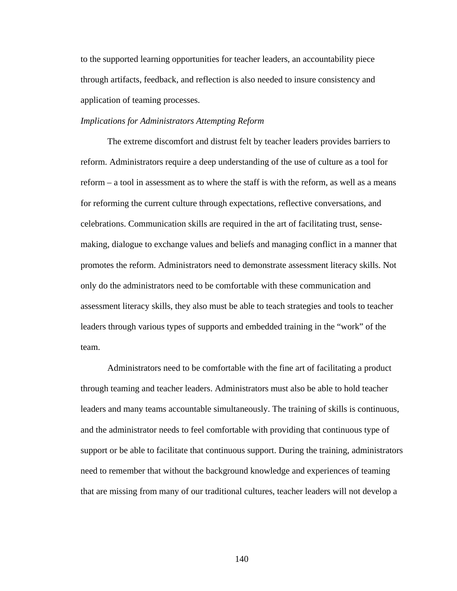to the supported learning opportunities for teacher leaders, an accountability piece through artifacts, feedback, and reflection is also needed to insure consistency and application of teaming processes.

#### *Implications for Administrators Attempting Reform*

 The extreme discomfort and distrust felt by teacher leaders provides barriers to reform. Administrators require a deep understanding of the use of culture as a tool for reform – a tool in assessment as to where the staff is with the reform, as well as a means for reforming the current culture through expectations, reflective conversations, and celebrations. Communication skills are required in the art of facilitating trust, sensemaking, dialogue to exchange values and beliefs and managing conflict in a manner that promotes the reform. Administrators need to demonstrate assessment literacy skills. Not only do the administrators need to be comfortable with these communication and assessment literacy skills, they also must be able to teach strategies and tools to teacher leaders through various types of supports and embedded training in the "work" of the team.

Administrators need to be comfortable with the fine art of facilitating a product through teaming and teacher leaders. Administrators must also be able to hold teacher leaders and many teams accountable simultaneously. The training of skills is continuous, and the administrator needs to feel comfortable with providing that continuous type of support or be able to facilitate that continuous support. During the training, administrators need to remember that without the background knowledge and experiences of teaming that are missing from many of our traditional cultures, teacher leaders will not develop a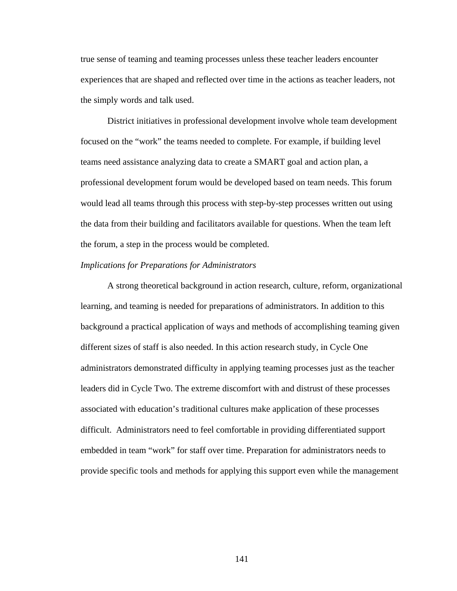true sense of teaming and teaming processes unless these teacher leaders encounter experiences that are shaped and reflected over time in the actions as teacher leaders, not the simply words and talk used.

District initiatives in professional development involve whole team development focused on the "work" the teams needed to complete. For example, if building level teams need assistance analyzing data to create a SMART goal and action plan, a professional development forum would be developed based on team needs. This forum would lead all teams through this process with step-by-step processes written out using the data from their building and facilitators available for questions. When the team left the forum, a step in the process would be completed.

#### *Implications for Preparations for Administrators*

 A strong theoretical background in action research, culture, reform, organizational learning, and teaming is needed for preparations of administrators. In addition to this background a practical application of ways and methods of accomplishing teaming given different sizes of staff is also needed. In this action research study, in Cycle One administrators demonstrated difficulty in applying teaming processes just as the teacher leaders did in Cycle Two. The extreme discomfort with and distrust of these processes associated with education's traditional cultures make application of these processes difficult. Administrators need to feel comfortable in providing differentiated support embedded in team "work" for staff over time. Preparation for administrators needs to provide specific tools and methods for applying this support even while the management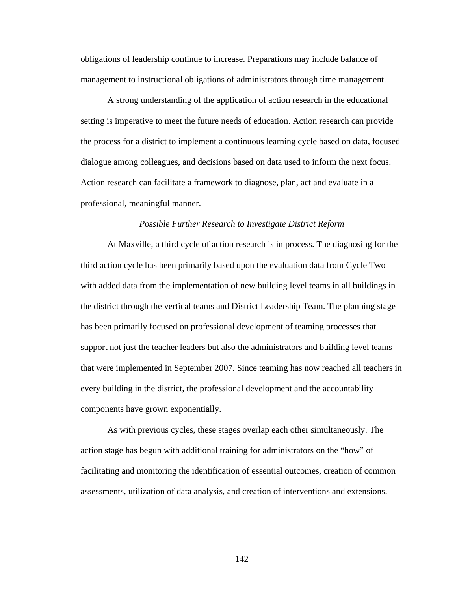obligations of leadership continue to increase. Preparations may include balance of management to instructional obligations of administrators through time management.

 A strong understanding of the application of action research in the educational setting is imperative to meet the future needs of education. Action research can provide the process for a district to implement a continuous learning cycle based on data, focused dialogue among colleagues, and decisions based on data used to inform the next focus. Action research can facilitate a framework to diagnose, plan, act and evaluate in a professional, meaningful manner.

#### *Possible Further Research to Investigate District Reform*

 At Maxville, a third cycle of action research is in process. The diagnosing for the third action cycle has been primarily based upon the evaluation data from Cycle Two with added data from the implementation of new building level teams in all buildings in the district through the vertical teams and District Leadership Team. The planning stage has been primarily focused on professional development of teaming processes that support not just the teacher leaders but also the administrators and building level teams that were implemented in September 2007. Since teaming has now reached all teachers in every building in the district, the professional development and the accountability components have grown exponentially.

As with previous cycles, these stages overlap each other simultaneously. The action stage has begun with additional training for administrators on the "how" of facilitating and monitoring the identification of essential outcomes, creation of common assessments, utilization of data analysis, and creation of interventions and extensions.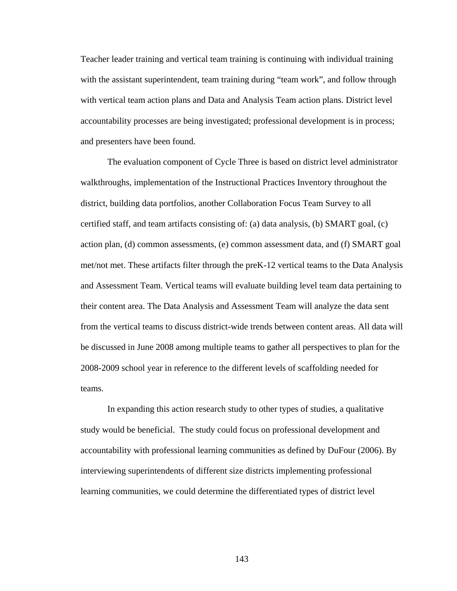Teacher leader training and vertical team training is continuing with individual training with the assistant superintendent, team training during "team work", and follow through with vertical team action plans and Data and Analysis Team action plans. District level accountability processes are being investigated; professional development is in process; and presenters have been found.

The evaluation component of Cycle Three is based on district level administrator walkthroughs, implementation of the Instructional Practices Inventory throughout the district, building data portfolios, another Collaboration Focus Team Survey to all certified staff, and team artifacts consisting of: (a) data analysis, (b) SMART goal, (c) action plan, (d) common assessments, (e) common assessment data, and (f) SMART goal met/not met. These artifacts filter through the preK-12 vertical teams to the Data Analysis and Assessment Team. Vertical teams will evaluate building level team data pertaining to their content area. The Data Analysis and Assessment Team will analyze the data sent from the vertical teams to discuss district-wide trends between content areas. All data will be discussed in June 2008 among multiple teams to gather all perspectives to plan for the 2008-2009 school year in reference to the different levels of scaffolding needed for teams.

 In expanding this action research study to other types of studies, a qualitative study would be beneficial. The study could focus on professional development and accountability with professional learning communities as defined by DuFour (2006). By interviewing superintendents of different size districts implementing professional learning communities, we could determine the differentiated types of district level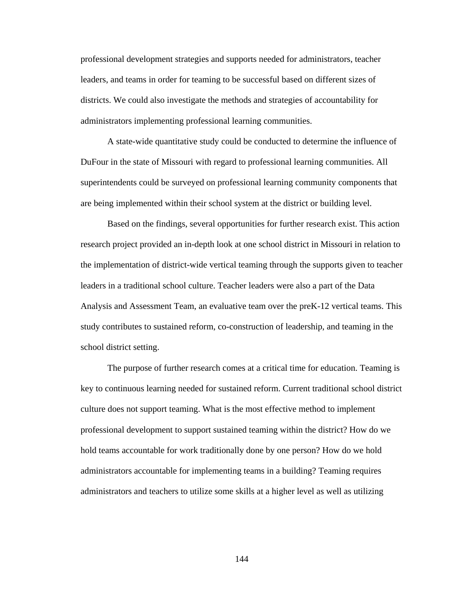professional development strategies and supports needed for administrators, teacher leaders, and teams in order for teaming to be successful based on different sizes of districts. We could also investigate the methods and strategies of accountability for administrators implementing professional learning communities.

 A state-wide quantitative study could be conducted to determine the influence of DuFour in the state of Missouri with regard to professional learning communities. All superintendents could be surveyed on professional learning community components that are being implemented within their school system at the district or building level.

 Based on the findings, several opportunities for further research exist. This action research project provided an in-depth look at one school district in Missouri in relation to the implementation of district-wide vertical teaming through the supports given to teacher leaders in a traditional school culture. Teacher leaders were also a part of the Data Analysis and Assessment Team, an evaluative team over the preK-12 vertical teams. This study contributes to sustained reform, co-construction of leadership, and teaming in the school district setting.

 The purpose of further research comes at a critical time for education. Teaming is key to continuous learning needed for sustained reform. Current traditional school district culture does not support teaming. What is the most effective method to implement professional development to support sustained teaming within the district? How do we hold teams accountable for work traditionally done by one person? How do we hold administrators accountable for implementing teams in a building? Teaming requires administrators and teachers to utilize some skills at a higher level as well as utilizing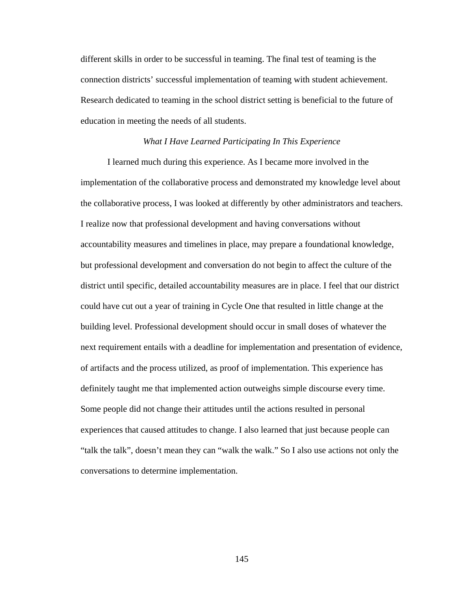different skills in order to be successful in teaming. The final test of teaming is the connection districts' successful implementation of teaming with student achievement. Research dedicated to teaming in the school district setting is beneficial to the future of education in meeting the needs of all students.

#### *What I Have Learned Participating In This Experience*

 I learned much during this experience. As I became more involved in the implementation of the collaborative process and demonstrated my knowledge level about the collaborative process, I was looked at differently by other administrators and teachers. I realize now that professional development and having conversations without accountability measures and timelines in place, may prepare a foundational knowledge, but professional development and conversation do not begin to affect the culture of the district until specific, detailed accountability measures are in place. I feel that our district could have cut out a year of training in Cycle One that resulted in little change at the building level. Professional development should occur in small doses of whatever the next requirement entails with a deadline for implementation and presentation of evidence, of artifacts and the process utilized, as proof of implementation. This experience has definitely taught me that implemented action outweighs simple discourse every time. Some people did not change their attitudes until the actions resulted in personal experiences that caused attitudes to change. I also learned that just because people can "talk the talk", doesn't mean they can "walk the walk." So I also use actions not only the conversations to determine implementation.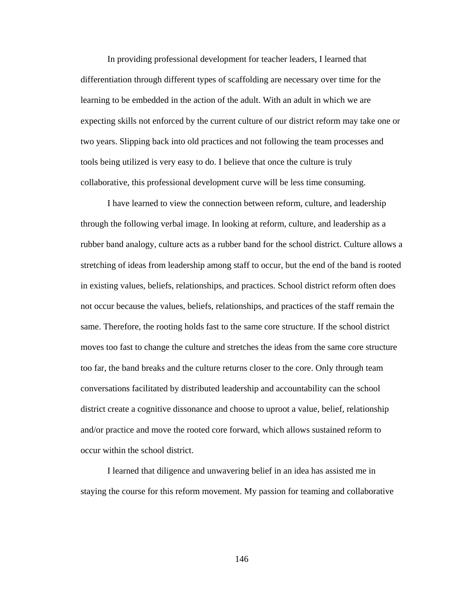In providing professional development for teacher leaders, I learned that differentiation through different types of scaffolding are necessary over time for the learning to be embedded in the action of the adult. With an adult in which we are expecting skills not enforced by the current culture of our district reform may take one or two years. Slipping back into old practices and not following the team processes and tools being utilized is very easy to do. I believe that once the culture is truly collaborative, this professional development curve will be less time consuming.

I have learned to view the connection between reform, culture, and leadership through the following verbal image. In looking at reform, culture, and leadership as a rubber band analogy, culture acts as a rubber band for the school district. Culture allows a stretching of ideas from leadership among staff to occur, but the end of the band is rooted in existing values, beliefs, relationships, and practices. School district reform often does not occur because the values, beliefs, relationships, and practices of the staff remain the same. Therefore, the rooting holds fast to the same core structure. If the school district moves too fast to change the culture and stretches the ideas from the same core structure too far, the band breaks and the culture returns closer to the core. Only through team conversations facilitated by distributed leadership and accountability can the school district create a cognitive dissonance and choose to uproot a value, belief, relationship and/or practice and move the rooted core forward, which allows sustained reform to occur within the school district.

I learned that diligence and unwavering belief in an idea has assisted me in staying the course for this reform movement. My passion for teaming and collaborative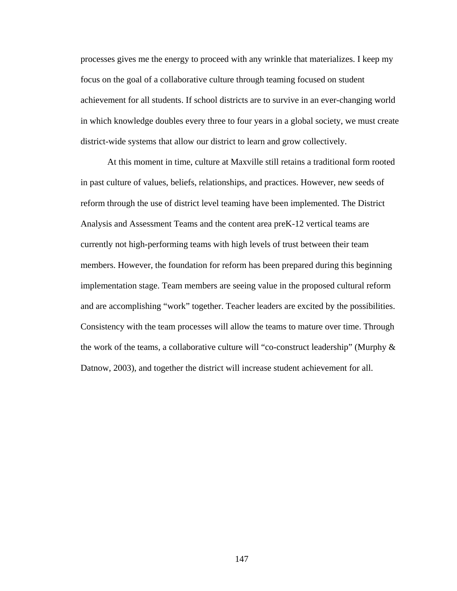processes gives me the energy to proceed with any wrinkle that materializes. I keep my focus on the goal of a collaborative culture through teaming focused on student achievement for all students. If school districts are to survive in an ever-changing world in which knowledge doubles every three to four years in a global society, we must create district-wide systems that allow our district to learn and grow collectively.

At this moment in time, culture at Maxville still retains a traditional form rooted in past culture of values, beliefs, relationships, and practices. However, new seeds of reform through the use of district level teaming have been implemented. The District Analysis and Assessment Teams and the content area preK-12 vertical teams are currently not high-performing teams with high levels of trust between their team members. However, the foundation for reform has been prepared during this beginning implementation stage. Team members are seeing value in the proposed cultural reform and are accomplishing "work" together. Teacher leaders are excited by the possibilities. Consistency with the team processes will allow the teams to mature over time. Through the work of the teams, a collaborative culture will "co-construct leadership" (Murphy & Datnow, 2003), and together the district will increase student achievement for all.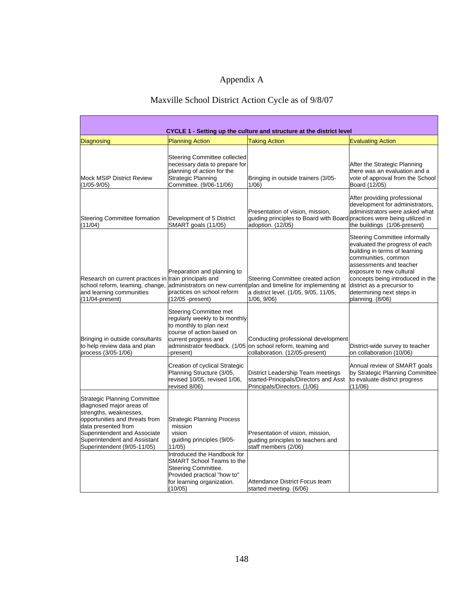# Appendix A

# Maxville School District Action Cycle as of 9/8/07

T,

f

|                                                                                                                                                                                                                                                   |                                                                                                                                                                                                          | CYCLE 1 - Setting up the culture and structure at the district level                                                                                             |                                                                                                                                                                                                                                                                                                   |
|---------------------------------------------------------------------------------------------------------------------------------------------------------------------------------------------------------------------------------------------------|----------------------------------------------------------------------------------------------------------------------------------------------------------------------------------------------------------|------------------------------------------------------------------------------------------------------------------------------------------------------------------|---------------------------------------------------------------------------------------------------------------------------------------------------------------------------------------------------------------------------------------------------------------------------------------------------|
| <b>Diagnosing</b>                                                                                                                                                                                                                                 | <b>Planning Action</b>                                                                                                                                                                                   | <b>Taking Action</b>                                                                                                                                             | <b>Evaluating Action</b>                                                                                                                                                                                                                                                                          |
| <b>Mock MSIP District Review</b><br>$(1/05 - 9/05)$                                                                                                                                                                                               | Steering Committee collected<br>necessary data to prepare for<br>planning of action for the<br>Strategic Planning<br>Committee. (9/06-11/06)                                                             | Bringing in outside trainers (3/05-<br>1/06)                                                                                                                     | After the Strategic Planning<br>there was an evaluation and a<br>vote of approval from the School<br>Board (12/05)                                                                                                                                                                                |
| Steering Committee formation<br>(11/04)                                                                                                                                                                                                           | Development of 5 District<br>SMART goals (11/05)                                                                                                                                                         | Presentation of vision, mission,<br>guiding principles to Board with Board<br>adoption. (12/05)                                                                  | After providing professional<br>development for administrators,<br>administrators were asked what<br>practices were being utilized in<br>the buildings (1/06-present)                                                                                                                             |
| Research on current practices in train principals and<br>school reform, teaming, change,<br>and learning communities<br>$(11/04$ -present)                                                                                                        | Preparation and planning to<br>practices on school reform<br>(12/05 -present)                                                                                                                            | Steering Committee created action<br>administrators on new current plan and timeline for implementing at<br>a district level. (1/05, 9/05, 11/05,<br>1/06, 9/06) | Steering Committee informally<br>evaluated the progress of each<br>building in terms of learning<br>communities, common<br>assessments and teacher<br>exposure to new cultural<br>concepts being introduced in the<br>district as a precursor to<br>determining next steps in<br>planning. (8/06) |
| Bringing in outside consultants<br>to help review data and plan<br>process (3/05-1/06)                                                                                                                                                            | Steering Committee met<br>regularly weekly to bi monthly<br>to monthly to plan next<br>course of action based on<br>current progress and<br>present)                                                     | Conducting professional development<br>administrator feedback. (1/05 on school reform, teaming and<br>collaboration. (12/05-present)                             | District-wide survey to teacher<br>on collaboration (10/06)                                                                                                                                                                                                                                       |
|                                                                                                                                                                                                                                                   | Creation of cyclical Strategic<br>Planning Structure (3/05,<br>revised 10/05, revised 1/06,<br>revised 8/06)                                                                                             | District Leadership Team meetings<br>started-Principals/Directors and Asst<br>Principals/Directors. (1/06)                                                       | Annual review of SMART goals<br>by Strategic Planning Committee<br>to evaluate district progress<br>(11/06)                                                                                                                                                                                       |
| <b>Strategic Planning Committee</b><br>diagnosed major areas of<br>strengths, weaknesses,<br>opportunities and threats from<br>data presented from<br>Superintendent and Associate<br>Superintendent and Assistant<br>Superintendent (9/05-11/05) | Strategic Planning Process<br>mission<br>vision<br>guiding principles (9/05-<br>11/05)<br>Introduced the Handbook for<br>SMART School Teams to the<br>Steering Committee.<br>Provided practical "how to" | Presentation of vision, mission,<br>guiding principles to teachers and<br>staff members (2/06)                                                                   |                                                                                                                                                                                                                                                                                                   |
|                                                                                                                                                                                                                                                   | for learning organization.<br>(10/05)                                                                                                                                                                    | Attendance District Focus team<br>started meeting. (6/06)                                                                                                        |                                                                                                                                                                                                                                                                                                   |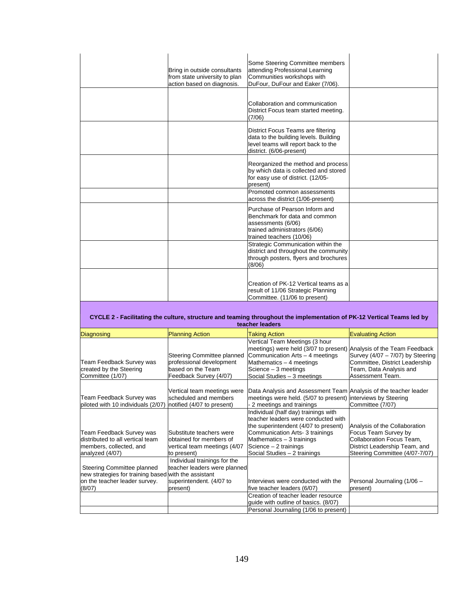| Bring in outside consultants<br>from state university to plan<br>action based on diagnosis. | Some Steering Committee members<br>attending Professional Learning<br>Communities workshops with<br>DuFour, DuFour and Eaker (7/06).               |  |
|---------------------------------------------------------------------------------------------|----------------------------------------------------------------------------------------------------------------------------------------------------|--|
|                                                                                             | Collaboration and communication<br>District Focus team started meeting.<br>(7/06)                                                                  |  |
|                                                                                             | District Focus Teams are filtering<br>data to the building levels. Building<br>level teams will report back to the<br>district. (6/06-present)     |  |
|                                                                                             | Reorganized the method and process<br>by which data is collected and stored<br>for easy use of district. (12/05-<br>present)                       |  |
|                                                                                             | Promoted common assessments<br>across the district (1/06-present)                                                                                  |  |
|                                                                                             | Purchase of Pearson Inform and<br>Benchmark for data and common<br>assessments (6/06)<br>trained administrators (6/06)<br>trained teachers (10/06) |  |
|                                                                                             | Strategic Communication within the<br>district and throughout the community<br>through posters, flyers and brochures<br>(8/06)                     |  |
|                                                                                             | Creation of PK-12 Vertical teams as a<br>result of 11/06 Strategic Planning<br>Committee. (11/06 to present)                                       |  |

|  | CYCLE 2 - Facilitating the culture, structure and teaming throughout the implementation of PK-12 Vertical Teams led by |  |  |
|--|------------------------------------------------------------------------------------------------------------------------|--|--|
|--|------------------------------------------------------------------------------------------------------------------------|--|--|

| teacher leaders                                                                                                               |                                                                                                       |                                                                                                                                                                                                                                               |                                                                                                                                                       |  |  |  |
|-------------------------------------------------------------------------------------------------------------------------------|-------------------------------------------------------------------------------------------------------|-----------------------------------------------------------------------------------------------------------------------------------------------------------------------------------------------------------------------------------------------|-------------------------------------------------------------------------------------------------------------------------------------------------------|--|--|--|
| <b>Diagnosing</b>                                                                                                             | <b>Planning Action</b>                                                                                | <b>Taking Action</b>                                                                                                                                                                                                                          | <b>Evaluating Action</b>                                                                                                                              |  |  |  |
| Team Feedback Survey was<br>created by the Steering<br>Committee (1/07)                                                       | Steering Committee planned<br>professional development<br>based on the Team<br>Feedback Survey (4/07) | Vertical Team Meetings (3 hour<br>meetings) were held (3/07 to present)<br>Communication Arts - 4 meetings<br>Mathematics - 4 meetings<br>Science - 3 meetings<br>Social Studies - 3 meetings                                                 | Analysis of the Team Feedback<br>Survey $(4/07 - 7/07)$ by Steering<br>Committee, District Leadership<br>Team, Data Analysis and<br>Assessment Team.  |  |  |  |
| Team Feedback Survey was<br>piloted with 10 individuals (2/07)                                                                | Vertical team meetings were<br>scheduled and members<br>notified (4/07 to present)                    | Data Analysis and Assessment Team Analysis of the teacher leader<br>meetings were held. (5/07 to present) linterviews by Steering<br>2 meetings and trainings                                                                                 | Committee (7/07)                                                                                                                                      |  |  |  |
| Team Feedback Survey was<br>distributed to all vertical team<br>members, collected, and<br>analyzed (4/07)                    | Substitute teachers were<br>obtained for members of<br>vertical team meetings (4/07<br>to present)    | Individual (half day) trainings with<br>teacher leaders were conducted with<br>the superintendent (4/07 to present)<br>Communication Arts- 3 trainings<br>Mathematics - 3 trainings<br>Science $-2$ trainings<br>Social Studies - 2 trainings | Analysis of the Collaboration<br>Focus Team Survey by<br>Collaboration Focus Team,<br>District Leadership Team, and<br>Steering Committee (4/07-7/07) |  |  |  |
| Steering Committee planned<br>new strategies for training based with the assistant<br>on the teacher leader survey.<br>(8/07) | Individual trainings for the<br>teacher leaders were planned<br>superintendent. (4/07 to<br>present)  | Interviews were conducted with the<br>five teacher leaders (6/07)<br>Creation of teacher leader resource                                                                                                                                      | Personal Journaling (1/06 -<br>present)                                                                                                               |  |  |  |
|                                                                                                                               |                                                                                                       | quide with outline of basics. (8/07)<br>Personal Journaling (1/06 to present)                                                                                                                                                                 |                                                                                                                                                       |  |  |  |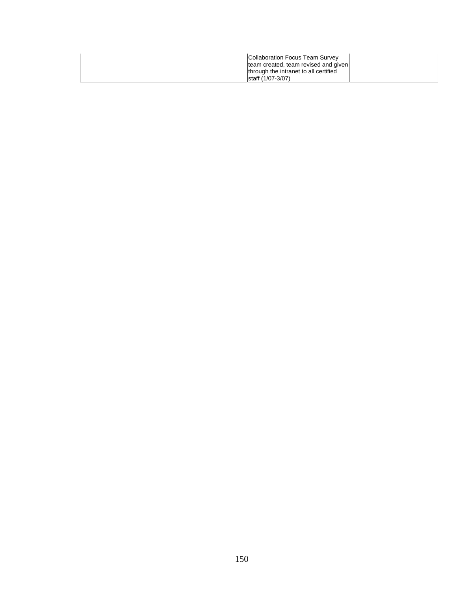| Collaboration Focus Team Survey<br>team created, team revised and given |  |
|-------------------------------------------------------------------------|--|
| through the intranet to all certified                                   |  |
| staff (1/07-3/07)                                                       |  |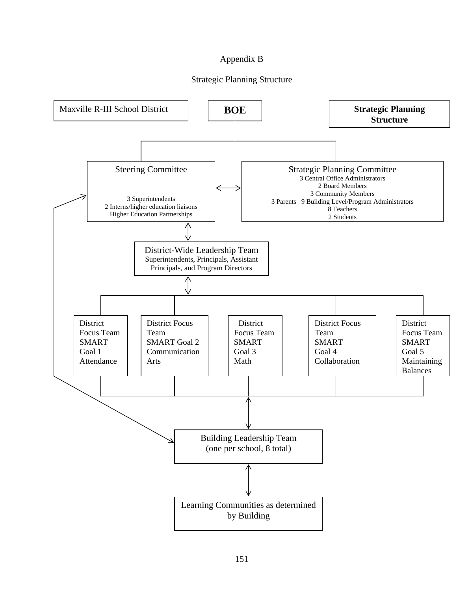### Appendix B

### Strategic Planning Structure

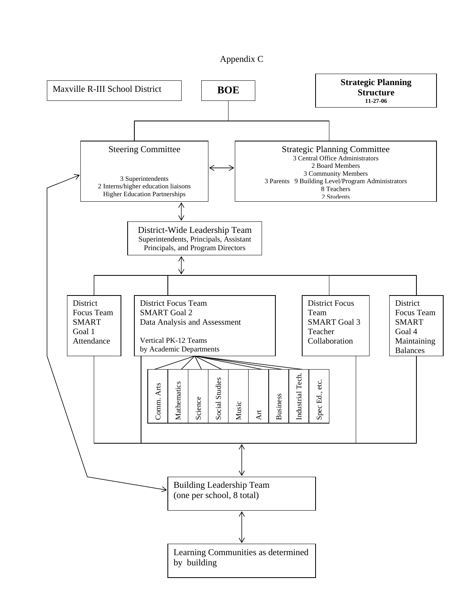

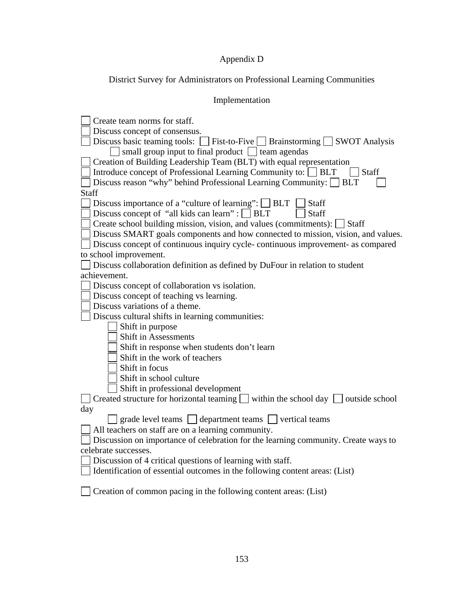# Appendix D

District Survey for Administrators on Professional Learning Communities

### Implementation

| Create team norms for staff.                                                                       |
|----------------------------------------------------------------------------------------------------|
| Discuss concept of consensus.                                                                      |
| Discuss basic teaming tools: Fist-to-Five Brainstorming SWOT Analysis                              |
| $\vert$ small group input to final product $\vert \vert$ team agendas                              |
| Creation of Building Leadership Team (BLT) with equal representation                               |
| Introduce concept of Professional Learning Community to: BLT<br><b>Staff</b>                       |
| Discuss reason "why" behind Professional Learning Community: BLT                                   |
| <b>Staff</b>                                                                                       |
| Discuss importance of a "culture of learning": $\Box$ BLT<br><b>Staff</b>                          |
| Discuss concept of "all kids can learn" : □ BLT<br>Staff                                           |
| Create school building mission, vision, and values (commitments): $\Box$ Staff                     |
| Discuss SMART goals components and how connected to mission, vision, and values.                   |
| Discuss concept of continuous inquiry cycle-continuous improvement- as compared                    |
| to school improvement.                                                                             |
| Discuss collaboration definition as defined by DuFour in relation to student                       |
| achievement.                                                                                       |
| Discuss concept of collaboration vs isolation.                                                     |
| Discuss concept of teaching vs learning.                                                           |
| Discuss variations of a theme.                                                                     |
| Discuss cultural shifts in learning communities:                                                   |
| Shift in purpose                                                                                   |
| <b>Shift in Assessments</b>                                                                        |
| Shift in response when students don't learn                                                        |
| Shift in the work of teachers                                                                      |
| Shift in focus                                                                                     |
| Shift in school culture                                                                            |
| Shift in professional development                                                                  |
| $\Box$ Created structure for horizontal teaming $\Box$ within the school day $\Box$ outside school |
| day                                                                                                |
| grade level teams   department teams   vertical teams                                              |
| All teachers on staff are on a learning community.                                                 |
| Discussion on importance of celebration for the learning community. Create ways to                 |
| celebrate successes.<br>Discussion of 4 critical questions of learning with staff.                 |
| Identification of essential outcomes in the following content areas: (List)                        |
|                                                                                                    |
| Creation of common pacing in the following content areas: (List)                                   |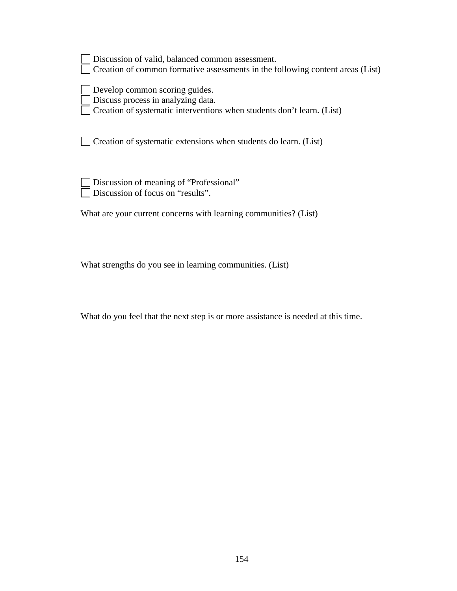| Discussion of valid, balanced common assessment.                                      |
|---------------------------------------------------------------------------------------|
| $\Box$ Creation of common formative assessments in the following content areas (List) |

| Develop common scoring guides. |  |
|--------------------------------|--|

Discuss process in analyzing data.

Creation of systematic interventions when students don't learn. (List)

Creation of systematic extensions when students do learn. (List)

 Discussion of meaning of "Professional" Discussion of focus on "results".

What are your current concerns with learning communities? (List)

What strengths do you see in learning communities. (List)

What do you feel that the next step is or more assistance is needed at this time.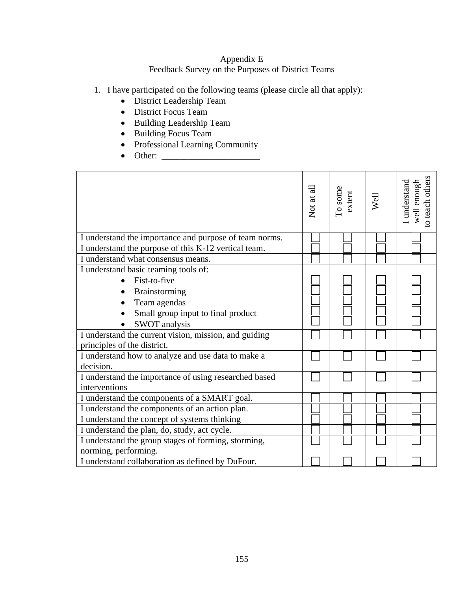### Appendix E Feedback Survey on the Purposes of District Teams

- 1. I have participated on the following teams (please circle all that apply):
	- District Leadership Team
	- District Focus Team
	- Building Leadership Team
	- Building Focus Team
	- Professional Learning Community
	- Other: \_\_\_\_\_\_\_\_\_\_\_\_\_\_\_\_\_\_\_\_\_\_

|                                                        | Not at all | To some extent | Well | to teach others<br>I understand<br>well enough |
|--------------------------------------------------------|------------|----------------|------|------------------------------------------------|
| I understand the importance and purpose of team norms. |            |                |      |                                                |
| I understand the purpose of this K-12 vertical team.   |            |                |      |                                                |
| I understand what consensus means.                     |            |                |      |                                                |
| I understand basic teaming tools of:                   |            |                |      |                                                |
| Fist-to-five<br>$\bullet$                              |            |                |      |                                                |
| Brainstorming                                          |            |                |      |                                                |
| Team agendas                                           |            |                |      |                                                |
| Small group input to final product                     |            |                |      |                                                |
| <b>SWOT</b> analysis                                   |            |                |      |                                                |
| I understand the current vision, mission, and guiding  |            |                |      |                                                |
| principles of the district.                            |            |                |      |                                                |
| I understand how to analyze and use data to make a     |            |                |      |                                                |
| decision.                                              |            |                |      |                                                |
| I understand the importance of using researched based  |            |                |      |                                                |
| interventions                                          |            |                |      |                                                |
| I understand the components of a SMART goal.           |            |                |      |                                                |
| I understand the components of an action plan.         |            |                |      |                                                |
| I understand the concept of systems thinking           |            |                |      |                                                |
| I understand the plan, do, study, act cycle.           |            |                |      |                                                |
| I understand the group stages of forming, storming,    |            |                |      |                                                |
| norming, performing.                                   |            |                |      |                                                |
| I understand collaboration as defined by DuFour.       |            |                |      |                                                |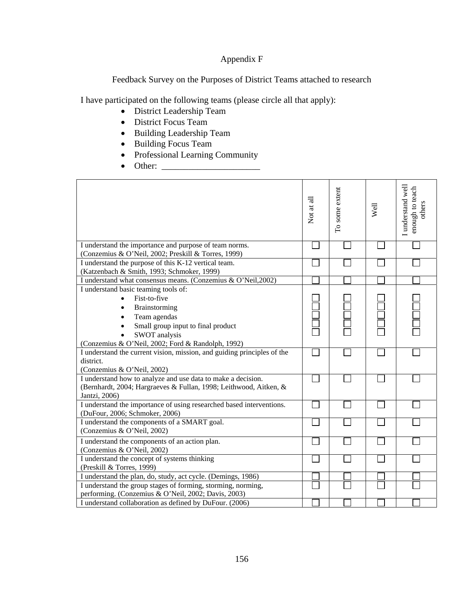### Appendix F

Feedback Survey on the Purposes of District Teams attached to research

I have participated on the following teams (please circle all that apply):

- District Leadership Team
- District Focus Team
- Building Leadership Team
- Building Focus Team
- Professional Learning Community
- Other: \_\_\_\_\_\_\_\_\_\_\_\_\_\_\_\_\_\_\_\_\_\_

|                                                                                                                                                    | Not at all | To some extent | Well | I understand well<br>enough to teach<br>others |
|----------------------------------------------------------------------------------------------------------------------------------------------------|------------|----------------|------|------------------------------------------------|
| I understand the importance and purpose of team norms.<br>(Conzemius & O'Neil, 2002; Preskill & Torres, 1999)                                      |            |                |      |                                                |
| I understand the purpose of this K-12 vertical team.<br>(Katzenbach & Smith, 1993; Schmoker, 1999)                                                 |            |                |      |                                                |
| I understand what consensus means. (Conzemius & O'Neil, 2002)                                                                                      |            |                |      |                                                |
| I understand basic teaming tools of:                                                                                                               |            |                |      |                                                |
| Fist-to-five<br>$\bullet$                                                                                                                          |            |                |      |                                                |
| Brainstorming                                                                                                                                      |            |                |      |                                                |
| Team agendas                                                                                                                                       |            |                |      |                                                |
| Small group input to final product                                                                                                                 |            |                |      |                                                |
| SWOT analysis                                                                                                                                      |            |                |      |                                                |
| (Conzemius & O'Neil, 2002; Ford & Randolph, 1992)                                                                                                  |            |                |      |                                                |
| I understand the current vision, mission, and guiding principles of the                                                                            |            |                |      |                                                |
| district.                                                                                                                                          |            |                |      |                                                |
| (Conzemius & O'Neil, 2002)                                                                                                                         |            |                |      |                                                |
| I understand how to analyze and use data to make a decision.<br>(Bernhardt, 2004; Hargraeves & Fullan, 1998; Leithwood, Aitken, &<br>Jantzi, 2006) |            |                |      |                                                |
| I understand the importance of using researched based interventions.<br>(DuFour, 2006; Schmoker, 2006)                                             |            |                |      |                                                |
| I understand the components of a SMART goal.<br>(Conzemius & O'Neil, 2002)                                                                         |            |                |      |                                                |
| I understand the components of an action plan.<br>(Conzemius & O'Neil, 2002)                                                                       |            |                |      |                                                |
| I understand the concept of systems thinking<br>(Preskill & Torres, 1999)                                                                          |            |                |      |                                                |
| I understand the plan, do, study, act cycle. (Demings, 1986)                                                                                       |            |                |      |                                                |
| I understand the group stages of forming, storming, norming,                                                                                       |            |                |      |                                                |
| performing. (Conzemius & O'Neil, 2002; Davis, 2003)                                                                                                |            |                |      |                                                |
| I understand collaboration as defined by DuFour. (2006)                                                                                            |            |                |      |                                                |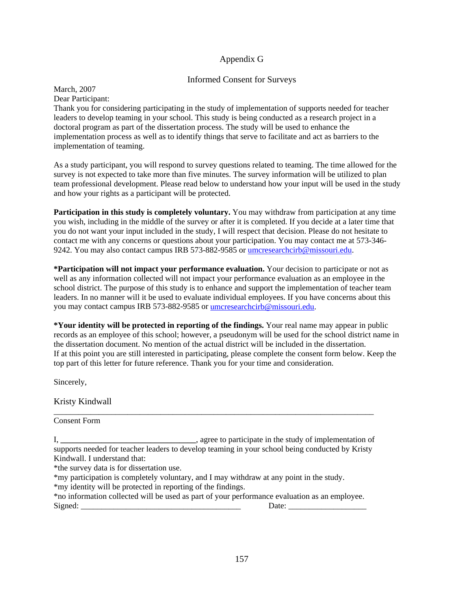### Appendix G

### Informed Consent for Surveys

March, 2007 Dear Participant:

Thank you for considering participating in the study of implementation of supports needed for teacher leaders to develop teaming in your school. This study is being conducted as a research project in a doctoral program as part of the dissertation process. The study will be used to enhance the implementation process as well as to identify things that serve to facilitate and act as barriers to the implementation of teaming.

As a study participant, you will respond to survey questions related to teaming. The time allowed for the survey is not expected to take more than five minutes. The survey information will be utilized to plan team professional development. Please read below to understand how your input will be used in the study and how your rights as a participant will be protected.

**Participation in this study is completely voluntary.** You may withdraw from participation at any time you wish, including in the middle of the survey or after it is completed. If you decide at a later time that you do not want your input included in the study, I will respect that decision. Please do not hesitate to contact me with any concerns or questions about your participation. You may contact me at 573-346- 9242. You may also contact campus IRB 573-882-9585 or [umcresearchcirb@missouri.edu.](mailto:umcresearchcirb@missouri.edu)

**\*Participation will not impact your performance evaluation.** Your decision to participate or not as well as any information collected will not impact your performance evaluation as an employee in the school district. The purpose of this study is to enhance and support the implementation of teacher team leaders. In no manner will it be used to evaluate individual employees. If you have concerns about this you may contact campus IRB 573-882-9585 or [umcresearchcirb@missouri.edu](mailto:umcresearchcirb@missouri.edu).

**\*Your identity will be protected in reporting of the findings.** Your real name may appear in public records as an employee of this school; however, a pseudonym will be used for the school district name in the dissertation document. No mention of the actual district will be included in the dissertation. If at this point you are still interested in participating, please complete the consent form below. Keep the top part of this letter for future reference. Thank you for your time and consideration.

Sincerely,

Kristy Kindwall

Consent Form

I, **\_\_\_\_\_\_\_\_\_\_\_\_\_\_\_\_\_\_\_\_\_\_\_\_\_\_\_\_\_\_\_\_\_**, agree to participate in the study of implementation of supports needed for teacher leaders to develop teaming in your school being conducted by Kristy Kindwall. I understand that:

\_\_\_\_\_\_\_\_\_\_\_\_\_\_\_\_\_\_\_\_\_\_\_\_\_\_\_\_\_\_\_\_\_\_\_\_\_\_\_\_\_\_\_\_\_\_\_\_\_\_\_\_\_\_\_\_\_\_\_\_\_\_\_\_\_\_\_\_\_\_\_\_\_\_\_\_\_\_

\*the survey data is for dissertation use.

\*my participation is completely voluntary, and I may withdraw at any point in the study. \*my identity will be protected in reporting of the findings.

\*no information collected will be used as part of your performance evaluation as an employee. Signed: \_\_\_\_\_\_\_\_\_\_\_\_\_\_\_\_\_\_\_\_\_\_\_\_\_\_\_\_\_\_\_\_\_\_\_\_\_\_\_ Date: \_\_\_\_\_\_\_\_\_\_\_\_\_\_\_\_\_\_\_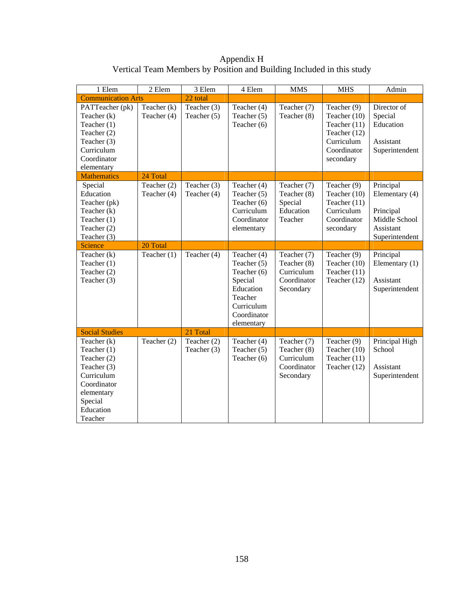Appendix H Vertical Team Members by Position and Building Included in this study

| 1 Elem                                                                                                                                 | 2 Elem                     | 3 Elem                     | 4 Elem                                                                                                                  | <b>MMS</b>                                                           | <b>MHS</b>                                                                                              | Admin                                                                                    |
|----------------------------------------------------------------------------------------------------------------------------------------|----------------------------|----------------------------|-------------------------------------------------------------------------------------------------------------------------|----------------------------------------------------------------------|---------------------------------------------------------------------------------------------------------|------------------------------------------------------------------------------------------|
| <b>Communication Arts</b>                                                                                                              |                            | 22 total                   |                                                                                                                         |                                                                      |                                                                                                         |                                                                                          |
| PATTeacher (pk)<br>Teacher $(k)$<br>Teacher $(1)$<br>Teacher (2)<br>Teacher (3)<br>Curriculum<br>Coordinator<br>elementary             | Teacher (k)<br>Teacher (4) | Teacher (3)<br>Teacher (5) | Teacher (4)<br>Teacher (5)<br>Teacher (6)                                                                               | Teacher (7)<br>Teacher (8)                                           | Teacher (9)<br>Teacher (10)<br>Teacher $(11)$<br>Teacher (12)<br>Curriculum<br>Coordinator<br>secondary | Director of<br>Special<br>Education<br>Assistant<br>Superintendent                       |
| <b>Mathematics</b>                                                                                                                     | 24 Total                   |                            |                                                                                                                         |                                                                      |                                                                                                         |                                                                                          |
| Special<br>Education<br>Teacher (pk)<br>Teacher (k)<br>Teacher $(1)$<br>Teacher (2)<br>Teacher (3)                                     | Teacher (2)<br>Teacher (4) | Teacher (3)<br>Teacher (4) | Teacher (4)<br>Teacher (5)<br>Teacher (6)<br>Curriculum<br>Coordinator<br>elementary                                    | Teacher (7)<br>Teacher (8)<br>Special<br>Education<br>Teacher        | Teacher (9)<br>Teacher (10)<br>Teacher $(11)$<br>Curriculum<br>Coordinator<br>secondary                 | Principal<br>Elementary (4)<br>Principal<br>Middle School<br>Assistant<br>Superintendent |
| <b>Science</b>                                                                                                                         | 20 Total                   |                            |                                                                                                                         |                                                                      |                                                                                                         |                                                                                          |
| Teacher (k)<br>Teacher $(1)$<br>Teacher (2)<br>Teacher (3)                                                                             | Teacher $(1)$              | Teacher (4)                | Teacher (4)<br>Teacher (5)<br>Teacher (6)<br>Special<br>Education<br>Teacher<br>Curriculum<br>Coordinator<br>elementary | Teacher (7)<br>Teacher (8)<br>Curriculum<br>Coordinator<br>Secondary | Teacher (9)<br>Teacher (10)<br>Teacher $(11)$<br>Teacher (12)                                           | Principal<br>Elementary $(1)$<br>Assistant<br>Superintendent                             |
| <b>Social Studies</b>                                                                                                                  |                            | 21 Total                   |                                                                                                                         |                                                                      |                                                                                                         |                                                                                          |
| Teacher (k)<br>Teacher (1)<br>Teacher (2)<br>Teacher (3)<br>Curriculum<br>Coordinator<br>elementary<br>Special<br>Education<br>Teacher | Teacher (2)                | Teacher (2)<br>Teacher (3) | Teacher (4)<br>Teacher (5)<br>Teacher (6)                                                                               | Teacher (7)<br>Teacher (8)<br>Curriculum<br>Coordinator<br>Secondary | Teacher (9)<br>Teacher (10)<br>Teacher $(11)$<br>Teacher (12)                                           | Principal High<br>School<br>Assistant<br>Superintendent                                  |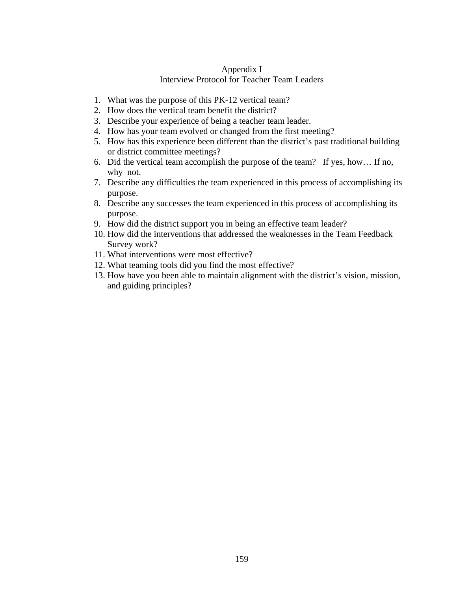### Appendix I Interview Protocol for Teacher Team Leaders

- 1. What was the purpose of this PK-12 vertical team?
- 2. How does the vertical team benefit the district?
- 3. Describe your experience of being a teacher team leader.
- 4. How has your team evolved or changed from the first meeting?
- 5. How has this experience been different than the district's past traditional building or district committee meetings?
- 6. Did the vertical team accomplish the purpose of the team? If yes, how… If no, why not.
- 7. Describe any difficulties the team experienced in this process of accomplishing its purpose.
- 8. Describe any successes the team experienced in this process of accomplishing its purpose.
- 9. How did the district support you in being an effective team leader?
- 10. How did the interventions that addressed the weaknesses in the Team Feedback Survey work?
- 11. What interventions were most effective?
- 12. What teaming tools did you find the most effective?
- 13. How have you been able to maintain alignment with the district's vision, mission, and guiding principles?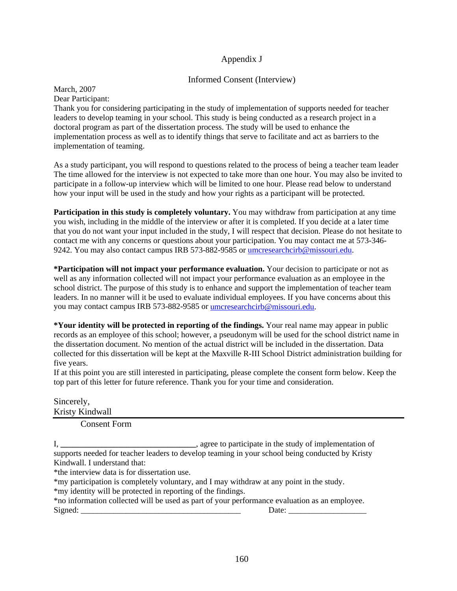### Appendix J

### Informed Consent (Interview)

March, 2007 Dear Participant:

Thank you for considering participating in the study of implementation of supports needed for teacher leaders to develop teaming in your school. This study is being conducted as a research project in a doctoral program as part of the dissertation process. The study will be used to enhance the implementation process as well as to identify things that serve to facilitate and act as barriers to the implementation of teaming.

As a study participant, you will respond to questions related to the process of being a teacher team leader The time allowed for the interview is not expected to take more than one hour. You may also be invited to participate in a follow-up interview which will be limited to one hour. Please read below to understand how your input will be used in the study and how your rights as a participant will be protected.

**Participation in this study is completely voluntary.** You may withdraw from participation at any time you wish, including in the middle of the interview or after it is completed. If you decide at a later time that you do not want your input included in the study, I will respect that decision. Please do not hesitate to contact me with any concerns or questions about your participation. You may contact me at 573-346- 9242. You may also contact campus IRB 573-882-9585 or [umcresearchcirb@missouri.edu.](mailto:umcresearchcirb@missouri.edu)

**\*Participation will not impact your performance evaluation.** Your decision to participate or not as well as any information collected will not impact your performance evaluation as an employee in the school district. The purpose of this study is to enhance and support the implementation of teacher team leaders. In no manner will it be used to evaluate individual employees. If you have concerns about this you may contact campus IRB 573-882-9585 or [umcresearchcirb@missouri.edu](mailto:umcresearchcirb@missouri.edu).

**\*Your identity will be protected in reporting of the findings.** Your real name may appear in public records as an employee of this school; however, a pseudonym will be used for the school district name in the dissertation document. No mention of the actual district will be included in the dissertation. Data collected for this dissertation will be kept at the Maxville R-III School District administration building for five years.

If at this point you are still interested in participating, please complete the consent form below. Keep the top part of this letter for future reference. Thank you for your time and consideration.

Sincerely, Kristy Kindwall

Consent Form

I, **\_\_\_\_\_\_\_\_\_\_\_\_\_\_\_\_\_\_\_\_\_\_\_\_\_\_\_\_\_\_\_\_\_**, agree to participate in the study of implementation of supports needed for teacher leaders to develop teaming in your school being conducted by Kristy Kindwall. I understand that:

\*the interview data is for dissertation use.

\*my participation is completely voluntary, and I may withdraw at any point in the study.

\*my identity will be protected in reporting of the findings.

|         | *no information collected will be used as part of your performance evaluation as an employee. |
|---------|-----------------------------------------------------------------------------------------------|
| Signed: | Date:                                                                                         |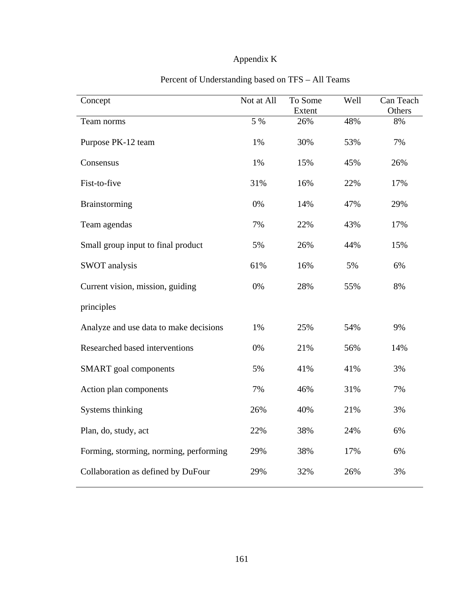# Appendix K

| Concept                                | Not at All | To Some<br>Extent | Well | Can Teach<br>Others |
|----------------------------------------|------------|-------------------|------|---------------------|
| Team norms                             | 5 %        | 26%               | 48%  | 8%                  |
| Purpose PK-12 team                     | 1%         | 30%               | 53%  | 7%                  |
| Consensus                              | 1%         | 15%               | 45%  | 26%                 |
| Fist-to-five                           | 31%        | 16%               | 22%  | 17%                 |
| Brainstorming                          | 0%         | 14%               | 47%  | 29%                 |
| Team agendas                           | 7%         | 22%               | 43%  | 17%                 |
| Small group input to final product     | 5%         | 26%               | 44%  | 15%                 |
| <b>SWOT</b> analysis                   | 61%        | 16%               | 5%   | 6%                  |
| Current vision, mission, guiding       | 0%         | 28%               | 55%  | 8%                  |
| principles                             |            |                   |      |                     |
| Analyze and use data to make decisions | 1%         | 25%               | 54%  | 9%                  |
| Researched based interventions         | 0%         | 21%               | 56%  | 14%                 |
| <b>SMART</b> goal components           | 5%         | 41%               | 41%  | 3%                  |
| Action plan components                 | 7%         | 46%               | 31%  | 7%                  |
| Systems thinking                       | 26%        | 40%               | 21%  | 3%                  |
| Plan, do, study, act                   | 22%        | 38%               | 24%  | 6%                  |
| Forming, storming, norming, performing | 29%        | 38%               | 17%  | 6%                  |
| Collaboration as defined by DuFour     | 29%        | 32%               | 26%  | 3%                  |

# Percent of Understanding based on TFS – All Teams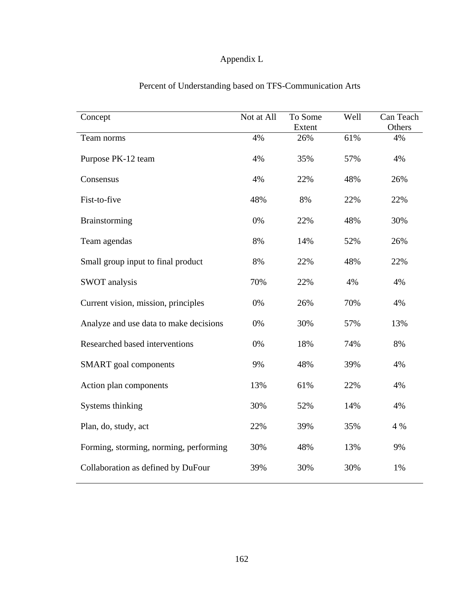# Appendix L

| Concept                                | Not at All | To Some<br>Extent | Well | Can Teach<br>Others |
|----------------------------------------|------------|-------------------|------|---------------------|
| Team norms                             | 4%         | 26%               | 61%  | 4%                  |
| Purpose PK-12 team                     | 4%         | 35%               | 57%  | 4%                  |
| Consensus                              | 4%         | 22%               | 48%  | 26%                 |
| Fist-to-five                           | 48%        | 8%                | 22%  | 22%                 |
| Brainstorming                          | 0%         | 22%               | 48%  | 30%                 |
| Team agendas                           | 8%         | 14%               | 52%  | 26%                 |
| Small group input to final product     | 8%         | 22%               | 48%  | 22%                 |
| <b>SWOT</b> analysis                   | 70%        | 22%               | 4%   | 4%                  |
| Current vision, mission, principles    | 0%         | 26%               | 70%  | 4%                  |
| Analyze and use data to make decisions | 0%         | 30%               | 57%  | 13%                 |
| Researched based interventions         | 0%         | 18%               | 74%  | 8%                  |
| <b>SMART</b> goal components           | 9%         | 48%               | 39%  | 4%                  |
| Action plan components                 | 13%        | 61%               | 22%  | 4%                  |
| Systems thinking                       | 30%        | 52%               | 14%  | 4%                  |
| Plan, do, study, act                   | 22%        | 39%               | 35%  | 4 %                 |
| Forming, storming, norming, performing | 30%        | 48%               | 13%  | 9%                  |
| Collaboration as defined by DuFour     | 39%        | 30%               | 30%  | 1%                  |

### Percent of Understanding based on TFS-Communication Arts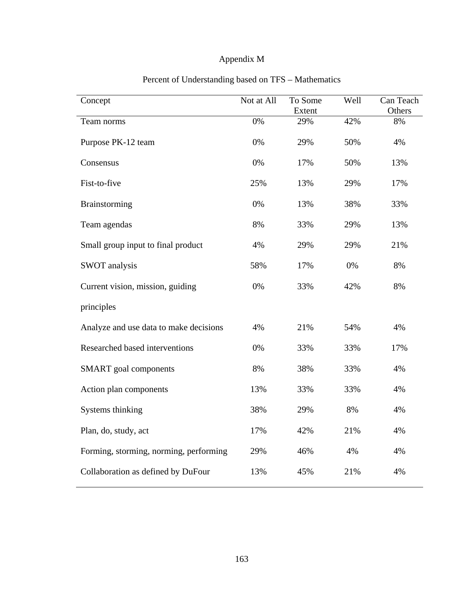# Appendix M

| Concept                                | Not at All | To Some<br>Extent | Well | Can Teach<br>Others |
|----------------------------------------|------------|-------------------|------|---------------------|
| Team norms                             | 0%         | 29%               | 42%  | 8%                  |
| Purpose PK-12 team                     | 0%         | 29%               | 50%  | 4%                  |
| Consensus                              | 0%         | 17%               | 50%  | 13%                 |
| Fist-to-five                           | 25%        | 13%               | 29%  | 17%                 |
| Brainstorming                          | 0%         | 13%               | 38%  | 33%                 |
| Team agendas                           | 8%         | 33%               | 29%  | 13%                 |
| Small group input to final product     | 4%         | 29%               | 29%  | 21%                 |
| SWOT analysis                          | 58%        | 17%               | 0%   | 8%                  |
| Current vision, mission, guiding       | 0%         | 33%               | 42%  | 8%                  |
| principles                             |            |                   |      |                     |
| Analyze and use data to make decisions | 4%         | 21%               | 54%  | 4%                  |
| Researched based interventions         | 0%         | 33%               | 33%  | 17%                 |
| SMART goal components                  | 8%         | 38%               | 33%  | 4%                  |
| Action plan components                 | 13%        | 33%               | 33%  | 4%                  |
| Systems thinking                       | 38%        | 29%               | 8%   | 4%                  |
| Plan, do, study, act                   | 17%        | 42%               | 21%  | 4%                  |
| Forming, storming, norming, performing | 29%        | 46%               | 4%   | 4%                  |
| Collaboration as defined by DuFour     | 13%        | 45%               | 21%  | 4%                  |

# Percent of Understanding based on TFS – Mathematics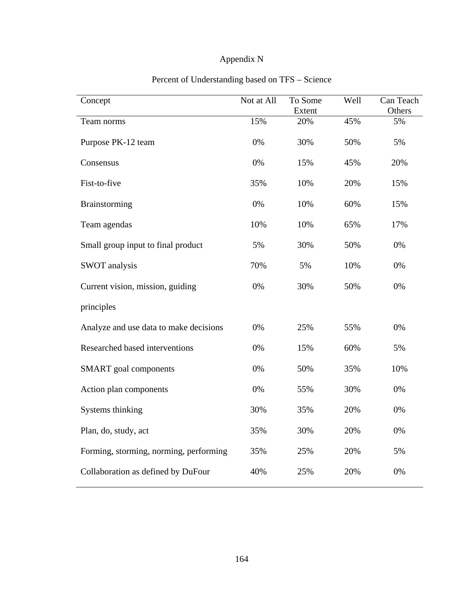# Appendix N

| Concept                                | Not at All | To Some<br>Extent | Well | Can Teach<br>Others |
|----------------------------------------|------------|-------------------|------|---------------------|
| Team norms                             | 15%        | 20%               | 45%  | 5%                  |
| Purpose PK-12 team                     | 0%         | 30%               | 50%  | 5%                  |
| Consensus                              | 0%         | 15%               | 45%  | 20%                 |
| Fist-to-five                           | 35%        | 10%               | 20%  | 15%                 |
| Brainstorming                          | 0%         | 10%               | 60%  | 15%                 |
| Team agendas                           | 10%        | 10%               | 65%  | 17%                 |
| Small group input to final product     | 5%         | 30%               | 50%  | 0%                  |
| <b>SWOT</b> analysis                   | 70%        | 5%                | 10%  | 0%                  |
| Current vision, mission, guiding       | 0%         | 30%               | 50%  | 0%                  |
| principles                             |            |                   |      |                     |
| Analyze and use data to make decisions | 0%         | 25%               | 55%  | 0%                  |
| Researched based interventions         | 0%         | 15%               | 60%  | 5%                  |
| SMART goal components                  | 0%         | 50%               | 35%  | 10%                 |
| Action plan components                 | 0%         | 55%               | 30%  | 0%                  |
| Systems thinking                       | 30%        | 35%               | 20%  | 0%                  |
| Plan, do, study, act                   | 35%        | 30%               | 20%  | 0%                  |
| Forming, storming, norming, performing | 35%        | 25%               | 20%  | 5%                  |
| Collaboration as defined by DuFour     | 40%        | 25%               | 20%  | 0%                  |

# Percent of Understanding based on TFS – Science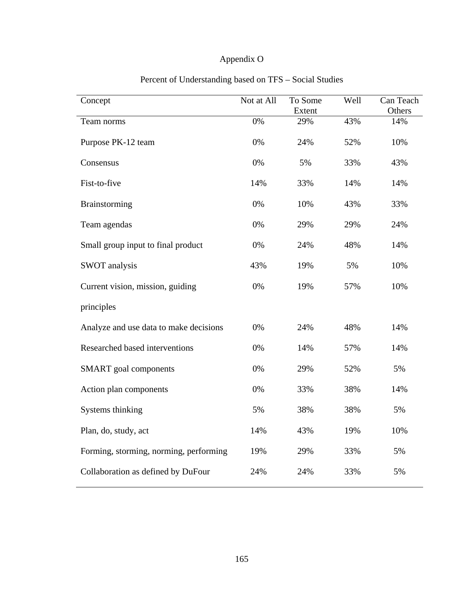# Appendix O

| Concept                                | Not at All | To Some<br>Extent | Well | Can Teach<br>Others |
|----------------------------------------|------------|-------------------|------|---------------------|
| Team norms                             | 0%         | 29%               | 43%  | 14%                 |
| Purpose PK-12 team                     | 0%         | 24%               | 52%  | 10%                 |
| Consensus                              | 0%         | 5%                | 33%  | 43%                 |
| Fist-to-five                           | 14%        | 33%               | 14%  | 14%                 |
| Brainstorming                          | 0%         | 10%               | 43%  | 33%                 |
| Team agendas                           | 0%         | 29%               | 29%  | 24%                 |
| Small group input to final product     | 0%         | 24%               | 48%  | 14%                 |
| SWOT analysis                          | 43%        | 19%               | 5%   | 10%                 |
| Current vision, mission, guiding       | 0%         | 19%               | 57%  | 10%                 |
| principles                             |            |                   |      |                     |
| Analyze and use data to make decisions | 0%         | 24%               | 48%  | 14%                 |
| Researched based interventions         | 0%         | 14%               | 57%  | 14%                 |
| SMART goal components                  | 0%         | 29%               | 52%  | 5%                  |
| Action plan components                 | 0%         | 33%               | 38%  | 14%                 |
| Systems thinking                       | 5%         | 38%               | 38%  | 5%                  |
| Plan, do, study, act                   | 14%        | 43%               | 19%  | 10%                 |
| Forming, storming, norming, performing | 19%        | 29%               | 33%  | 5%                  |
| Collaboration as defined by DuFour     | 24%        | 24%               | 33%  | 5%                  |

# Percent of Understanding based on TFS – Social Studies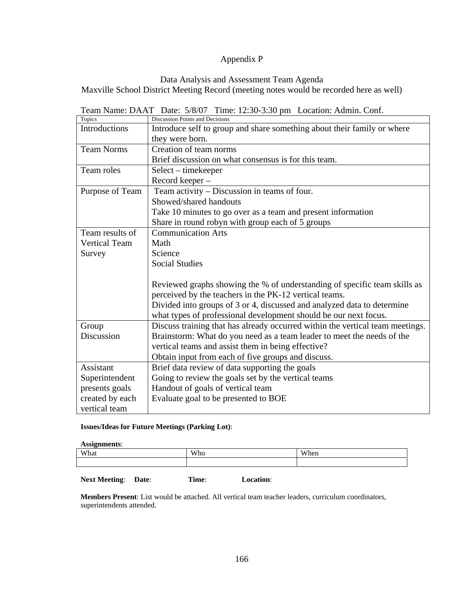### Appendix P

Data Analysis and Assessment Team Agenda Maxville School District Meeting Record (meeting notes would be recorded here as well)

| Topics               | Discussion Points and Decisions                                               |
|----------------------|-------------------------------------------------------------------------------|
| Introductions        | Introduce self to group and share something about their family or where       |
|                      | they were born.                                                               |
| <b>Team Norms</b>    | Creation of team norms                                                        |
|                      | Brief discussion on what consensus is for this team.                          |
| Team roles           | Select – timekeeper                                                           |
|                      | Record keeper-                                                                |
| Purpose of Team      | Team activity – Discussion in teams of four.                                  |
|                      | Showed/shared handouts                                                        |
|                      | Take 10 minutes to go over as a team and present information                  |
|                      | Share in round robyn with group each of 5 groups                              |
| Team results of      | <b>Communication Arts</b>                                                     |
| <b>Vertical Team</b> | Math                                                                          |
| Survey               | Science                                                                       |
|                      | <b>Social Studies</b>                                                         |
|                      |                                                                               |
|                      | Reviewed graphs showing the % of understanding of specific team skills as     |
|                      | perceived by the teachers in the PK-12 vertical teams.                        |
|                      | Divided into groups of 3 or 4, discussed and analyzed data to determine       |
|                      | what types of professional development should be our next focus.              |
| Group                | Discuss training that has already occurred within the vertical team meetings. |
| Discussion           | Brainstorm: What do you need as a team leader to meet the needs of the        |
|                      | vertical teams and assist them in being effective?                            |
|                      | Obtain input from each of five groups and discuss.                            |
| Assistant            | Brief data review of data supporting the goals                                |
| Superintendent       | Going to review the goals set by the vertical teams                           |
| presents goals       | Handout of goals of vertical team                                             |
| created by each      | Evaluate goal to be presented to BOE                                          |
| vertical team        |                                                                               |

Team Name: DAAT Date: 5/8/07 Time: 12:30-3:30 pm Location: Admin. Conf.

#### **Issues/Ideas for Future Meetings (Parking Lot)**:

**Assignments**:

| What | Who | <b>TY 71</b><br>'hen<br>w |
|------|-----|---------------------------|
|      |     |                           |
|      |     |                           |

**Next Meeting**: **Date**: **Time**: **Location**:

**Members Present**: List would be attached. All vertical team teacher leaders, curriculum coordinators, superintendents attended.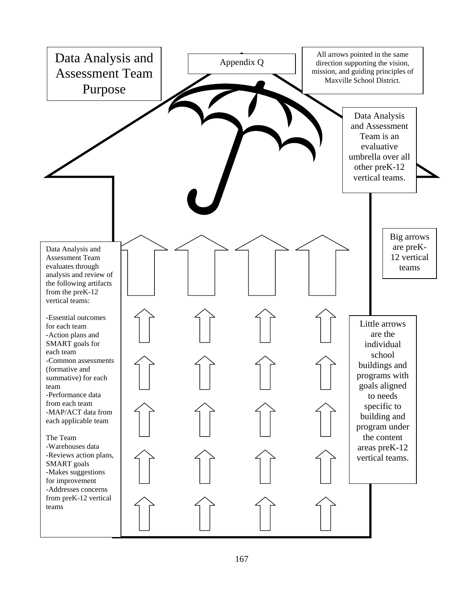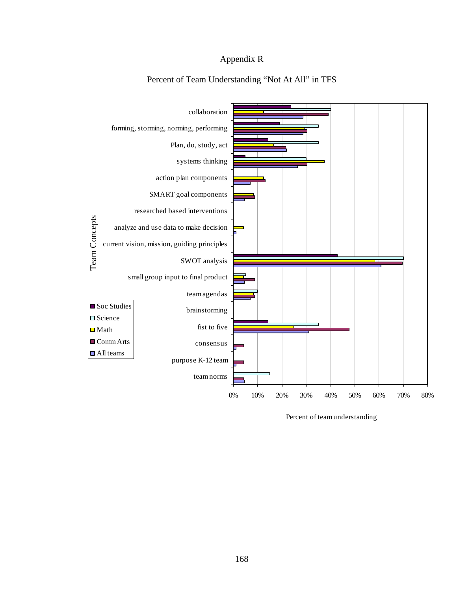## Appendix R



## Percent of Team Understanding "Not At All" in TFS

Percent of team understanding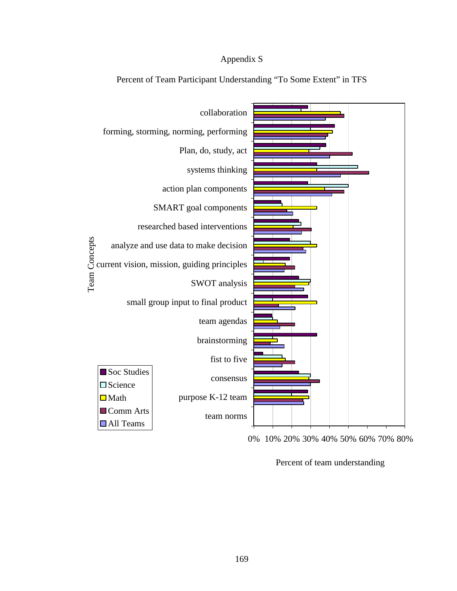### Appendix S



Percent of Team Participant Understanding "To Some Extent" in TFS

Percent of team understanding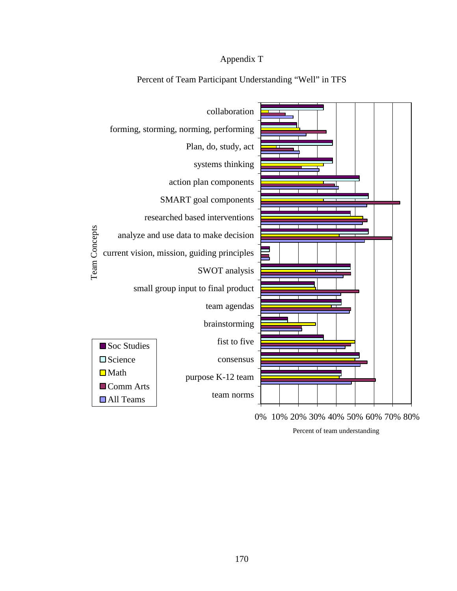# Appendix T



### Percent of Team Participant Understanding "Well" in TFS

Percent of team understanding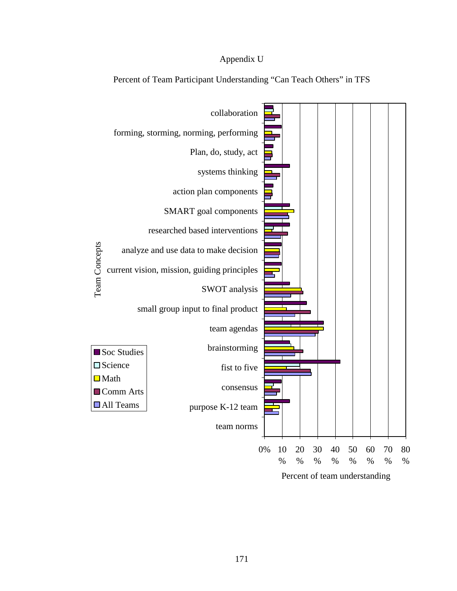### Appendix U



Percent of Team Participant Understanding "Can Teach Others" in TFS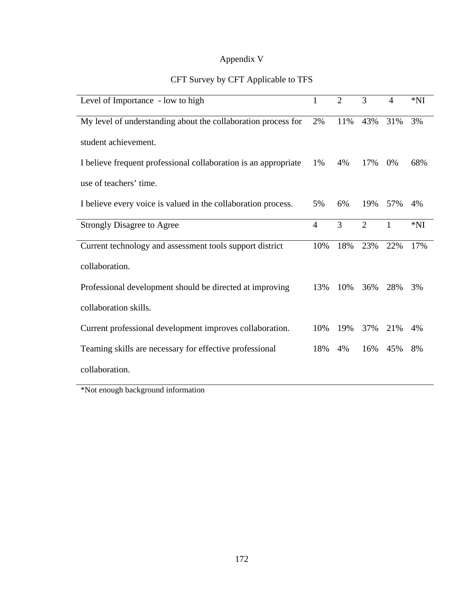# Appendix V

# CFT Survey by CFT Applicable to TFS

| Level of Importance - low to high                               |                | $\overline{2}$ | 3              | 4            | $*NI$ |
|-----------------------------------------------------------------|----------------|----------------|----------------|--------------|-------|
| My level of understanding about the collaboration process for   |                | 11%            | 43%            | 31%          | 3%    |
| student achievement.                                            |                |                |                |              |       |
| I believe frequent professional collaboration is an appropriate |                | 4%             | 17%            | 0%           | 68%   |
| use of teachers' time.                                          |                |                |                |              |       |
| I believe every voice is valued in the collaboration process.   | 5%             | 6%             | 19%            | 57%          | 4%    |
| <b>Strongly Disagree to Agree</b>                               | $\overline{4}$ | 3              | $\overline{2}$ | $\mathbf{1}$ | $*NI$ |
| Current technology and assessment tools support district        | 10%            | 18%            | 23%            | 22%          | 17%   |
| collaboration.                                                  |                |                |                |              |       |
| Professional development should be directed at improving        |                | 10%            | 36%            | 28%          | 3%    |
| collaboration skills.                                           |                |                |                |              |       |
| Current professional development improves collaboration.        |                | 19%            | 37%            | 21%          | 4%    |
| Teaming skills are necessary for effective professional         |                | 4%             | 16%            | 45%          | 8%    |
| collaboration.                                                  |                |                |                |              |       |

\*Not enough background information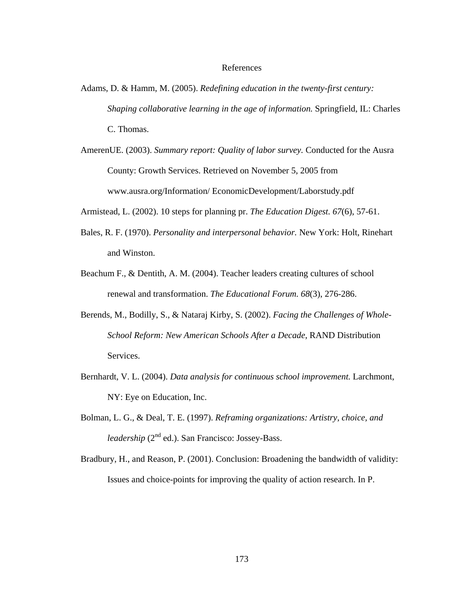#### References

- Adams, D. & Hamm, M. (2005). *Redefining education in the twenty-first century: Shaping collaborative learning in the age of information.* Springfield, IL: Charles C. Thomas.
- AmerenUE. (2003). *Summary report: Quality of labor survey.* Conducted for the Ausra County: Growth Services. Retrieved on November 5, 2005 from www.ausra.org/Information/ EconomicDevelopment/Laborstudy.pdf
- Armistead, L. (2002). 10 steps for planning pr. *The Education Digest. 67*(6), 57-61.
- Bales, R. F. (1970). *Personality and interpersonal behavior.* New York: Holt, Rinehart and Winston.
- Beachum F., & Dentith, A. M. (2004). Teacher leaders creating cultures of school renewal and transformation. *The Educational Forum. 68*(3), 276-286.
- Berends, M., Bodilly, S., & Nataraj Kirby, S. (2002). *Facing the Challenges of Whole-School Reform: New American Schools After a Decade*, RAND Distribution Services.
- Bernhardt, V. L. (2004). *Data analysis for continuous school improvement.* Larchmont, NY: Eye on Education, Inc.
- Bolman, L. G., & Deal, T. E. (1997). *Reframing organizations: Artistry, choice, and leadership* (2<sup>nd</sup> ed.). San Francisco: Jossey-Bass.
- Bradbury, H., and Reason, P. (2001). Conclusion: Broadening the bandwidth of validity: Issues and choice-points for improving the quality of action research. In P.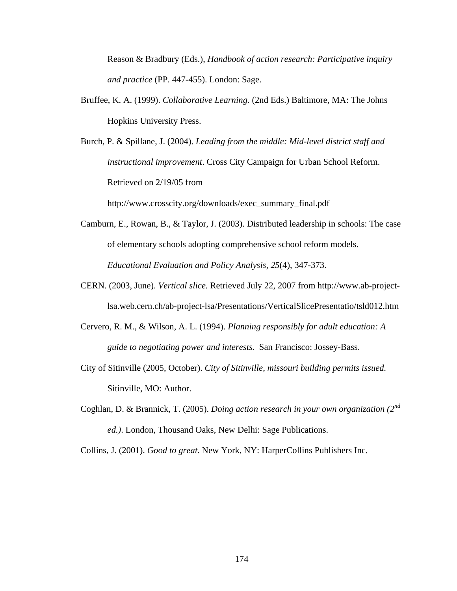Reason & Bradbury (Eds.), *Handbook of action research: Participative inquiry and practice* (PP. 447-455). London: Sage.

Bruffee, K. A. (1999). *Collaborative Learning*. (2nd Eds.) Baltimore, MA: The Johns Hopkins University Press.

Burch, P. & Spillane, J. (2004). *Leading from the middle: Mid-level district staff and instructional improvement*. Cross City Campaign for Urban School Reform. Retrieved on 2/19/05 from

http://www.crosscity.org/downloads/exec\_summary\_final.pdf

- Camburn, E., Rowan, B., & Taylor, J. (2003). Distributed leadership in schools: The case of elementary schools adopting comprehensive school reform models. *Educational Evaluation and Policy Analysis, 25*(4), 347-373.
- CERN. (2003, June). *Vertical slice.* Retrieved July 22, 2007 from http://www.ab-projectlsa.web.cern.ch/ab-project-lsa/Presentations/VerticalSlicePresentatio/tsld012.htm
- Cervero, R. M., & Wilson, A. L. (1994). *Planning responsibly for adult education: A guide to negotiating power and interests.* San Francisco: Jossey-Bass.
- City of Sitinville (2005, October). *City of Sitinville, missouri building permits issued.* Sitinville, MO: Author.
- Coghlan, D. & Brannick, T. (2005). *Doing action research in your own organization (2nd ed.)*. London, Thousand Oaks, New Delhi: Sage Publications.

Collins, J. (2001). *Good to great*. New York, NY: HarperCollins Publishers Inc.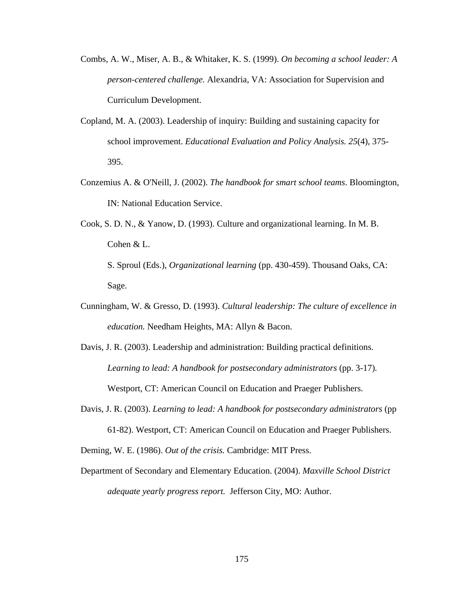- Combs, A. W., Miser, A. B., & Whitaker, K. S. (1999). *On becoming a school leader: A person-centered challenge.* Alexandria, VA: Association for Supervision and Curriculum Development.
- Copland, M. A. (2003). Leadership of inquiry: Building and sustaining capacity for school improvement. *Educational Evaluation and Policy Analysis. 25*(4), 375- 395.
- Conzemius A. & O'Neill, J. (2002). *The handbook for smart school teams*. Bloomington, IN: National Education Service.
- Cook, S. D. N., & Yanow, D. (1993). Culture and organizational learning. In M. B. Cohen & L.
	- S. Sproul (Eds.), *Organizational learning* (pp. 430-459). Thousand Oaks, CA: Sage.
- Cunningham, W. & Gresso, D. (1993). *Cultural leadership: The culture of excellence in education.* Needham Heights, MA: Allyn & Bacon.
- Davis, J. R. (2003). Leadership and administration: Building practical definitions. *Learning to lead: A handbook for postsecondary administrators (pp. 3-17).* Westport, CT: American Council on Education and Praeger Publishers.
- Davis, J. R. (2003). *Learning to lead: A handbook for postsecondary administrators* (pp 61-82). Westport, CT: American Council on Education and Praeger Publishers.
- Deming, W. E. (1986). *Out of the crisis.* Cambridge: MIT Press.
- Department of Secondary and Elementary Education. (2004). *Maxville School District adequate yearly progress report.* Jefferson City, MO: Author.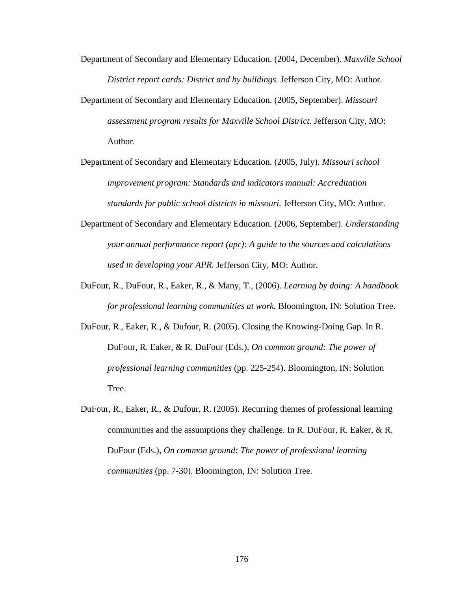- Department of Secondary and Elementary Education. (2004, December). *Maxville School District report cards: District and by buildings.* Jefferson City, MO: Author.
- Department of Secondary and Elementary Education. (2005, September). *Missouri assessment program results for Maxville School District.* Jefferson City, MO: Author.
- Department of Secondary and Elementary Education. (2005, July). *Missouri school improvement program: Standards and indicators manual: Accreditation standards for public school districts in missouri.* Jefferson City, MO: Author.
- Department of Secondary and Elementary Education. (2006, September). *Understanding your annual performance report (apr): A guide to the sources and calculations used in developing your APR.* Jefferson City, MO: Author.
- DuFour, R., DuFour, R., Eaker, R., & Many, T., (2006). *Learning by doing: A handbook for professional learning communities at work.* Bloomington, IN: Solution Tree.
- DuFour, R., Eaker, R., & Dufour, R. (2005). Closing the Knowing-Doing Gap. In R. DuFour, R. Eaker, & R. DuFour (Eds.), *On common ground: The power of professional learning communities* (pp. 225-254). Bloomington, IN: Solution Tree.
- DuFour, R., Eaker, R., & Dufour, R. (2005). Recurring themes of professional learning communities and the assumptions they challenge. In R. DuFour, R. Eaker, & R. DuFour (Eds.), *On common ground: The power of professional learning communities* (pp. 7-30). Bloomington, IN: Solution Tree.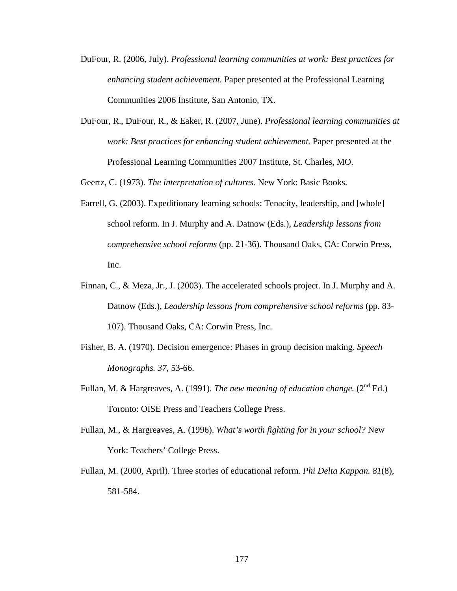- DuFour, R. (2006, July). *Professional learning communities at work: Best practices for enhancing student achievement.* Paper presented at the Professional Learning Communities 2006 Institute, San Antonio, TX.
- DuFour, R., DuFour, R., & Eaker, R. (2007, June). *Professional learning communities at work: Best practices for enhancing student achievement.* Paper presented at the Professional Learning Communities 2007 Institute, St. Charles, MO.

Geertz, C. (1973). *The interpretation of cultures.* New York: Basic Books.

- Farrell, G. (2003). Expeditionary learning schools: Tenacity, leadership, and [whole] school reform. In J. Murphy and A. Datnow (Eds.), *Leadership lessons from comprehensive school reforms* (pp. 21-36). Thousand Oaks, CA: Corwin Press, Inc.
- Finnan, C., & Meza, Jr., J. (2003). The accelerated schools project. In J. Murphy and A. Datnow (Eds.), *Leadership lessons from comprehensive school reforms* (pp. 83- 107). Thousand Oaks, CA: Corwin Press, Inc.
- Fisher, B. A. (1970). Decision emergence: Phases in group decision making. *Speech Monographs. 37*, 53-66.
- Fullan, M. & Hargreaves, A. (1991). *The new meaning of education change*. (2<sup>nd</sup> Ed.) Toronto: OISE Press and Teachers College Press.
- Fullan, M., & Hargreaves, A. (1996). *What's worth fighting for in your school?* New York: Teachers' College Press.
- Fullan, M. (2000, April). Three stories of educational reform. *Phi Delta Kappan. 81*(8), 581-584.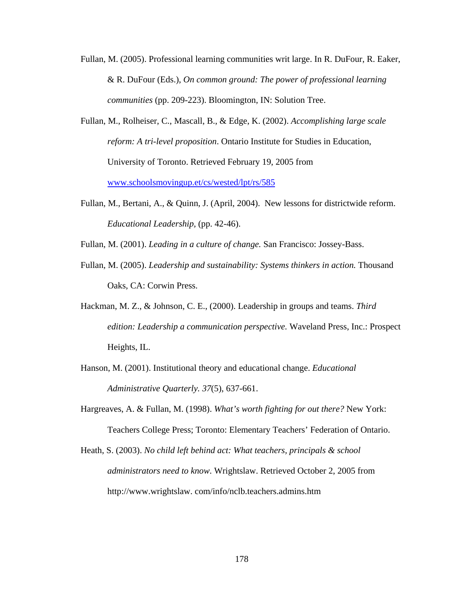- Fullan, M. (2005). Professional learning communities writ large. In R. DuFour, R. Eaker, & R. DuFour (Eds.), *On common ground: The power of professional learning communities* (pp. 209-223). Bloomington, IN: Solution Tree.
- Fullan, M., Rolheiser, C., Mascall, B., & Edge, K. (2002). *Accomplishing large scale reform: A tri-level proposition*. Ontario Institute for Studies in Education, University of Toronto. Retrieved February 19, 2005 from [www.schoolsmovingup.et/cs/wested/lpt/rs/585](http://www.schoolsmovingup.et/cs/wested/lpt/rs/585)
- Fullan, M., Bertani, A., & Quinn, J. (April, 2004). New lessons for districtwide reform. *Educational Leadership,* (pp. 42-46).
- Fullan, M. (2001). *Leading in a culture of change.* San Francisco: Jossey-Bass.
- Fullan, M. (2005). *Leadership and sustainability: Systems thinkers in action.* Thousand Oaks, CA: Corwin Press.
- Hackman, M. Z., & Johnson, C. E., (2000). Leadership in groups and teams. *Third edition: Leadership a communication perspective.* Waveland Press, Inc.: Prospect Heights, IL.
- Hanson, M. (2001). Institutional theory and educational change. *Educational Administrative Quarterly. 37*(5), 637-661.
- Hargreaves, A. & Fullan, M. (1998). *What's worth fighting for out there?* New York: Teachers College Press; Toronto: Elementary Teachers' Federation of Ontario.
- Heath, S. (2003). *No child left behind act: What teachers, principals & school administrators need to know*. Wrightslaw. Retrieved October 2, 2005 from http://www.wrightslaw. com/info/nclb.teachers.admins.htm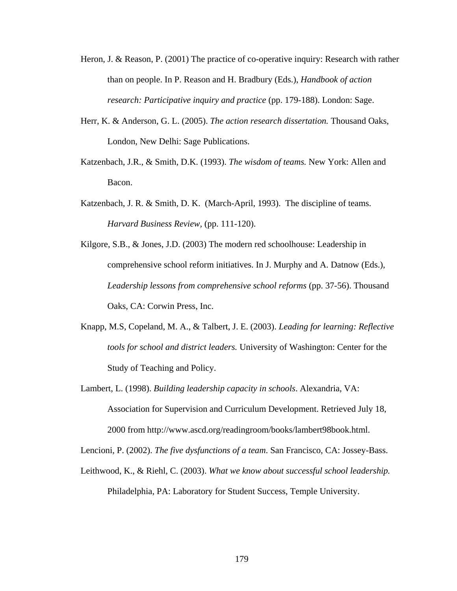- Heron, J. & Reason, P. (2001) The practice of co-operative inquiry: Research with rather than on people. In P. Reason and H. Bradbury (Eds.), *Handbook of action research: Participative inquiry and practice* (pp. 179-188). London: Sage.
- Herr, K. & Anderson, G. L. (2005). *The action research dissertation.* Thousand Oaks, London, New Delhi: Sage Publications.
- Katzenbach, J.R., & Smith, D.K. (1993). *The wisdom of teams.* New York: Allen and Bacon.
- Katzenbach, J. R. & Smith, D. K. (March-April, 1993). The discipline of teams. *Harvard Business Review,* (pp. 111-120).
- Kilgore, S.B., & Jones, J.D. (2003) The modern red schoolhouse: Leadership in comprehensive school reform initiatives. In J. Murphy and A. Datnow (Eds.), *Leadership lessons from comprehensive school reforms* (pp. 37-56). Thousand Oaks, CA: Corwin Press, Inc.
- Knapp, M.S, Copeland, M. A., & Talbert, J. E. (2003). *Leading for learning: Reflective tools for school and district leaders.* University of Washington: Center for the Study of Teaching and Policy.
- Lambert, L. (1998). *Building leadership capacity in schools*. Alexandria, VA: Association for Supervision and Curriculum Development. Retrieved July 18, 2000 from http://www.ascd.org/readingroom/books/lambert98book.html.

Lencioni, P. (2002). *The five dysfunctions of a team*. San Francisco, CA: Jossey-Bass.

Leithwood, K., & Riehl, C. (2003). *What we know about successful school leadership.* Philadelphia, PA: Laboratory for Student Success, Temple University.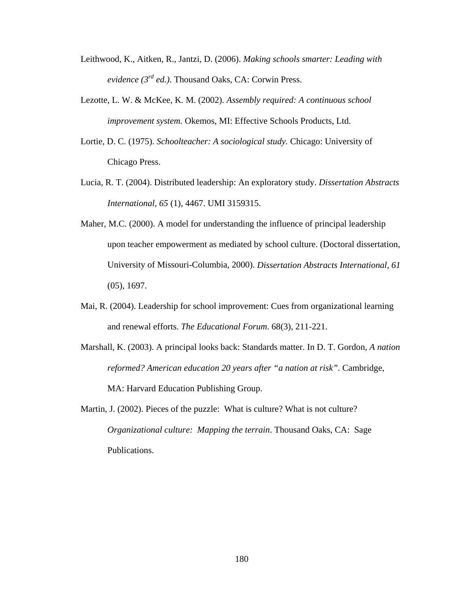- Leithwood, K., Aitken, R., Jantzi, D. (2006). *Making schools smarter: Leading with evidence (3rd ed.)*. Thousand Oaks, CA: Corwin Press.
- Lezotte, L. W. & McKee, K. M. (2002). *Assembly required: A continuous school improvement system.* Okemos, MI: Effective Schools Products, Ltd.
- Lortie, D. C. (1975). *Schoolteacher: A sociological study.* Chicago: University of Chicago Press.
- Lucia, R. T. (2004). Distributed leadership: An exploratory study. *Dissertation Abstracts International, 65* (1), 4467. UMI 3159315.
- Maher, M.C. (2000). A model for understanding the influence of principal leadership upon teacher empowerment as mediated by school culture. (Doctoral dissertation, University of Missouri-Columbia, 2000). *Dissertation Abstracts International, 61*  (05), 1697.
- Mai, R. (2004). Leadership for school improvement: Cues from organizational learning and renewal efforts. *The Educational Forum*. 68(3), 211-221.
- Marshall, K. (2003). A principal looks back: Standards matter. In D. T. Gordon, *A nation reformed? American education 20 years after "a nation at risk".* Cambridge, MA: Harvard Education Publishing Group.
- Martin, J. (2002). Pieces of the puzzle: What is culture? What is not culture? *Organizational culture: Mapping the terrain*. Thousand Oaks, CA: Sage Publications.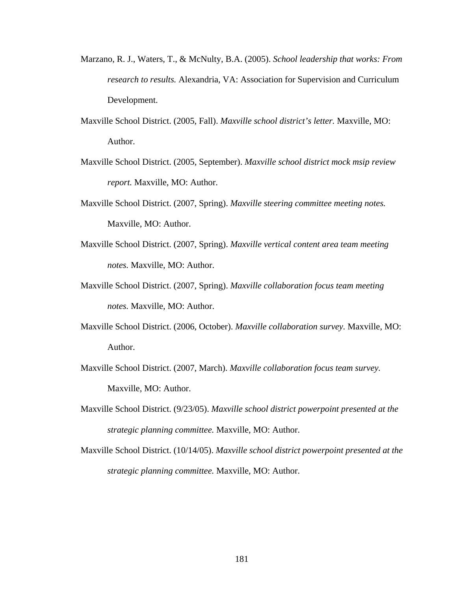- Marzano, R. J., Waters, T., & McNulty, B.A. (2005). *School leadership that works: From research to results.* Alexandria, VA: Association for Supervision and Curriculum Development.
- Maxville School District. (2005, Fall). *Maxville school district's letter.* Maxville, MO: Author.
- Maxville School District. (2005, September). *Maxville school district mock msip review report.* Maxville, MO: Author.
- Maxville School District. (2007, Spring). *Maxville steering committee meeting notes.* Maxville, MO: Author.
- Maxville School District. (2007, Spring). *Maxville vertical content area team meeting notes.* Maxville, MO: Author.
- Maxville School District. (2007, Spring). *Maxville collaboration focus team meeting notes.* Maxville, MO: Author.
- Maxville School District. (2006, October). *Maxville collaboration survey.* Maxville, MO: Author.
- Maxville School District. (2007, March). *Maxville collaboration focus team survey.* Maxville, MO: Author.
- Maxville School District. (9/23/05). *Maxville school district powerpoint presented at the strategic planning committee.* Maxville, MO: Author.
- Maxville School District. (10/14/05). *Maxville school district powerpoint presented at the strategic planning committee.* Maxville, MO: Author.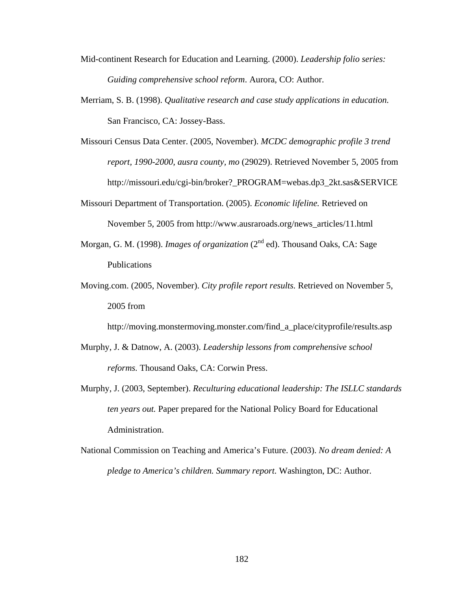- Mid-continent Research for Education and Learning. (2000). *Leadership folio series: Guiding comprehensive school reform*. Aurora, CO: Author.
- Merriam, S. B. (1998). *Qualitative research and case study applications in education.*  San Francisco, CA: Jossey-Bass.
- Missouri Census Data Center. (2005, November). *MCDC demographic profile 3 trend report, 1990-2000, ausra county, mo* (29029). Retrieved November 5, 2005 from http://missouri.edu/cgi-bin/broker?\_PROGRAM=webas.dp3\_2kt.sas&SERVICE
- Missouri Department of Transportation. (2005). *Economic lifeline.* Retrieved on November 5, 2005 from http://www.ausraroads.org/news\_articles/11.html
- Morgan, G. M. (1998). *Images of organization* (2<sup>nd</sup> ed). Thousand Oaks, CA: Sage Publications
- Moving.com. (2005, November). *City profile report results.* Retrieved on November 5, 2005 from

http://moving.monstermoving.monster.com/find\_a\_place/cityprofile/results.asp

- Murphy, J. & Datnow, A. (2003). *Leadership lessons from comprehensive school reforms.* Thousand Oaks, CA: Corwin Press.
- Murphy, J. (2003, September). *Reculturing educational leadership: The ISLLC standards ten years out.* Paper prepared for the National Policy Board for Educational Administration.
- National Commission on Teaching and America's Future. (2003). *No dream denied: A pledge to America's children. Summary report.* Washington, DC: Author.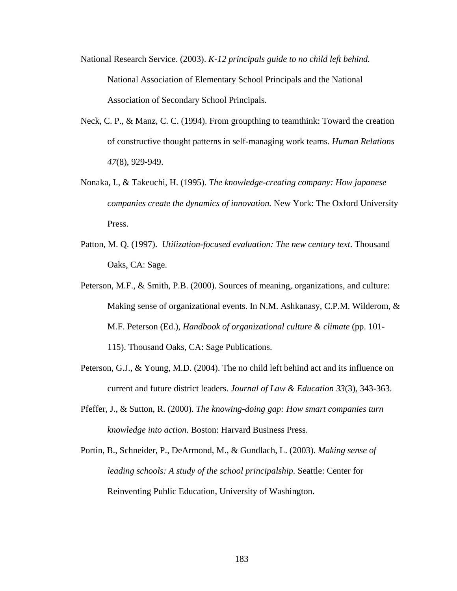- National Research Service. (2003). *K-12 principals guide to no child left behind.*  National Association of Elementary School Principals and the National Association of Secondary School Principals.
- Neck, C. P., & Manz, C. C. (1994). From groupthing to teamthink: Toward the creation of constructive thought patterns in self-managing work teams. *Human Relations 47*(8), 929-949.
- Nonaka, I., & Takeuchi, H. (1995). *The knowledge-creating company: How japanese companies create the dynamics of innovation.* New York: The Oxford University Press.
- Patton, M. Q. (1997). *Utilization-focused evaluation: The new century text*. Thousand Oaks, CA: Sage.
- Peterson, M.F., & Smith, P.B. (2000). Sources of meaning, organizations, and culture: Making sense of organizational events. In N.M. Ashkanasy, C.P.M. Wilderom, & M.F. Peterson (Ed.), *Handbook of organizational culture & climate* (pp. 101- 115). Thousand Oaks, CA: Sage Publications.
- Peterson, G.J., & Young, M.D. (2004). The no child left behind act and its influence on current and future district leaders. *Journal of Law & Education 33*(3), 343-363.
- Pfeffer, J., & Sutton, R. (2000). *The knowing-doing gap: How smart companies turn knowledge into action.* Boston: Harvard Business Press.
- Portin, B., Schneider, P., DeArmond, M., & Gundlach, L. (2003). *Making sense of leading schools: A study of the school principalship.* Seattle: Center for Reinventing Public Education, University of Washington.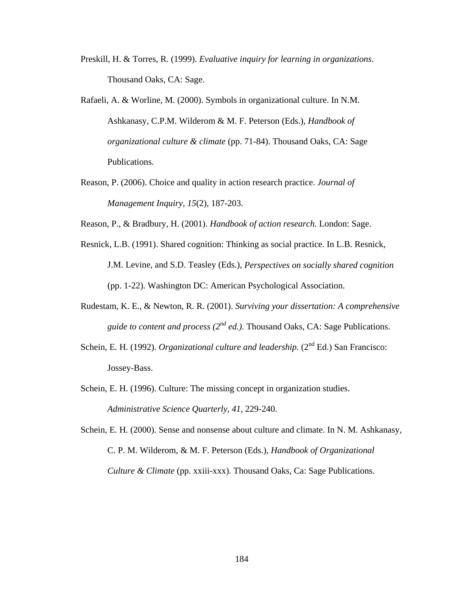- Preskill, H. & Torres, R. (1999). *Evaluative inquiry for learning in organizations*. Thousand Oaks, CA: Sage.
- Rafaeli, A. & Worline, M. (2000). Symbols in organizational culture. In N.M. Ashkanasy, C.P.M. Wilderom & M. F. Peterson (Eds.), *Handbook of organizational culture & climate* (pp. 71-84). Thousand Oaks, CA: Sage Publications.
- Reason, P. (2006). Choice and quality in action research practice. *Journal of Management Inquiry, 15*(2), 187-203.
- Reason, P., & Bradbury, H. (2001). *Handbook of action research.* London: Sage.
- Resnick, L.B. (1991). Shared cognition: Thinking as social practice. In L.B. Resnick, J.M. Levine, and S.D. Teasley (Eds.), *Perspectives on socially shared cognition*  (pp. 1-22). Washington DC: American Psychological Association.
- Rudestam, K. E., & Newton, R. R. (2001). *Surviving your dissertation: A comprehensive guide to content and process (2nd ed.).* Thousand Oaks, CA: Sage Publications.
- Schein, E. H. (1992). *Organizational culture and leadership.* (2<sup>nd</sup> Ed.) San Francisco: Jossey-Bass.
- Schein, E. H. (1996). Culture: The missing concept in organization studies. *Administrative Science Quarterly, 41*, 229-240.

Schein, E. H. (2000). Sense and nonsense about culture and climate. In N. M. Ashkanasy, C. P. M. Wilderom, & M. F. Peterson (Eds.), *Handbook of Organizational Culture & Climate* (pp. xxiii-xxx). Thousand Oaks, Ca: Sage Publications.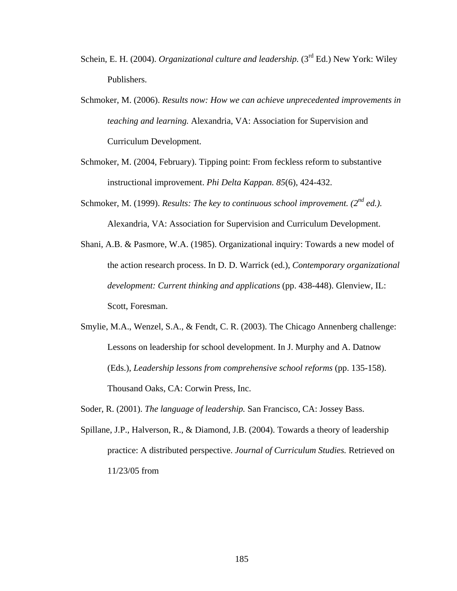- Schein, E. H. (2004). *Organizational culture and leadership.* (3<sup>rd</sup> Ed.) New York: Wiley Publishers.
- Schmoker, M. (2006). *Results now: How we can achieve unprecedented improvements in teaching and learning.* Alexandria, VA: Association for Supervision and Curriculum Development.
- Schmoker, M. (2004, February). Tipping point: From feckless reform to substantive instructional improvement. *Phi Delta Kappan. 85*(6), 424-432.
- Schmoker, M. (1999). *Results: The key to continuous school improvement.* (2<sup>nd</sup> ed.). Alexandria, VA: Association for Supervision and Curriculum Development.
- Shani, A.B. & Pasmore, W.A. (1985). Organizational inquiry: Towards a new model of the action research process. In D. D. Warrick (ed.), *Contemporary organizational development: Current thinking and applications* (pp. 438-448). Glenview, IL: Scott, Foresman.
- Smylie, M.A., Wenzel, S.A., & Fendt, C. R. (2003). The Chicago Annenberg challenge: Lessons on leadership for school development. In J. Murphy and A. Datnow (Eds.), *Leadership lessons from comprehensive school reforms* (pp. 135-158). Thousand Oaks, CA: Corwin Press, Inc.

Soder, R. (2001). *The language of leadership.* San Francisco, CA: Jossey Bass.

Spillane, J.P., Halverson, R., & Diamond, J.B. (2004). Towards a theory of leadership practice: A distributed perspective. *Journal of Curriculum Studies.* Retrieved on 11/23/05 from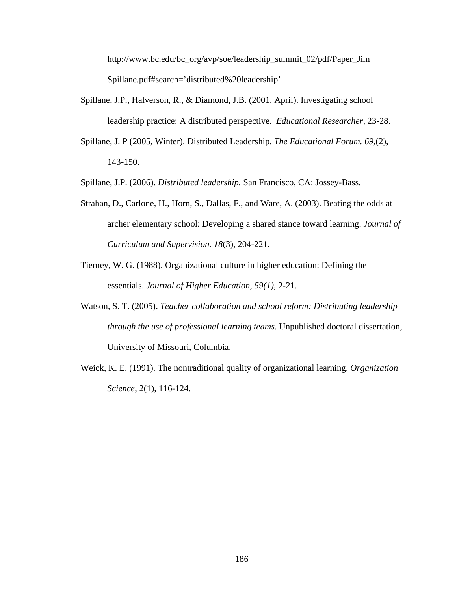http://www.bc.edu/bc\_org/avp/soe/leadership\_summit\_02/pdf/Paper\_Jim Spillane.pdf#search='distributed%20leadership'

- Spillane, J.P., Halverson, R., & Diamond, J.B. (2001, April). Investigating school leadership practice: A distributed perspective. *Educational Researcher,* 23-28.
- Spillane, J. P (2005, Winter). Distributed Leadership. *The Educational Forum. 69*,(2), 143-150.
- Spillane, J.P. (2006). *Distributed leadership.* San Francisco, CA: Jossey-Bass.
- Strahan, D., Carlone, H., Horn, S., Dallas, F., and Ware, A. (2003). Beating the odds at archer elementary school: Developing a shared stance toward learning. *Journal of Curriculum and Supervision. 18*(3), 204-221.
- Tierney, W. G. (1988). Organizational culture in higher education: Defining the essentials. *Journal of Higher Education*, *59(1)*, 2-21.
- Watson, S. T. (2005). *Teacher collaboration and school reform: Distributing leadership through the use of professional learning teams.* Unpublished doctoral dissertation, University of Missouri, Columbia.
- Weick, K. E. (1991). The nontraditional quality of organizational learning. *Organization Science*, 2(1), 116-124.